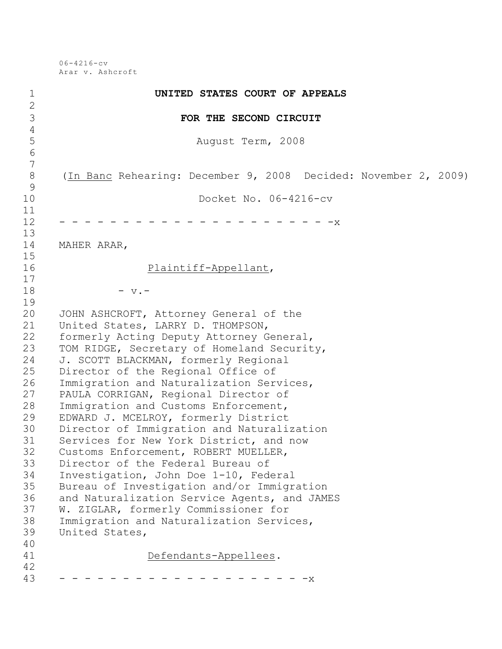06-4216-cv Arar v. Ashcroft

| $\mathbf 1$                               | UNITED STATES COURT OF APPEALS                                  |
|-------------------------------------------|-----------------------------------------------------------------|
| $\mathbf{2}$<br>3                         | FOR THE SECOND CIRCUIT                                          |
| $\overline{4}$                            |                                                                 |
| 5                                         | August Term, 2008                                               |
| $\sqrt{6}$                                |                                                                 |
| $\overline{7}$<br>$8\,$<br>$\overline{9}$ | (In Banc Rehearing: December 9, 2008 Decided: November 2, 2009) |
| 10                                        | Docket No. 06-4216-cv                                           |
| 11                                        |                                                                 |
| 12                                        | .<br>$- -x$                                                     |
| 13                                        |                                                                 |
| 14                                        | MAHER ARAR,                                                     |
| 15<br>16                                  | Plaintiff-Appellant,                                            |
| 17                                        |                                                                 |
| 18                                        | $-$ v. $-$                                                      |
| 19                                        |                                                                 |
| 20                                        | JOHN ASHCROFT, Attorney General of the                          |
| 21                                        | United States, LARRY D. THOMPSON,                               |
| 22                                        | formerly Acting Deputy Attorney General,                        |
| 23                                        | TOM RIDGE, Secretary of Homeland Security,                      |
| 24                                        | J. SCOTT BLACKMAN, formerly Regional                            |
| 25                                        | Director of the Regional Office of                              |
| 26                                        | Immigration and Naturalization Services,                        |
| 27                                        | PAULA CORRIGAN, Regional Director of                            |
| 28                                        | Immigration and Customs Enforcement,                            |
| 29                                        | EDWARD J. MCELROY, formerly District                            |
| 30                                        | Director of Immigration and Naturalization                      |
| 31                                        | Services for New York District, and now                         |
| 32                                        | Customs Enforcement, ROBERT MUELLER,                            |
| 33                                        | Director of the Federal Bureau of                               |
| 34                                        | Investigation, John Doe 1-10, Federal                           |
| 35                                        | Bureau of Investigation and/or Immigration                      |
| 36                                        | and Naturalization Service Agents, and JAMES                    |
| 37                                        | W. ZIGLAR, formerly Commissioner for                            |
| 38                                        | Immigration and Naturalization Services,                        |
| 39                                        | United States,                                                  |
| 40                                        |                                                                 |
| 41<br>42                                  | Defendants-Appellees.                                           |
| 43                                        |                                                                 |
|                                           | - X                                                             |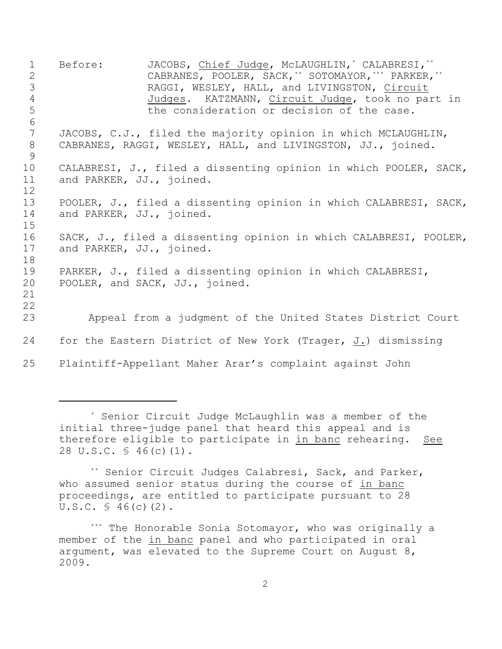1 Before: JACOBS, Chief Judge, McLAUGHLIN,<sup>\*</sup> CALABRESI,<sup>\*\*</sup> 2 CABRANES, POOLER, SACK, TO SOTOMAYOR, THE PARKER, THE 3 RAGGI, WESLEY, HALL, and LIVINGSTON, Circuit 4 Judges. KATZMANN, Circuit Judge, took no part in 5 the consideration or decision of the case. 6 7 JACOBS, C.J., filed the majority opinion in which MCLAUGHLIN, 8 CABRANES, RAGGI, WESLEY, HALL, and LIVINGSTON, JJ., joined. 9 10 CALABRESI, J., filed a dissenting opinion in which POOLER, SACK, 11 and PARKER, JJ., joined. 12 13 POOLER, J., filed a dissenting opinion in which CALABRESI, SACK, 14 and PARKER, JJ., joined. 15 16 SACK, J., filed a dissenting opinion in which CALABRESI, POOLER, 17 and PARKER, JJ., joined. 18 19 PARKER, J., filed a dissenting opinion in which CALABRESI, 20 POOLER, and SACK, JJ., joined. 21 22 23 Appeal from a judgment of the United States District Court 24 for the Eastern District of New York (Trager, J.) dismissing 25 Plaintiff-Appellant Maher Arar's complaint against John

<sup>\*</sup> Senior Circuit Judge McLaughlin was a member of the initial three-judge panel that heard this appeal and is therefore eligible to participate in in banc rehearing. See 28 U.S.C. § 46(c)(1).

<sup>\*\*</sup> Senior Circuit Judges Calabresi, Sack, and Parker, who assumed senior status during the course of in banc proceedings, are entitled to participate pursuant to 28  $U.S.C. \$ 46(c)(2)$ .

<sup>\*\*\*</sup> The Honorable Sonia Sotomayor, who was originally a member of the in banc panel and who participated in oral argument, was elevated to the Supreme Court on August 8, 2009.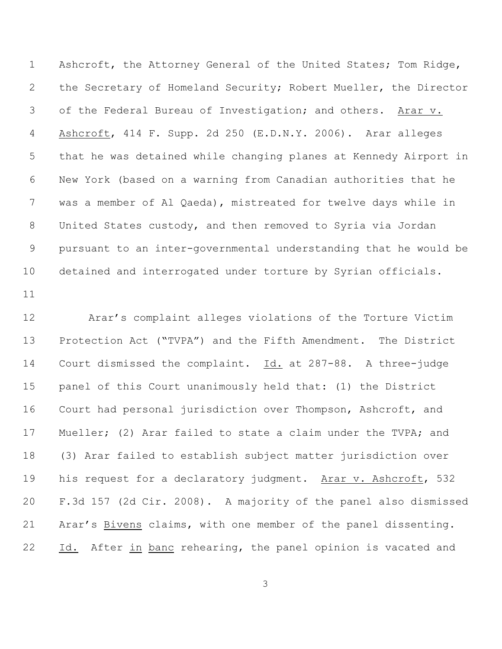Ashcroft, the Attorney General of the United States; Tom Ridge, the Secretary of Homeland Security; Robert Mueller, the Director of the Federal Bureau of Investigation; and others. Arar v. Ashcroft, 414 F. Supp. 2d 250 (E.D.N.Y. 2006). Arar alleges that he was detained while changing planes at Kennedy Airport in New York (based on a warning from Canadian authorities that he was a member of Al Qaeda), mistreated for twelve days while in United States custody, and then removed to Syria via Jordan pursuant to an inter-governmental understanding that he would be detained and interrogated under torture by Syrian officials.

 Arar's complaint alleges violations of the Torture Victim Protection Act ("TVPA") and the Fifth Amendment. The District Court dismissed the complaint. Id. at 287-88. A three-judge panel of this Court unanimously held that: (1) the District Court had personal jurisdiction over Thompson, Ashcroft, and Mueller; (2) Arar failed to state a claim under the TVPA; and (3) Arar failed to establish subject matter jurisdiction over 19 his request for a declaratory judgment. Arar v. Ashcroft, 532 F.3d 157 (2d Cir. 2008). A majority of the panel also dismissed Arar's Bivens claims, with one member of the panel dissenting. 22 Id. After in banc rehearing, the panel opinion is vacated and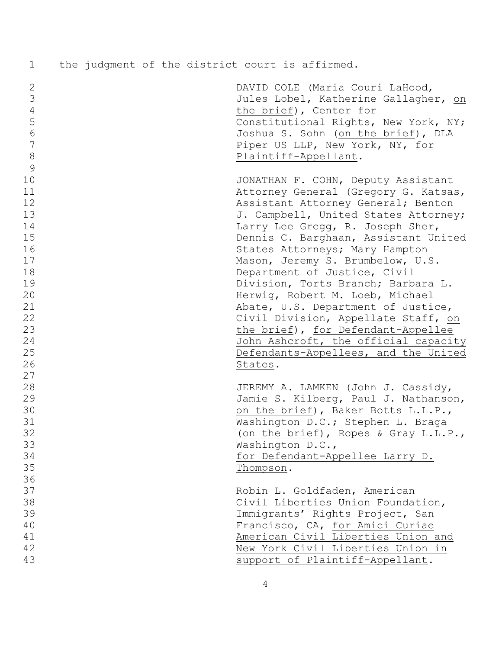|  |  |  |  |  |  |  |  | the judgment of the district court is affirmed. |  |
|--|--|--|--|--|--|--|--|-------------------------------------------------|--|
|--|--|--|--|--|--|--|--|-------------------------------------------------|--|

| $\mathbf{2}$    | DAVID COLE (Maria Couri LaHood,      |
|-----------------|--------------------------------------|
| $\mathcal{S}$   | Jules Lobel, Katherine Gallagher, on |
| $\overline{4}$  | the brief), Center for               |
| 5               | Constitutional Rights, New York, NY; |
| $\sqrt{6}$      | Joshua S. Sohn (on the brief), DLA   |
| $7\phantom{.0}$ | Piper US LLP, New York, NY, for      |
| $8\,$           | Plaintiff-Appellant.                 |
| 9               |                                      |
| 10              | JONATHAN F. COHN, Deputy Assistant   |
| 11              | Attorney General (Gregory G. Katsas, |
| 12              | Assistant Attorney General; Benton   |
| 13              | J. Campbell, United States Attorney; |
| 14              | Larry Lee Gregg, R. Joseph Sher,     |
| 15              | Dennis C. Barghaan, Assistant United |
| 16              | States Attorneys; Mary Hampton       |
| 17              | Mason, Jeremy S. Brumbelow, U.S.     |
| 18              | Department of Justice, Civil         |
| 19              | Division, Torts Branch; Barbara L.   |
| 20              | Herwig, Robert M. Loeb, Michael      |
| 21              | Abate, U.S. Department of Justice,   |
| 22              | Civil Division, Appellate Staff, on  |
| 23              | the brief), for Defendant-Appellee   |
| 24              | John Ashcroft, the official capacity |
| 25              | Defendants-Appellees, and the United |
| 26              | States.                              |
| 27              |                                      |
| 28              | JEREMY A. LAMKEN (John J. Cassidy,   |
| 29              | Jamie S. Kilberg, Paul J. Nathanson, |
| 30              | on the brief), Baker Botts L.L.P.,   |
| 31              | Washington D.C.; Stephen L. Braga    |
| 32              | (on the brief), Ropes & Gray L.L.P., |
| 33              | Washington D.C.,                     |
| 34              | for Defendant-Appellee Larry D.      |
| 35              | Thompson.                            |
| 36              |                                      |
| 37              | Robin L. Goldfaden, American         |
| 38              | Civil Liberties Union Foundation,    |
| 39              | Immigrants' Rights Project, San      |
| 40              | Francisco, CA, for Amici Curiae      |
| 41              | American Civil Liberties Union and   |
| 42              | New York Civil Liberties Union in    |
| 43              | support of Plaintiff-Appellant.      |
|                 |                                      |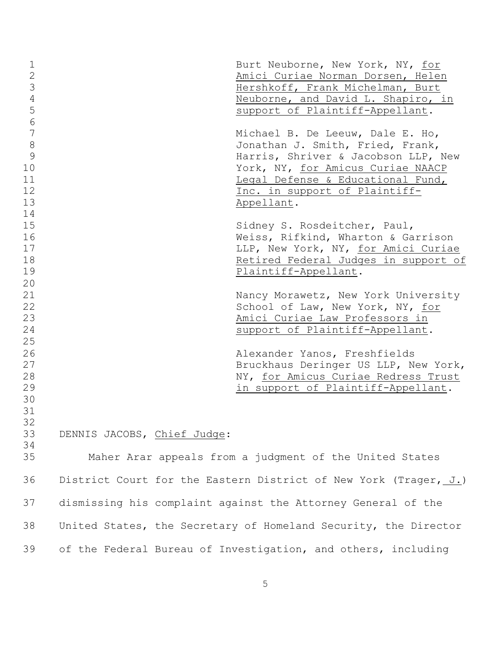| $\mathbf 1$<br>$\mathbf{2}$<br>3<br>$\overline{4}$<br>5<br>$\sqrt{6}$<br>7<br>$\,8\,$<br>9 |                             | Burt Neuborne, New York, NY, for<br>Amici Curiae Norman Dorsen, Helen<br>Hershkoff, Frank Michelman, Burt<br>Neuborne, and David L. Shapiro, in<br>support of Plaintiff-Appellant.<br>Michael B. De Leeuw, Dale E. Ho,<br>Jonathan J. Smith, Fried, Frank,<br>Harris, Shriver & Jacobson LLP, New |
|--------------------------------------------------------------------------------------------|-----------------------------|---------------------------------------------------------------------------------------------------------------------------------------------------------------------------------------------------------------------------------------------------------------------------------------------------|
| 10<br>11<br>12<br>13                                                                       |                             | York, NY, for Amicus Curiae NAACP<br>Legal Defense & Educational Fund,<br>Inc. in support of Plaintiff-<br>Appellant.                                                                                                                                                                             |
| 14<br>15<br>16<br>17<br>18<br>19<br>20                                                     |                             | Sidney S. Rosdeitcher, Paul,<br>Weiss, Rifkind, Wharton & Garrison<br>LLP, New York, NY, for Amici Curiae<br>Retired Federal Judges in support of<br>Plaintiff-Appellant.                                                                                                                         |
| 21<br>22<br>23<br>24<br>25                                                                 |                             | Nancy Morawetz, New York University<br>School of Law, New York, NY, for<br>Amici Curiae Law Professors in<br>support of Plaintiff-Appellant.                                                                                                                                                      |
| 26<br>27<br>28<br>29<br>30<br>31<br>32                                                     |                             | Alexander Yanos, Freshfields<br>Bruckhaus Deringer US LLP, New York,<br>NY, for Amicus Curiae Redress Trust<br>in support of Plaintiff-Appellant.                                                                                                                                                 |
| 33<br>34                                                                                   | DENNIS JACOBS, Chief Judge: |                                                                                                                                                                                                                                                                                                   |
| 35                                                                                         |                             | Maher Arar appeals from a judgment of the United States                                                                                                                                                                                                                                           |
| 36                                                                                         |                             | District Court for the Eastern District of New York (Trager, J.)                                                                                                                                                                                                                                  |
| 37                                                                                         |                             | dismissing his complaint against the Attorney General of the                                                                                                                                                                                                                                      |
| 38                                                                                         |                             | United States, the Secretary of Homeland Security, the Director                                                                                                                                                                                                                                   |
| 39                                                                                         |                             | of the Federal Bureau of Investigation, and others, including                                                                                                                                                                                                                                     |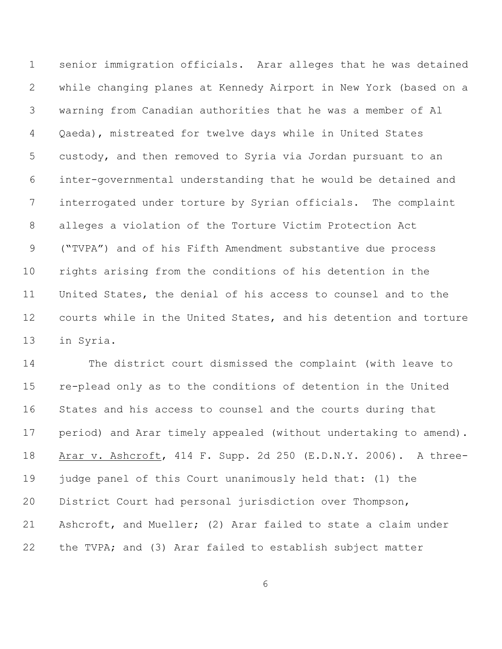senior immigration officials. Arar alleges that he was detained while changing planes at Kennedy Airport in New York (based on a warning from Canadian authorities that he was a member of Al Qaeda), mistreated for twelve days while in United States custody, and then removed to Syria via Jordan pursuant to an inter-governmental understanding that he would be detained and interrogated under torture by Syrian officials. The complaint alleges a violation of the Torture Victim Protection Act ("TVPA") and of his Fifth Amendment substantive due process rights arising from the conditions of his detention in the United States, the denial of his access to counsel and to the courts while in the United States, and his detention and torture in Syria.

 The district court dismissed the complaint (with leave to re-plead only as to the conditions of detention in the United States and his access to counsel and the courts during that period) and Arar timely appealed (without undertaking to amend). Arar v. Ashcroft, 414 F. Supp. 2d 250 (E.D.N.Y. 2006). A three- judge panel of this Court unanimously held that: (1) the District Court had personal jurisdiction over Thompson, Ashcroft, and Mueller; (2) Arar failed to state a claim under the TVPA; and (3) Arar failed to establish subject matter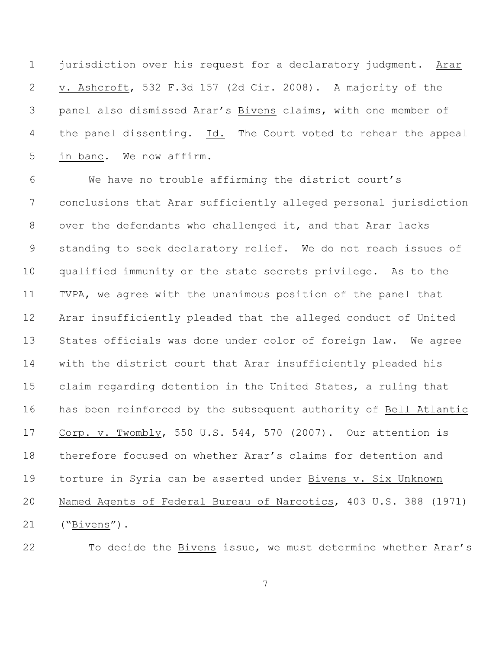jurisdiction over his request for a declaratory judgment. Arar v. Ashcroft, 532 F.3d 157 (2d Cir. 2008). A majority of the panel also dismissed Arar's Bivens claims, with one member of the panel dissenting. Id. The Court voted to rehear the appeal in banc. We now affirm.

 We have no trouble affirming the district court's conclusions that Arar sufficiently alleged personal jurisdiction over the defendants who challenged it, and that Arar lacks standing to seek declaratory relief. We do not reach issues of qualified immunity or the state secrets privilege. As to the TVPA, we agree with the unanimous position of the panel that Arar insufficiently pleaded that the alleged conduct of United States officials was done under color of foreign law. We agree with the district court that Arar insufficiently pleaded his claim regarding detention in the United States, a ruling that has been reinforced by the subsequent authority of Bell Atlantic Corp. v. Twombly, 550 U.S. 544, 570 (2007). Our attention is therefore focused on whether Arar's claims for detention and torture in Syria can be asserted under Bivens v. Six Unknown Named Agents of Federal Bureau of Narcotics, 403 U.S. 388 (1971) ("Bivens").

To decide the Bivens issue, we must determine whether Arar's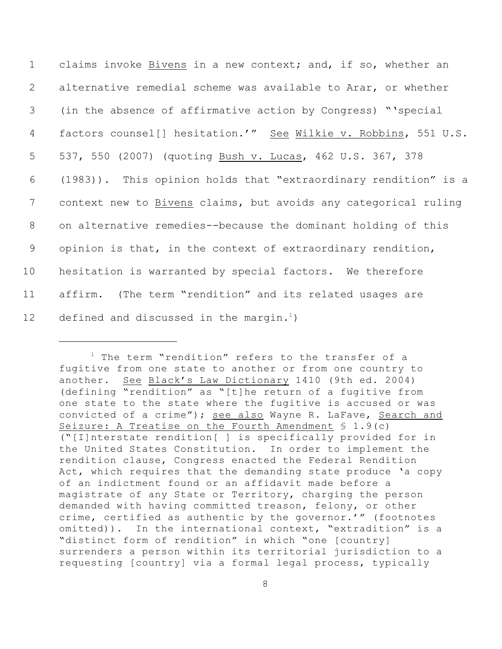claims invoke Bivens in a new context; and, if so, whether an alternative remedial scheme was available to Arar, or whether (in the absence of affirmative action by Congress) "'special factors counsel[] hesitation.'" See Wilkie v. Robbins, 551 U.S. 537, 550 (2007) (quoting Bush v. Lucas, 462 U.S. 367, 378 (1983)). This opinion holds that "extraordinary rendition" is a context new to Bivens claims, but avoids any categorical ruling on alternative remedies--because the dominant holding of this opinion is that, in the context of extraordinary rendition, hesitation is warranted by special factors. We therefore affirm. (The term "rendition" and its related usages are 12 defined and discussed in the margin.<sup>1</sup>)

 $1$  The term "rendition" refers to the transfer of a fugitive from one state to another or from one country to another. See Black's Law Dictionary 1410 (9th ed. 2004) (defining "rendition" as "[t]he return of a fugitive from one state to the state where the fugitive is accused or was convicted of a crime"); see also Wayne R. LaFave, Search and Seizure: A Treatise on the Fourth Amendment  $\S$  1.9(c) ("[I]nterstate rendition[ ] is specifically provided for in the United States Constitution. In order to implement the rendition clause, Congress enacted the Federal Rendition Act, which requires that the demanding state produce 'a copy of an indictment found or an affidavit made before a magistrate of any State or Territory, charging the person demanded with having committed treason, felony, or other crime, certified as authentic by the governor.'" (footnotes omitted)). In the international context, "extradition" is a "distinct form of rendition" in which "one [country] surrenders a person within its territorial jurisdiction to a requesting [country] via a formal legal process, typically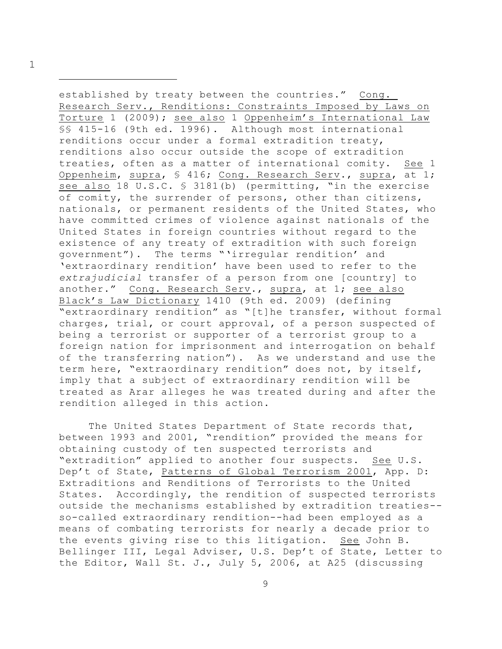1

established by treaty between the countries." Cong. Research Serv., Renditions: Constraints Imposed by Laws on Torture 1 (2009); see also 1 Oppenheim's International Law §§ 415-16 (9th ed. 1996). Although most international renditions occur under a formal extradition treaty, renditions also occur outside the scope of extradition treaties, often as a matter of international comity. See 1 Oppenheim, supra, § 416; Cong. Research Serv., supra, at 1; see also 18 U.S.C. § 3181(b) (permitting, "in the exercise of comity, the surrender of persons, other than citizens, nationals, or permanent residents of the United States, who have committed crimes of violence against nationals of the United States in foreign countries without regard to the existence of any treaty of extradition with such foreign government"). The terms "'irregular rendition' and 'extraordinary rendition' have been used to refer to the *extrajudicial* transfer of a person from one [country] to another." Cong. Research Serv., supra, at 1; see also Black's Law Dictionary 1410 (9th ed. 2009) (defining "extraordinary rendition" as "[t]he transfer, without formal charges, trial, or court approval, of a person suspected of being a terrorist or supporter of a terrorist group to a foreign nation for imprisonment and interrogation on behalf of the transferring nation"). As we understand and use the term here, "extraordinary rendition" does not, by itself, imply that a subject of extraordinary rendition will be treated as Arar alleges he was treated during and after the rendition alleged in this action.

The United States Department of State records that, between 1993 and 2001, "rendition" provided the means for obtaining custody of ten suspected terrorists and "extradition" applied to another four suspects. See U.S. Dep't of State, Patterns of Global Terrorism 2001, App. D: Extraditions and Renditions of Terrorists to the United States. Accordingly, the rendition of suspected terrorists outside the mechanisms established by extradition treaties- so-called extraordinary rendition--had been employed as a means of combating terrorists for nearly a decade prior to the events giving rise to this litigation. See John B. Bellinger III, Legal Adviser, U.S. Dep't of State, Letter to the Editor, Wall St. J., July 5, 2006, at A25 (discussing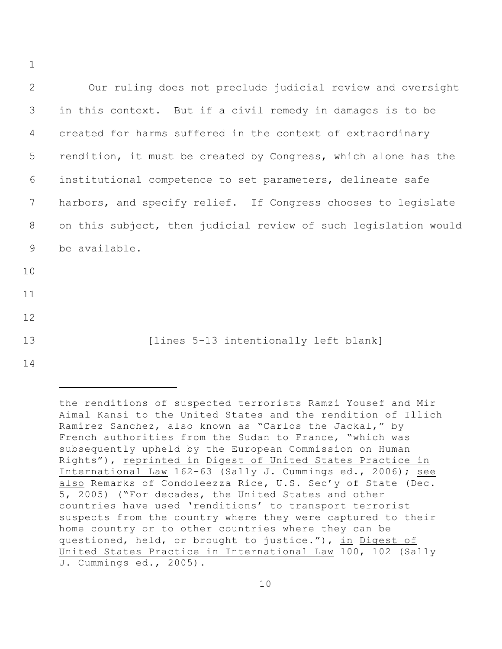Our ruling does not preclude judicial review and oversight in this context. But if a civil remedy in damages is to be created for harms suffered in the context of extraordinary rendition, it must be created by Congress, which alone has the institutional competence to set parameters, delineate safe harbors, and specify relief. If Congress chooses to legislate on this subject, then judicial review of such legislation would be available. 10 11 12 13 [lines 5-13 intentionally left blank] 14

1

the renditions of suspected terrorists Ramzi Yousef and Mir Aimal Kansi to the United States and the rendition of Illich Ramirez Sanchez, also known as "Carlos the Jackal," by French authorities from the Sudan to France, "which was subsequently upheld by the European Commission on Human Rights"), reprinted in Digest of United States Practice in International Law 162-63 (Sally J. Cummings ed., 2006); see also Remarks of Condoleezza Rice, U.S. Sec'y of State (Dec. 5, 2005) ("For decades, the United States and other countries have used 'renditions' to transport terrorist suspects from the country where they were captured to their home country or to other countries where they can be questioned, held, or brought to justice."), in Digest of United States Practice in International Law 100, 102 (Sally J. Cummings ed., 2005).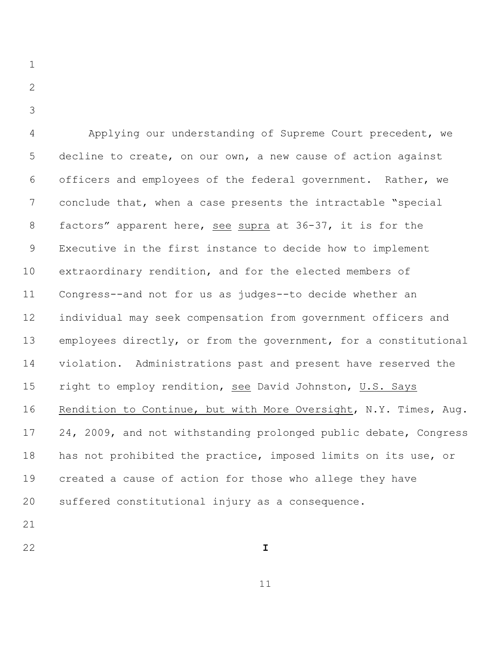- $\mathcal{P}$
- 

 Applying our understanding of Supreme Court precedent, we decline to create, on our own, a new cause of action against officers and employees of the federal government. Rather, we conclude that, when a case presents the intractable "special factors" apparent here, see supra at 36-37, it is for the Executive in the first instance to decide how to implement extraordinary rendition, and for the elected members of Congress--and not for us as judges--to decide whether an individual may seek compensation from government officers and employees directly, or from the government, for a constitutional violation. Administrations past and present have reserved the right to employ rendition, see David Johnston, U.S. Says Rendition to Continue, but with More Oversight, N.Y. Times, Aug. 24, 2009, and not withstanding prolonged public debate, Congress has not prohibited the practice, imposed limits on its use, or created a cause of action for those who allege they have suffered constitutional injury as a consequence.

- 
- **I**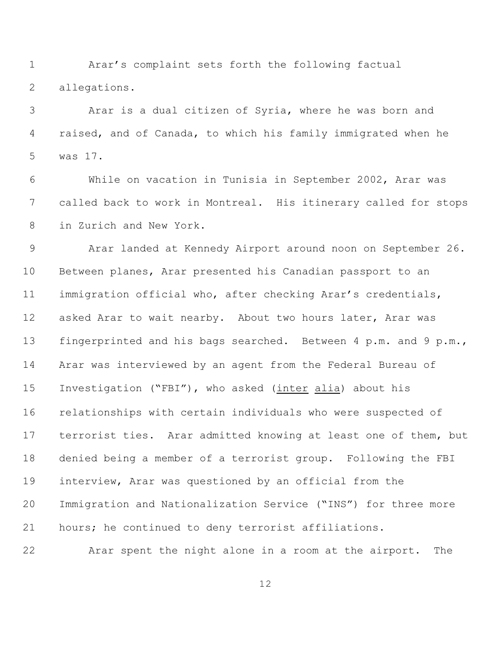Arar's complaint sets forth the following factual allegations.

 Arar is a dual citizen of Syria, where he was born and raised, and of Canada, to which his family immigrated when he was 17.

 While on vacation in Tunisia in September 2002, Arar was called back to work in Montreal. His itinerary called for stops in Zurich and New York.

 Arar landed at Kennedy Airport around noon on September 26. Between planes, Arar presented his Canadian passport to an immigration official who, after checking Arar's credentials, 12 asked Arar to wait nearby. About two hours later, Arar was 13 fingerprinted and his bags searched. Between 4 p.m. and 9 p.m., Arar was interviewed by an agent from the Federal Bureau of Investigation ("FBI"), who asked (inter alia) about his relationships with certain individuals who were suspected of terrorist ties. Arar admitted knowing at least one of them, but denied being a member of a terrorist group. Following the FBI interview, Arar was questioned by an official from the Immigration and Nationalization Service ("INS") for three more hours; he continued to deny terrorist affiliations.

Arar spent the night alone in a room at the airport. The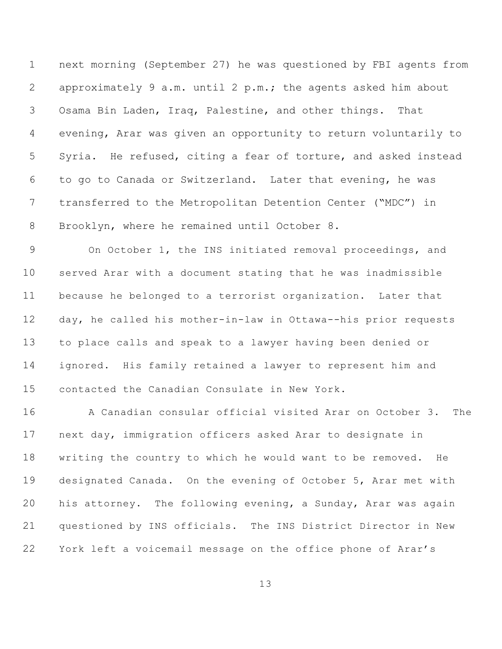next morning (September 27) he was questioned by FBI agents from approximately 9 a.m. until 2 p.m.; the agents asked him about Osama Bin Laden, Iraq, Palestine, and other things. That evening, Arar was given an opportunity to return voluntarily to Syria. He refused, citing a fear of torture, and asked instead to go to Canada or Switzerland. Later that evening, he was transferred to the Metropolitan Detention Center ("MDC") in Brooklyn, where he remained until October 8.

 On October 1, the INS initiated removal proceedings, and served Arar with a document stating that he was inadmissible because he belonged to a terrorist organization.Later that day, he called his mother-in-law in Ottawa--his prior requests to place calls and speak to a lawyer having been denied or ignored. His family retained a lawyer to represent him and contacted the Canadian Consulate in New York.

 A Canadian consular official visited Arar on October 3. The next day, immigration officers asked Arar to designate in writing the country to which he would want to be removed. He designated Canada. On the evening of October 5, Arar met with his attorney. The following evening, a Sunday, Arar was again questioned by INS officials. The INS District Director in New York left a voicemail message on the office phone of Arar's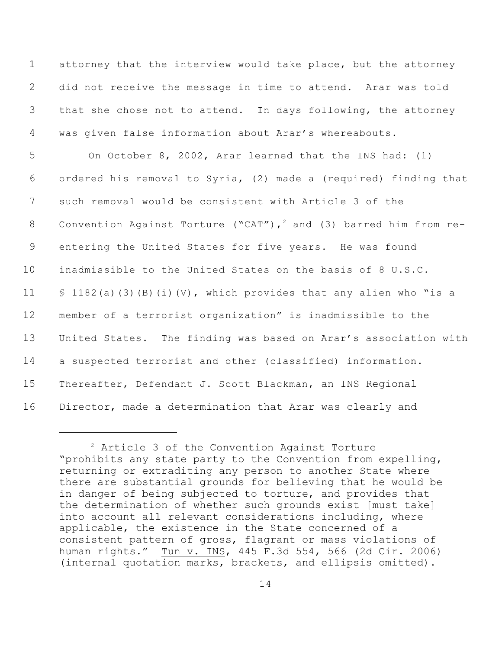attorney that the interview would take place, but the attorney did not receive the message in time to attend. Arar was told that she chose not to attend. In days following, the attorney was given false information about Arar's whereabouts.

 On October 8, 2002, Arar learned that the INS had: (1) ordered his removal to Syria, (2) made a (required) finding that such removal would be consistent with Article 3 of the 8 Convention Against Torture ("CAT"),  $^2$  and (3) barred him from re- entering the United States for five years. He was found inadmissible to the United States on the basis of 8 U.S.C. § 1182(a)(3)(B)(i)(V), which provides that any alien who "is a member of a terrorist organization" is inadmissible to the United States. The finding was based on Arar's association with a suspected terrorist and other (classified) information. Thereafter, Defendant J. Scott Blackman, an INS Regional Director, made a determination that Arar was clearly and

 Article 3 of the Convention Against Torture "prohibits any state party to the Convention from expelling, returning or extraditing any person to another State where there are substantial grounds for believing that he would be in danger of being subjected to torture, and provides that the determination of whether such grounds exist [must take] into account all relevant considerations including, where applicable, the existence in the State concerned of a consistent pattern of gross, flagrant or mass violations of human rights." Tun v. INS, 445 F.3d 554, 566 (2d Cir. 2006) (internal quotation marks, brackets, and ellipsis omitted).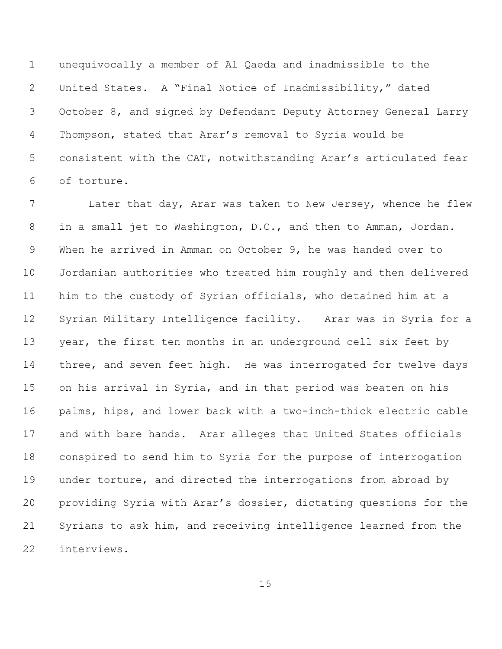unequivocally a member of Al Qaeda and inadmissible to the United States. A "Final Notice of Inadmissibility," dated October 8, and signed by Defendant Deputy Attorney General Larry Thompson, stated that Arar's removal to Syria would be consistent with the CAT, notwithstanding Arar's articulated fear of torture.

 Later that day, Arar was taken to New Jersey, whence he flew in a small jet to Washington, D.C., and then to Amman, Jordan. When he arrived in Amman on October 9, he was handed over to Jordanian authorities who treated him roughly and then delivered him to the custody of Syrian officials, who detained him at a Syrian Military Intelligence facility. Arar was in Syria for a 13 year, the first ten months in an underground cell six feet by 14 three, and seven feet high. He was interrogated for twelve days on his arrival in Syria, and in that period was beaten on his palms, hips, and lower back with a two-inch-thick electric cable and with bare hands. Arar alleges that United States officials conspired to send him to Syria for the purpose of interrogation under torture, and directed the interrogations from abroad by providing Syria with Arar's dossier, dictating questions for the Syrians to ask him, and receiving intelligence learned from the interviews.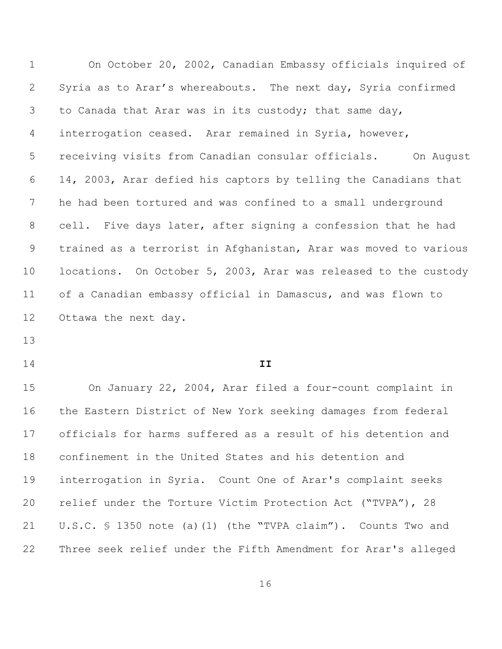On October 20, 2002, Canadian Embassy officials inquired of Syria as to Arar's whereabouts. The next day, Syria confirmed to Canada that Arar was in its custody; that same day, interrogation ceased. Arar remained in Syria, however, receiving visits from Canadian consular officials. On August 14, 2003, Arar defied his captors by telling the Canadians that he had been tortured and was confined to a small underground 8 cell. Five days later, after signing a confession that he had trained as a terrorist in Afghanistan, Arar was moved to various locations. On October 5, 2003, Arar was released to the custody of a Canadian embassy official in Damascus, and was flown to Ottawa the next day.

## **II**

 On January 22, 2004, Arar filed a four-count complaint in the Eastern District of New York seeking damages from federal officials for harms suffered as a result of his detention and confinement in the United States and his detention and interrogation in Syria. Count One of Arar's complaint seeks relief under the Torture Victim Protection Act ("TVPA"), 28 U.S.C. § 1350 note (a)(1) (the "TVPA claim"). Counts Two and Three seek relief under the Fifth Amendment for Arar's alleged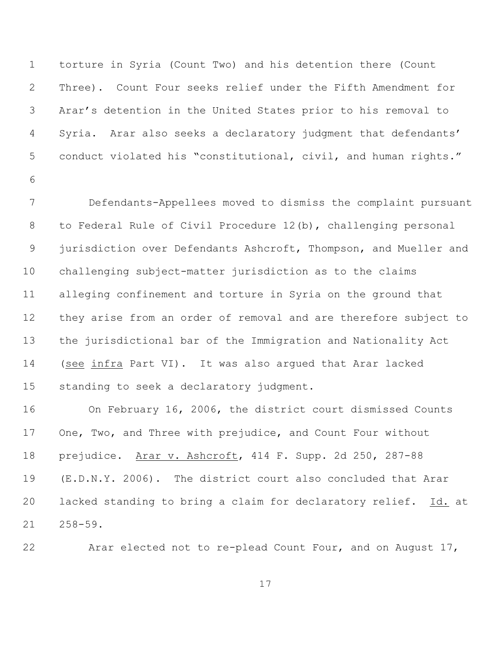torture in Syria (Count Two) and his detention there (Count Three). Count Four seeks relief under the Fifth Amendment for Arar's detention in the United States prior to his removal to Syria. Arar also seeks a declaratory judgment that defendants' conduct violated his "constitutional, civil, and human rights."

 Defendants-Appellees moved to dismiss the complaint pursuant to Federal Rule of Civil Procedure 12(b), challenging personal 9 jurisdiction over Defendants Ashcroft, Thompson, and Mueller and challenging subject-matter jurisdiction as to the claims alleging confinement and torture in Syria on the ground that they arise from an order of removal and are therefore subject to the jurisdictional bar of the Immigration and Nationality Act (see infra Part VI). It was also argued that Arar lacked standing to seek a declaratory judgment.

 On February 16, 2006, the district court dismissed Counts One, Two, and Three with prejudice, and Count Four without prejudice. Arar v. Ashcroft, 414 F. Supp. 2d 250, 287-88 (E.D.N.Y. 2006). The district court also concluded that Arar lacked standing to bring a claim for declaratory relief. Id. at 258-59.

Arar elected not to re-plead Count Four, and on August 17,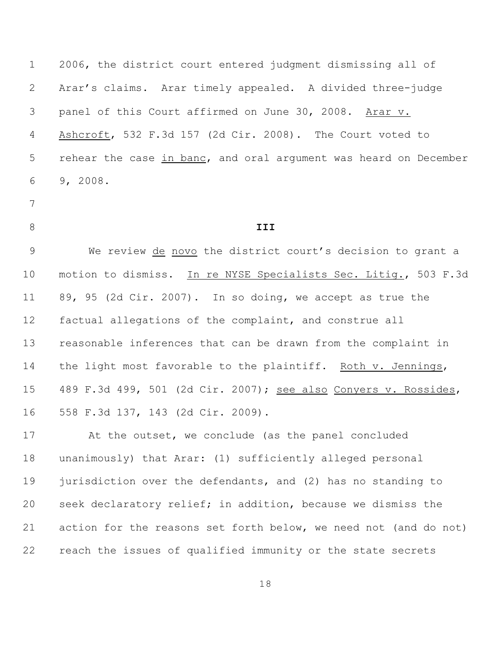2006, the district court entered judgment dismissing all of Arar's claims. Arar timely appealed.A divided three-judge panel of this Court affirmed on June 30, 2008. Arar v. Ashcroft, 532 F.3d 157 (2d Cir. 2008). The Court voted to rehear the case in banc, and oral argument was heard on December 9, 2008.

- 
- 

## **III**

 We review de novo the district court's decision to grant a motion to dismiss. In re NYSE Specialists Sec. Litig., 503 F.3d 89, 95 (2d Cir. 2007). In so doing, we accept as true the factual allegations of the complaint, and construe all reasonable inferences that can be drawn from the complaint in the light most favorable to the plaintiff. Roth v. Jennings, 489 F.3d 499, 501 (2d Cir. 2007); see also Conyers v. Rossides, 558 F.3d 137, 143 (2d Cir. 2009).

 At the outset, we conclude (as the panel concluded unanimously) that Arar: (1) sufficiently alleged personal 19 jurisdiction over the defendants, and (2) has no standing to seek declaratory relief; in addition, because we dismiss the action for the reasons set forth below, we need not (and do not) reach the issues of qualified immunity or the state secrets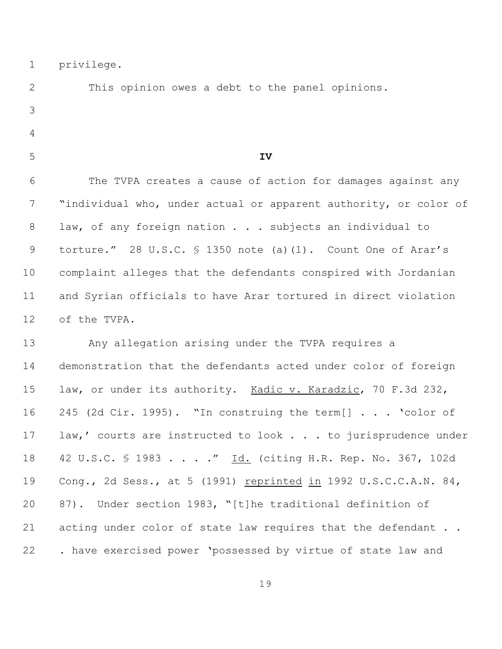privilege.

 This opinion owes a debt to the panel opinions. **IV** The TVPA creates a cause of action for damages against any "individual who, under actual or apparent authority, or color of 8 law, of any foreign nation . . . subjects an individual to 9 torture." 28 U.S.C. § 1350 note (a)(1). Count One of Arar's complaint alleges that the defendants conspired with Jordanian and Syrian officials to have Arar tortured in direct violation of the TVPA. Any allegation arising under the TVPA requires a demonstration that the defendants acted under color of foreign law, or under its authority. Kadic v. Karadzic, 70 F.3d 232, 245 (2d Cir. 1995). "In construing the term[] . . . 'color of 17 law,' courts are instructed to look . . . to jurisprudence under 18 42 U.S.C. § 1983 . . . . " Id. (citing H.R. Rep. No. 367, 102d 19 Cong., 2d Sess., at 5 (1991) reprinted in 1992 U.S.C.C.A.N. 84, 87). Under section 1983, "[t]he traditional definition of 21 acting under color of state law requires that the defendant . .

. have exercised power 'possessed by virtue of state law and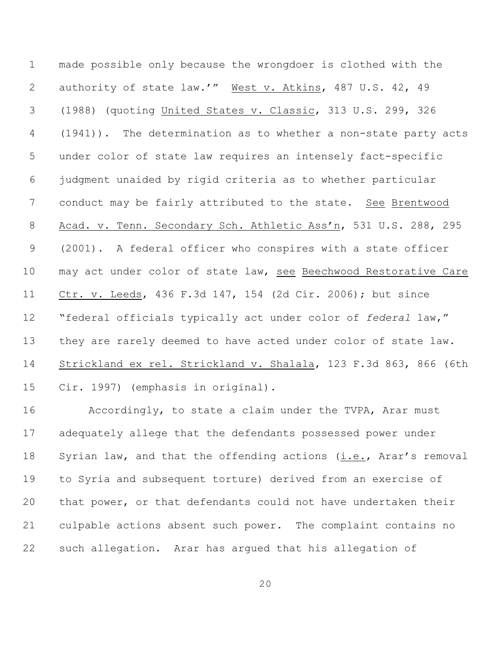made possible only because the wrongdoer is clothed with the authority of state law.'" West v. Atkins, 487 U.S. 42, 49 (1988) (quoting United States v. Classic, 313 U.S. 299, 326 (1941)). The determination as to whether a non-state party acts under color of state law requires an intensely fact-specific judgment unaided by rigid criteria as to whether particular conduct may be fairly attributed to the state. See Brentwood Acad. v. Tenn. Secondary Sch. Athletic Ass'n, 531 U.S. 288, 295 (2001). A federal officer who conspires with a state officer may act under color of state law, see Beechwood Restorative Care Ctr. v. Leeds, 436 F.3d 147, 154 (2d Cir. 2006); but since "federal officials typically act under color of *federal* law," they are rarely deemed to have acted under color of state law. Strickland ex rel. Strickland v. Shalala, 123 F.3d 863, 866 (6th Cir. 1997) (emphasis in original).

 Accordingly, to state a claim under the TVPA, Arar must adequately allege that the defendants possessed power under 18 Syrian law, and that the offending actions (i.e., Arar's removal to Syria and subsequent torture) derived from an exercise of that power, or that defendants could not have undertaken their culpable actions absent such power. The complaint contains no such allegation. Arar has argued that his allegation of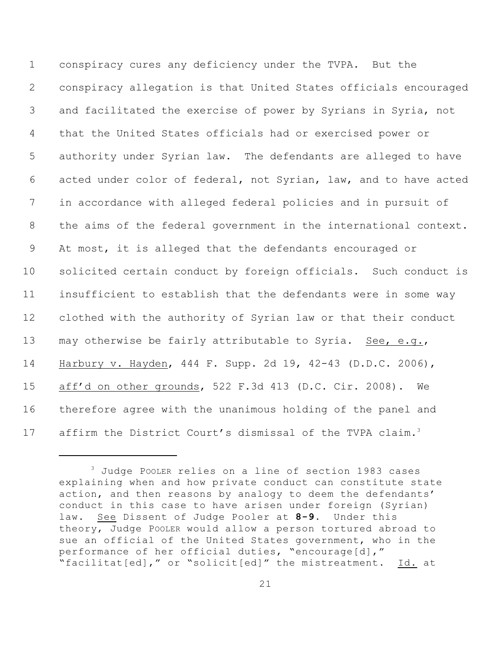conspiracy cures any deficiency under the TVPA. But the conspiracy allegation is that United States officials encouraged and facilitated the exercise of power by Syrians in Syria, not that the United States officials had or exercised power or authority under Syrian law. The defendants are alleged to have acted under color of federal, not Syrian, law, and to have acted in accordance with alleged federal policies and in pursuit of the aims of the federal government in the international context. At most, it is alleged that the defendants encouraged or solicited certain conduct by foreign officials. Such conduct is insufficient to establish that the defendants were in some way clothed with the authority of Syrian law or that their conduct 13 may otherwise be fairly attributable to Syria. See, e.g., Harbury v. Hayden, 444 F. Supp. 2d 19, 42-43 (D.D.C. 2006), aff'd on other grounds, 522 F.3d 413 (D.C. Cir. 2008). We therefore agree with the unanimous holding of the panel and 17 affirm the District Court's dismissal of the TVPA claim.<sup>3</sup>

 Judge POOLER relies on a line of section 1983 cases explaining when and how private conduct can constitute state action, and then reasons by analogy to deem the defendants' conduct in this case to have arisen under foreign (Syrian) law. See Dissent of Judge Pooler at **8-9**. Under this theory, Judge POOLER would allow a person tortured abroad to sue an official of the United States government, who in the performance of her official duties, "encourage[d]," "facilitat[ed]," or "solicit[ed]" the mistreatment. Id. at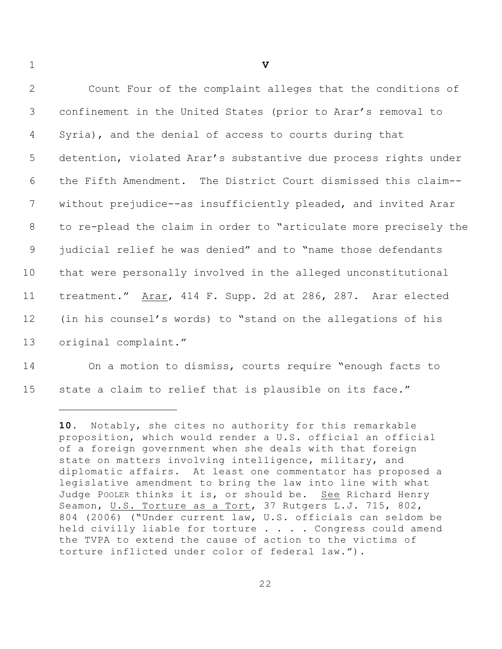**V** Count Four of the complaint alleges that the conditions of confinement in the United States (prior to Arar's removal to Syria), and the denial of access to courts during that detention, violated Arar's substantive due process rights under the Fifth Amendment. The District Court dismissed this claim-- without prejudice--as insufficiently pleaded, and invited Arar to re-plead the claim in order to "articulate more precisely the judicial relief he was denied" and to "name those defendants that were personally involved in the alleged unconstitutional treatment." Arar, 414 F. Supp. 2d at 286, 287. Arar elected (in his counsel's words) to "stand on the allegations of his original complaint."

 On a motion to dismiss, courts require "enough facts to state a claim to relief that is plausible on its face."

. Notably, she cites no authority for this remarkable proposition, which would render a U.S. official an official of a foreign government when she deals with that foreign state on matters involving intelligence, military, and diplomatic affairs. At least one commentator has proposed a legislative amendment to bring the law into line with what Judge POOLER thinks it is, or should be. See Richard Henry Seamon, U.S. Torture as a Tort, 37 Rutgers L.J. 715, 802, 804 (2006) ("Under current law, U.S. officials can seldom be held civilly liable for torture . . . . Congress could amend the TVPA to extend the cause of action to the victims of torture inflicted under color of federal law.").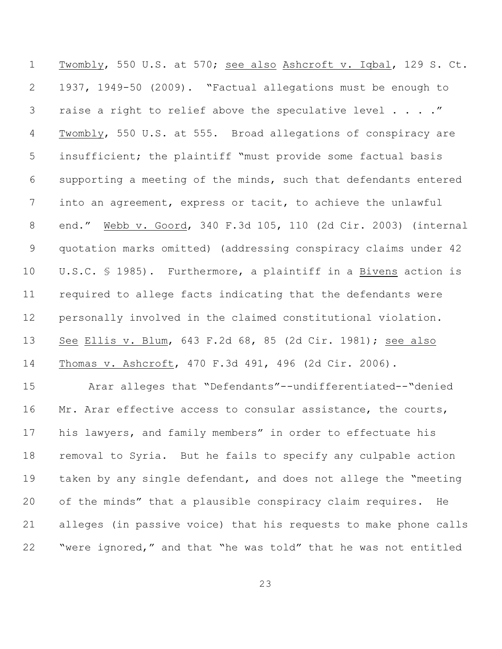Twombly, 550 U.S. at 570; see also Ashcroft v. Iqbal, 129 S. Ct. 1937, 1949-50 (2009). "Factual allegations must be enough to 3 raise a right to relief above the speculative level . . . . " 4 Twombly, 550 U.S. at 555. Broad allegations of conspiracy are insufficient; the plaintiff "must provide some factual basis supporting a meeting of the minds, such that defendants entered into an agreement, express or tacit, to achieve the unlawful end." Webb v. Goord, 340 F.3d 105, 110 (2d Cir. 2003) (internal quotation marks omitted) (addressing conspiracy claims under 42 U.S.C. § 1985). Furthermore, a plaintiff in a Bivens action is required to allege facts indicating that the defendants were personally involved in the claimed constitutional violation. See Ellis v. Blum, 643 F.2d 68, 85 (2d Cir. 1981); see also Thomas v. Ashcroft, 470 F.3d 491, 496 (2d Cir. 2006). Arar alleges that "Defendants"--undifferentiated--"denied 16 Mr. Arar effective access to consular assistance, the courts,

 his lawyers, and family members" in order to effectuate his removal to Syria. But he fails to specify any culpable action taken by any single defendant, and does not allege the "meeting of the minds" that a plausible conspiracy claim requires. He alleges (in passive voice) that his requests to make phone calls "were ignored," and that "he was told" that he was not entitled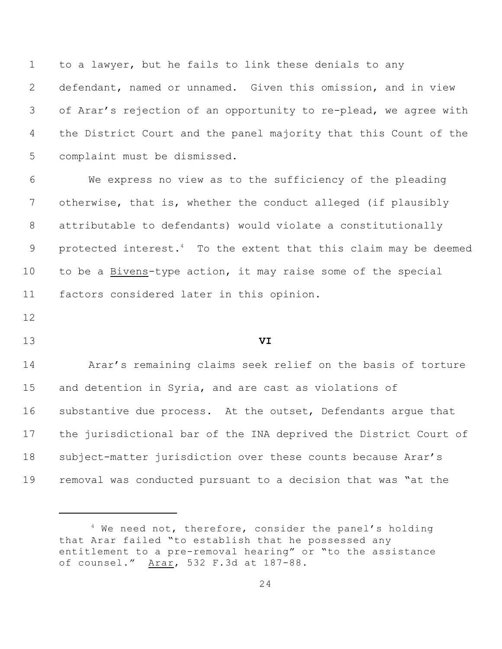to a lawyer, but he fails to link these denials to any defendant, named or unnamed. Given this omission, and in view of Arar's rejection of an opportunity to re-plead, we agree with the District Court and the panel majority that this Count of the complaint must be dismissed.

 We express no view as to the sufficiency of the pleading otherwise, that is, whether the conduct alleged (if plausibly attributable to defendants) would violate a constitutionally 9 protected interest.<sup>4</sup> To the extent that this claim may be deemed to be a Bivens-type action, it may raise some of the special factors considered later in this opinion.

## **VI**

 Arar's remaining claims seek relief on the basis of torture and detention in Syria, and are cast as violations of substantive due process. At the outset, Defendants argue that the jurisdictional bar of the INA deprived the District Court of subject-matter jurisdiction over these counts because Arar's removal was conducted pursuant to a decision that was "at the

 We need not, therefore, consider the panel's holding that Arar failed "to establish that he possessed any entitlement to a pre-removal hearing" or "to the assistance of counsel." Arar, 532 F.3d at 187-88.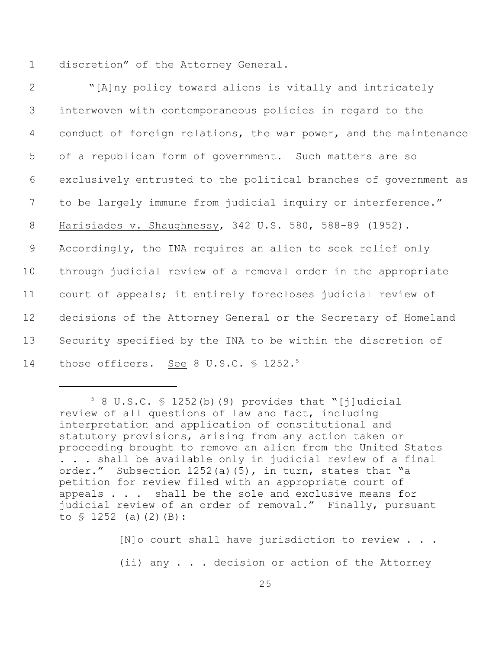1 discretion" of the Attorney General.

| $\mathbf{2}$ | "[A]ny policy toward aliens is vitally and intricately           |
|--------------|------------------------------------------------------------------|
| 3            | interwoven with contemporaneous policies in regard to the        |
| 4            | conduct of foreign relations, the war power, and the maintenance |
| 5            | of a republican form of government. Such matters are so          |
| 6            | exclusively entrusted to the political branches of government as |
| 7            | to be largely immune from judicial inquiry or interference."     |
| $8\,$        | Harisiades v. Shaughnessy, 342 U.S. 580, 588-89 (1952).          |
| 9            | Accordingly, the INA requires an alien to seek relief only       |
| 10           | through judicial review of a removal order in the appropriate    |
| 11           | court of appeals; it entirely forecloses judicial review of      |
| 12           | decisions of the Attorney General or the Secretary of Homeland   |
| 13           | Security specified by the INA to be within the discretion of     |
| 14           | those officers. See 8 U.S.C. § 1252. <sup>5</sup>                |

 $58$  U.S.C.  $$$  1252(b)(9) provides that "[j]udicial review of all questions of law and fact, including interpretation and application of constitutional and statutory provisions, arising from any action taken or proceeding brought to remove an alien from the United States . . . shall be available only in judicial review of a final order." Subsection 1252(a)(5), in turn, states that "a petition for review filed with an appropriate court of appeals . . . shall be the sole and exclusive means for judicial review of an order of removal." Finally, pursuant to  $$ 1252$  (a)(2)(B):

[N]o court shall have jurisdiction to review . . . (ii) any . . . decision or action of the Attorney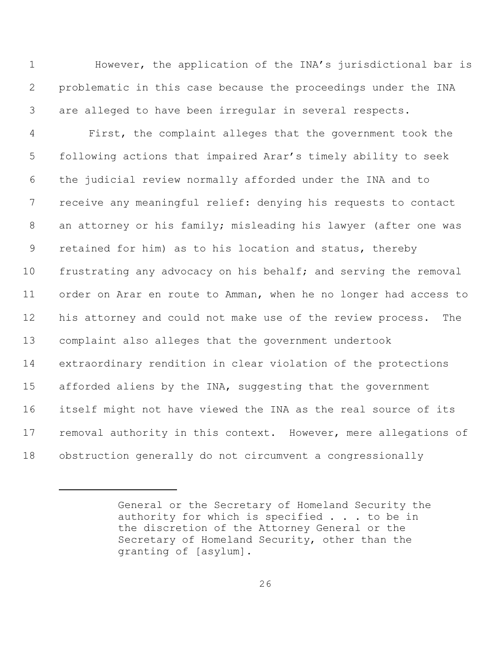1 However, the application of the INA's jurisdictional bar is problematic in this case because the proceedings under the INA are alleged to have been irregular in several respects.

 First, the complaint alleges that the government took the following actions that impaired Arar's timely ability to seek the judicial review normally afforded under the INA and to receive any meaningful relief: denying his requests to contact an attorney or his family; misleading his lawyer (after one was retained for him) as to his location and status, thereby frustrating any advocacy on his behalf; and serving the removal order on Arar en route to Amman, when he no longer had access to his attorney and could not make use of the review process. The complaint also alleges that the government undertook extraordinary rendition in clear violation of the protections 15 afforded aliens by the INA, suggesting that the government itself might not have viewed the INA as the real source of its 17 removal authority in this context. However, mere allegations of obstruction generally do not circumvent a congressionally

General or the Secretary of Homeland Security the authority for which is specified . . . to be in the discretion of the Attorney General or the Secretary of Homeland Security, other than the granting of [asylum].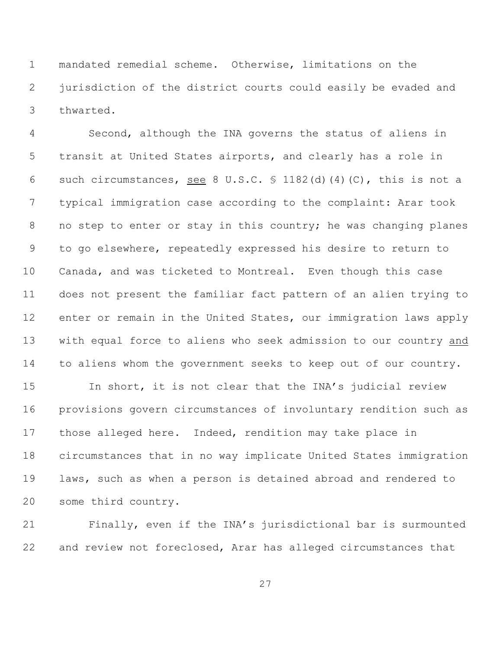mandated remedial scheme. Otherwise, limitations on the jurisdiction of the district courts could easily be evaded and thwarted.

 Second, although the INA governs the status of aliens in transit at United States airports, and clearly has a role in 6 such circumstances, see 8 U.S.C.  $\frac{1182}{d}$  (4)(C), this is not a typical immigration case according to the complaint: Arar took 8 no step to enter or stay in this country; he was changing planes to go elsewhere, repeatedly expressed his desire to return to Canada, and was ticketed to Montreal. Even though this case does not present the familiar fact pattern of an alien trying to 12 enter or remain in the United States, our immigration laws apply with equal force to aliens who seek admission to our country and to aliens whom the government seeks to keep out of our country.

 In short, it is not clear that the INA's judicial review provisions govern circumstances of involuntary rendition such as those alleged here. Indeed, rendition may take place in circumstances that in no way implicate United States immigration laws, such as when a person is detained abroad and rendered to some third country.

 Finally, even if the INA's jurisdictional bar is surmounted and review not foreclosed, Arar has alleged circumstances that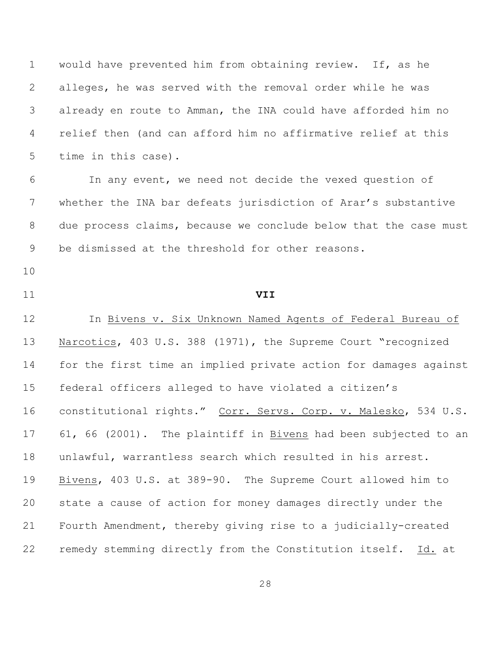would have prevented him from obtaining review. If, as he alleges, he was served with the removal order while he was already en route to Amman, the INA could have afforded him no relief then (and can afford him no affirmative relief at this time in this case).

 In any event, we need not decide the vexed question of whether the INA bar defeats jurisdiction of Arar's substantive due process claims, because we conclude below that the case must be dismissed at the threshold for other reasons.

- 
- 

**VII**

12 In Bivens v. Six Unknown Named Agents of Federal Bureau of Narcotics, 403 U.S. 388 (1971), the Supreme Court "recognized for the first time an implied private action for damages against federal officers alleged to have violated a citizen's constitutional rights." Corr. Servs. Corp. v. Malesko, 534 U.S. 61, 66 (2001). The plaintiff in Bivens had been subjected to an unlawful, warrantless search which resulted in his arrest. Bivens, 403 U.S. at 389-90. The Supreme Court allowed him to state a cause of action for money damages directly under the Fourth Amendment, thereby giving rise to a judicially-created remedy stemming directly from the Constitution itself. Id. at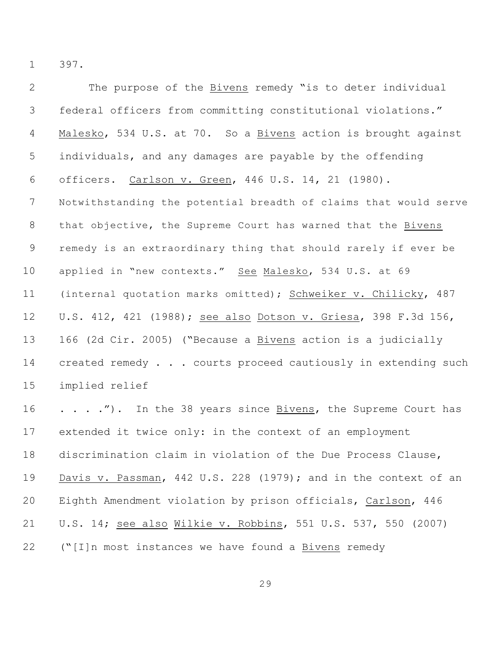397.

| $\mathbf{2}$   | The purpose of the Bivens remedy "is to deter individual         |
|----------------|------------------------------------------------------------------|
| 3              | federal officers from committing constitutional violations."     |
| $\overline{4}$ | Malesko, 534 U.S. at 70. So a Bivens action is brought against   |
| 5              | individuals, and any damages are payable by the offending        |
| 6              | officers. Carlson v. Green, 446 U.S. 14, 21 (1980).              |
| 7              | Notwithstanding the potential breadth of claims that would serve |
| 8              | that objective, the Supreme Court has warned that the Bivens     |
| $\overline{9}$ | remedy is an extraordinary thing that should rarely if ever be   |
| 10             | applied in "new contexts." See Malesko, 534 U.S. at 69           |
| 11             | (internal quotation marks omitted); Schweiker v. Chilicky, 487   |
| 12             | U.S. 412, 421 (1988); see also Dotson v. Griesa, 398 F.3d 156,   |
| 13             | 166 (2d Cir. 2005) ("Because a Bivens action is a judicially     |
| 14             | created remedy courts proceed cautiously in extending such       |
| 15             | implied relief                                                   |
| 16             | ."). In the 38 years since Bivens, the Supreme Court has         |
| 17             | extended it twice only: in the context of an employment          |
| 18             | discrimination claim in violation of the Due Process Clause,     |
| 19             | Davis v. Passman, 442 U.S. 228 (1979); and in the context of an  |
| 20             | Eighth Amendment violation by prison officials, Carlson, 446     |
| 21             | U.S. 14; see also Wilkie v. Robbins, 551 U.S. 537, 550 (2007)    |
| 22             | ("[I]n most instances we have found a Bivens remedy              |
|                |                                                                  |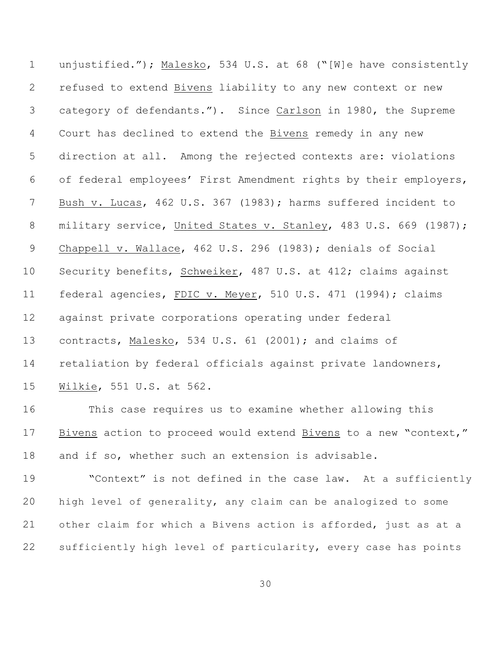unjustified."); Malesko, 534 U.S. at 68 ("[W]e have consistently refused to extend Bivens liability to any new context or new category of defendants."). Since Carlson in 1980, the Supreme Court has declined to extend the Bivens remedy in any new direction at all. Among the rejected contexts are: violations of federal employees' First Amendment rights by their employers, Bush v. Lucas, 462 U.S. 367 (1983); harms suffered incident to 8 military service, United States v. Stanley, 483 U.S. 669 (1987); 9 Chappell v. Wallace, 462 U.S. 296 (1983); denials of Social Security benefits, Schweiker, 487 U.S. at 412; claims against 11 federal agencies, FDIC v. Meyer, 510 U.S. 471 (1994); claims against private corporations operating under federal contracts, Malesko, 534 U.S. 61 (2001); and claims of retaliation by federal officials against private landowners, Wilkie, 551 U.S. at 562.

 This case requires us to examine whether allowing this Bivens action to proceed would extend Bivens to a new "context," and if so, whether such an extension is advisable.

 "Context" is not defined in the case law. At a sufficiently high level of generality, any claim can be analogized to some other claim for which a Bivens action is afforded, just as at a sufficiently high level of particularity, every case has points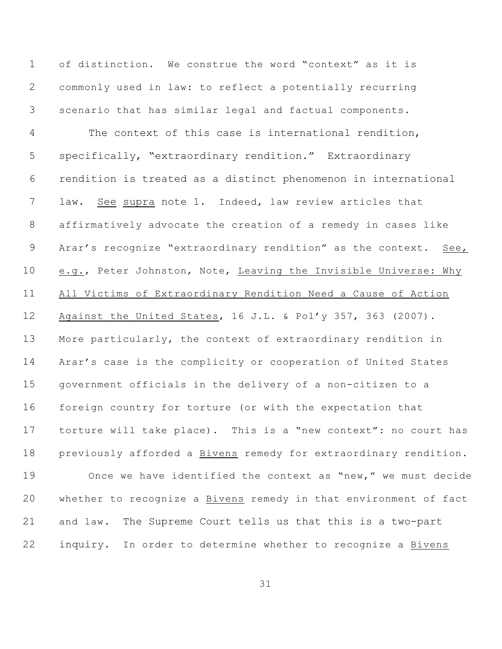of distinction. We construe the word "context" as it is commonly used in law: to reflect a potentially recurring scenario that has similar legal and factual components. The context of this case is international rendition, specifically, "extraordinary rendition." Extraordinary rendition is treated as a distinct phenomenon in international law. See supra note 1. Indeed, law review articles that affirmatively advocate the creation of a remedy in cases like Arar's recognize "extraordinary rendition" as the context. See, 10 e.g., Peter Johnston, Note, Leaving the Invisible Universe: Why All Victims of Extraordinary Rendition Need a Cause of Action Against the United States, 16 J.L. & Pol'y 357, 363 (2007). More particularly, the context of extraordinary rendition in Arar's case is the complicity or cooperation of United States government officials in the delivery of a non-citizen to a foreign country for torture (or with the expectation that torture will take place). This is a "new context": no court has previously afforded a Bivens remedy for extraordinary rendition. Once we have identified the context as "new," we must decide whether to recognize a Bivens remedy in that environment of fact and law. The Supreme Court tells us that this is a two-part inquiry. In order to determine whether to recognize a Bivens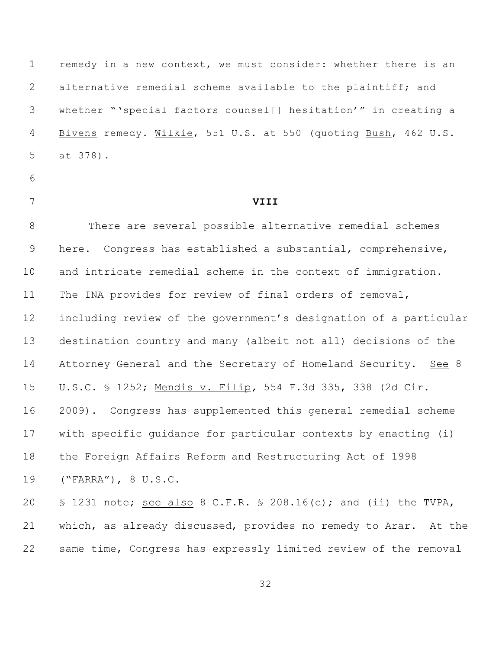remedy in a new context, we must consider: whether there is an 2 alternative remedial scheme available to the plaintiff; and whether "'special factors counsel[] hesitation'" in creating a Bivens remedy. Wilkie, 551 U.S. at 550 (quoting Bush, 462 U.S. at 378).

- 
- 

# **VIII**

 There are several possible alternative remedial schemes here. Congress has established a substantial, comprehensive, and intricate remedial scheme in the context of immigration. The INA provides for review of final orders of removal, including review of the government's designation of a particular destination country and many (albeit not all) decisions of the 14 Attorney General and the Secretary of Homeland Security. See 8 U.S.C. § 1252; Mendis v. Filip*,* 554 F.3d 335, 338 (2d Cir. 2009). Congress has supplemented this general remedial scheme with specific guidance for particular contexts by enacting (i) the Foreign Affairs Reform and Restructuring Act of 1998 ("FARRA"), 8 U.S.C. § 1231 note; see also 8 C.F.R. § 208.16(c); and (ii) the TVPA,

 which, as already discussed, provides no remedy to Arar. At the same time, Congress has expressly limited review of the removal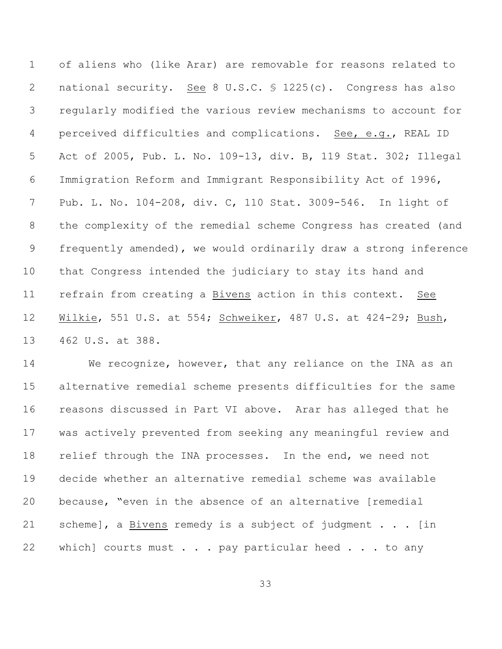of aliens who (like Arar) are removable for reasons related to national security. See 8 U.S.C. § 1225(c). Congress has also regularly modified the various review mechanisms to account for perceived difficulties and complications. See, e.g., REAL ID Act of 2005, Pub. L. No. 109-13, div. B, 119 Stat. 302; Illegal Immigration Reform and Immigrant Responsibility Act of 1996, Pub. L. No. 104-208, div. C, 110 Stat. 3009-546. In light of the complexity of the remedial scheme Congress has created (and frequently amended), we would ordinarily draw a strong inference that Congress intended the judiciary to stay its hand and refrain from creating a Bivens action in this context. See Wilkie, 551 U.S. at 554; Schweiker, 487 U.S. at 424-29; Bush, 462 U.S. at 388.

 We recognize, however, that any reliance on the INA as an alternative remedial scheme presents difficulties for the same reasons discussed in Part VI above. Arar has alleged that he was actively prevented from seeking any meaningful review and relief through the INA processes. In the end, we need not decide whether an alternative remedial scheme was available because, "even in the absence of an alternative [remedial 21 scheme], a Bivens remedy is a subject of judgment . . . [in 22 which] courts must . . . pay particular heed . . . to any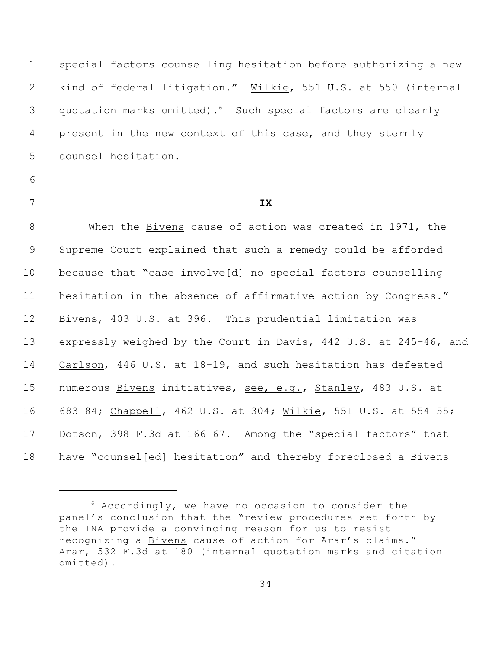special factors counselling hesitation before authorizing a new kind of federal litigation." Wilkie, 551 U.S. at 550 (internal 3 quotation marks omitted).<sup>6</sup> Such special factors are clearly present in the new context of this case, and they sternly counsel hesitation.

- 
- 

## **IX**

 When the Bivens cause of action was created in 1971, the Supreme Court explained that such a remedy could be afforded because that "case involve[d] no special factors counselling hesitation in the absence of affirmative action by Congress." Bivens, 403 U.S. at 396. This prudential limitation was expressly weighed by the Court in Davis, 442 U.S. at 245-46, and Carlson, 446 U.S. at 18-19, and such hesitation has defeated numerous Bivens initiatives, see, e.g., Stanley, 483 U.S. at 683-84; Chappell, 462 U.S. at 304; Wilkie, 551 U.S. at 554-55; Dotson, 398 F.3d at 166-67. Among the "special factors" that have "counsel[ed] hesitation" and thereby foreclosed a Bivens

 Accordingly, we have no occasion to consider the panel's conclusion that the "review procedures set forth by the INA provide a convincing reason for us to resist recognizing a Bivens cause of action for Arar's claims." Arar, 532 F.3d at 180 (internal quotation marks and citation omitted).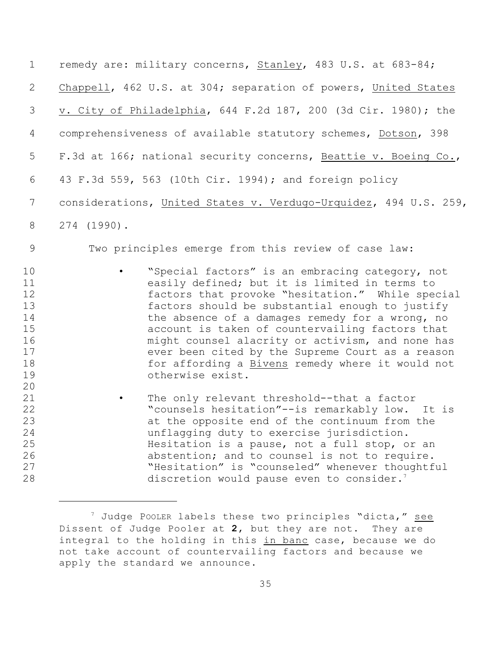| $\mathbf 1$                                                    | remedy are: military concerns, Stanley, 483 U.S. at 683-84;                                                                                                                                                                                                                                                                                                                                                                                                                                   |
|----------------------------------------------------------------|-----------------------------------------------------------------------------------------------------------------------------------------------------------------------------------------------------------------------------------------------------------------------------------------------------------------------------------------------------------------------------------------------------------------------------------------------------------------------------------------------|
| $\overline{2}$                                                 | Chappell, 462 U.S. at 304; separation of powers, United States                                                                                                                                                                                                                                                                                                                                                                                                                                |
| 3                                                              | v. City of Philadelphia, 644 F.2d 187, 200 (3d Cir. 1980); the                                                                                                                                                                                                                                                                                                                                                                                                                                |
| 4                                                              | comprehensiveness of available statutory schemes, Dotson, 398                                                                                                                                                                                                                                                                                                                                                                                                                                 |
| 5                                                              | F.3d at 166; national security concerns, Beattie v. Boeing Co.,                                                                                                                                                                                                                                                                                                                                                                                                                               |
| 6                                                              | 43 F.3d 559, 563 (10th Cir. 1994); and foreign policy                                                                                                                                                                                                                                                                                                                                                                                                                                         |
| 7                                                              | considerations, United States v. Verdugo-Urquidez, 494 U.S. 259,                                                                                                                                                                                                                                                                                                                                                                                                                              |
| 8                                                              | 274 (1990).                                                                                                                                                                                                                                                                                                                                                                                                                                                                                   |
| 9                                                              | Two principles emerge from this review of case law:                                                                                                                                                                                                                                                                                                                                                                                                                                           |
| 10<br>11<br>12<br>13<br>14<br>15<br>16<br>17<br>18<br>19<br>20 | "Special factors" is an embracing category, not<br>easily defined; but it is limited in terms to<br>factors that provoke "hesitation." While special<br>factors should be substantial enough to justify<br>the absence of a damages remedy for a wrong, no<br>account is taken of countervailing factors that<br>might counsel alacrity or activism, and none has<br>ever been cited by the Supreme Court as a reason<br>for affording a Bivens remedy where it would not<br>otherwise exist. |
| 21<br>22<br>23<br>24<br>25<br>26<br>27<br>28                   | The only relevant threshold--that a factor<br>"counsels hesitation"--is remarkably low. It is<br>at the opposite end of the continuum from the<br>unflagging duty to exercise jurisdiction.<br>Hesitation is a pause, not a full stop, or an<br>abstention; and to counsel is not to require.<br>"Hesitation" is "counseled" whenever thoughtful<br>discretion would pause even to consider. <sup>7</sup>                                                                                     |

 $^7$  Judge POOLER labels these two principles "dicta," see Dissent of Judge Pooler at **2**, but they are not. They are integral to the holding in this in banc case, because we do not take account of countervailing factors and because we apply the standard we announce.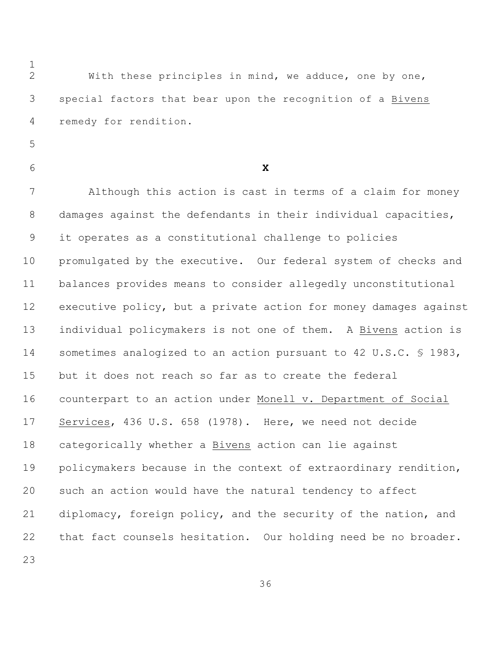With these principles in mind, we adduce, one by one, special factors that bear upon the recognition of a Bivens remedy for rendition.

**X**

 Although this action is cast in terms of a claim for money damages against the defendants in their individual capacities, it operates as a constitutional challenge to policies promulgated by the executive. Our federal system of checks and balances provides means to consider allegedly unconstitutional executive policy, but a private action for money damages against individual policymakers is not one of them. A Bivens action is sometimes analogized to an action pursuant to 42 U.S.C. § 1983, but it does not reach so far as to create the federal counterpart to an action under Monell v. Department of Social Services, 436 U.S. 658 (1978). Here, we need not decide categorically whether a Bivens action can lie against policymakers because in the context of extraordinary rendition, such an action would have the natural tendency to affect diplomacy, foreign policy, and the security of the nation, and that fact counsels hesitation. Our holding need be no broader.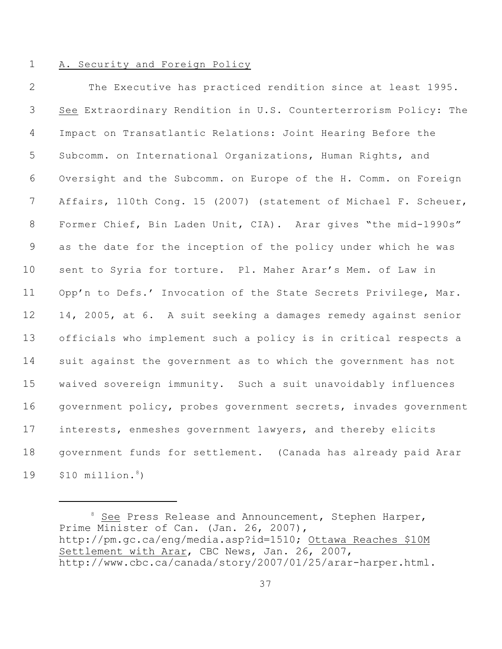#### A. Security and Foreign Policy

 The Executive has practiced rendition since at least 1995. See Extraordinary Rendition in U.S. Counterterrorism Policy: The Impact on Transatlantic Relations: Joint Hearing Before the Subcomm. on International Organizations, Human Rights, and Oversight and the Subcomm. on Europe of the H. Comm. on Foreign Affairs, 110th Cong. 15 (2007) (statement of Michael F. Scheuer, Former Chief, Bin Laden Unit, CIA). Arar gives "the mid-1990s" as the date for the inception of the policy under which he was sent to Syria for torture. Pl. Maher Arar's Mem. of Law in 11 Opp'n to Defs.' Invocation of the State Secrets Privilege, Mar. 14, 2005, at 6. A suit seeking a damages remedy against senior officials who implement such a policy is in critical respects a suit against the government as to which the government has not waived sovereign immunity. Such a suit unavoidably influences government policy, probes government secrets, invades government interests, enmeshes government lawyers, and thereby elicits government funds for settlement. (Canada has already paid Arar \$10 million.<sup>8</sup>)

 See Press Release and Announcement, Stephen Harper, Prime Minister of Can. (Jan. 26, 2007), http://pm.gc.ca/eng/media.asp?id=1510; Ottawa Reaches \$10M Settlement with Arar, CBC News, Jan. 26, 2007, http://www.cbc.ca/canada/story/2007/01/25/arar-harper.html.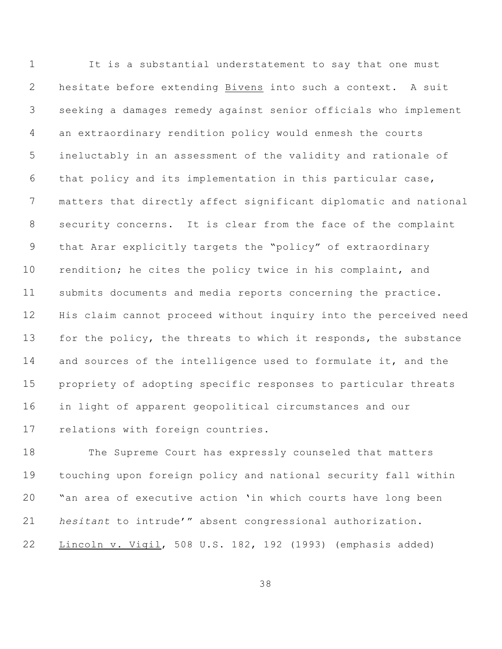It is a substantial understatement to say that one must hesitate before extending Bivens into such a context. A suit seeking a damages remedy against senior officials who implement an extraordinary rendition policy would enmesh the courts ineluctably in an assessment of the validity and rationale of that policy and its implementation in this particular case, matters that directly affect significant diplomatic and national security concerns. It is clear from the face of the complaint that Arar explicitly targets the "policy" of extraordinary 10 rendition; he cites the policy twice in his complaint, and submits documents and media reports concerning the practice. His claim cannot proceed without inquiry into the perceived need 13 for the policy, the threats to which it responds, the substance and sources of the intelligence used to formulate it, and the propriety of adopting specific responses to particular threats in light of apparent geopolitical circumstances and our relations with foreign countries.

 The Supreme Court has expressly counseled that matters touching upon foreign policy and national security fall within "an area of executive action 'in which courts have long been *hesitant* to intrude'" absent congressional authorization. Lincoln v. Vigil, 508 U.S. 182, 192 (1993) (emphasis added)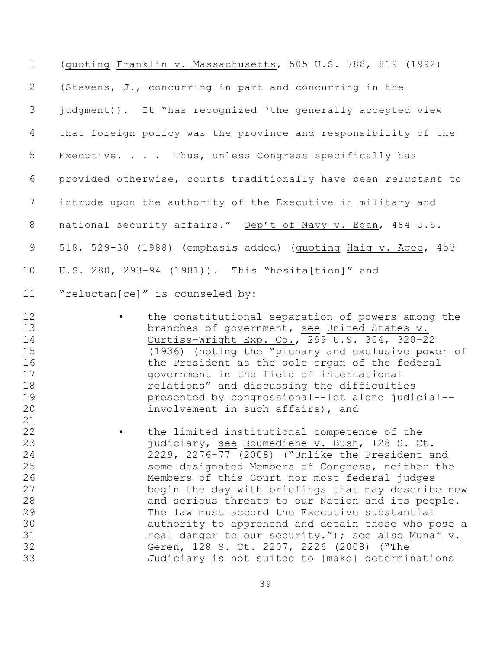| (quoting Franklin v. Massachusetts, 505 U.S. 788, 819 (1992)                                                                                                                                                                                                                                                                                                                                                                                                                                                                                                                                                                 |
|------------------------------------------------------------------------------------------------------------------------------------------------------------------------------------------------------------------------------------------------------------------------------------------------------------------------------------------------------------------------------------------------------------------------------------------------------------------------------------------------------------------------------------------------------------------------------------------------------------------------------|
| (Stevens, J., concurring in part and concurring in the                                                                                                                                                                                                                                                                                                                                                                                                                                                                                                                                                                       |
| judgment)). It "has recognized 'the generally accepted view                                                                                                                                                                                                                                                                                                                                                                                                                                                                                                                                                                  |
| that foreign policy was the province and responsibility of the                                                                                                                                                                                                                                                                                                                                                                                                                                                                                                                                                               |
| Executive. Thus, unless Congress specifically has                                                                                                                                                                                                                                                                                                                                                                                                                                                                                                                                                                            |
| provided otherwise, courts traditionally have been reluctant to                                                                                                                                                                                                                                                                                                                                                                                                                                                                                                                                                              |
| intrude upon the authority of the Executive in military and                                                                                                                                                                                                                                                                                                                                                                                                                                                                                                                                                                  |
| national security affairs." Dep't of Navy v. Egan, 484 U.S.                                                                                                                                                                                                                                                                                                                                                                                                                                                                                                                                                                  |
| 518, 529-30 (1988) (emphasis added) (quoting Haig v. Agee, 453                                                                                                                                                                                                                                                                                                                                                                                                                                                                                                                                                               |
| U.S. 280, 293-94 (1981)). This "hesita[tion]" and                                                                                                                                                                                                                                                                                                                                                                                                                                                                                                                                                                            |
| "reluctan[ce]" is counseled by:                                                                                                                                                                                                                                                                                                                                                                                                                                                                                                                                                                                              |
| the constitutional separation of powers among the<br>branches of government, see United States v.<br>Curtiss-Wright Exp. Co., 299 U.S. 304, 320-22<br>(1936) (noting the "plenary and exclusive power of<br>the President as the sole organ of the federal<br>government in the field of international<br>relations" and discussing the difficulties<br>presented by congressional--let alone judicial--<br>involvement in such affairs), and                                                                                                                                                                                |
| the limited institutional competence of the<br>judiciary, see Boumediene v. Bush, 128 S. Ct.<br>2229, 2276-77 (2008) ("Unlike the President and<br>some designated Members of Congress, neither the<br>Members of this Court nor most federal judges<br>begin the day with briefings that may describe new<br>and serious threats to our Nation and its people.<br>The law must accord the Executive substantial<br>authority to apprehend and detain those who pose a<br>real danger to our security."); see also Munaf v.<br>Geren, 128 S. Ct. 2207, 2226 (2008) ("The<br>Judiciary is not suited to [make] determinations |
|                                                                                                                                                                                                                                                                                                                                                                                                                                                                                                                                                                                                                              |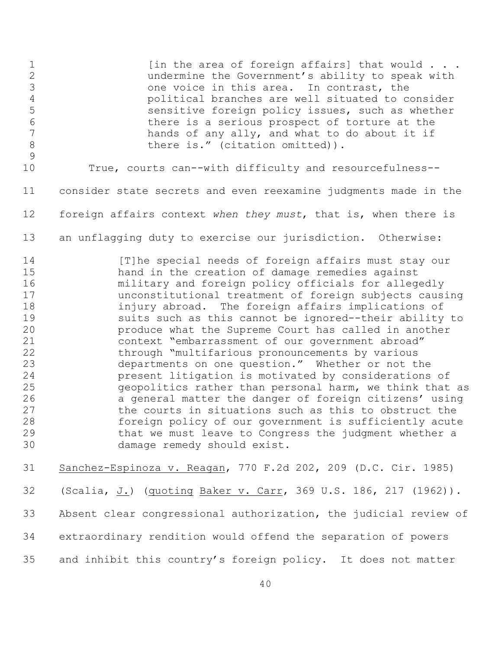1 [in the area of foreign affairs] that would . . . undermine the Government's ability to speak with one voice in this area. In contrast, the political branches are well situated to consider sensitive foreign policy issues, such as whether there is a serious prospect of torture at the 7 hands of any ally, and what to do about it if 8 there is." (citation omitted)). True, courts can--with difficulty and resourcefulness-- consider state secrets and even reexamine judgments made in the foreign affairs context *when they must*, that is, when there is an unflagging duty to exercise our jurisdiction. Otherwise: 14 [T]he special needs of foreign affairs must stay our hand in the creation of damage remedies against military and foreign policy officials for allegedly unconstitutional treatment of foreign subjects causing injury abroad. The foreign affairs implications of suits such as this cannot be ignored--their ability to produce what the Supreme Court has called in another context "embarrassment of our government abroad" through "multifarious pronouncements by various departments on one question." Whether or not the present litigation is motivated by considerations of geopolitics rather than personal harm, we think that as a general matter the danger of foreign citizens' using 27 the courts in situations such as this to obstruct the foreign policy of our government is sufficiently acute that we must leave to Congress the judgment whether a damage remedy should exist. Sanchez-Espinoza v. Reagan, 770 F.2d 202, 209 (D.C. Cir. 1985) (Scalia, J.) (quoting Baker v. Carr, 369 U.S. 186, 217 (1962)). Absent clear congressional authorization, the judicial review of extraordinary rendition would offend the separation of powers

and inhibit this country's foreign policy. It does not matter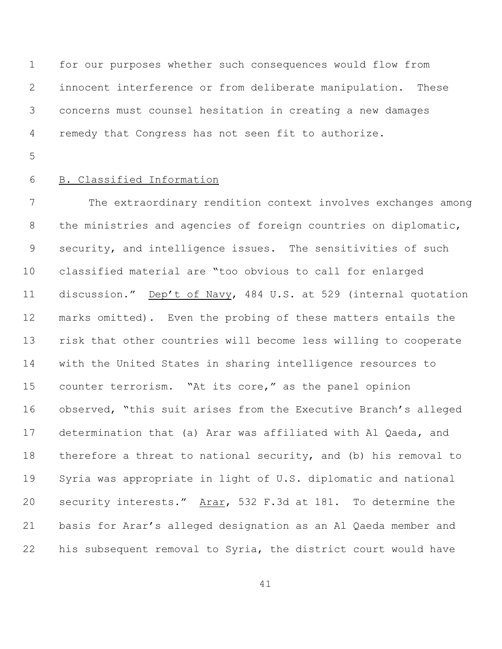for our purposes whether such consequences would flow from innocent interference or from deliberate manipulation. These concerns must counsel hesitation in creating a new damages remedy that Congress has not seen fit to authorize.

## B. Classified Information

 The extraordinary rendition context involves exchanges among the ministries and agencies of foreign countries on diplomatic, security, and intelligence issues. The sensitivities of such classified material are "too obvious to call for enlarged discussion." Dep't of Navy, 484 U.S. at 529 (internal quotation marks omitted). Even the probing of these matters entails the risk that other countries will become less willing to cooperate with the United States in sharing intelligence resources to counter terrorism. "At its core," as the panel opinion observed, "this suit arises from the Executive Branch's alleged determination that (a) Arar was affiliated with Al Qaeda, and therefore a threat to national security, and (b) his removal to Syria was appropriate in light of U.S. diplomatic and national security interests."Arar, 532 F.3d at 181. To determine the basis for Arar's alleged designation as an Al Qaeda member and his subsequent removal to Syria, the district court would have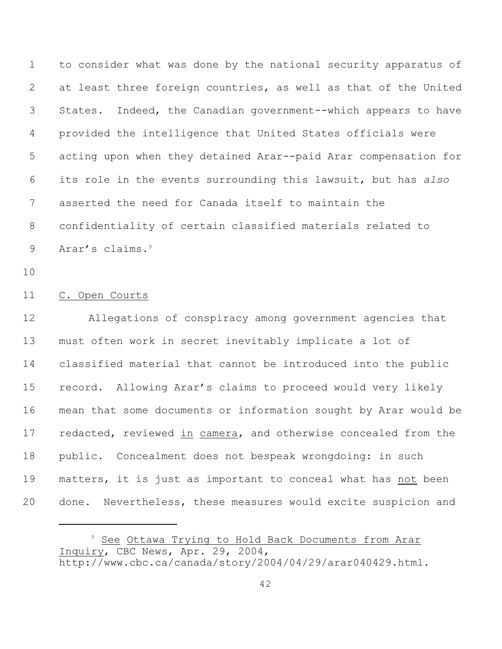to consider what was done by the national security apparatus of at least three foreign countries, as well as that of the United States. Indeed, the Canadian government--which appears to have provided the intelligence that United States officials were acting upon when they detained Arar--paid Arar compensation for its role in the events surrounding this lawsuit, but has *also* asserted the need for Canada itself to maintain the confidentiality of certain classified materials related to 9 Arar's claims.<sup>9</sup>

#### C. Open Courts

 Allegations of conspiracy among government agencies that must often work in secret inevitably implicate a lot of classified material that cannot be introduced into the public record. Allowing Arar's claims to proceed would very likely mean that some documents or information sought by Arar would be redacted, reviewed in camera, and otherwise concealed from the public. Concealment does not bespeak wrongdoing: in such matters, it is just as important to conceal what has not been done. Nevertheless, these measures would excite suspicion and

<sup>&</sup>lt;sup>9</sup> See Ottawa Trying to Hold Back Documents from Arar Inquiry, CBC News, Apr. 29, 2004, http://www.cbc.ca/canada/story/2004/04/29/arar040429.html.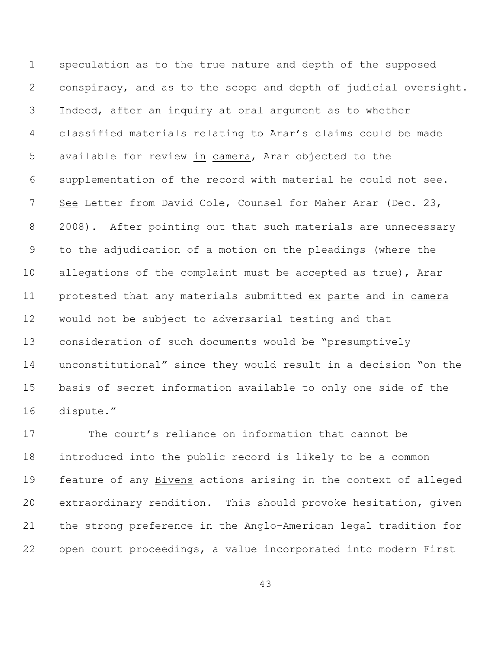speculation as to the true nature and depth of the supposed conspiracy, and as to the scope and depth of judicial oversight. Indeed, after an inquiry at oral argument as to whether classified materials relating to Arar's claims could be made available for review in camera, Arar objected to the supplementation of the record with material he could not see. See Letter from David Cole, Counsel for Maher Arar (Dec. 23, 2008). After pointing out that such materials are unnecessary to the adjudication of a motion on the pleadings (where the allegations of the complaint must be accepted as true), Arar protested that any materials submitted ex parte and in camera would not be subject to adversarial testing and that consideration of such documents would be "presumptively unconstitutional" since they would result in a decision "on the basis of secret information available to only one side of the dispute."

 The court's reliance on information that cannot be introduced into the public record is likely to be a common feature of any Bivens actions arising in the context of alleged extraordinary rendition. This should provoke hesitation, given the strong preference in the Anglo-American legal tradition for open court proceedings, a value incorporated into modern First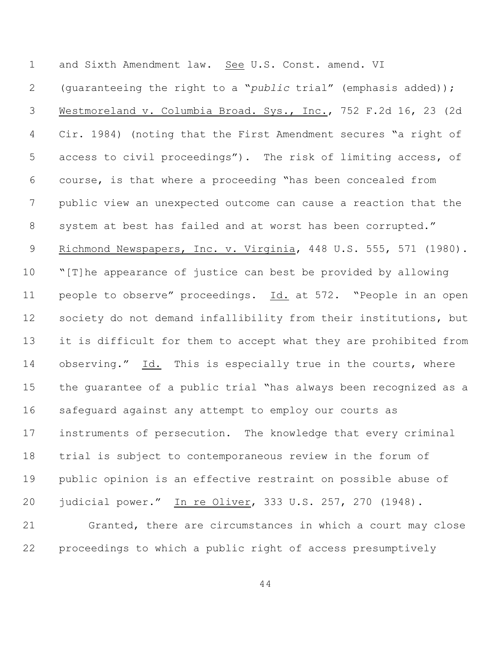and Sixth Amendment law. See U.S. Const. amend. VI

 (guaranteeing the right to a "*public* trial" (emphasis added)); Westmoreland v. Columbia Broad. Sys., Inc., 752 F.2d 16, 23 (2d Cir. 1984) (noting that the First Amendment secures "a right of access to civil proceedings"). The risk of limiting access, of course, is that where a proceeding "has been concealed from public view an unexpected outcome can cause a reaction that the 8 system at best has failed and at worst has been corrupted." Richmond Newspapers, Inc. v. Virginia, 448 U.S. 555, 571 (1980). "[T]he appearance of justice can best be provided by allowing people to observe" proceedings. Id. at 572. "People in an open 12 society do not demand infallibility from their institutions, but it is difficult for them to accept what they are prohibited from observing." Id. This is especially true in the courts, where the guarantee of a public trial "has always been recognized as a safeguard against any attempt to employ our courts as instruments of persecution. The knowledge that every criminal trial is subject to contemporaneous review in the forum of public opinion is an effective restraint on possible abuse of judicial power." In re Oliver, 333 U.S. 257, 270 (1948). Granted, there are circumstances in which a court may close

proceedings to which a public right of access presumptively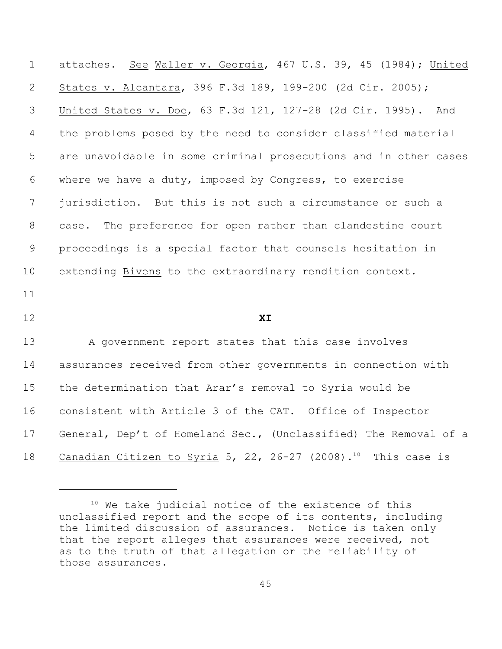attaches. See Waller v. Georgia, 467 U.S. 39, 45 (1984); United States v. Alcantara, 396 F.3d 189, 199-200 (2d Cir. 2005); United States v. Doe, 63 F.3d 121, 127-28 (2d Cir. 1995). And the problems posed by the need to consider classified material are unavoidable in some criminal prosecutions and in other cases where we have a duty, imposed by Congress, to exercise jurisdiction. But this is not such a circumstance or such a case. The preference for open rather than clandestine court proceedings is a special factor that counsels hesitation in extending Bivens to the extraordinary rendition context. **XI** A government report states that this case involves assurances received from other governments in connection with the determination that Arar's removal to Syria would be consistent with Article 3 of the CAT. Office of Inspector General, Dep't of Homeland Sec., (Unclassified) The Removal of a

18 Canadian Citizen to Syria 5, 22, 26-27 (2008).<sup>10</sup> This case is

 We take judicial notice of the existence of this unclassified report and the scope of its contents, including the limited discussion of assurances. Notice is taken only that the report alleges that assurances were received, not as to the truth of that allegation or the reliability of those assurances.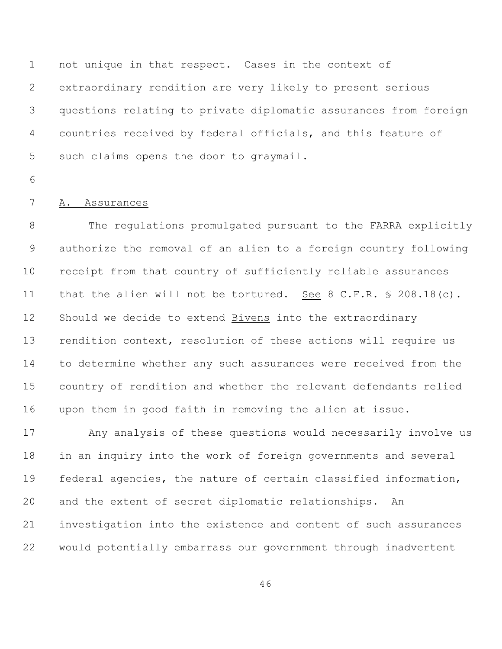not unique in that respect. Cases in the context of extraordinary rendition are very likely to present serious questions relating to private diplomatic assurances from foreign countries received by federal officials, and this feature of such claims opens the door to graymail.

## A. Assurances

 The regulations promulgated pursuant to the FARRA explicitly authorize the removal of an alien to a foreign country following receipt from that country of sufficiently reliable assurances 11 that the alien will not be tortured. See 8 C.F.R. § 208.18(c). Should we decide to extend Bivens into the extraordinary rendition context, resolution of these actions will require us to determine whether any such assurances were received from the country of rendition and whether the relevant defendants relied upon them in good faith in removing the alien at issue.

 Any analysis of these questions would necessarily involve us in an inquiry into the work of foreign governments and several federal agencies, the nature of certain classified information, and the extent of secret diplomatic relationships. An investigation into the existence and content of such assurances would potentially embarrass our government through inadvertent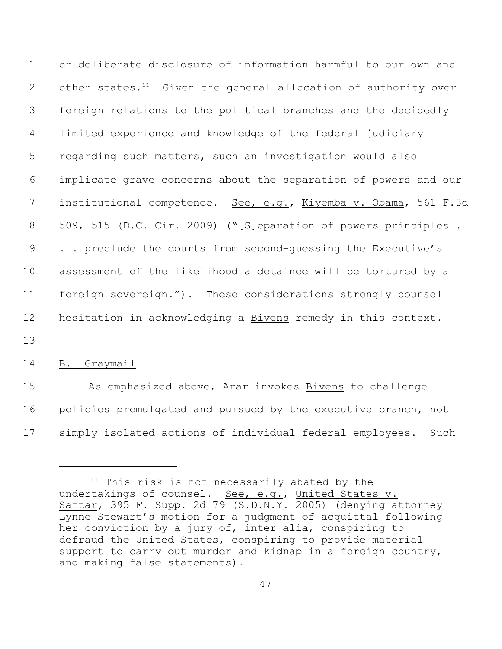or deliberate disclosure of information harmful to our own and 2 other states.<sup>11</sup> Given the general allocation of authority over foreign relations to the political branches and the decidedly limited experience and knowledge of the federal judiciary regarding such matters, such an investigation would also implicate grave concerns about the separation of powers and our 7 institutional competence. See, e.g., Kiyemba v. Obama, 561 F.3d 509, 515 (D.C. Cir. 2009) ("[S]eparation of powers principles . . . preclude the courts from second-guessing the Executive's assessment of the likelihood a detainee will be tortured by a foreign sovereign."). These considerations strongly counsel 12 hesitation in acknowledging a **Bivens** remedy in this context.

13

### 14 B. Graymail

15 As emphasized above, Arar invokes Bivens to challenge 16 policies promulgated and pursued by the executive branch, not 17 simply isolated actions of individual federal employees. Such

 $11$  This risk is not necessarily abated by the undertakings of counsel. See, e.g., United States v. Sattar, 395 F. Supp. 2d 79 (S.D.N.Y. 2005) (denying attorney Lynne Stewart's motion for a judgment of acquittal following her conviction by a jury of, inter alia, conspiring to defraud the United States, conspiring to provide material support to carry out murder and kidnap in a foreign country, and making false statements).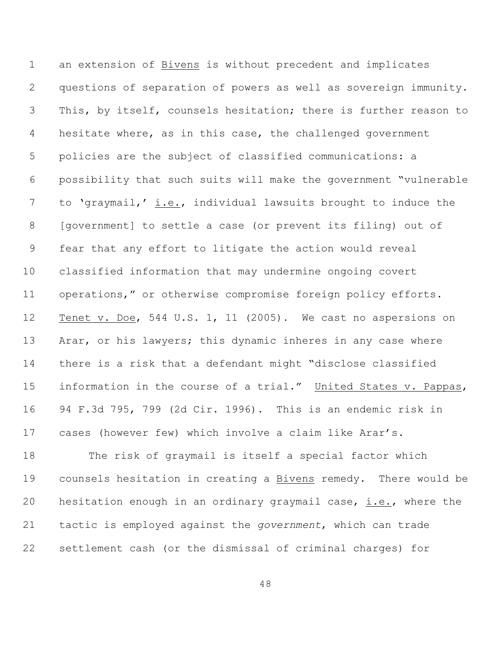an extension of Bivens is without precedent and implicates questions of separation of powers as well as sovereign immunity. This, by itself, counsels hesitation; there is further reason to hesitate where, as in this case, the challenged government policies are the subject of classified communications: a possibility that such suits will make the government "vulnerable to 'graymail,' i.e., individual lawsuits brought to induce the [government] to settle a case (or prevent its filing) out of fear that any effort to litigate the action would reveal classified information that may undermine ongoing covert operations," or otherwise compromise foreign policy efforts. Tenet v. Doe, 544 U.S. 1, 11 (2005). We cast no aspersions on 13 Arar, or his lawyers; this dynamic inheres in any case where there is a risk that a defendant might "disclose classified information in the course of a trial." United States v. Pappas, 94 F.3d 795, 799 (2d Cir. 1996). This is an endemic risk in cases (however few) which involve a claim like Arar's.

 The risk of graymail is itself a special factor which counsels hesitation in creating a Bivens remedy. There would be hesitation enough in an ordinary graymail case, i.e., where the tactic is employed against the *government*, which can trade settlement cash (or the dismissal of criminal charges) for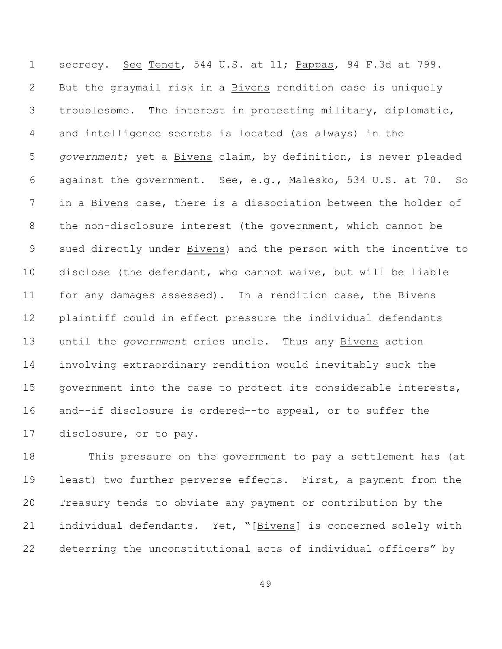secrecy. See Tenet, 544 U.S. at 11; Pappas, 94 F.3d at 799. But the graymail risk in a Bivens rendition case is uniquely troublesome. The interest in protecting military, diplomatic, and intelligence secrets is located (as always) in the *government*; yet a Bivens claim, by definition, is never pleaded against the government. See, e.g., Malesko, 534 U.S. at 70. So in a Bivens case, there is a dissociation between the holder of the non-disclosure interest (the government, which cannot be sued directly under Bivens) and the person with the incentive to disclose (the defendant, who cannot waive, but will be liable for any damages assessed). In a rendition case, the Bivens plaintiff could in effect pressure the individual defendants until the *government* cries uncle. Thus any Bivens action involving extraordinary rendition would inevitably suck the government into the case to protect its considerable interests, and--if disclosure is ordered--to appeal, or to suffer the disclosure, or to pay.

 This pressure on the government to pay a settlement has (at least) two further perverse effects. First, a payment from the Treasury tends to obviate any payment or contribution by the individual defendants. Yet, "[Bivens] is concerned solely with deterring the unconstitutional acts of individual officers" by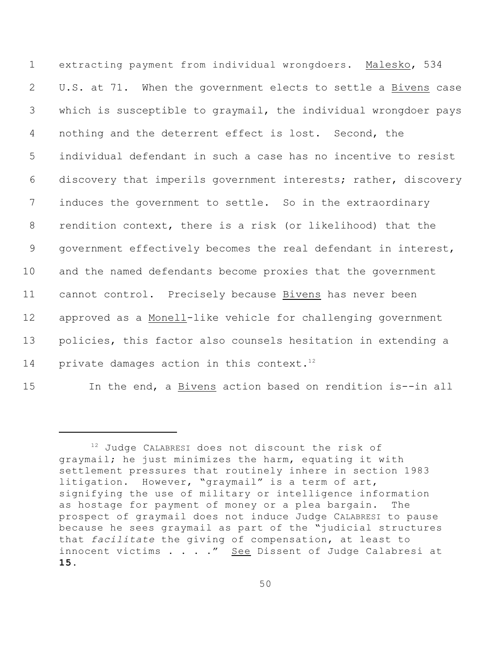extracting payment from individual wrongdoers. Malesko, 534 U.S. at 71. When the government elects to settle a Bivens case which is susceptible to graymail, the individual wrongdoer pays nothing and the deterrent effect is lost. Second, the individual defendant in such a case has no incentive to resist discovery that imperils government interests; rather, discovery induces the government to settle. So in the extraordinary rendition context, there is a risk (or likelihood) that the government effectively becomes the real defendant in interest, and the named defendants become proxies that the government cannot control. Precisely because Bivens has never been approved as a Monell-like vehicle for challenging government policies, this factor also counsels hesitation in extending a 14 private damages action in this context.<sup>12</sup>

In the end, a Bivens action based on rendition is--in all

 Judge CALABRESI does not discount the risk of graymail; he just minimizes the harm, equating it with settlement pressures that routinely inhere in section 1983 litigation. However, "graymail" is a term of art, signifying the use of military or intelligence information as hostage for payment of money or a plea bargain. The prospect of graymail does not induce Judge CALABRESI to pause because he sees graymail as part of the "judicial structures that *facilitate* the giving of compensation, at least to innocent victims . . . ." See Dissent of Judge Calabresi at .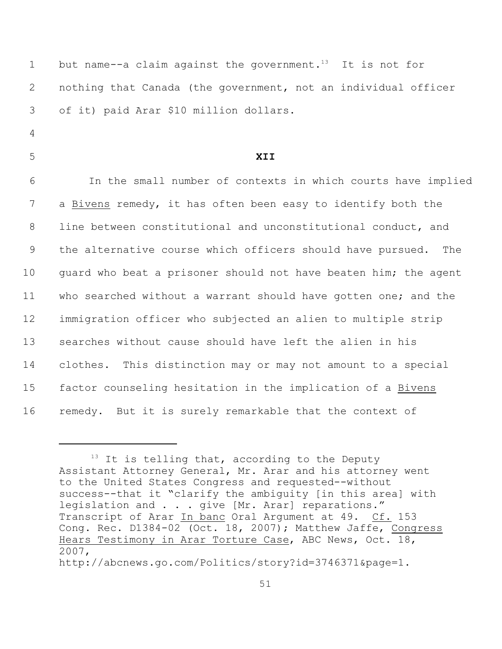| $\mathbf 1$ | but name--a claim against the government. <sup>13</sup> It is not for |
|-------------|-----------------------------------------------------------------------|
| 2           | nothing that Canada (the government, not an individual officer        |
| 3           | of it) paid Arar \$10 million dollars.                                |
| 4           |                                                                       |
| 5           | XII                                                                   |
| 6           | In the small number of contexts in which courts have implied          |
| 7           | a Bivens remedy, it has often been easy to identify both the          |
| 8           | line between constitutional and unconstitutional conduct, and         |
| 9           | the alternative course which officers should have pursued.<br>The     |
| 10          | quard who beat a prisoner should not have beaten him; the agent       |
| 11          | who searched without a warrant should have gotten one; and the        |
| 12          | immigration officer who subjected an alien to multiple strip          |
| 13          | searches without cause should have left the alien in his              |
| 14          | clothes. This distinction may or may not amount to a special          |
| 15          | factor counseling hesitation in the implication of a Bivens           |
| 16          | remedy. But it is surely remarkable that the context of               |

 $13$  It is telling that, according to the Deputy Assistant Attorney General, Mr. Arar and his attorney went to the United States Congress and requested--without success--that it "clarify the ambiguity [in this area] with legislation and . . . give [Mr. Arar] reparations." Transcript of Arar In banc Oral Argument at 49. Cf. 153 Cong. Rec. D1384-02 (Oct. 18, 2007); Matthew Jaffe, Congress Hears Testimony in Arar Torture Case, ABC News, Oct. 18, 2007, http://abcnews.go.com/Politics/story?id=3746371&page=1.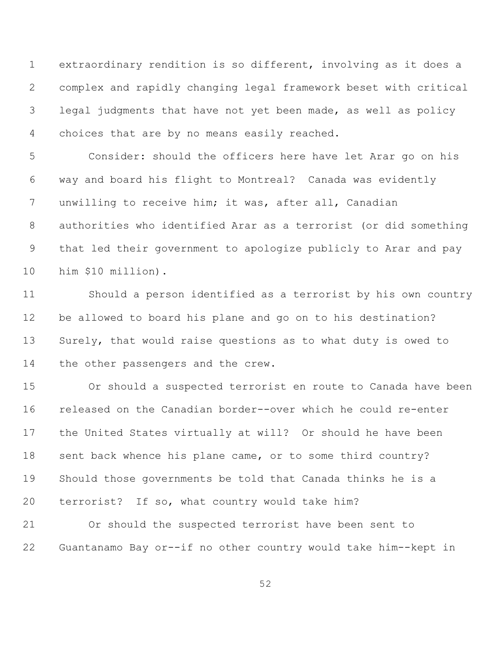extraordinary rendition is so different, involving as it does a complex and rapidly changing legal framework beset with critical legal judgments that have not yet been made, as well as policy choices that are by no means easily reached.

 Consider: should the officers here have let Arar go on his way and board his flight to Montreal? Canada was evidently unwilling to receive him; it was, after all, Canadian authorities who identified Arar as a terrorist (or did something that led their government to apologize publicly to Arar and pay him \$10 million).

 Should a person identified as a terrorist by his own country be allowed to board his plane and go on to his destination? Surely, that would raise questions as to what duty is owed to the other passengers and the crew.

 Or should a suspected terrorist en route to Canada have been released on the Canadian border--over which he could re-enter the United States virtually at will? Or should he have been 18 sent back whence his plane came, or to some third country? Should those governments be told that Canada thinks he is a terrorist? If so, what country would take him?

 Or should the suspected terrorist have been sent to Guantanamo Bay or--if no other country would take him--kept in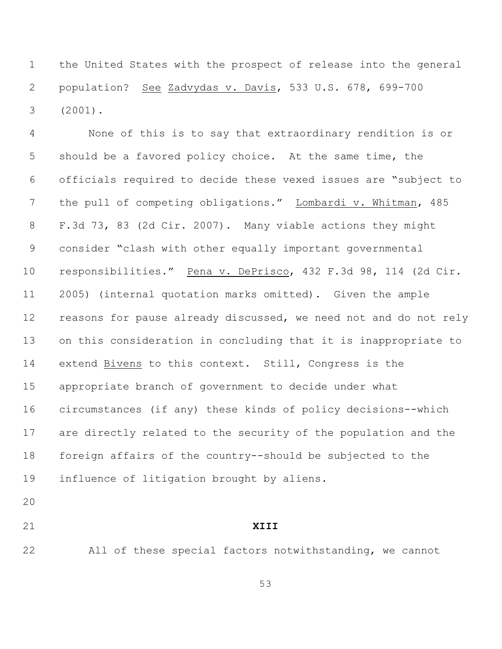the United States with the prospect of release into the general population? See Zadvydas v. Davis, 533 U.S. 678, 699-700 (2001).

 None of this is to say that extraordinary rendition is or should be a favored policy choice. At the same time, the officials required to decide these vexed issues are "subject to the pull of competing obligations." Lombardi v. Whitman, 485 F.3d 73, 83 (2d Cir. 2007). Many viable actions they might consider "clash with other equally important governmental responsibilities." Pena v. DePrisco, 432 F.3d 98, 114 (2d Cir. 2005) (internal quotation marks omitted). Given the ample reasons for pause already discussed, we need not and do not rely on this consideration in concluding that it is inappropriate to extend Bivens to this context. Still, Congress is the appropriate branch of government to decide under what circumstances (if any) these kinds of policy decisions--which are directly related to the security of the population and the foreign affairs of the country--should be subjected to the influence of litigation brought by aliens.

# **XIII**

All of these special factors notwithstanding, we cannot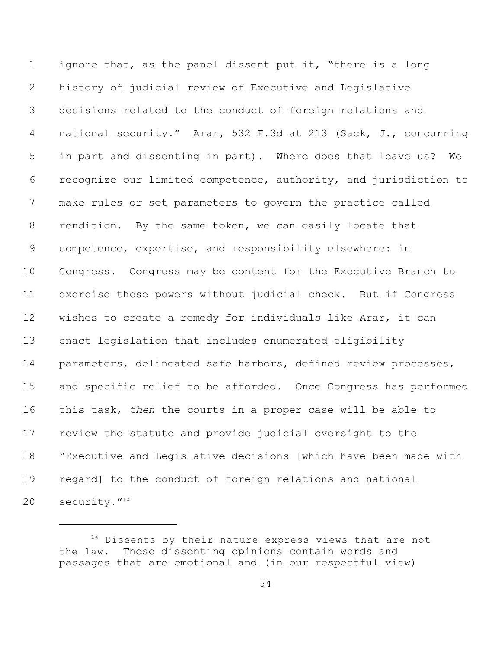ignore that, as the panel dissent put it, "there is a long history of judicial review of Executive and Legislative decisions related to the conduct of foreign relations and 4 national security." Arar, 532 F.3d at 213 (Sack, J., concurring in part and dissenting in part). Where does that leave us? We recognize our limited competence, authority, and jurisdiction to make rules or set parameters to govern the practice called 8 rendition. By the same token, we can easily locate that competence, expertise, and responsibility elsewhere: in Congress. Congress may be content for the Executive Branch to exercise these powers without judicial check. But if Congress wishes to create a remedy for individuals like Arar, it can enact legislation that includes enumerated eligibility parameters, delineated safe harbors, defined review processes, and specific relief to be afforded. Once Congress has performed this task, *then* the courts in a proper case will be able to review the statute and provide judicial oversight to the "Executive and Legislative decisions [which have been made with regard] to the conduct of foreign relations and national 20 security."<sup>14</sup>

 Dissents by their nature express views that are not the law. These dissenting opinions contain words and passages that are emotional and (in our respectful view)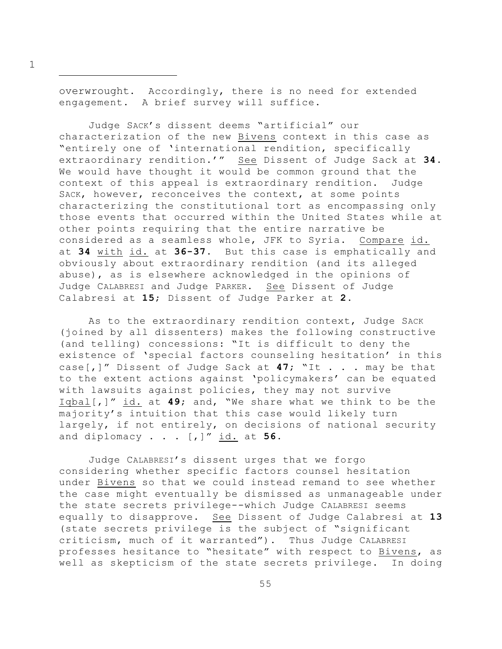overwrought. Accordingly, there is no need for extended engagement. A brief survey will suffice.

Judge SACK's dissent deems "artificial" our characterization of the new Bivens context in this case as "entirely one of 'international rendition, specifically extraordinary rendition.'" See Dissent of Judge Sack at **34**. We would have thought it would be common ground that the context of this appeal is extraordinary rendition. Judge SACK, however, reconceives the context, at some points characterizing the constitutional tort as encompassing only those events that occurred within the United States while at other points requiring that the entire narrative be considered as a seamless whole, JFK to Syria. Compare id. at **34** with id. at **36-37**. But this case is emphatically and obviously about extraordinary rendition (and its alleged abuse), as is elsewhere acknowledged in the opinions of Judge CALABRESI and Judge PARKER. See Dissent of Judge Calabresi at **15**; Dissent of Judge Parker at **2**.

As to the extraordinary rendition context, Judge SACK (joined by all dissenters) makes the following constructive (and telling) concessions: "It is difficult to deny the existence of 'special factors counseling hesitation' in this case[,]" Dissent of Judge Sack at **47**; "It . . . may be that to the extent actions against 'policymakers' can be equated with lawsuits against policies, they may not survive Iqbal[,]" id. at **49**; and, "We share what we think to be the majority's intuition that this case would likely turn largely, if not entirely, on decisions of national security and diplomacy . . . [,]" id. at **56**.

Judge CALABRESI's dissent urges that we forgo considering whether specific factors counsel hesitation under Bivens so that we could instead remand to see whether the case might eventually be dismissed as unmanageable under the state secrets privilege--which Judge CALABRESI seems equally to disapprove. See Dissent of Judge Calabresi at **13** (state secrets privilege is the subject of "significant criticism, much of it warranted"). Thus Judge CALABRESI professes hesitance to "hesitate" with respect to Bivens, as well as skepticism of the state secrets privilege. In doing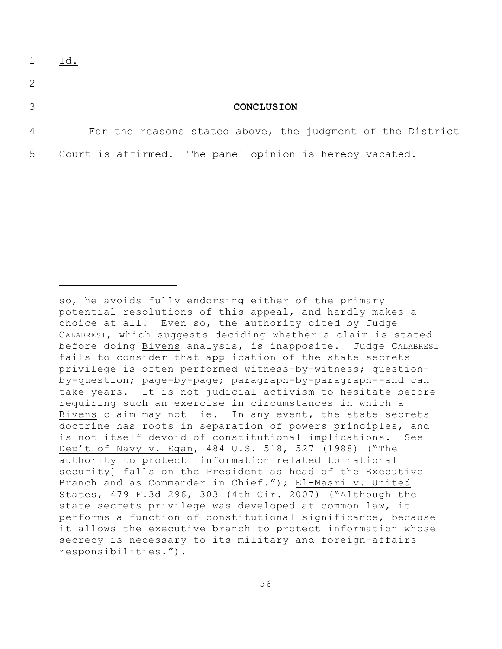- 2
- 

## 3 **CONCLUSION**

4 For the reasons stated above, the judgment of the District 5 Court is affirmed. The panel opinion is hereby vacated.

so, he avoids fully endorsing either of the primary potential resolutions of this appeal, and hardly makes a choice at all. Even so, the authority cited by Judge CALABRESI, which suggests deciding whether a claim is stated before doing Bivens analysis, is inapposite. Judge CALABRESI fails to consider that application of the state secrets privilege is often performed witness-by-witness; questionby-question; page-by-page; paragraph-by-paragraph--and can take years. It is not judicial activism to hesitate before requiring such an exercise in circumstances in which a Bivens claim may not lie. In any event, the state secrets doctrine has roots in separation of powers principles, and is not itself devoid of constitutional implications. See Dep't of Navy v. Egan, 484 U.S. 518, 527 (1988) ("The authority to protect [information related to national security] falls on the President as head of the Executive Branch and as Commander in Chief."); El-Masri v. United States, 479 F.3d 296, 303 (4th Cir. 2007) ("Although the state secrets privilege was developed at common law, it performs a function of constitutional significance, because it allows the executive branch to protect information whose secrecy is necessary to its military and foreign-affairs responsibilities.").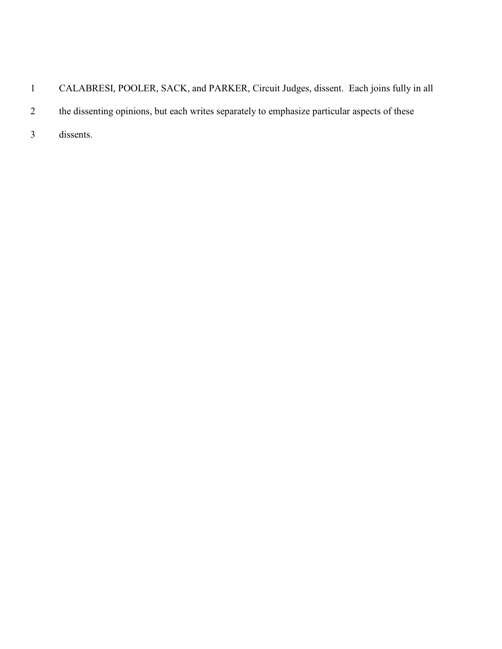- CALABRESI, POOLER, SACK, and PARKER, Circuit Judges, dissent. Each joins fully in all 2 the dissenting opinions, but each writes separately to emphasize particular aspects of these
- dissents.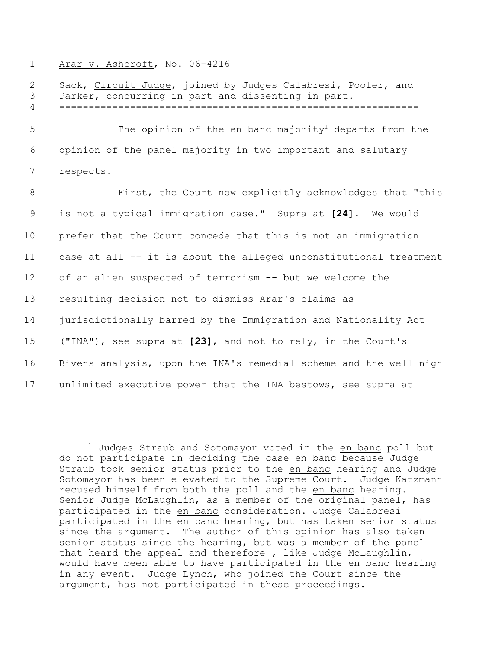#### 1 Arar v. Ashcroft, No. 06-4216

2 Sack, Circuit Judge, joined by Judges Calabresi, Pooler, and Parker, concurring in part and dissenting in part**. -------------------------------------------------------------** 5 The opinion of the en banc majority<sup>1</sup> departs from the opinion of the panel majority in two important and salutary respects. 8 First, the Court now explicitly acknowledges that "this is not a typical immigration case." Supra at **[24]**. We would prefer that the Court concede that this is not an immigration case at all -- it is about the alleged unconstitutional treatment of an alien suspected of terrorism -- but we welcome the resulting decision not to dismiss Arar's claims as jurisdictionally barred by the Immigration and Nationality Act ("INA"), see supra at **[23]**, and not to rely, in the Court's Bivens analysis, upon the INA's remedial scheme and the well nigh unlimited executive power that the INA bestows, see supra at

 $1$  Judges Straub and Sotomayor voted in the en banc poll but do not participate in deciding the case en banc because Judge Straub took senior status prior to the en banc hearing and Judge Sotomayor has been elevated to the Supreme Court. Judge Katzmann recused himself from both the poll and the en banc hearing. Senior Judge McLaughlin, as a member of the original panel, has participated in the en banc consideration. Judge Calabresi participated in the en banc hearing, but has taken senior status since the argument. The author of this opinion has also taken senior status since the hearing, but was a member of the panel that heard the appeal and therefore , like Judge McLaughlin, would have been able to have participated in the en banc hearing in any event. Judge Lynch, who joined the Court since the argument, has not participated in these proceedings.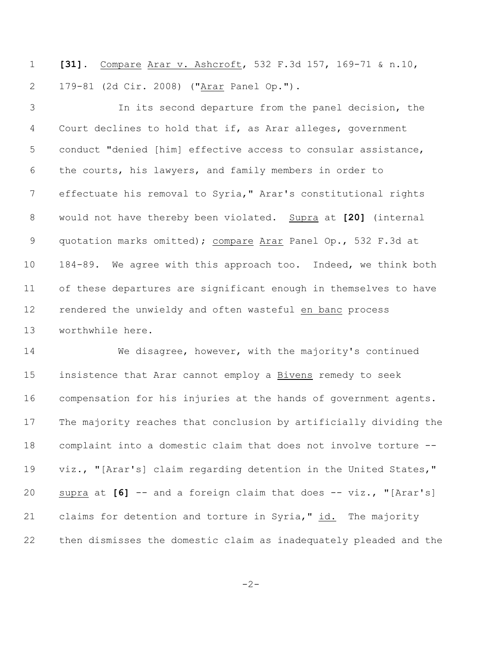**[31]**. Compare Arar v. Ashcroft, 532 F.3d 157, 169-71 & n.10, 179-81 (2d Cir. 2008) ("Arar Panel Op.").

 In its second departure from the panel decision, the Court declines to hold that if, as Arar alleges, government conduct "denied [him] effective access to consular assistance, the courts, his lawyers, and family members in order to effectuate his removal to Syria," Arar's constitutional rights would not have thereby been violated. Supra at **[20]** (internal quotation marks omitted); compare Arar Panel Op., 532 F.3d at 184-89. We agree with this approach too. Indeed, we think both of these departures are significant enough in themselves to have rendered the unwieldy and often wasteful en banc process worthwhile here.

 We disagree, however, with the majority's continued insistence that Arar cannot employ a Bivens remedy to seek compensation for his injuries at the hands of government agents. The majority reaches that conclusion by artificially dividing the complaint into a domestic claim that does not involve torture -- viz., "[Arar's] claim regarding detention in the United States," supra at **[6]** -- and a foreign claim that does -- viz., "[Arar's] claims for detention and torture in Syria," id. The majority then dismisses the domestic claim as inadequately pleaded and the

-2-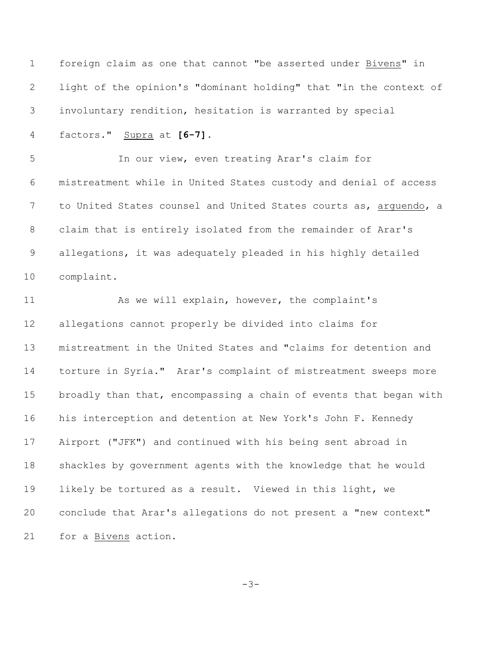foreign claim as one that cannot "be asserted under Bivens" in light of the opinion's "dominant holding" that "in the context of involuntary rendition, hesitation is warranted by special factors." Supra at **[6-7].** In our view, even treating Arar's claim for mistreatment while in United States custody and denial of access 7 to United States counsel and United States courts as, arguendo, a claim that is entirely isolated from the remainder of Arar's allegations, it was adequately pleaded in his highly detailed complaint. 11 As we will explain, however, the complaint's allegations cannot properly be divided into claims for mistreatment in the United States and "claims for detention and torture in Syria." Arar's complaint of mistreatment sweeps more broadly than that, encompassing a chain of events that began with his interception and detention at New York's John F. Kennedy Airport ("JFK") and continued with his being sent abroad in shackles by government agents with the knowledge that he would likely be tortured as a result. Viewed in this light, we conclude that Arar's allegations do not present a "new context" for a Bivens action.

-3-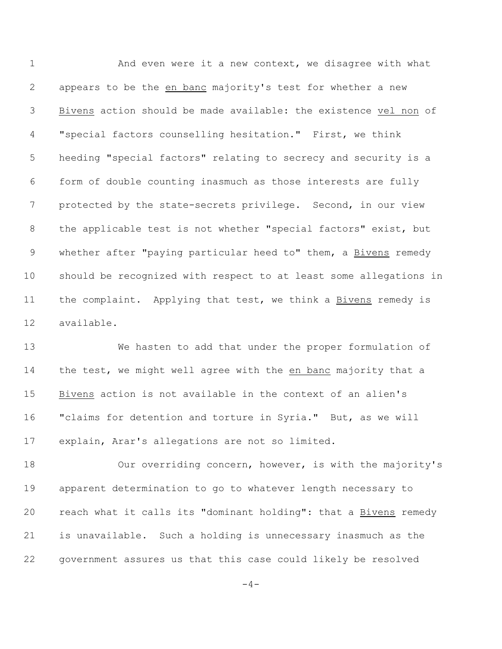1 And even were it a new context, we disagree with what appears to be the en banc majority's test for whether a new Bivens action should be made available: the existence vel non of "special factors counselling hesitation." First, we think heeding "special factors" relating to secrecy and security is a form of double counting inasmuch as those interests are fully protected by the state-secrets privilege. Second, in our view the applicable test is not whether "special factors" exist, but 9 whether after "paying particular heed to" them, a Bivens remedy should be recognized with respect to at least some allegations in 11 the complaint. Applying that test, we think a Bivens remedy is available.

 We hasten to add that under the proper formulation of 14 the test, we might well agree with the en banc majority that a Bivens action is not available in the context of an alien's "claims for detention and torture in Syria." But, as we will explain, Arar's allegations are not so limited.

 Our overriding concern, however, is with the majority's apparent determination to go to whatever length necessary to reach what it calls its "dominant holding": that a Bivens remedy is unavailable. Such a holding is unnecessary inasmuch as the government assures us that this case could likely be resolved

 $-4-$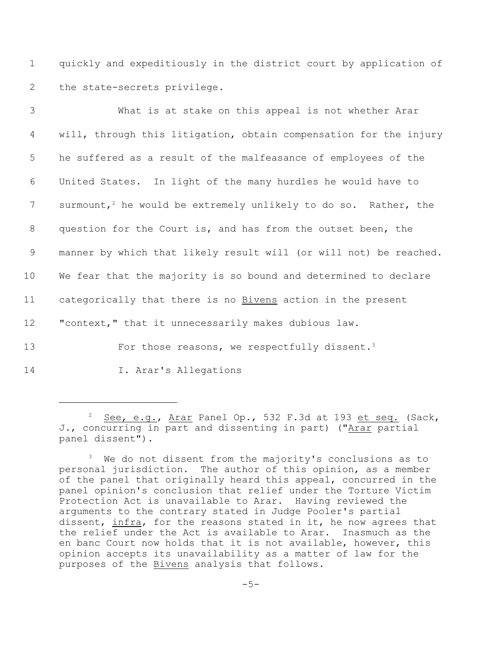1 quickly and expeditiously in the district court by application of 2 the state-secrets privilege.

| 3               | What is at stake on this appeal is not whether Arar                         |
|-----------------|-----------------------------------------------------------------------------|
| 4               | will, through this litigation, obtain compensation for the injury           |
| 5               | he suffered as a result of the malfeasance of employees of the              |
| 6               | United States. In light of the many hurdles he would have to                |
| 7               | surmount, <sup>2</sup> he would be extremely unlikely to do so. Rather, the |
| 8               | question for the Court is, and has from the outset been, the                |
| 9               | manner by which that likely result will (or will not) be reached.           |
| 10 <sub>o</sub> | We fear that the majority is so bound and determined to declare             |
| 11              | categorically that there is no Bivens action in the present                 |
| 12 <sup>°</sup> | "context," that it unnecessarily makes dubious law.                         |
| 13              | For those reasons, we respectfully dissent. <sup>3</sup>                    |

14 I. Arar's Allegations

 $2$  See, e.g., Arar Panel Op., 532 F.3d at 193 et seq. (Sack, J., concurring in part and dissenting in part) ("Arar partial panel dissent").

 $3$  We do not dissent from the majority's conclusions as to personal jurisdiction. The author of this opinion, as a member of the panel that originally heard this appeal, concurred in the panel opinion's conclusion that relief under the Torture Victim Protection Act is unavailable to Arar. Having reviewed the arguments to the contrary stated in Judge Pooler's partial dissent, infra, for the reasons stated in it, he now agrees that the relief under the Act is available to Arar. Inasmuch as the en banc Court now holds that it is not available, however, this opinion accepts its unavailability as a matter of law for the purposes of the Bivens analysis that follows.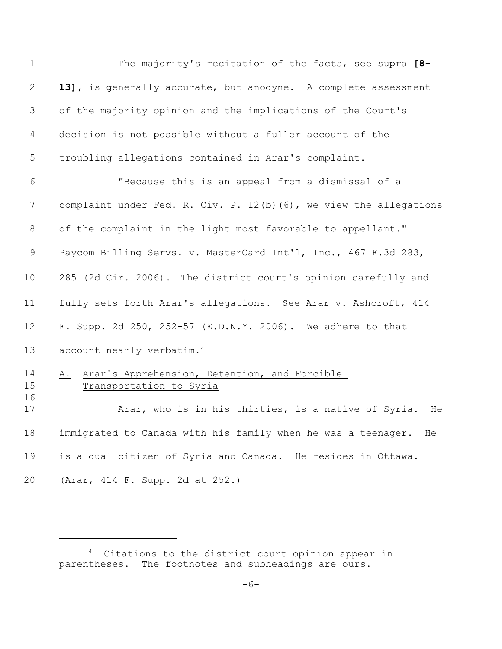| $\mathbf 1$          | The majority's recitation of the facts, see supra [8-                                                                                      |
|----------------------|--------------------------------------------------------------------------------------------------------------------------------------------|
| $\mathbf{2}$         | 13], is generally accurate, but anodyne. A complete assessment                                                                             |
| 3                    | of the majority opinion and the implications of the Court's                                                                                |
| 4                    | decision is not possible without a fuller account of the                                                                                   |
| 5                    | troubling allegations contained in Arar's complaint.                                                                                       |
| 6                    | "Because this is an appeal from a dismissal of a                                                                                           |
| 7                    | complaint under Fed. R. Civ. P. 12(b) (6), we view the allegations                                                                         |
| 8                    | of the complaint in the light most favorable to appellant."                                                                                |
| $\mathsf 9$          | Paycom Billing Servs. v. MasterCard Int'l, Inc., 467 F.3d 283,                                                                             |
| 10                   | 285 (2d Cir. 2006). The district court's opinion carefully and                                                                             |
| 11                   | fully sets forth Arar's allegations. See Arar v. Ashcroft, 414                                                                             |
| 12                   | F. Supp. 2d 250, 252-57 (E.D.N.Y. 2006). We adhere to that                                                                                 |
| 13                   | account nearly verbatim. <sup>4</sup>                                                                                                      |
| 14<br>15<br>16<br>17 | Arar's Apprehension, Detention, and Forcible<br>Α.<br>Transportation to Syria<br>Arar, who is in his thirties, is a native of Syria.<br>He |
| 18                   | immigrated to Canada with his family when he was a teenager.<br>He                                                                         |
| 19                   | is a dual citizen of Syria and Canada. He resides in Ottawa.                                                                               |
| 20                   | (Arar, 414 F. Supp. 2d at 252.)                                                                                                            |

<sup>&</sup>lt;sup>4</sup> Citations to the district court opinion appear in parentheses. The footnotes and subheadings are ours.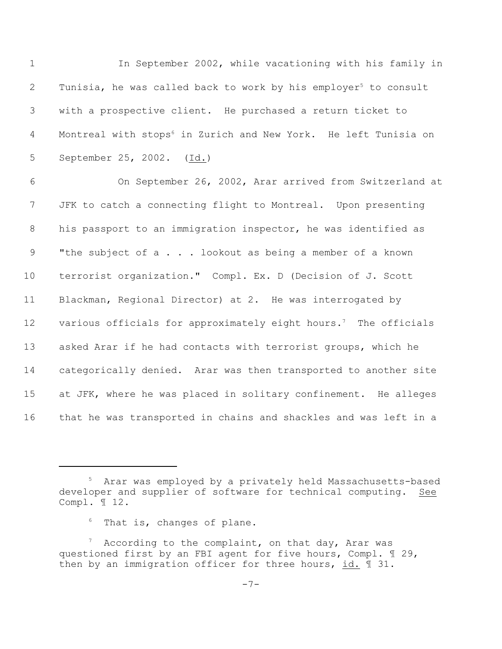1 In September 2002, while vacationing with his family in 2 Tunisia, he was called back to work by his employer<sup>5</sup> to consult 3 with a prospective client. He purchased a return ticket to 4 Montreal with stops<sup>6</sup> in Zurich and New York. He left Tunisia on 5 September 25, 2002. (Id.)

 On September 26, 2002, Arar arrived from Switzerland at JFK to catch a connecting flight to Montreal. Upon presenting his passport to an immigration inspector, he was identified as 9 "the subject of a . . . lookout as being a member of a known terrorist organization." Compl. Ex. D (Decision of J. Scott Blackman, Regional Director) at 2. He was interrogated by 12 various officials for approximately eight hours.<sup>7</sup> The officials asked Arar if he had contacts with terrorist groups, which he categorically denied. Arar was then transported to another site at JFK, where he was placed in solitary confinement. He alleges that he was transported in chains and shackles and was left in a

<sup>&</sup>lt;sup>5</sup> Arar was employed by a privately held Massachusetts-based developer and supplier of software for technical computing. See Compl. ¶ 12.

 $6$  That is, changes of plane.

 $^7$  According to the complaint, on that day, Arar was questioned first by an FBI agent for five hours, Compl. ¶ 29, then by an immigration officer for three hours, id. ¶ 31.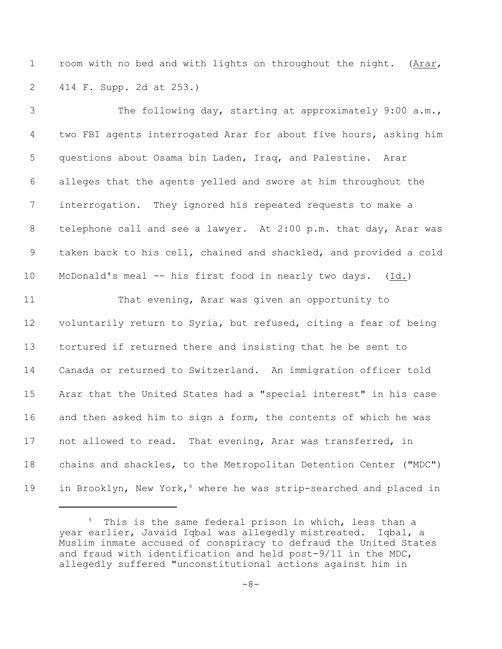room with no bed and with lights on throughout the night. (Arar, 414 F. Supp. 2d at 253.)

3 The following day, starting at approximately 9:00 a.m., two FBI agents interrogated Arar for about five hours, asking him questions about Osama bin Laden, Iraq, and Palestine. Arar alleges that the agents yelled and swore at him throughout the interrogation. They ignored his repeated requests to make a telephone call and see a lawyer. At 2:00 p.m. that day, Arar was taken back to his cell, chained and shackled, and provided a cold McDonald's meal -- his first food in nearly two days. (Id.) That evening, Arar was given an opportunity to voluntarily return to Syria, but refused, citing a fear of being tortured if returned there and insisting that he be sent to Canada or returned to Switzerland. An immigration officer told Arar that the United States had a "special interest" in his case and then asked him to sign a form, the contents of which he was not allowed to read. That evening, Arar was transferred, in chains and shackles, to the Metropolitan Detention Center ("MDC") 19 in Brooklyn, New York,<sup>8</sup> where he was strip-searched and placed in

This is the same federal prison in which, less than a year earlier, Javaid Iqbal was allegedly mistreated. Iqbal, a Muslim inmate accused of conspiracy to defraud the United States and fraud with identification and held post-9/11 in the MDC, allegedly suffered "unconstitutional actions against him in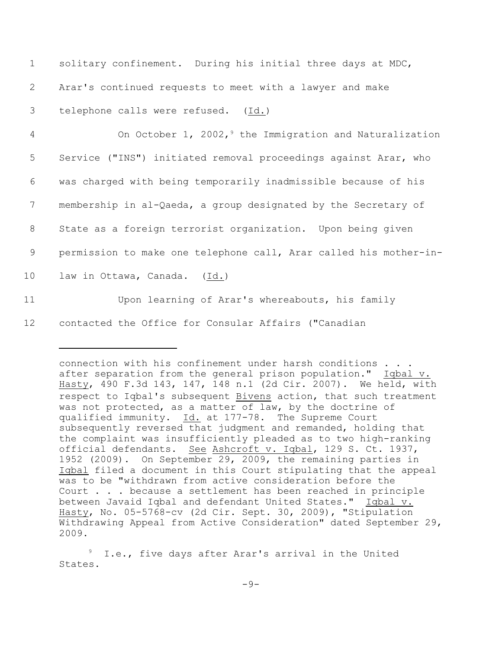| $\mathbf 1$     | solitary confinement. During his initial three days at MDC,         |
|-----------------|---------------------------------------------------------------------|
| 2               | Arar's continued requests to meet with a lawyer and make            |
| 3               | telephone calls were refused. (Id.)                                 |
| $\overline{4}$  | On October 1, 2002, <sup>9</sup> the Immigration and Naturalization |
| 5               | Service ("INS") initiated removal proceedings against Arar, who     |
| 6               | was charged with being temporarily inadmissible because of his      |
| 7               | membership in al-Qaeda, a group designated by the Secretary of      |
| 8               | State as a foreign terrorist organization. Upon being given         |
| 9               | permission to make one telephone call, Arar called his mother-in-   |
| 10 <sub>o</sub> | law in Ottawa, Canada. (Id.)                                        |
| 11              | Upon learning of Arar's whereabouts, his family                     |
| 12              | contacted the Office for Consular Affairs ("Canadian                |

connection with his confinement under harsh conditions . . . after separation from the general prison population." Iqbal v. Hasty, 490 F.3d 143, 147, 148 n.1 (2d Cir. 2007). We held, with respect to Iqbal's subsequent Bivens action, that such treatment was not protected, as a matter of law, by the doctrine of qualified immunity. Id. at 177-78. The Supreme Court subsequently reversed that judgment and remanded, holding that the complaint was insufficiently pleaded as to two high-ranking official defendants. See Ashcroft v. Iqbal, 129 S. Ct. 1937, 1952 (2009). On September 29, 2009, the remaining parties in Iqbal filed a document in this Court stipulating that the appeal was to be "withdrawn from active consideration before the Court . . . because a settlement has been reached in principle between Javaid Iqbal and defendant United States." Iqbal v. Hasty, No. 05-5768-cv (2d Cir. Sept. 30, 2009), "Stipulation Withdrawing Appeal from Active Consideration" dated September 29, 2009.

I.e., five days after Arar's arrival in the United States.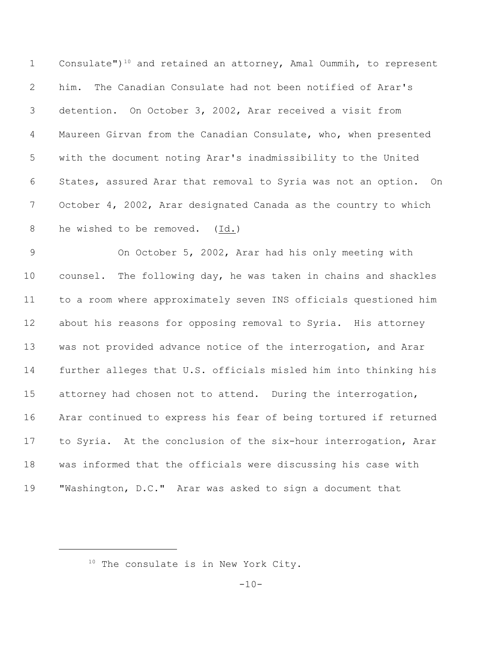1 Consulate")<sup>10</sup> and retained an attorney, Amal Oummih, to represent him. The Canadian Consulate had not been notified of Arar's detention. On October 3, 2002, Arar received a visit from Maureen Girvan from the Canadian Consulate, who, when presented with the document noting Arar's inadmissibility to the United States, assured Arar that removal to Syria was not an option. On October 4, 2002, Arar designated Canada as the country to which he wished to be removed. (Id.)

 On October 5, 2002, Arar had his only meeting with counsel. The following day, he was taken in chains and shackles to a room where approximately seven INS officials questioned him about his reasons for opposing removal to Syria. His attorney was not provided advance notice of the interrogation, and Arar further alleges that U.S. officials misled him into thinking his attorney had chosen not to attend. During the interrogation, Arar continued to express his fear of being tortured if returned to Syria. At the conclusion of the six-hour interrogation, Arar was informed that the officials were discussing his case with "Washington, D.C." Arar was asked to sign a document that

The consulate is in New York City.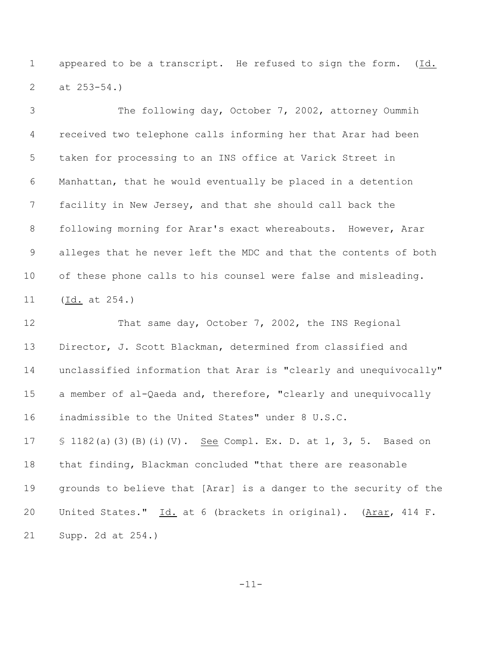appeared to be a transcript. He refused to sign the form. (Id. at 253-54.)

 The following day, October 7, 2002, attorney Oummih received two telephone calls informing her that Arar had been taken for processing to an INS office at Varick Street in Manhattan, that he would eventually be placed in a detention facility in New Jersey, and that she should call back the following morning for Arar's exact whereabouts. However, Arar alleges that he never left the MDC and that the contents of both of these phone calls to his counsel were false and misleading. (Id. at 254.)

12 That same day, October 7, 2002, the INS Regional Director, J. Scott Blackman, determined from classified and unclassified information that Arar is "clearly and unequivocally" a member of al-Qaeda and, therefore, "clearly and unequivocally inadmissible to the United States" under 8 U.S.C. 17 § 1182(a)(3)(B)(i)(V). See Compl. Ex. D. at 1, 3, 5. Based on that finding, Blackman concluded "that there are reasonable grounds to believe that [Arar] is a danger to the security of the United States." Id. at 6 (brackets in original). (Arar, 414 F. Supp. 2d at 254.)

-11-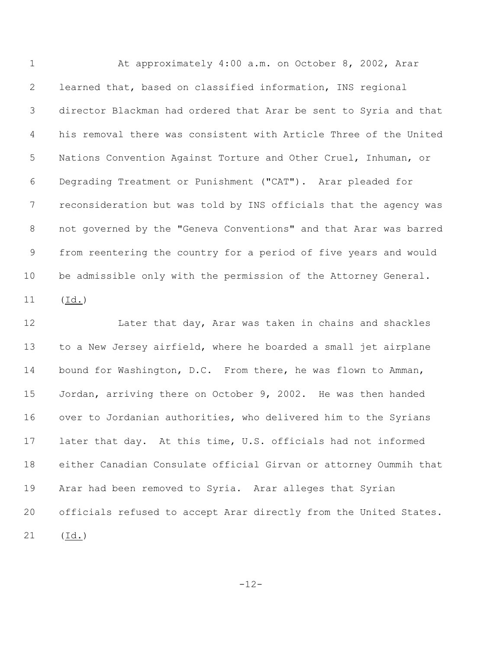1 At approximately 4:00 a.m. on October 8, 2002, Arar learned that, based on classified information, INS regional director Blackman had ordered that Arar be sent to Syria and that his removal there was consistent with Article Three of the United Nations Convention Against Torture and Other Cruel, Inhuman, or Degrading Treatment or Punishment ("CAT"). Arar pleaded for reconsideration but was told by INS officials that the agency was not governed by the "Geneva Conventions" and that Arar was barred from reentering the country for a period of five years and would be admissible only with the permission of the Attorney General. (Id.)

**Later that day, Arar was taken in chains and shackles**  to a New Jersey airfield, where he boarded a small jet airplane bound for Washington, D.C. From there, he was flown to Amman, Jordan, arriving there on October 9, 2002. He was then handed over to Jordanian authorities, who delivered him to the Syrians later that day. At this time, U.S. officials had not informed either Canadian Consulate official Girvan or attorney Oummih that Arar had been removed to Syria. Arar alleges that Syrian officials refused to accept Arar directly from the United States. (Id.)

-12-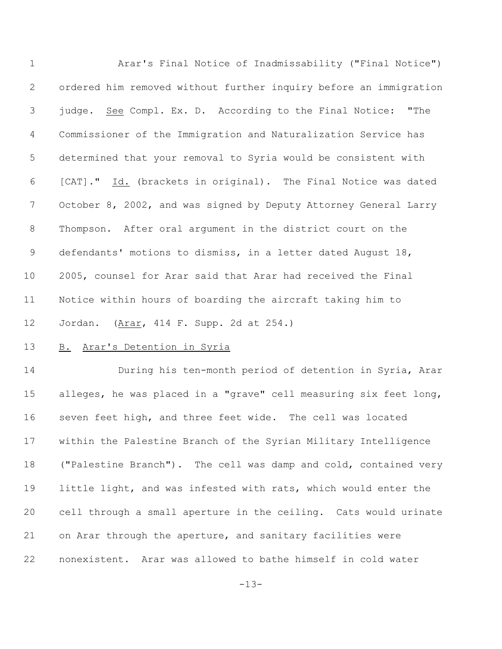Arar's Final Notice of Inadmissability ("Final Notice") ordered him removed without further inquiry before an immigration judge. See Compl. Ex. D. According to the Final Notice: "The Commissioner of the Immigration and Naturalization Service has determined that your removal to Syria would be consistent with [CAT]." Id. (brackets in original). The Final Notice was dated October 8, 2002, and was signed by Deputy Attorney General Larry Thompson. After oral argument in the district court on the defendants' motions to dismiss, in a letter dated August 18, 2005, counsel for Arar said that Arar had received the Final Notice within hours of boarding the aircraft taking him to Jordan. (Arar, 414 F. Supp. 2d at 254.) 13 B. Arar's Detention in Syria

 During his ten-month period of detention in Syria, Arar alleges, he was placed in a "grave" cell measuring six feet long, seven feet high, and three feet wide. The cell was located within the Palestine Branch of the Syrian Military Intelligence ("Palestine Branch"). The cell was damp and cold, contained very little light, and was infested with rats, which would enter the cell through a small aperture in the ceiling. Cats would urinate on Arar through the aperture, and sanitary facilities were nonexistent. Arar was allowed to bathe himself in cold water

-13-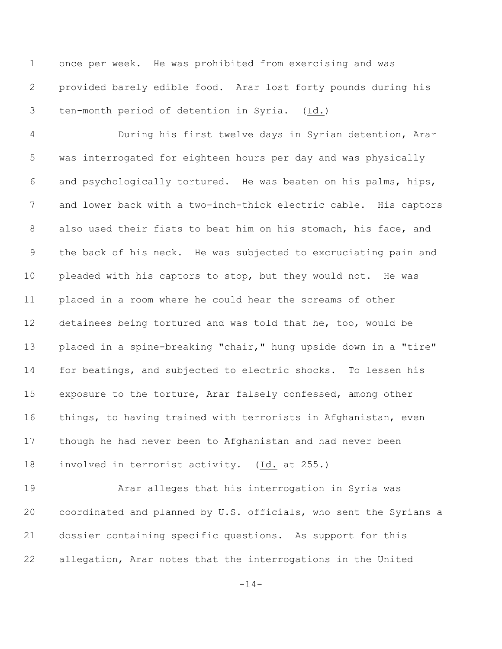once per week. He was prohibited from exercising and was provided barely edible food. Arar lost forty pounds during his ten-month period of detention in Syria. (Id.)

 During his first twelve days in Syrian detention, Arar was interrogated for eighteen hours per day and was physically and psychologically tortured. He was beaten on his palms, hips, and lower back with a two-inch-thick electric cable. His captors also used their fists to beat him on his stomach, his face, and the back of his neck. He was subjected to excruciating pain and pleaded with his captors to stop, but they would not. He was placed in a room where he could hear the screams of other detainees being tortured and was told that he, too, would be placed in a spine-breaking "chair," hung upside down in a "tire" for beatings, and subjected to electric shocks. To lessen his exposure to the torture, Arar falsely confessed, among other things, to having trained with terrorists in Afghanistan, even though he had never been to Afghanistan and had never been involved in terrorist activity. (Id. at 255.)

 Arar alleges that his interrogation in Syria was coordinated and planned by U.S. officials, who sent the Syrians a dossier containing specific questions. As support for this allegation, Arar notes that the interrogations in the United

-14-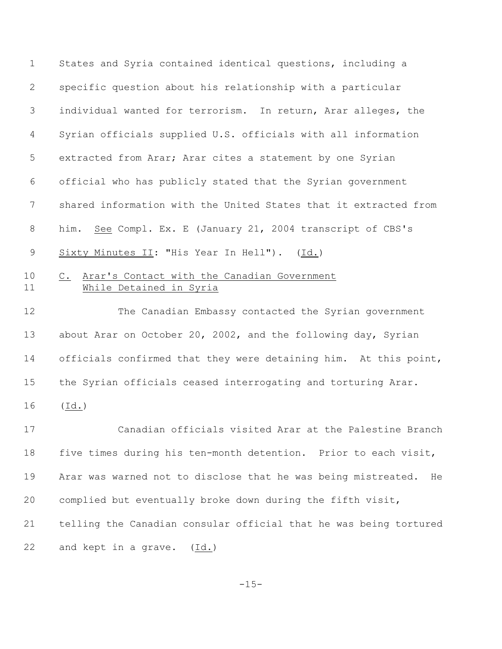States and Syria contained identical questions, including a specific question about his relationship with a particular individual wanted for terrorism. In return, Arar alleges, the Syrian officials supplied U.S. officials with all information extracted from Arar; Arar cites a statement by one Syrian official who has publicly stated that the Syrian government shared information with the United States that it extracted from him. See Compl. Ex. E (January 21, 2004 transcript of CBS's 9 Sixty Minutes II: "His Year In Hell"). (Id.) C. Arar's Contact with the Canadian Government 11 While Detained in Syria The Canadian Embassy contacted the Syrian government about Arar on October 20, 2002, and the following day, Syrian

officials confirmed that they were detaining him. At this point,

the Syrian officials ceased interrogating and torturing Arar.

(Id.)

 Canadian officials visited Arar at the Palestine Branch five times during his ten-month detention. Prior to each visit, Arar was warned not to disclose that he was being mistreated. He complied but eventually broke down during the fifth visit, telling the Canadian consular official that he was being tortured and kept in a grave. (Id.)

-15-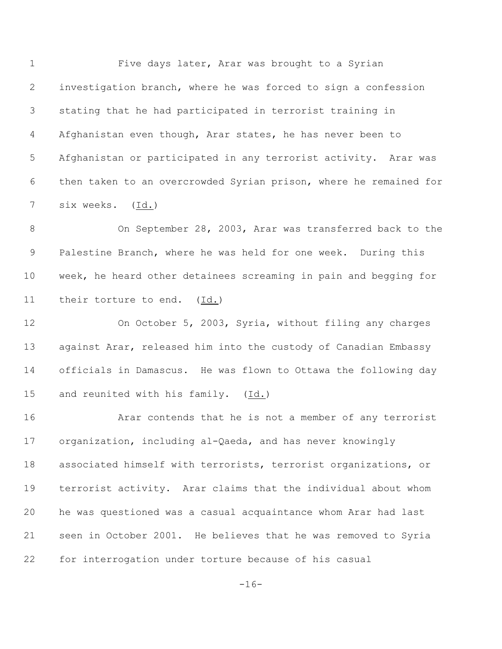Five days later, Arar was brought to a Syrian investigation branch, where he was forced to sign a confession stating that he had participated in terrorist training in Afghanistan even though, Arar states, he has never been to Afghanistan or participated in any terrorist activity. Arar was then taken to an overcrowded Syrian prison, where he remained for six weeks. (Id.)

8 On September 28, 2003, Arar was transferred back to the Palestine Branch, where he was held for one week. During this week, he heard other detainees screaming in pain and begging for their torture to end. (Id.)

 On October 5, 2003, Syria, without filing any charges against Arar, released him into the custody of Canadian Embassy officials in Damascus. He was flown to Ottawa the following day and reunited with his family. (Id.)

 Arar contends that he is not a member of any terrorist organization, including al-Qaeda, and has never knowingly associated himself with terrorists, terrorist organizations, or terrorist activity. Arar claims that the individual about whom he was questioned was a casual acquaintance whom Arar had last seen in October 2001. He believes that he was removed to Syria for interrogation under torture because of his casual

 $-16-$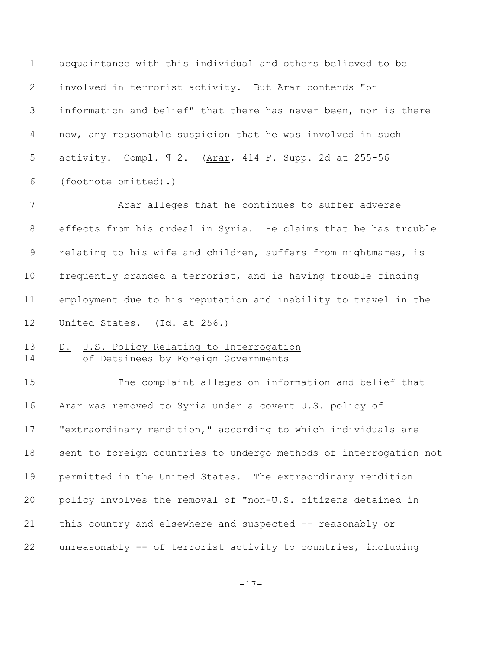acquaintance with this individual and others believed to be involved in terrorist activity. But Arar contends "on information and belief" that there has never been, nor is there now, any reasonable suspicion that he was involved in such activity. Compl. ¶ 2. (Arar, 414 F. Supp. 2d at 255-56 (footnote omitted).)

 Arar alleges that he continues to suffer adverse effects from his ordeal in Syria. He claims that he has trouble 9 relating to his wife and children, suffers from nightmares, is frequently branded a terrorist, and is having trouble finding employment due to his reputation and inability to travel in the United States. (Id. at 256.)

# 13 D. U.S. Policy Relating to Interrogation 14 of Detainees by Foreign Governments

 The complaint alleges on information and belief that Arar was removed to Syria under a covert U.S. policy of "extraordinary rendition," according to which individuals are sent to foreign countries to undergo methods of interrogation not permitted in the United States. The extraordinary rendition policy involves the removal of "non-U.S. citizens detained in this country and elsewhere and suspected -- reasonably or unreasonably -- of terrorist activity to countries, including

-17-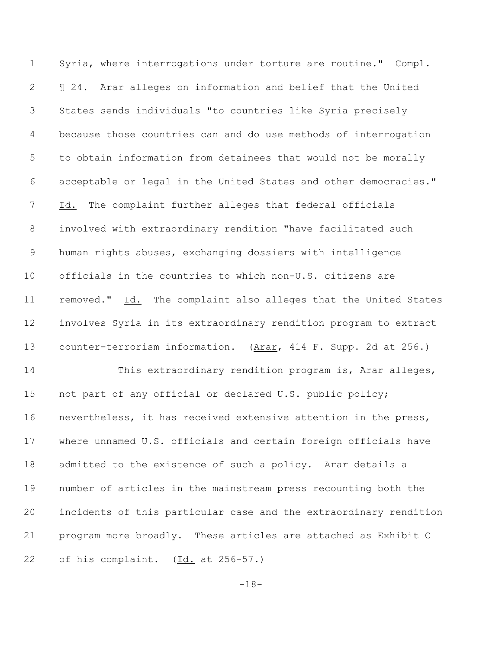Syria, where interrogations under torture are routine." Compl. ¶ 24. Arar alleges on information and belief that the United States sends individuals "to countries like Syria precisely because those countries can and do use methods of interrogation to obtain information from detainees that would not be morally acceptable or legal in the United States and other democracies." Id. The complaint further alleges that federal officials involved with extraordinary rendition "have facilitated such human rights abuses, exchanging dossiers with intelligence officials in the countries to which non-U.S. citizens are removed." Id. The complaint also alleges that the United States involves Syria in its extraordinary rendition program to extract counter-terrorism information. (Arar, 414 F. Supp. 2d at 256.) 14 This extraordinary rendition program is, Arar alleges, 15 not part of any official or declared U.S. public policy; nevertheless, it has received extensive attention in the press, where unnamed U.S. officials and certain foreign officials have admitted to the existence of such a policy. Arar details a number of articles in the mainstream press recounting both the incidents of this particular case and the extraordinary rendition program more broadly. These articles are attached as Exhibit C of his complaint. (Id. at 256-57.)

-18-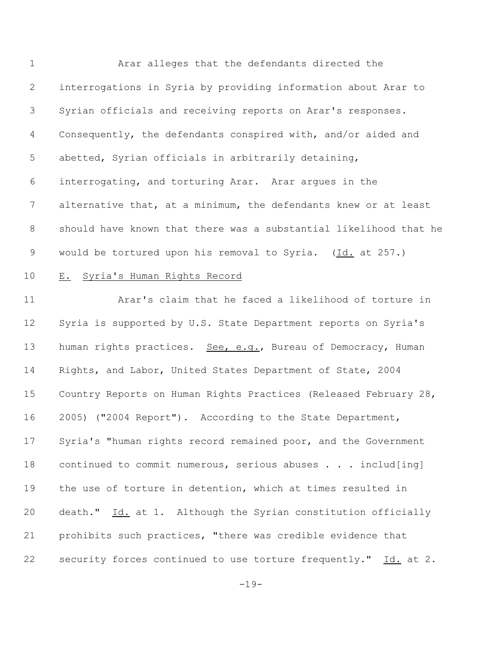Arar alleges that the defendants directed the interrogations in Syria by providing information about Arar to Syrian officials and receiving reports on Arar's responses. Consequently, the defendants conspired with, and/or aided and abetted, Syrian officials in arbitrarily detaining, interrogating, and torturing Arar. Arar argues in the alternative that, at a minimum, the defendants knew or at least should have known that there was a substantial likelihood that he would be tortured upon his removal to Syria. (Id. at 257.)

## E. Syria's Human Rights Record

 Arar's claim that he faced a likelihood of torture in Syria is supported by U.S. State Department reports on Syria's 13 human rights practices. See, e.g., Bureau of Democracy, Human Rights, and Labor, United States Department of State, 2004 Country Reports on Human Rights Practices (Released February 28, 2005) ("2004 Report"). According to the State Department, Syria's "human rights record remained poor, and the Government continued to commit numerous, serious abuses . . . includ[ing] the use of torture in detention, which at times resulted in death." Id. at 1. Although the Syrian constitution officially prohibits such practices, "there was credible evidence that security forces continued to use torture frequently." Id. at 2.

-19-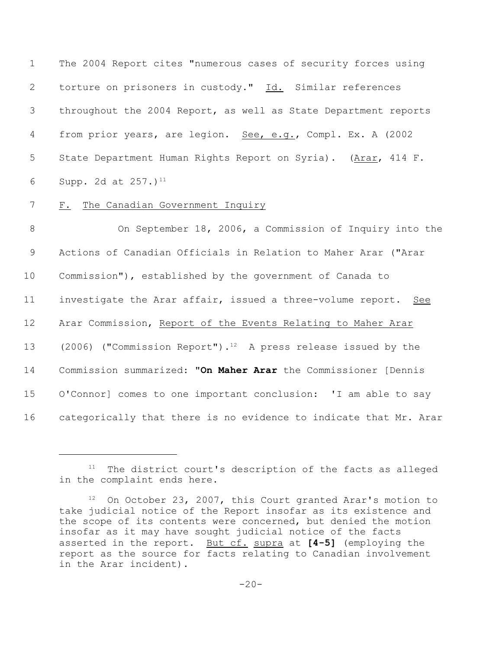The 2004 Report cites "numerous cases of security forces using torture on prisoners in custody." Id. Similar references throughout the 2004 Report, as well as State Department reports 4 from prior years, are legion. See, e.g., Compl. Ex. A (2002 State Department Human Rights Report on Syria). (Arar, 414 F. 6 Supp. 2d at  $257.1^{11}$ 

#### 7 F. The Canadian Government Inquiry

8 On September 18, 2006, a Commission of Inquiry into the Actions of Canadian Officials in Relation to Maher Arar ("Arar Commission"), established by the government of Canada to investigate the Arar affair, issued a three-volume report. See Arar Commission, Report of the Events Relating to Maher Arar 13 (2006) ("Commission Report").<sup>12</sup> A press release issued by the Commission summarized: **"On Maher Arar** the Commissioner [Dennis O'Connor] comes to one important conclusion: 'I am able to say categorically that there is no evidence to indicate that Mr. Arar

 $11$  The district court's description of the facts as alleged in the complaint ends here.

 $12$  On October 23, 2007, this Court granted Arar's motion to take judicial notice of the Report insofar as its existence and the scope of its contents were concerned, but denied the motion insofar as it may have sought judicial notice of the facts asserted in the report. But cf. supra at **[4-5]** (employing the report as the source for facts relating to Canadian involvement in the Arar incident).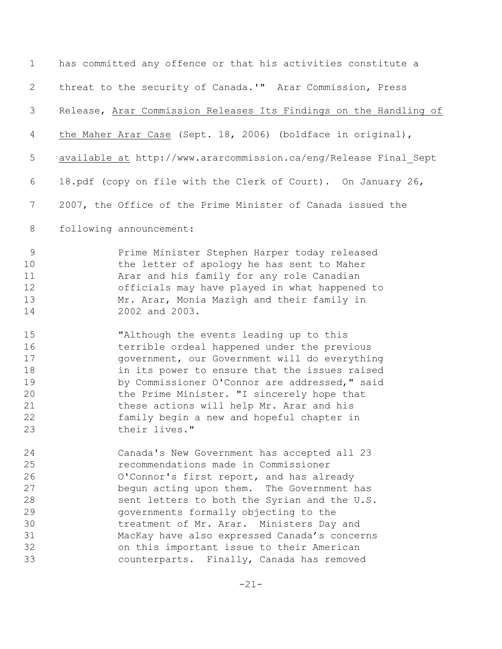| $\mathbf 1$                                        | has committed any offence or that his activities constitute a                                                                                                                                                                                                                                                                                                                                                   |
|----------------------------------------------------|-----------------------------------------------------------------------------------------------------------------------------------------------------------------------------------------------------------------------------------------------------------------------------------------------------------------------------------------------------------------------------------------------------------------|
| $\mathbf{2}$                                       | threat to the security of Canada.'" Arar Commission, Press                                                                                                                                                                                                                                                                                                                                                      |
| 3                                                  | Release, Arar Commission Releases Its Findings on the Handling of                                                                                                                                                                                                                                                                                                                                               |
| 4                                                  | the Maher Arar Case (Sept. 18, 2006) (boldface in original),                                                                                                                                                                                                                                                                                                                                                    |
| 5                                                  | available at http://www.ararcommission.ca/eng/Release Final Sept                                                                                                                                                                                                                                                                                                                                                |
| 6                                                  | 18.pdf (copy on file with the Clerk of Court). On January 26,                                                                                                                                                                                                                                                                                                                                                   |
| 7                                                  | 2007, the Office of the Prime Minister of Canada issued the                                                                                                                                                                                                                                                                                                                                                     |
| 8                                                  | following announcement:                                                                                                                                                                                                                                                                                                                                                                                         |
| $\overline{9}$<br>10<br>11<br>12<br>13<br>14       | Prime Minister Stephen Harper today released<br>the letter of apology he has sent to Maher<br>Arar and his family for any role Canadian<br>officials may have played in what happened to<br>Mr. Arar, Monia Mazigh and their family in<br>2002 and 2003.                                                                                                                                                        |
| 15<br>16<br>17<br>18<br>19<br>20<br>21<br>22<br>23 | "Although the events leading up to this<br>terrible ordeal happened under the previous<br>government, our Government will do everything<br>in its power to ensure that the issues raised<br>by Commissioner O'Connor are addressed, " said<br>the Prime Minister. "I sincerely hope that<br>these actions will help Mr. Arar and his<br>family begin a new and hopeful chapter in<br>their lives."              |
| 24<br>25<br>26<br>27<br>28<br>29<br>30<br>31<br>32 | Canada's New Government has accepted all 23<br>recommendations made in Commissioner<br>O'Connor's first report, and has already<br>begun acting upon them. The Government has<br>sent letters to both the Syrian and the U.S.<br>governments formally objecting to the<br>treatment of Mr. Arar. Ministers Day and<br>MacKay have also expressed Canada's concerns<br>on this important issue to their American |
| 33                                                 | counterparts. Finally, Canada has removed                                                                                                                                                                                                                                                                                                                                                                       |

-21-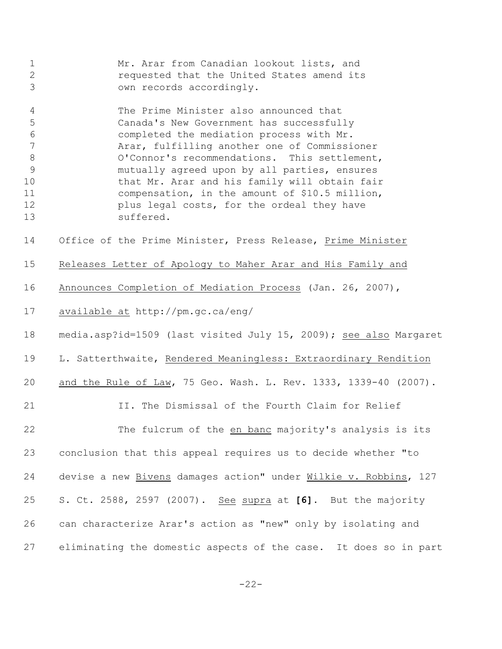| 1 | Mr. Arar from Canadian lookout lists, and  |  |  |  |  |
|---|--------------------------------------------|--|--|--|--|
|   | requested that the United States amend its |  |  |  |  |
|   | own records accordingly.                   |  |  |  |  |

 The Prime Minister also announced that Canada's New Government has successfully completed the mediation process with Mr. Arar, fulfilling another one of Commissioner 8 O'Connor's recommendations. This settlement, mutually agreed upon by all parties, ensures 10 that Mr. Arar and his family will obtain fair compensation, in the amount of \$10.5 million, plus legal costs, for the ordeal they have suffered.

Office of the Prime Minister, Press Release, Prime Minister

- Releases Letter of Apology to Maher Arar and His Family and
- 16 Announces Completion of Mediation Process (Jan. 26, 2007),
- available at http://pm.gc.ca/eng/

media.asp?id=1509 (last visited July 15, 2009); see also Margaret

L. Satterthwaite, Rendered Meaningless: Extraordinary Rendition

and the Rule of Law, 75 Geo. Wash. L. Rev. 1333, 1339-40 (2007).

II. The Dismissal of the Fourth Claim for Relief

 The fulcrum of the en banc majority's analysis is its conclusion that this appeal requires us to decide whether "to 24 devise a new Bivens damages action" under Wilkie v. Robbins, 127 S. Ct. 2588, 2597 (2007). See supra at **[6]**. But the majority can characterize Arar's action as "new" only by isolating and eliminating the domestic aspects of the case. It does so in part

 $-22-$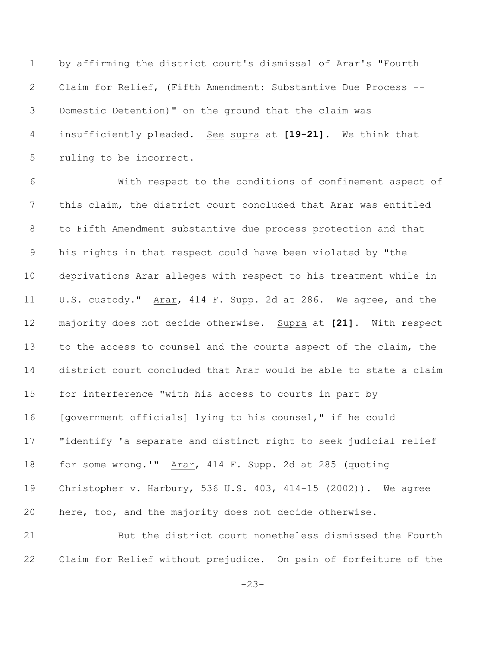by affirming the district court's dismissal of Arar's "Fourth Claim for Relief, (Fifth Amendment: Substantive Due Process -- Domestic Detention)" on the ground that the claim was insufficiently pleaded. See supra at **[19-21]**. We think that ruling to be incorrect.

 With respect to the conditions of confinement aspect of this claim, the district court concluded that Arar was entitled to Fifth Amendment substantive due process protection and that his rights in that respect could have been violated by "the deprivations Arar alleges with respect to his treatment while in U.S. custody." Arar, 414 F. Supp. 2d at 286. We agree, and the majority does not decide otherwise. Supra at **[21]**. With respect to the access to counsel and the courts aspect of the claim, the district court concluded that Arar would be able to state a claim for interference "with his access to courts in part by [government officials] lying to his counsel," if he could "identify 'a separate and distinct right to seek judicial relief for some wrong.'" Arar, 414 F. Supp. 2d at 285 (quoting Christopher v. Harbury, 536 U.S. 403, 414-15 (2002)). We agree here, too, and the majority does not decide otherwise.

 But the district court nonetheless dismissed the Fourth Claim for Relief without prejudice. On pain of forfeiture of the

-23-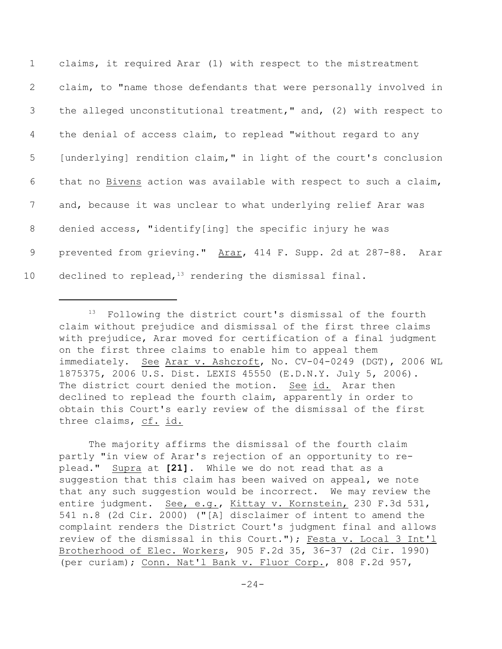claims, it required Arar (1) with respect to the mistreatment claim, to "name those defendants that were personally involved in the alleged unconstitutional treatment," and, (2) with respect to the denial of access claim, to replead "without regard to any [underlying] rendition claim," in light of the court's conclusion that no Bivens action was available with respect to such a claim, and, because it was unclear to what underlying relief Arar was denied access, "identify[ing] the specific injury he was 9 prevented from grieving." Arar, 414 F. Supp. 2d at 287-88. Arar 10 declined to replead,  $13$  rendering the dismissal final.

The majority affirms the dismissal of the fourth claim partly "in view of Arar's rejection of an opportunity to replead." Supra at **[21]**. While we do not read that as a suggestion that this claim has been waived on appeal, we note that any such suggestion would be incorrect. We may review the entire judgment. See, e.g., Kittay v. Kornstein, 230 F.3d 531, 541 n.8 (2d Cir. 2000) ("[A] disclaimer of intent to amend the complaint renders the District Court's judgment final and allows review of the dismissal in this Court."); Festa v. Local 3 Int'l Brotherhood of Elec. Workers, 905 F.2d 35, 36-37 (2d Cir. 1990) (per curiam); Conn. Nat'l Bank v. Fluor Corp., 808 F.2d 957,

 $13$  Following the district court's dismissal of the fourth claim without prejudice and dismissal of the first three claims with prejudice, Arar moved for certification of a final judgment on the first three claims to enable him to appeal them immediately. See Arar v. Ashcroft, No. CV-04-0249 (DGT), 2006 WL 1875375, 2006 U.S. Dist. LEXIS 45550 (E.D.N.Y. July 5, 2006). The district court denied the motion. See id. Arar then declined to replead the fourth claim, apparently in order to obtain this Court's early review of the dismissal of the first three claims, cf. id.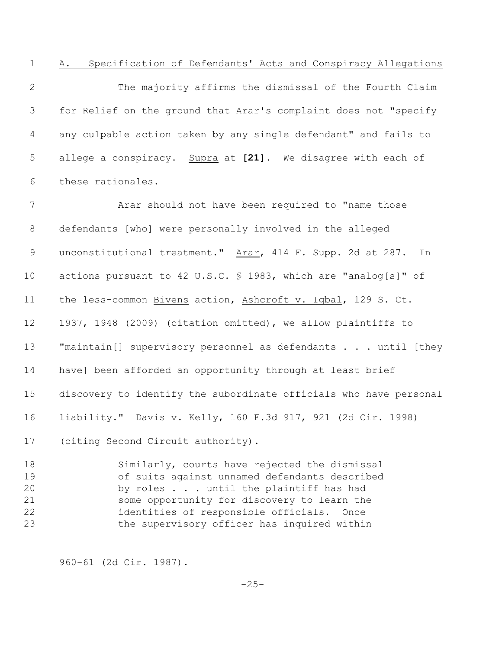A. Specification of Defendants' Acts and Conspiracy Allegations

 The majority affirms the dismissal of the Fourth Claim for Relief on the ground that Arar's complaint does not "specify any culpable action taken by any single defendant" and fails to allege a conspiracy. Supra at **[21]**. We disagree with each of these rationales.

7 Arar should not have been required to "name those defendants [who] were personally involved in the alleged 9 unconstitutional treatment." Arar, 414 F. Supp. 2d at 287. In actions pursuant to 42 U.S.C. § 1983, which are "analog[s]" of the less-common Bivens action, Ashcroft v. Iqbal, 129 S. Ct. 1937, 1948 (2009) (citation omitted), we allow plaintiffs to **"maintain**[] supervisory personnel as defendants . . . until [they have] been afforded an opportunity through at least brief discovery to identify the subordinate officials who have personal liability." Davis v. Kelly, 160 F.3d 917, 921 (2d Cir. 1998) (citing Second Circuit authority).

 Similarly, courts have rejected the dismissal of suits against unnamed defendants described by roles . . . until the plaintiff has had some opportunity for discovery to learn the identities of responsible officials. Once the supervisory officer has inquired within

960-61 (2d Cir. 1987).

 $-25-$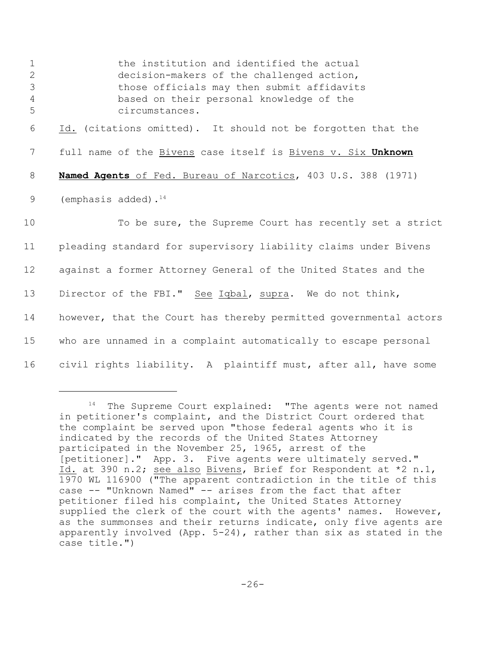1 the institution and identified the actual decision-makers of the challenged action, those officials may then submit affidavits based on their personal knowledge of the circumstances. Id. (citations omitted). It should not be forgotten that the full name of the Bivens case itself is Bivens v. Six **Unknown Named Agents** of Fed. Bureau of Narcotics, 403 U.S. 388 (1971) 9 (emphasis added).<sup>14</sup> 10 To be sure, the Supreme Court has recently set a strict pleading standard for supervisory liability claims under Bivens against a former Attorney General of the United States and the Director of the FBI." See Iqbal, supra. We do not think, 14 however, that the Court has thereby permitted governmental actors who are unnamed in a complaint automatically to escape personal civil rights liability. A plaintiff must, after all, have some

 $14$  The Supreme Court explained: "The agents were not named in petitioner's complaint, and the District Court ordered that the complaint be served upon "those federal agents who it is indicated by the records of the United States Attorney participated in the November 25, 1965, arrest of the [petitioner]." App. 3. Five agents were ultimately served." Id. at 390 n.2; see also Bivens, Brief for Respondent at \*2 n.1, 1970 WL 116900 ("The apparent contradiction in the title of this case -- "Unknown Named" -- arises from the fact that after petitioner filed his complaint, the United States Attorney supplied the clerk of the court with the agents' names. However, as the summonses and their returns indicate, only five agents are apparently involved (App. 5-24), rather than six as stated in the case title.")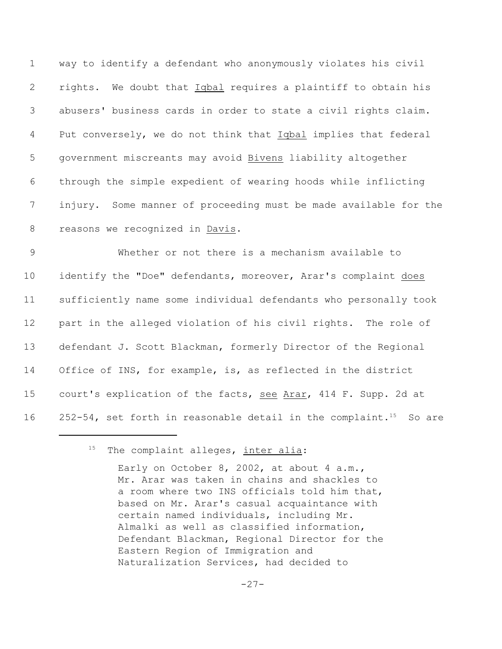way to identify a defendant who anonymously violates his civil rights. We doubt that Iqbal requires a plaintiff to obtain his abusers' business cards in order to state a civil rights claim. 4 Put conversely, we do not think that *Iqbal* implies that federal government miscreants may avoid Bivens liability altogether through the simple expedient of wearing hoods while inflicting injury. Some manner of proceeding must be made available for the reasons we recognized in Davis.

 Whether or not there is a mechanism available to identify the "Doe" defendants, moreover, Arar's complaint does sufficiently name some individual defendants who personally took part in the alleged violation of his civil rights. The role of defendant J. Scott Blackman, formerly Director of the Regional Office of INS, for example, is, as reflected in the district court's explication of the facts, see Arar, 414 F. Supp. 2d at 16 252-54, set forth in reasonable detail in the complaint.<sup>15</sup> So are

 $15$  The complaint alleges, inter alia:

Early on October 8, 2002, at about 4  $a.m.,$ Mr. Arar was taken in chains and shackles to a room where two INS officials told him that, based on Mr. Arar's casual acquaintance with certain named individuals, including Mr. Almalki as well as classified information, Defendant Blackman, Regional Director for the Eastern Region of Immigration and Naturalization Services, had decided to

-27-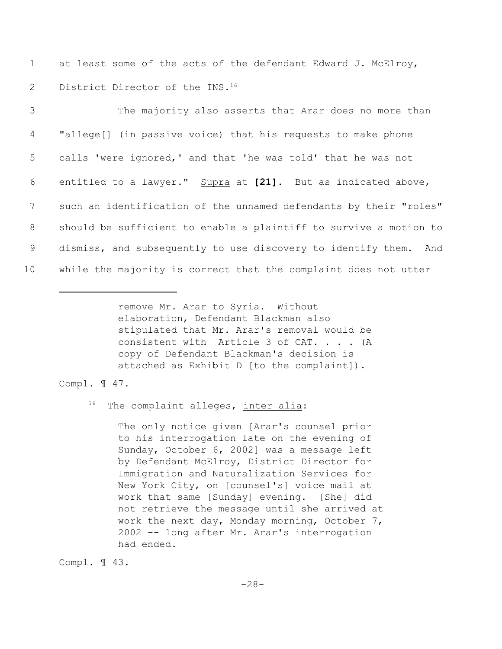1 at least some of the acts of the defendant Edward J. McElroy, 2 District Director of the INS.<sup>16</sup>

| 3               | The majority also asserts that Arar does no more than             |
|-----------------|-------------------------------------------------------------------|
| 4               | "allege[] (in passive voice) that his requests to make phone      |
| 5               | calls 'were ignored,' and that 'he was told' that he was not      |
| 6               | entitled to a lawyer." Supra at [21]. But as indicated above,     |
| $7\phantom{.0}$ | such an identification of the unnamed defendants by their "roles" |
| 8               | should be sufficient to enable a plaintiff to survive a motion to |
| 9               | dismiss, and subsequently to use discovery to identify them. And  |
| 10 <sub>o</sub> | while the majority is correct that the complaint does not utter   |

remove Mr. Arar to Syria. Without elaboration, Defendant Blackman also stipulated that Mr. Arar's removal would be consistent with Article 3 of CAT. . . . (A copy of Defendant Blackman's decision is attached as Exhibit D [to the complaint]).

## Compl. ¶ 47.

 $16$  The complaint alleges, inter alia:

The only notice given [Arar's counsel prior to his interrogation late on the evening of Sunday, October 6, 2002] was a message left by Defendant McElroy, District Director for Immigration and Naturalization Services for New York City, on [counsel's] voice mail at work that same [Sunday] evening. [She] did not retrieve the message until she arrived at work the next day, Monday morning, October 7, 2002 -- long after Mr. Arar's interrogation had ended.

Compl. ¶ 43.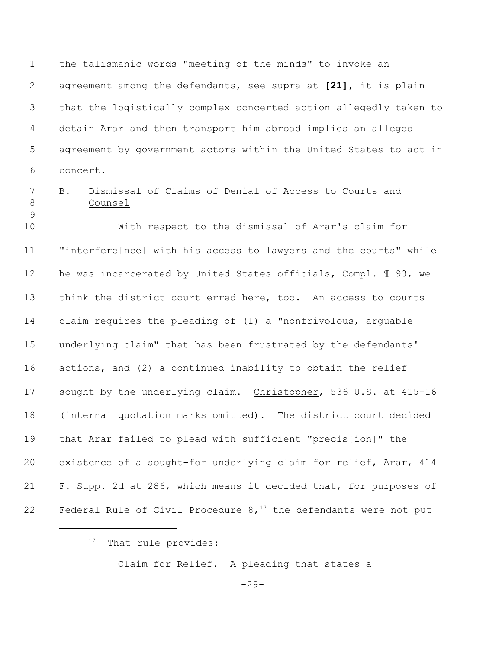the talismanic words "meeting of the minds" to invoke an agreement among the defendants, see supra at **[21]**, it is plain that the logistically complex concerted action allegedly taken to detain Arar and then transport him abroad implies an alleged agreement by government actors within the United States to act in concert.

## B. Dismissal of Claims of Denial of Access to Courts and Counsel

 With respect to the dismissal of Arar's claim for "interfere[nce] with his access to lawyers and the courts" while he was incarcerated by United States officials, Compl. ¶ 93, we think the district court erred here, too. An access to courts claim requires the pleading of (1) a "nonfrivolous, arguable underlying claim" that has been frustrated by the defendants' actions, and (2) a continued inability to obtain the relief sought by the underlying claim. Christopher, 536 U.S. at 415-16 (internal quotation marks omitted). The district court decided that Arar failed to plead with sufficient "precis[ion]" the existence of a sought-for underlying claim for relief, Arar, 414 F. Supp. 2d at 286, which means it decided that, for purposes of 22 Federal Rule of Civil Procedure  $8,17$  the defendants were not put

## That rule provides:

Claim for Relief. A pleading that states a

-29-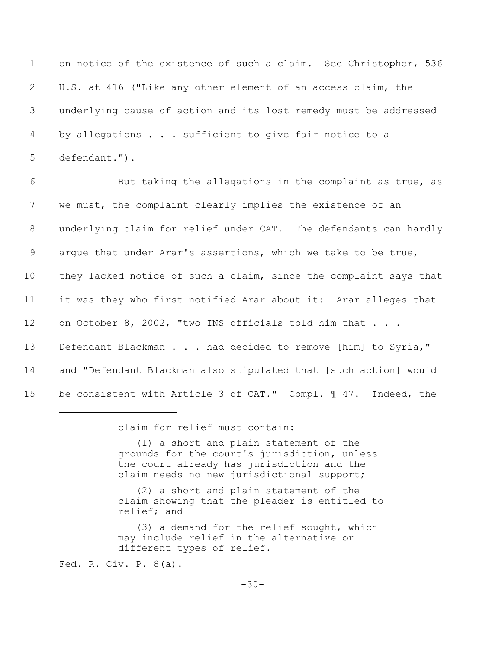on notice of the existence of such a claim. See Christopher, 536 U.S. at 416 ("Like any other element of an access claim, the underlying cause of action and its lost remedy must be addressed by allegations . . . sufficient to give fair notice to a defendant.").

 But taking the allegations in the complaint as true, as we must, the complaint clearly implies the existence of an underlying claim for relief under CAT. The defendants can hardly argue that under Arar's assertions, which we take to be true, 10 they lacked notice of such a claim, since the complaint says that it was they who first notified Arar about it: Arar alleges that 12 on October 8, 2002, "two INS officials told him that . . . 13 Defendant Blackman . . . had decided to remove [him] to Syria," and "Defendant Blackman also stipulated that [such action] would be consistent with Article 3 of CAT." Compl. ¶ 47. Indeed, the

claim for relief must contain:

 (1) a short and plain statement of the grounds for the court's jurisdiction, unless the court already has jurisdiction and the claim needs no new jurisdictional support;

 (2) a short and plain statement of the claim showing that the pleader is entitled to relief; and

 (3) a demand for the relief sought, which may include relief in the alternative or different types of relief.

Fed. R. Civ. P. 8(a).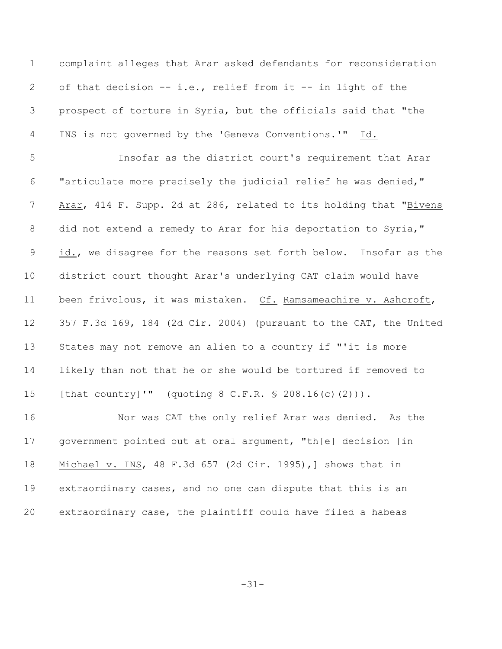complaint alleges that Arar asked defendants for reconsideration of that decision -- i.e., relief from it -- in light of the prospect of torture in Syria, but the officials said that "the 4 INS is not governed by the 'Geneva Conventions.'" Id.

 Insofar as the district court's requirement that Arar "articulate more precisely the judicial relief he was denied," 7 Arar, 414 F. Supp. 2d at 286, related to its holding that "Bivens 8 did not extend a remedy to Arar for his deportation to Syria," 9 id., we disagree for the reasons set forth below. Insofar as the district court thought Arar's underlying CAT claim would have been frivolous, it was mistaken. Cf. Ramsameachire v. Ashcroft, 357 F.3d 169, 184 (2d Cir. 2004) (pursuant to the CAT, the United States may not remove an alien to a country if "'it is more likely than not that he or she would be tortured if removed to [that country]'" (quoting 8 C.F.R. § 208.16(c)(2))).

 Nor was CAT the only relief Arar was denied. As the government pointed out at oral argument, "th[e] decision [in Michael v. INS, 48 F.3d 657 (2d Cir. 1995),] shows that in extraordinary cases, and no one can dispute that this is an extraordinary case, the plaintiff could have filed a habeas

-31-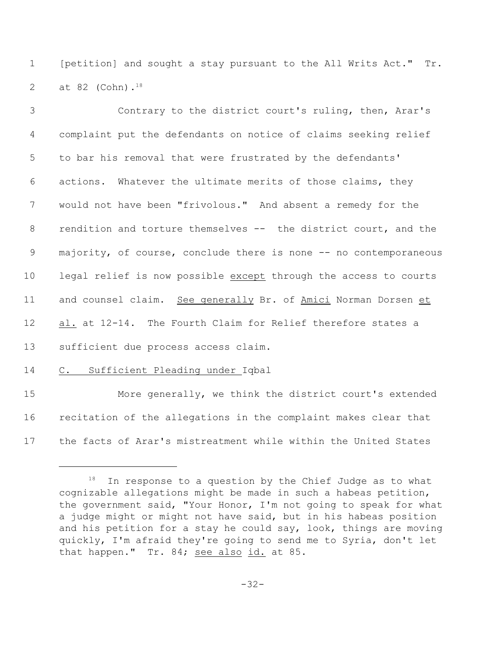[petition] and sought a stay pursuant to the All Writs Act." Tr. 2 at 82 (Cohn).<sup>18</sup>

| 3  | Contrary to the district court's ruling, then, Arar's             |
|----|-------------------------------------------------------------------|
| 4  | complaint put the defendants on notice of claims seeking relief   |
| 5  | to bar his removal that were frustrated by the defendants'        |
| 6  | actions. Whatever the ultimate merits of those claims, they       |
| 7  | would not have been "frivolous." And absent a remedy for the      |
| 8  | rendition and torture themselves -- the district court, and the   |
| 9  | majority, of course, conclude there is none -- no contemporaneous |
| 10 | legal relief is now possible except through the access to courts  |
| 11 | and counsel claim. See generally Br. of Amici Norman Dorsen et    |
| 12 | al. at 12-14. The Fourth Claim for Relief therefore states a      |
| 13 | sufficient due process access claim.                              |
| 14 | Sufficient Pleading under Iqbal<br>$\mathbb{C}$ .                 |
| 15 | Moro gonorally wo think tho district court's oxtonded             |

 More generally, we think the district court's extended recitation of the allegations in the complaint makes clear that the facts of Arar's mistreatment while within the United States

 In response to a question by the Chief Judge as to what cognizable allegations might be made in such a habeas petition, the government said, "Your Honor, I'm not going to speak for what a judge might or might not have said, but in his habeas position and his petition for a stay he could say, look, things are moving quickly, I'm afraid they're going to send me to Syria, don't let that happen." Tr. 84; see also id. at 85.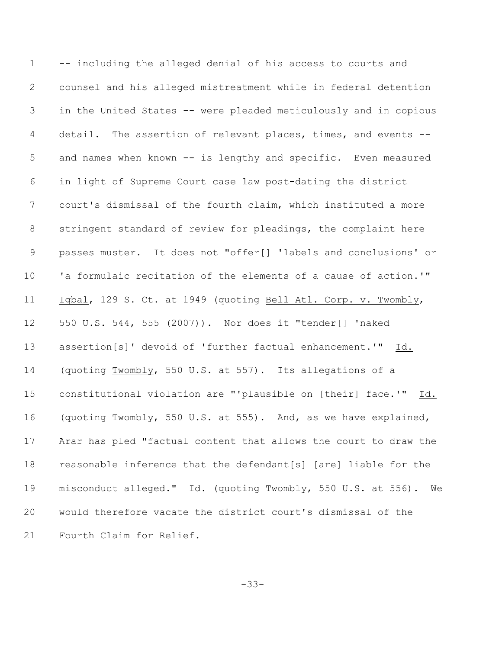-- including the alleged denial of his access to courts and counsel and his alleged mistreatment while in federal detention in the United States -- were pleaded meticulously and in copious detail. The assertion of relevant places, times, and events -- and names when known -- is lengthy and specific. Even measured in light of Supreme Court case law post-dating the district court's dismissal of the fourth claim, which instituted a more stringent standard of review for pleadings, the complaint here passes muster. It does not "offer[] 'labels and conclusions' or 'a formulaic recitation of the elements of a cause of action.'" Iqbal, 129 S. Ct. at 1949 (quoting Bell Atl. Corp. v. Twombly, 550 U.S. 544, 555 (2007)). Nor does it "tender[] 'naked assertion[s]' devoid of 'further factual enhancement.'" Id. (quoting Twombly, 550 U.S. at 557). Its allegations of a constitutional violation are "'plausible on [their] face.'" Id. (quoting Twombly, 550 U.S. at 555). And, as we have explained, Arar has pled "factual content that allows the court to draw the reasonable inference that the defendant[s] [are] liable for the 19 misconduct alleged." Id. (quoting Twombly, 550 U.S. at 556). We would therefore vacate the district court's dismissal of the Fourth Claim for Relief.

-33-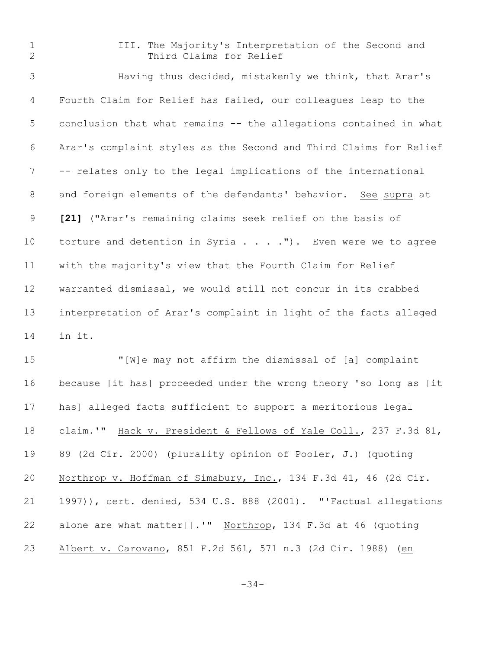- 
- III. The Majority's Interpretation of the Second and 2 Third Claims for Relief

 Having thus decided, mistakenly we think, that Arar's Fourth Claim for Relief has failed, our colleagues leap to the conclusion that what remains -- the allegations contained in what Arar's complaint styles as the Second and Third Claims for Relief -- relates only to the legal implications of the international and foreign elements of the defendants' behavior. See supra at **[21]** ("Arar's remaining claims seek relief on the basis of 10 torture and detention in Syria . . . . "). Even were we to agree with the majority's view that the Fourth Claim for Relief warranted dismissal, we would still not concur in its crabbed interpretation of Arar's complaint in light of the facts alleged in it.

 "[W]e may not affirm the dismissal of [a] complaint because [it has] proceeded under the wrong theory 'so long as [it has] alleged facts sufficient to support a meritorious legal claim.'" Hack v. President & Fellows of Yale Coll., 237 F.3d 81, 89 (2d Cir. 2000) (plurality opinion of Pooler, J.) (quoting Northrop v. Hoffman of Simsbury, Inc., 134 F.3d 41, 46 (2d Cir. 21 1997)), cert. denied, 534 U.S. 888 (2001). "'Factual allegations alone are what matter[].'" Northrop, 134 F.3d at 46 (quoting Albert v. Carovano, 851 F.2d 561, 571 n.3 (2d Cir. 1988) (en

-34-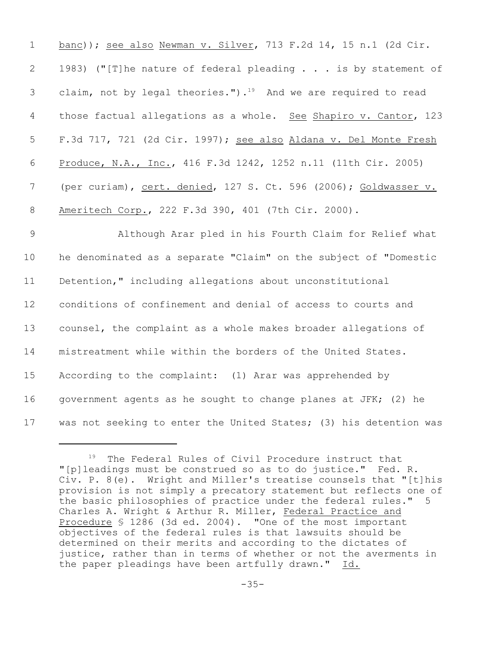banc)); see also Newman v. Silver, 713 F.2d 14, 15 n.1 (2d Cir. 1983) ("[T]he nature of federal pleading . . . is by statement of 3 claim, not by legal theories.").<sup>19</sup> And we are required to read 4 those factual allegations as a whole. See Shapiro v. Cantor, 123 F.3d 717, 721 (2d Cir. 1997); see also Aldana v. Del Monte Fresh Produce, N.A., Inc., 416 F.3d 1242, 1252 n.11 (11th Cir. 2005) (per curiam), cert. denied, 127 S. Ct. 596 (2006); Goldwasser v. Ameritech Corp., 222 F.3d 390, 401 (7th Cir. 2000).

 Although Arar pled in his Fourth Claim for Relief what he denominated as a separate "Claim" on the subject of "Domestic Detention," including allegations about unconstitutional conditions of confinement and denial of access to courts and counsel, the complaint as a whole makes broader allegations of mistreatment while within the borders of the United States. According to the complaint: (1) Arar was apprehended by government agents as he sought to change planes at JFK; (2) he 17 was not seeking to enter the United States; (3) his detention was

 $19$  The Federal Rules of Civil Procedure instruct that "[p]leadings must be construed so as to do justice." Fed. R. Civ. P. 8(e). Wright and Miller's treatise counsels that "[t]his provision is not simply a precatory statement but reflects one of the basic philosophies of practice under the federal rules." 5 Charles A. Wright & Arthur R. Miller, Federal Practice and Procedure § 1286 (3d ed. 2004). "One of the most important objectives of the federal rules is that lawsuits should be determined on their merits and according to the dictates of justice, rather than in terms of whether or not the averments in the paper pleadings have been artfully drawn." Id.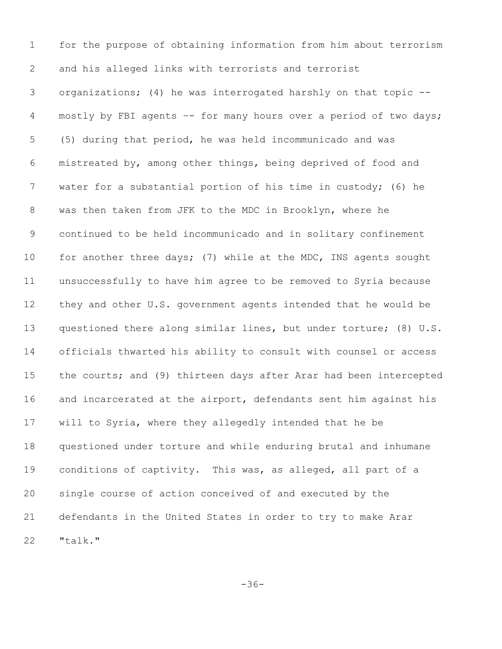for the purpose of obtaining information from him about terrorism and his alleged links with terrorists and terrorist organizations; (4) he was interrogated harshly on that topic -- mostly by FBI agents –- for many hours over a period of two days; (5) during that period, he was held incommunicado and was mistreated by, among other things, being deprived of food and water for a substantial portion of his time in custody; (6) he was then taken from JFK to the MDC in Brooklyn, where he continued to be held incommunicado and in solitary confinement 10 for another three days; (7) while at the MDC, INS agents sought unsuccessfully to have him agree to be removed to Syria because they and other U.S. government agents intended that he would be questioned there along similar lines, but under torture; (8) U.S. officials thwarted his ability to consult with counsel or access 15 the courts; and (9) thirteen days after Arar had been intercepted and incarcerated at the airport, defendants sent him against his will to Syria, where they allegedly intended that he be questioned under torture and while enduring brutal and inhumane conditions of captivity. This was, as alleged, all part of a single course of action conceived of and executed by the defendants in the United States in order to try to make Arar "talk."

-36-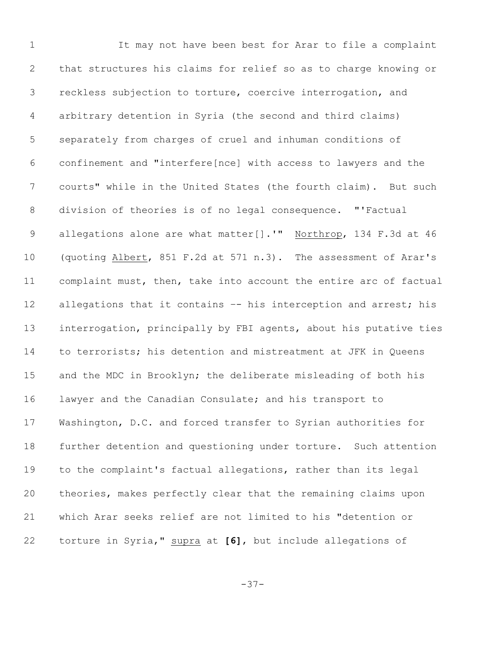It may not have been best for Arar to file a complaint that structures his claims for relief so as to charge knowing or reckless subjection to torture, coercive interrogation, and arbitrary detention in Syria (the second and third claims) separately from charges of cruel and inhuman conditions of confinement and "interfere[nce] with access to lawyers and the courts" while in the United States (the fourth claim). But such division of theories is of no legal consequence. "'Factual 9 allegations alone are what matter[].'" Northrop, 134 F.3d at 46 (quoting Albert, 851 F.2d at 571 n.3). The assessment of Arar's complaint must, then, take into account the entire arc of factual 12 allegations that it contains -- his interception and arrest; his interrogation, principally by FBI agents, about his putative ties to terrorists; his detention and mistreatment at JFK in Queens and the MDC in Brooklyn; the deliberate misleading of both his lawyer and the Canadian Consulate; and his transport to Washington, D.C. and forced transfer to Syrian authorities for further detention and questioning under torture. Such attention to the complaint's factual allegations, rather than its legal theories, makes perfectly clear that the remaining claims upon which Arar seeks relief are not limited to his "detention or torture in Syria," supra at **[6]**, but include allegations of

-37-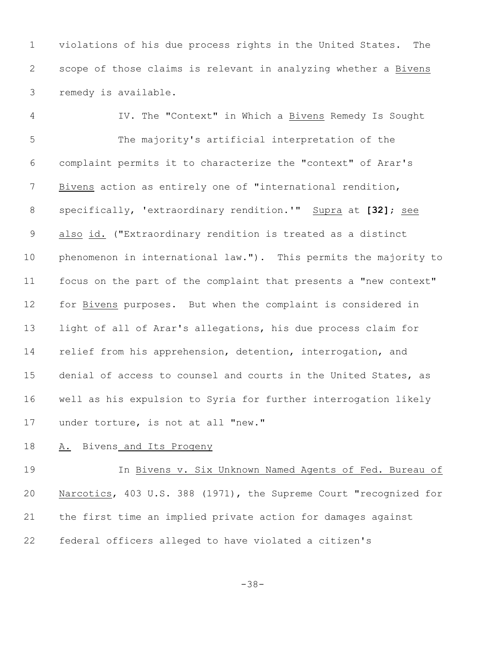violations of his due process rights in the United States. The scope of those claims is relevant in analyzing whether a Bivens remedy is available.

 IV. The "Context" in Which a Bivens Remedy Is Sought The majority's artificial interpretation of the complaint permits it to characterize the "context" of Arar's Bivens action as entirely one of "international rendition, specifically, 'extraordinary rendition.'" Supra at **[32]**; see 9 also id. ("Extraordinary rendition is treated as a distinct phenomenon in international law."). This permits the majority to focus on the part of the complaint that presents a "new context" for Bivens purposes. But when the complaint is considered in light of all of Arar's allegations, his due process claim for 14 relief from his apprehension, detention, interrogation, and denial of access to counsel and courts in the United States, as well as his expulsion to Syria for further interrogation likely under torture, is not at all "new."

A. Bivens and Its Progeny

 In Bivens v. Six Unknown Named Agents of Fed. Bureau of Narcotics, 403 U.S. 388 (1971), the Supreme Court "recognized for the first time an implied private action for damages against federal officers alleged to have violated a citizen's

-38-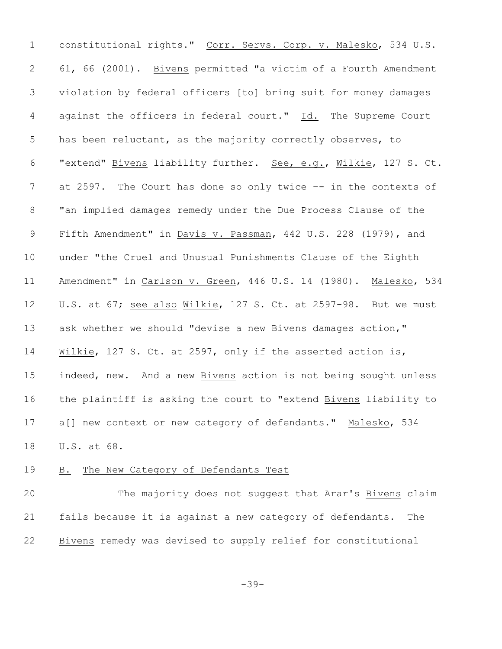constitutional rights." Corr. Servs. Corp. v. Malesko, 534 U.S. 61, 66 (2001). Bivens permitted "a victim of a Fourth Amendment violation by federal officers [to] bring suit for money damages 4 against the officers in federal court." Id. The Supreme Court has been reluctant, as the majority correctly observes, to "extend" Bivens liability further. See, e.g., Wilkie, 127 S. Ct. 7 at 2597. The Court has done so only twice -- in the contexts of "an implied damages remedy under the Due Process Clause of the 9 Fifth Amendment" in Davis v. Passman, 442 U.S. 228 (1979), and under "the Cruel and Unusual Punishments Clause of the Eighth Amendment" in Carlson v. Green, 446 U.S. 14 (1980). Malesko, 534 12 U.S. at 67; see also Wilkie, 127 S. Ct. at 2597-98. But we must ask whether we should "devise a new Bivens damages action," Wilkie, 127 S. Ct. at 2597, only if the asserted action is, indeed, new. And a new Bivens action is not being sought unless the plaintiff is asking the court to "extend Bivens liability to 17 a[] new context or new category of defendants." Malesko, 534 U.S. at 68.

## B. The New Category of Defendants Test

 The majority does not suggest that Arar's Bivens claim fails because it is against a new category of defendants. The Bivens remedy was devised to supply relief for constitutional

-39-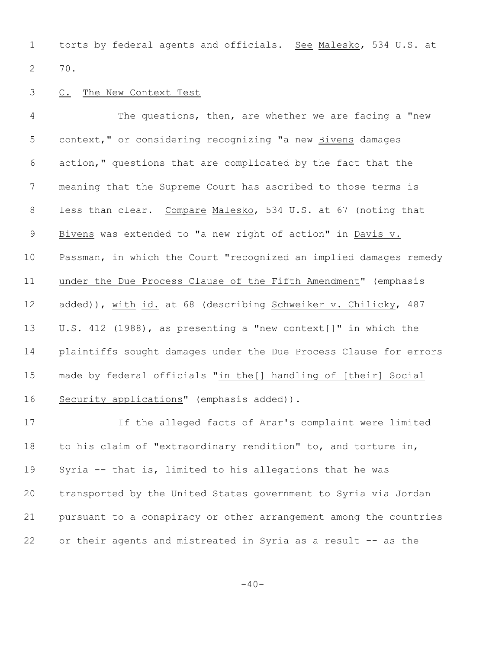torts by federal agents and officials. See Malesko, 534 U.S. at 70.

#### C. The New Context Test

 The questions, then, are whether we are facing a "new context," or considering recognizing "a new Bivens damages action," questions that are complicated by the fact that the meaning that the Supreme Court has ascribed to those terms is less than clear. Compare Malesko, 534 U.S. at 67 (noting that 9 Bivens was extended to "a new right of action" in Davis v. Passman, in which the Court "recognized an implied damages remedy under the Due Process Clause of the Fifth Amendment" (emphasis 12 added)), with id. at 68 (describing Schweiker v. Chilicky, 487 U.S. 412 (1988), as presenting a "new context[]" in which the plaintiffs sought damages under the Due Process Clause for errors made by federal officials "in the[] handling of [their] Social 16 Security applications" (emphasis added)).

 If the alleged facts of Arar's complaint were limited to his claim of "extraordinary rendition" to, and torture in, Syria -- that is, limited to his allegations that he was transported by the United States government to Syria via Jordan pursuant to a conspiracy or other arrangement among the countries or their agents and mistreated in Syria as a result -- as the

 $-40-$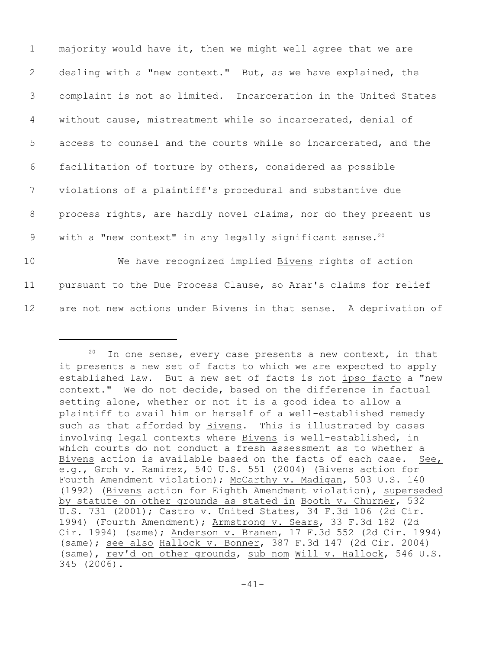majority would have it, then we might well agree that we are dealing with a "new context." But, as we have explained, the complaint is not so limited. Incarceration in the United States without cause, mistreatment while so incarcerated, denial of access to counsel and the courts while so incarcerated, and the facilitation of torture by others, considered as possible violations of a plaintiff's procedural and substantive due process rights, are hardly novel claims, nor do they present us 9 with a "new context" in any legally significant sense.<sup>20</sup> We have recognized implied Bivens rights of action pursuant to the Due Process Clause, so Arar's claims for relief are not new actions under Bivens in that sense. A deprivation of

In one sense, every case presents a new context, in that it presents a new set of facts to which we are expected to apply established law. But a new set of facts is not ipso facto a "new context." We do not decide, based on the difference in factual setting alone, whether or not it is a good idea to allow a plaintiff to avail him or herself of a well-established remedy such as that afforded by Bivens. This is illustrated by cases involving legal contexts where Bivens is well-established, in which courts do not conduct a fresh assessment as to whether a Bivens action is available based on the facts of each case. See, e.g., Groh v. Ramirez, 540 U.S. 551 (2004) (Bivens action for Fourth Amendment violation); McCarthy v. Madigan, 503 U.S. 140 (1992) (Bivens action for Eighth Amendment violation), superseded by statute on other grounds as stated in Booth v. Churner, 532 U.S. 731 (2001); Castro v. United States, 34 F.3d 106 (2d Cir. 1994) (Fourth Amendment); Armstrong v. Sears, 33 F.3d 182 (2d Cir. 1994) (same); Anderson v. Branen, 17 F.3d 552 (2d Cir. 1994) (same); see also Hallock v. Bonner, 387 F.3d 147 (2d Cir. 2004) (same), rev'd on other grounds, sub nom Will v. Hallock, 546 U.S. 345 (2006).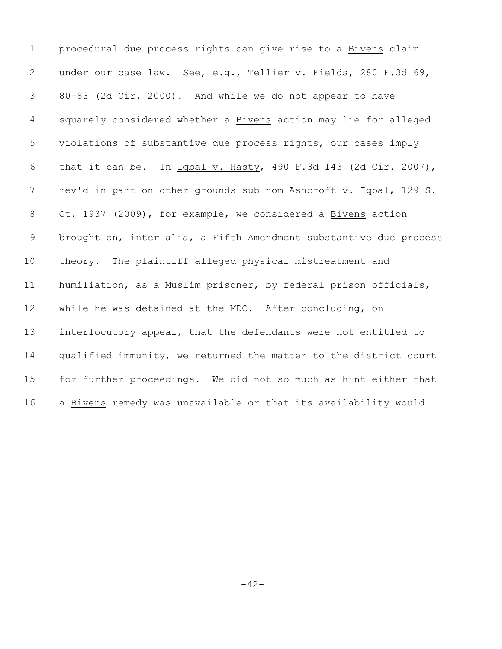| $\mathbf 1$     | procedural due process rights can give rise to a Bivens claim     |
|-----------------|-------------------------------------------------------------------|
| $\mathbf{2}$    | under our case law. See, e.g., Tellier v. Fields, 280 F.3d 69,    |
| 3               | 80-83 (2d Cir. 2000). And while we do not appear to have          |
| 4               | squarely considered whether a Bivens action may lie for alleged   |
| 5               | violations of substantive due process rights, our cases imply     |
| 6               | that it can be. In Iqbal v. Hasty, 490 F.3d 143 (2d Cir. 2007),   |
| $7\phantom{.0}$ | rev'd in part on other grounds sub nom Ashcroft v. Iqbal, 129 S.  |
| 8               | Ct. 1937 (2009), for example, we considered a Bivens action       |
| 9               | brought on, inter alia, a Fifth Amendment substantive due process |
| 10              | theory. The plaintiff alleged physical mistreatment and           |
| 11              | humiliation, as a Muslim prisoner, by federal prison officials,   |
| 12              | while he was detained at the MDC. After concluding, on            |
| 13              | interlocutory appeal, that the defendants were not entitled to    |
| 14              | qualified immunity, we returned the matter to the district court  |
| 15              | for further proceedings. We did not so much as hint either that   |
| 16              | a Bivens remedy was unavailable or that its availability would    |

-42-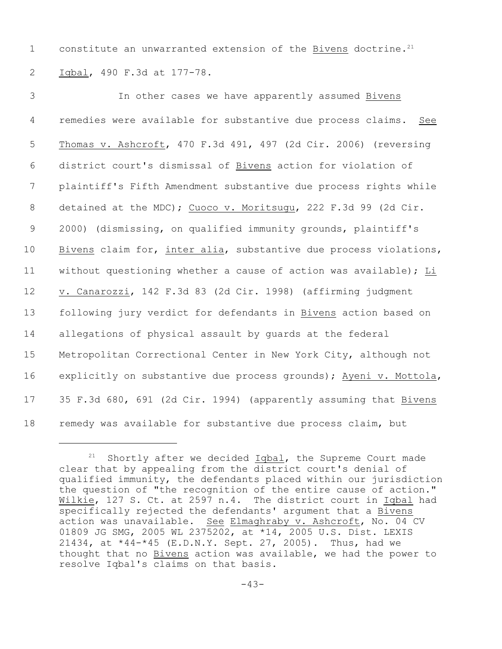1 constitute an unwarranted extension of the Bivens doctrine.<sup>21</sup> 2 Iqbal, 490 F.3d at 177-78.

 In other cases we have apparently assumed Bivens remedies were available for substantive due process claims. See Thomas v. Ashcroft, 470 F.3d 491, 497 (2d Cir. 2006) (reversing district court's dismissal of Bivens action for violation of plaintiff's Fifth Amendment substantive due process rights while 8 detained at the MDC); Cuoco v. Moritsugu, 222 F.3d 99 (2d Cir. 2000) (dismissing, on qualified immunity grounds, plaintiff's Bivens claim for, inter alia, substantive due process violations, without questioning whether a cause of action was available); Li v. Canarozzi, 142 F.3d 83 (2d Cir. 1998) (affirming judgment following jury verdict for defendants in Bivens action based on allegations of physical assault by guards at the federal Metropolitan Correctional Center in New York City, although not explicitly on substantive due process grounds); Ayeni v. Mottola, 35 F.3d 680, 691 (2d Cir. 1994) (apparently assuming that Bivens remedy was available for substantive due process claim, but

 $21$  Shortly after we decided  $Iqbal$ , the Supreme Court made clear that by appealing from the district court's denial of qualified immunity, the defendants placed within our jurisdiction the question of "the recognition of the entire cause of action." Wilkie, 127 S. Ct. at 2597 n.4. The district court in Iqbal had specifically rejected the defendants' argument that a Bivens action was unavailable. See Elmaghraby v. Ashcroft, No. 04 CV 01809 JG SMG, 2005 WL 2375202, at \*14, 2005 U.S. Dist. LEXIS 21434, at \*44-\*45 (E.D.N.Y. Sept. 27, 2005). Thus, had we thought that no Bivens action was available, we had the power to resolve Iqbal's claims on that basis.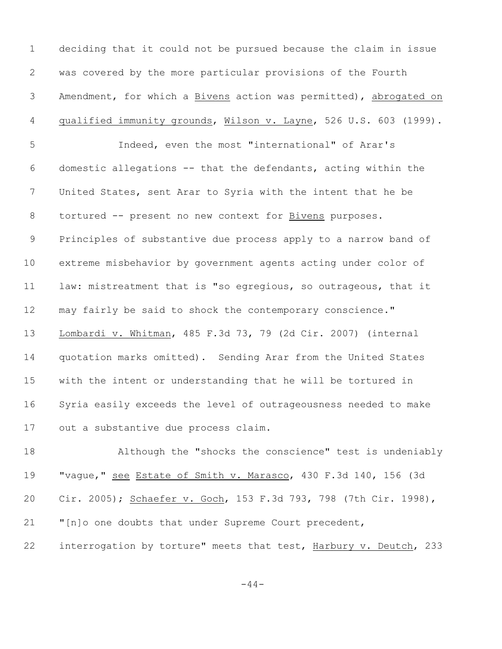deciding that it could not be pursued because the claim in issue was covered by the more particular provisions of the Fourth Amendment, for which a Bivens action was permitted), abrogated on 4 qualified immunity grounds, Wilson v. Layne, 526 U.S. 603 (1999). Indeed, even the most "international" of Arar's domestic allegations -- that the defendants, acting within the United States, sent Arar to Syria with the intent that he be 8 tortured -- present no new context for Bivens purposes. Principles of substantive due process apply to a narrow band of extreme misbehavior by government agents acting under color of law: mistreatment that is "so egregious, so outrageous, that it may fairly be said to shock the contemporary conscience." Lombardi v. Whitman, 485 F.3d 73, 79 (2d Cir. 2007) (internal quotation marks omitted). Sending Arar from the United States with the intent or understanding that he will be tortured in Syria easily exceeds the level of outrageousness needed to make out a substantive due process claim. Although the "shocks the conscience" test is undeniably

 "vague," see Estate of Smith v. Marasco, 430 F.3d 140, 156 (3d 20 Cir. 2005); Schaefer v. Goch, 153 F.3d 793, 798 (7th Cir. 1998), "[n]o one doubts that under Supreme Court precedent, interrogation by torture" meets that test, Harbury v. Deutch, 233

-44-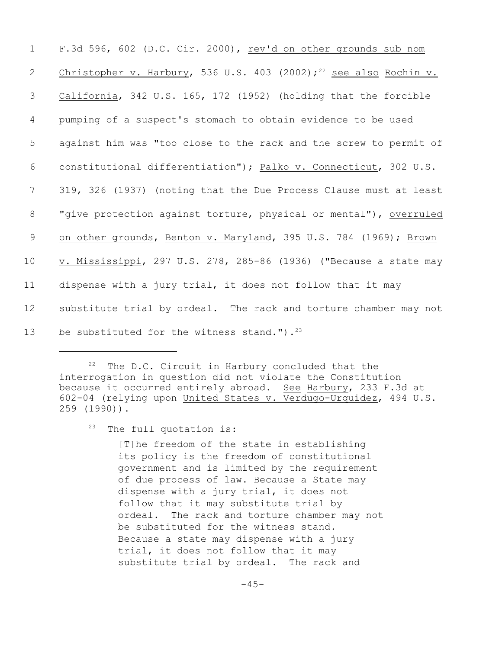| $\mathbf 1$     | F.3d 596, 602 (D.C. Cir. 2000), rev'd on other grounds sub nom                |
|-----------------|-------------------------------------------------------------------------------|
| 2               | Christopher v. Harbury, 536 U.S. 403 (2002); <sup>22</sup> see also Rochin v. |
| 3               | California, 342 U.S. 165, 172 (1952) (holding that the forcible               |
| 4               | pumping of a suspect's stomach to obtain evidence to be used                  |
| 5               | against him was "too close to the rack and the screw to permit of             |
| 6               | constitutional differentiation"); Palko v. Connecticut, 302 U.S.              |
| $7\phantom{.0}$ | 319, 326 (1937) (noting that the Due Process Clause must at least             |
| 8               | "give protection against torture, physical or mental"), overruled             |
| 9               | on other grounds, Benton v. Maryland, 395 U.S. 784 (1969); Brown              |
| 10              | v. Mississippi, 297 U.S. 278, 285-86 (1936) ("Because a state may             |
| 11              | dispense with a jury trial, it does not follow that it may                    |
| 12              | substitute trial by ordeal. The rack and torture chamber may not              |
| 13              | be substituted for the witness stand."). $23$                                 |

 $22$  The D.C. Circuit in Harbury concluded that the interrogation in question did not violate the Constitution because it occurred entirely abroad. See Harbury, 233 F.3d at 602-04 (relying upon United States v. Verdugo-Urquidez, 494 U.S. 259 (1990)).

 $23$  The full quotation is:

[T]he freedom of the state in establishing its policy is the freedom of constitutional government and is limited by the requirement of due process of law. Because a State may dispense with a jury trial, it does not follow that it may substitute trial by ordeal. The rack and torture chamber may not be substituted for the witness stand. Because a state may dispense with a jury trial, it does not follow that it may substitute trial by ordeal. The rack and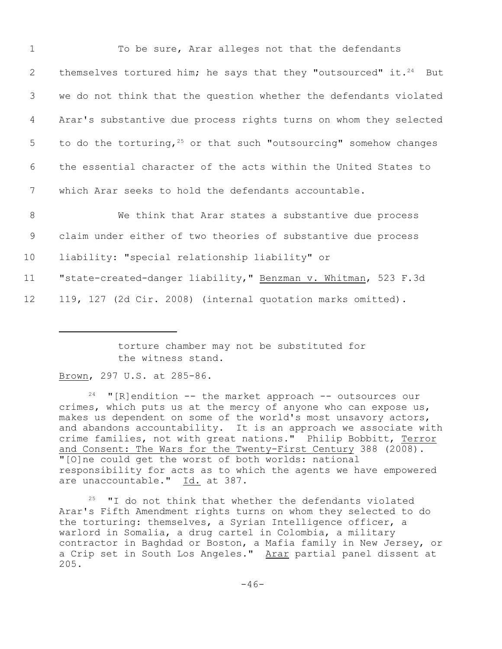| $\mathbf 1$     | To be sure, Arar alleges not that the defendants                              |
|-----------------|-------------------------------------------------------------------------------|
| 2               | themselves tortured him; he says that they "outsourced" it. <sup>24</sup> But |
| 3               | we do not think that the question whether the defendants violated             |
| 4               | Arar's substantive due process rights turns on whom they selected             |
| 5               | to do the torturing, $25$ or that such "outsourcing" somehow changes          |
| 6               | the essential character of the acts within the United States to               |
| $7\phantom{.0}$ | which Arar seeks to hold the defendants accountable.                          |
| 8               | We think that Arar states a substantive due process                           |
| 9               | claim under either of two theories of substantive due process                 |
| 10              | liability: "special relationship liability" or                                |
| 11              | "state-created-danger liability," Benzman v. Whitman, 523 F.3d                |
| 12              | 119, 127 (2d Cir. 2008) (internal quotation marks omitted).                   |
|                 |                                                                               |

torture chamber may not be substituted for the witness stand.

Brown, 297 U.S. at 285-86.

 $24$  "[R]endition -- the market approach -- outsources our crimes, which puts us at the mercy of anyone who can expose us, makes us dependent on some of the world's most unsavory actors, and abandons accountability. It is an approach we associate with crime families, not with great nations." Philip Bobbitt, Terror and Consent: The Wars for the Twenty-First Century 388 (2008). "[O]ne could get the worst of both worlds: national responsibility for acts as to which the agents we have empowered are unaccountable." Id. at 387.

 $25$  "I do not think that whether the defendants violated Arar's Fifth Amendment rights turns on whom they selected to do the torturing: themselves, a Syrian Intelligence officer, a warlord in Somalia, a drug cartel in Colombia, a military contractor in Baghdad or Boston, a Mafia family in New Jersey, or a Crip set in South Los Angeles." Arar partial panel dissent at 205.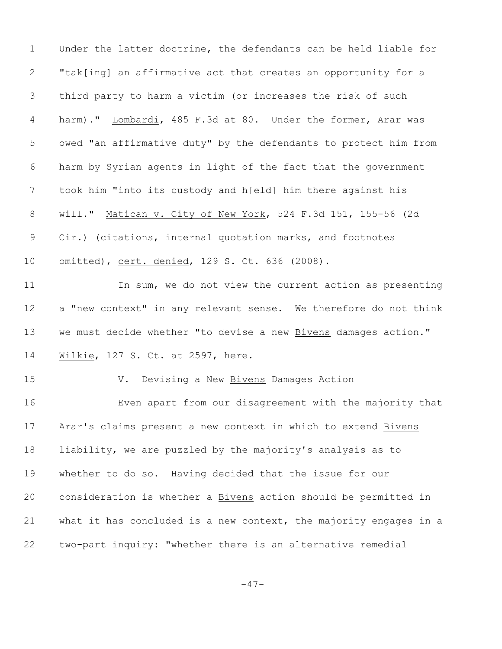Under the latter doctrine, the defendants can be held liable for "tak[ing] an affirmative act that creates an opportunity for a third party to harm a victim (or increases the risk of such harm)." Lombardi, 485 F.3d at 80. Under the former, Arar was owed "an affirmative duty" by the defendants to protect him from harm by Syrian agents in light of the fact that the government took him "into its custody and h[eld] him there against his will." Matican v. City of New York, 524 F.3d 151, 155-56 (2d Cir.) (citations, internal quotation marks, and footnotes omitted), cert. denied, 129 S. Ct. 636 (2008). 11 In sum, we do not view the current action as presenting a "new context" in any relevant sense. We therefore do not think we must decide whether "to devise a new Bivens damages action." 14 Wilkie, 127 S. Ct. at 2597, here. V. Devising a New Bivens Damages Action Even apart from our disagreement with the majority that Arar's claims present a new context in which to extend Bivens liability, we are puzzled by the majority's analysis as to whether to do so. Having decided that the issue for our consideration is whether a Bivens action should be permitted in what it has concluded is a new context, the majority engages in a two-part inquiry: "whether there is an alternative remedial

 $-47-$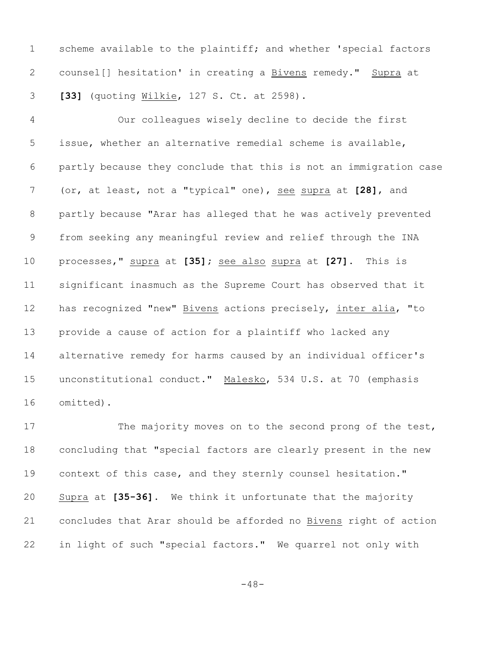scheme available to the plaintiff; and whether 'special factors counsel[] hesitation' in creating a Bivens remedy." Supra at **[33]** (quoting Wilkie, 127 S. Ct. at 2598).

 Our colleagues wisely decline to decide the first issue, whether an alternative remedial scheme is available, partly because they conclude that this is not an immigration case (or, at least, not a "typical" one), see supra at **[28]**, and partly because "Arar has alleged that he was actively prevented from seeking any meaningful review and relief through the INA processes," supra at **[35];** see also supra at **[27]**. This is significant inasmuch as the Supreme Court has observed that it has recognized "new" Bivens actions precisely, inter alia, "to provide a cause of action for a plaintiff who lacked any alternative remedy for harms caused by an individual officer's unconstitutional conduct." Malesko, 534 U.S. at 70 (emphasis omitted).

17 The majority moves on to the second prong of the test, concluding that "special factors are clearly present in the new context of this case, and they sternly counsel hesitation." Supra at **[35-36]**. We think it unfortunate that the majority concludes that Arar should be afforded no Bivens right of action in light of such "special factors." We quarrel not only with

 $-48-$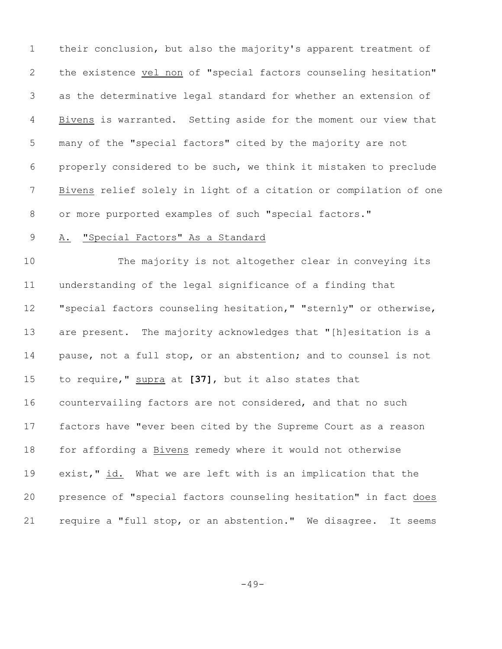their conclusion, but also the majority's apparent treatment of the existence vel non of "special factors counseling hesitation" as the determinative legal standard for whether an extension of Bivens is warranted. Setting aside for the moment our view that many of the "special factors" cited by the majority are not properly considered to be such, we think it mistaken to preclude Bivens relief solely in light of a citation or compilation of one or more purported examples of such "special factors."

#### 9 A. "Special Factors" As a Standard

 The majority is not altogether clear in conveying its understanding of the legal significance of a finding that "special factors counseling hesitation," "sternly" or otherwise, are present. The majority acknowledges that "[h]esitation is a pause, not a full stop, or an abstention; and to counsel is not to require," supra at **[37]**, but it also states that countervailing factors are not considered, and that no such factors have "ever been cited by the Supreme Court as a reason for affording a Bivens remedy where it would not otherwise exist," id. What we are left with is an implication that the presence of "special factors counseling hesitation" in fact does require a "full stop, or an abstention." We disagree. It seems

 $-49-$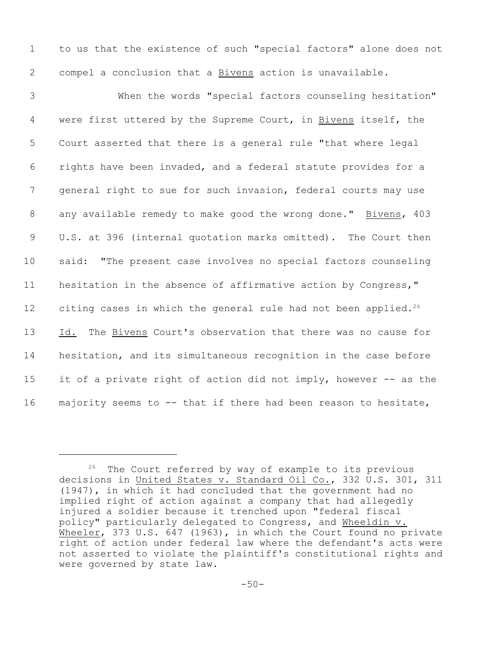1 to us that the existence of such "special factors" alone does not 2 compel a conclusion that a Bivens action is unavailable.

 When the words "special factors counseling hesitation" were first uttered by the Supreme Court, in Bivens itself, the Court asserted that there is a general rule "that where legal rights have been invaded, and a federal statute provides for a general right to sue for such invasion, federal courts may use any available remedy to make good the wrong done." Bivens, 403 U.S. at 396 (internal quotation marks omitted). The Court then said: "The present case involves no special factors counseling hesitation in the absence of affirmative action by Congress," 12 citing cases in which the general rule had not been applied.<sup>26</sup> Id. The Bivens Court's observation that there was no cause for hesitation, and its simultaneous recognition in the case before it of a private right of action did not imply, however -- as the majority seems to -- that if there had been reason to hesitate,

 $26$  The Court referred by way of example to its previous decisions in United States v. Standard Oil Co., 332 U.S. 301, 311 (1947), in which it had concluded that the government had no implied right of action against a company that had allegedly injured a soldier because it trenched upon "federal fiscal policy" particularly delegated to Congress, and Wheeldin v. Wheeler, 373 U.S. 647 (1963), in which the Court found no private right of action under federal law where the defendant's acts were not asserted to violate the plaintiff's constitutional rights and were governed by state law.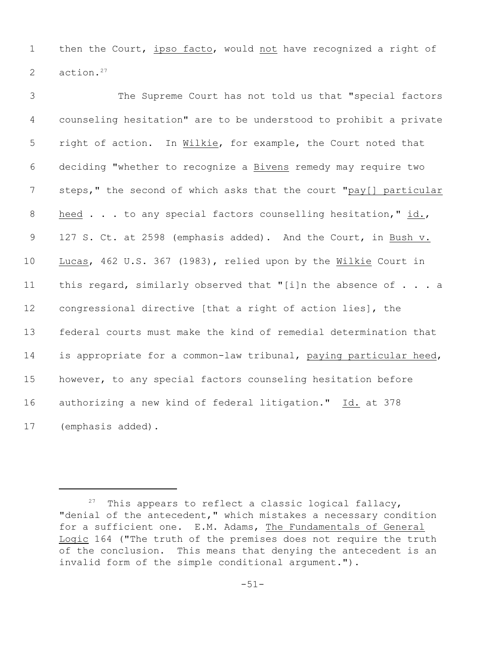1 then the Court, ipso facto, would not have recognized a right of 2 action.<sup>27</sup>

 The Supreme Court has not told us that "special factors counseling hesitation" are to be understood to prohibit a private right of action. In Wilkie, for example, the Court noted that deciding "whether to recognize a Bivens remedy may require two 7 steps," the second of which asks that the court "pay[] particular 8 heed . . . to any special factors counselling hesitation," id., 9 127 S. Ct. at 2598 (emphasis added). And the Court, in Bush v. Lucas, 462 U.S. 367 (1983), relied upon by the Wilkie Court in 11 this regard, similarly observed that "[i]n the absence of . . . a congressional directive [that a right of action lies], the federal courts must make the kind of remedial determination that 14 is appropriate for a common-law tribunal, paying particular heed, however, to any special factors counseling hesitation before authorizing a new kind of federal litigation." Id. at 378 (emphasis added).

 $27$  This appears to reflect a classic logical fallacy, "denial of the antecedent," which mistakes a necessary condition for a sufficient one. E.M. Adams, The Fundamentals of General Logic 164 ("The truth of the premises does not require the truth of the conclusion. This means that denying the antecedent is an invalid form of the simple conditional argument.").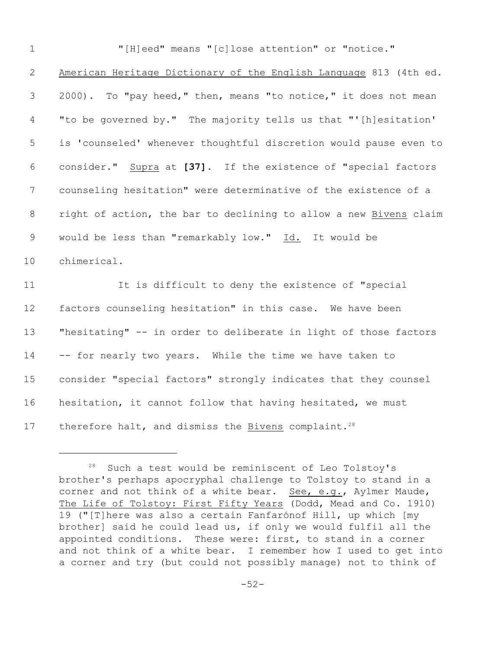| $\mathbf 1$     | "[H]eed" means "[c]lose attention" or "notice."                   |
|-----------------|-------------------------------------------------------------------|
| 2               | American Heritage Dictionary of the English Language 813 (4th ed. |
| 3               | 2000). To "pay heed," then, means "to notice," it does not mean   |
| 4               | "to be governed by." The majority tells us that "'[h]esitation'   |
| 5               | is 'counseled' whenever thoughtful discretion would pause even to |
| 6               | consider." Supra at [37]. If the existence of "special factors    |
| $7\phantom{.0}$ | counseling hesitation" were determinative of the existence of a   |
| 8               | right of action, the bar to declining to allow a new Bivens claim |
| 9               | would be less than "remarkably low." Id. It would be              |
| 10              | chimerical.                                                       |
| 11              | It is difficult to deny the existence of "special                 |
| 12              | factors counseling hesitation" in this case. We have been         |
| 13              | "hesitating" -- in order to deliberate in light of those factors  |
| 14              | -- for nearly two years. While the time we have taken to          |
| 15              | consider "special factors" strongly indicates that they counsel   |
| 16              | hesitation, it cannot follow that having hesitated, we must       |
| 17              | therefore halt, and dismiss the Bivens complaint. <sup>28</sup>   |

 Such a test would be reminiscent of Leo Tolstoy's brother's perhaps apocryphal challenge to Tolstoy to stand in a corner and not think of a white bear. See, e.g., Aylmer Maude, The Life of Tolstoy: First Fifty Years (Dodd, Mead and Co. 1910) 19 ("[T]here was also a certain Fanfarónof Hill, up which [my brother] said he could lead us, if only we would fulfil all the appointed conditions. These were: first, to stand in a corner and not think of a white bear. I remember how I used to get into a corner and try (but could not possibly manage) not to think of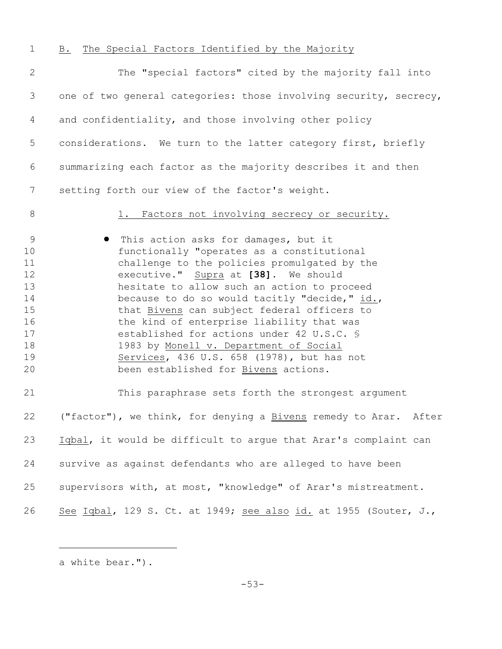B. The Special Factors Identified by the Majority The "special factors" cited by the majority fall into one of two general categories: those involving security, secrecy, and confidentiality, and those involving other policy considerations. We turn to the latter category first, briefly summarizing each factor as the majority describes it and then setting forth our view of the factor's weight. 8 1. Factors not involving secrecy or security. **•** This action asks for damages, but it functionally "operates as a constitutional challenge to the policies promulgated by the executive." Supra at **[38]**. We should hesitate to allow such an action to proceed 14 because to do so would tacitly "decide," id., 15 that **Bivens** can subject federal officers to 16 the kind of enterprise liability that was 17 established for actions under 42 U.S.C. \$ 1983 by Monell v. Department of Social Services, 436 U.S. 658 (1978), but has not 20 been established for **Bivens** actions. This paraphrase sets forth the strongest argument ("factor"), we think, for denying a Bivens remedy to Arar. After Iqbal, it would be difficult to argue that Arar's complaint can survive as against defendants who are alleged to have been supervisors with, at most, "knowledge" of Arar's mistreatment. See Iqbal, 129 S. Ct. at 1949; see also id. at 1955 (Souter, J.,

a white bear.").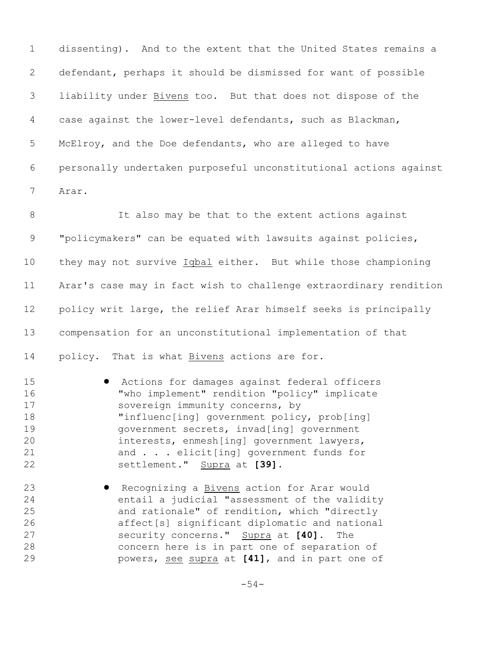dissenting). And to the extent that the United States remains a defendant, perhaps it should be dismissed for want of possible liability under Bivens too. But that does not dispose of the case against the lower-level defendants, such as Blackman, McElroy, and the Doe defendants, who are alleged to have personally undertaken purposeful unconstitutional actions against Arar.

 It also may be that to the extent actions against "policymakers" can be equated with lawsuits against policies, they may not survive Iqbal either. But while those championing Arar's case may in fact wish to challenge extraordinary rendition policy writ large, the relief Arar himself seeks is principally compensation for an unconstitutional implementation of that policy. That is what Bivens actions are for.

- ! Actions for damages against federal officers "who implement" rendition "policy" implicate 17 sovereign immunity concerns, by "influenc[ing] government policy, prob[ing] government secrets, invad[ing] government interests, enmesh[ing] government lawyers, and . . . elicit[ing] government funds for settlement." Supra at **[39].**
- **Recognizing a Bivens action for Arar would**  entail a judicial "assessment of the validity and rationale" of rendition, which "directly affect[s] significant diplomatic and national security concerns." Supra at **[40]**. The concern here is in part one of separation of powers, see supra at **[41]**, and in part one of

-54-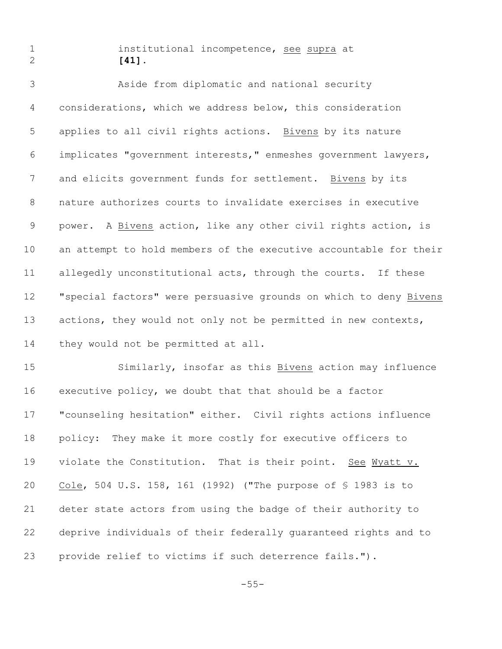## institutional incompetence, see supra at **[41]**.

 Aside from diplomatic and national security considerations, which we address below, this consideration applies to all civil rights actions. Bivens by its nature implicates "government interests," enmeshes government lawyers, and elicits government funds for settlement. Bivens by its nature authorizes courts to invalidate exercises in executive power. A Bivens action, like any other civil rights action, is an attempt to hold members of the executive accountable for their allegedly unconstitutional acts, through the courts. If these "special factors" were persuasive grounds on which to deny Bivens 13 actions, they would not only not be permitted in new contexts, 14 they would not be permitted at all.

 Similarly, insofar as this Bivens action may influence executive policy, we doubt that that should be a factor "counseling hesitation" either. Civil rights actions influence policy: They make it more costly for executive officers to violate the Constitution. That is their point. See Wyatt v. Cole, 504 U.S. 158, 161 (1992) ("The purpose of § 1983 is to deter state actors from using the badge of their authority to deprive individuals of their federally guaranteed rights and to provide relief to victims if such deterrence fails.").

-55-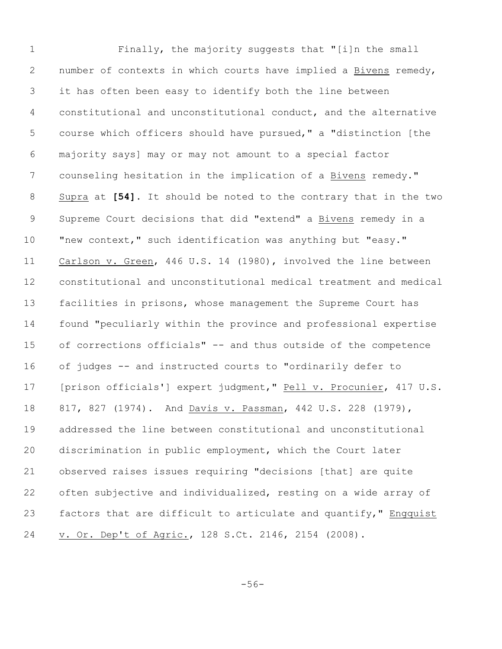Finally, the majority suggests that "[i]n the small number of contexts in which courts have implied a Bivens remedy, it has often been easy to identify both the line between constitutional and unconstitutional conduct, and the alternative course which officers should have pursued," a "distinction [the majority says] may or may not amount to a special factor counseling hesitation in the implication of a Bivens remedy." Supra at **[54]**. It should be noted to the contrary that in the two Supreme Court decisions that did "extend" a Bivens remedy in a "new context," such identification was anything but "easy." Carlson v. Green, 446 U.S. 14 (1980), involved the line between constitutional and unconstitutional medical treatment and medical facilities in prisons, whose management the Supreme Court has found "peculiarly within the province and professional expertise of corrections officials" -- and thus outside of the competence of judges -- and instructed courts to "ordinarily defer to [prison officials'] expert judgment," Pell v. Procunier, 417 U.S. 817, 827 (1974). And Davis v. Passman, 442 U.S. 228 (1979), addressed the line between constitutional and unconstitutional discrimination in public employment, which the Court later observed raises issues requiring "decisions [that] are quite often subjective and individualized, resting on a wide array of 23 factors that are difficult to articulate and quantify," Engquist v. Or. Dep't of Agric., 128 S.Ct. 2146, 2154 (2008).

-56-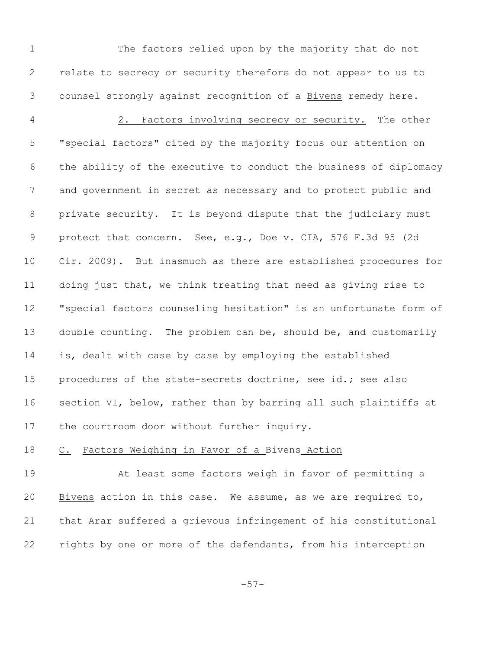The factors relied upon by the majority that do not relate to secrecy or security therefore do not appear to us to counsel strongly against recognition of a Bivens remedy here.

 2. Factors involving secrecy or security. The other "special factors" cited by the majority focus our attention on the ability of the executive to conduct the business of diplomacy and government in secret as necessary and to protect public and private security. It is beyond dispute that the judiciary must 9 protect that concern. See, e.g., Doe v. CIA, 576 F.3d 95 (2d Cir. 2009). But inasmuch as there are established procedures for doing just that, we think treating that need as giving rise to "special factors counseling hesitation" is an unfortunate form of double counting. The problem can be, should be, and customarily is, dealt with case by case by employing the established procedures of the state-secrets doctrine, see id.**;** see also section VI, below, rather than by barring all such plaintiffs at 17 the courtroom door without further inquiry.

## C. Factors Weighing in Favor of a Bivens Action

 At least some factors weigh in favor of permitting a 20 Bivens action in this case. We assume, as we are required to, that Arar suffered a grievous infringement of his constitutional rights by one or more of the defendants, from his interception

-57-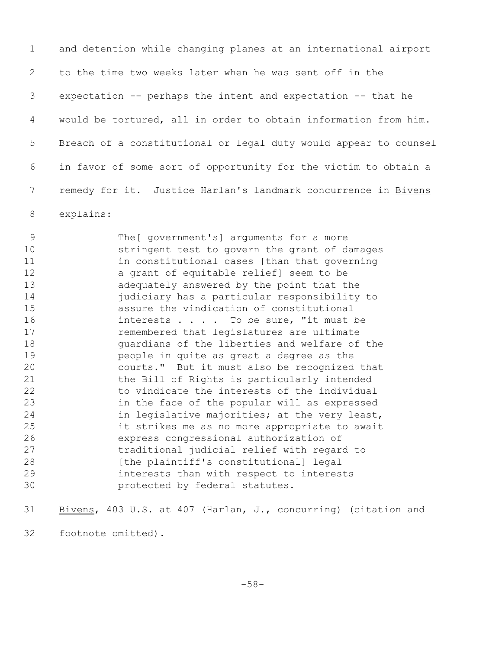and detention while changing planes at an international airport to the time two weeks later when he was sent off in the expectation -- perhaps the intent and expectation -- that he would be tortured, all in order to obtain information from him. Breach of a constitutional or legal duty would appear to counsel in favor of some sort of opportunity for the victim to obtain a 7 remedy for it. Justice Harlan's landmark concurrence in Bivens explains:

 The[ government's] arguments for a more stringent test to govern the grant of damages in constitutional cases [than that governing a grant of equitable relief] seem to be adequately answered by the point that the judiciary has a particular responsibility to assure the vindication of constitutional 16 interests . . . . To be sure, "it must be remembered that legislatures are ultimate guardians of the liberties and welfare of the people in quite as great a degree as the courts." But it must also be recognized that the Bill of Rights is particularly intended to vindicate the interests of the individual in the face of the popular will as expressed in legislative majorities; at the very least, it strikes me as no more appropriate to await express congressional authorization of traditional judicial relief with regard to [the plaintiff's constitutional] legal interests than with respect to interests protected by federal statutes.

 Bivens, 403 U.S. at 407 (Harlan, J., concurring) (citation and footnote omitted).

-58-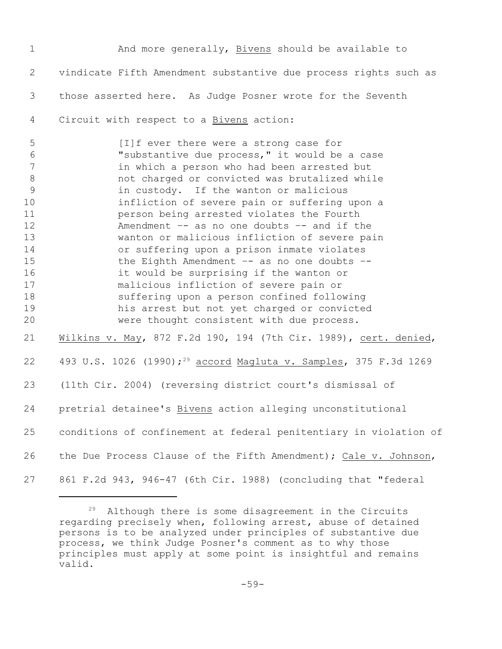And more generally, Bivens should be available to vindicate Fifth Amendment substantive due process rights such as those asserted here. As Judge Posner wrote for the Seventh Circuit with respect to a Bivens action: [I]f ever there were a strong case for "substantive due process," it would be a case in which a person who had been arrested but not charged or convicted was brutalized while in custody. If the wanton or malicious infliction of severe pain or suffering upon a person being arrested violates the Fourth Amendment –- as no one doubts –- and if the wanton or malicious infliction of severe pain or suffering upon a prison inmate violates 15 the Eighth Amendment -- as no one doubts -- it would be surprising if the wanton or malicious infliction of severe pain or suffering upon a person confined following his arrest but not yet charged or convicted were thought consistent with due process. Wilkins v. May, 872 F.2d 190, 194 (7th Cir. 1989), cert. denied, 22 493 U.S. 1026 (1990);<sup>29</sup> accord Magluta v. Samples, 375 F.3d 1269 (11th Cir. 2004) (reversing district court's dismissal of pretrial detainee's Bivens action alleging unconstitutional conditions of confinement at federal penitentiary in violation of the Due Process Clause of the Fifth Amendment); Cale v. Johnson, 861 F.2d 943, 946-47 (6th Cir. 1988) (concluding that "federal

 Although there is some disagreement in the Circuits regarding precisely when, following arrest, abuse of detained persons is to be analyzed under principles of substantive due process, we think Judge Posner's comment as to why those principles must apply at some point is insightful and remains valid.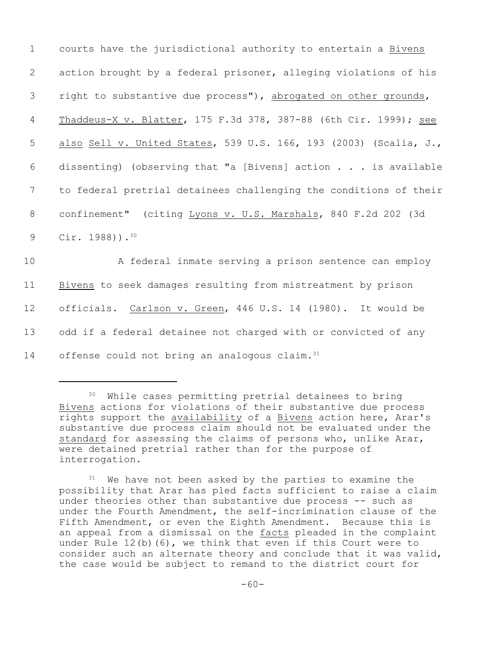| $\mathbf 1$     | courts have the jurisdictional authority to entertain a Bivens    |
|-----------------|-------------------------------------------------------------------|
| 2               | action brought by a federal prisoner, alleging violations of his  |
| 3               | right to substantive due process"), abrogated on other grounds,   |
| 4               | Thaddeus-X v. Blatter, 175 F.3d 378, 387-88 (6th Cir. 1999); see  |
| 5               | also Sell v. United States, 539 U.S. 166, 193 (2003) (Scalia, J., |
| 6               | dissenting) (observing that "a [Bivens] action is available       |
| $7\phantom{.0}$ | to federal pretrial detainees challenging the conditions of their |
| 8               | confinement" (citing Lyons v. U.S. Marshals, 840 F.2d 202 (3d     |
| 9               | Cir. $1988)$ ). <sup>30</sup>                                     |
| 10              | A federal inmate serving a prison sentence can employ             |
| 11              | Bivens to seek damages resulting from mistreatment by prison      |
| 12              | officials. Carlson v. Green, 446 U.S. 14 (1980). It would be      |
| 13              | odd if a federal detainee not charged with or convicted of any    |
| 14              | offense could not bring an analogous claim. <sup>31</sup>         |

<sup>&</sup>lt;sup>30</sup> While cases permitting pretrial detainees to bring Bivens actions for violations of their substantive due process rights support the availability of a Bivens action here, Arar's substantive due process claim should not be evaluated under the standard for assessing the claims of persons who, unlike Arar, were detained pretrial rather than for the purpose of interrogation.

 $31$  We have not been asked by the parties to examine the possibility that Arar has pled facts sufficient to raise a claim under theories other than substantive due process -- such as under the Fourth Amendment, the self-incrimination clause of the Fifth Amendment, or even the Eighth Amendment. Because this is an appeal from a dismissal on the facts pleaded in the complaint under Rule 12(b)(6), we think that even if this Court were to consider such an alternate theory and conclude that it was valid, the case would be subject to remand to the district court for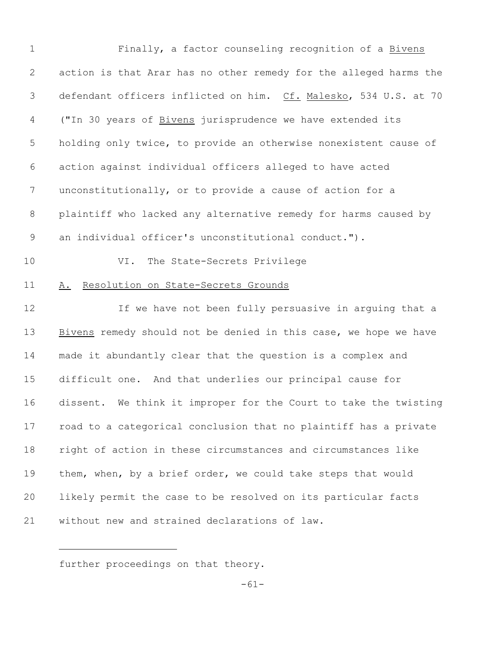| $\mathbf 1$ | Finally, a factor counseling recognition of a Bivens              |
|-------------|-------------------------------------------------------------------|
| 2           | action is that Arar has no other remedy for the alleged harms the |
| 3           | defendant officers inflicted on him. Cf. Malesko, 534 U.S. at 70  |
| 4           | ("In 30 years of Bivens jurisprudence we have extended its        |
| 5           | holding only twice, to provide an otherwise nonexistent cause of  |
| 6           | action against individual officers alleged to have acted          |
| 7           | unconstitutionally, or to provide a cause of action for a         |
| 8           | plaintiff who lacked any alternative remedy for harms caused by   |
| 9           | an individual officer's unconstitutional conduct.").              |
| 10          | The State-Secrets Privilege<br>VI.                                |
| 11          | Resolution on State-Secrets Grounds<br>Α.                         |
| 12          | If we have not been fully persuasive in arguing that a            |
| 13          | Bivens remedy should not be denied in this case, we hope we have  |
| 14          | made it abundantly clear that the question is a complex and       |
| 15          | difficult one. And that underlies our principal cause for         |
| 16          | dissent. We think it improper for the Court to take the twisting  |
| 17          | road to a categorical conclusion that no plaintiff has a private  |
| 18          | right of action in these circumstances and circumstances like     |
| 19          | them, when, by a brief order, we could take steps that would      |
| 20          | likely permit the case to be resolved on its particular facts     |
| 21          | without new and strained declarations of law.                     |

further proceedings on that theory.

-61-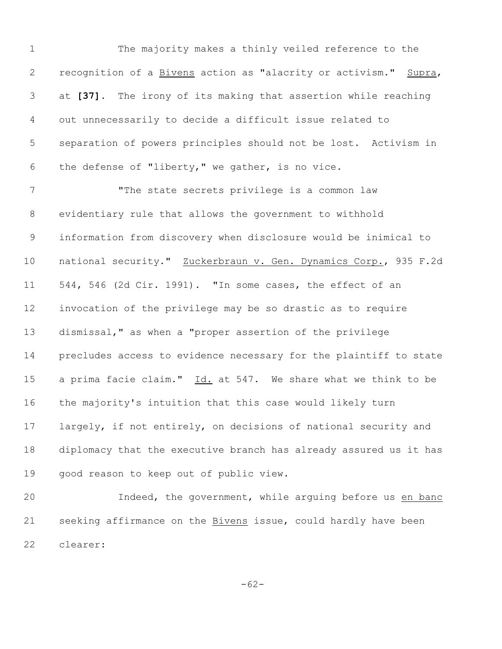The majority makes a thinly veiled reference to the recognition of a Bivens action as "alacrity or activism." Supra, at **[37]**. The irony of its making that assertion while reaching out unnecessarily to decide a difficult issue related to separation of powers principles should not be lost. Activism in the defense of "liberty," we gather, is no vice.

 "The state secrets privilege is a common law evidentiary rule that allows the government to withhold information from discovery when disclosure would be inimical to national security." Zuckerbraun v. Gen. Dynamics Corp., 935 F.2d 544, 546 (2d Cir. 1991). "In some cases, the effect of an invocation of the privilege may be so drastic as to require dismissal," as when a "proper assertion of the privilege precludes access to evidence necessary for the plaintiff to state a prima facie claim." Id. at 547. We share what we think to be the majority's intuition that this case would likely turn largely, if not entirely, on decisions of national security and diplomacy that the executive branch has already assured us it has good reason to keep out of public view.

20 Indeed, the government, while arguing before us en banc seeking affirmance on the Bivens issue, could hardly have been clearer:

-62-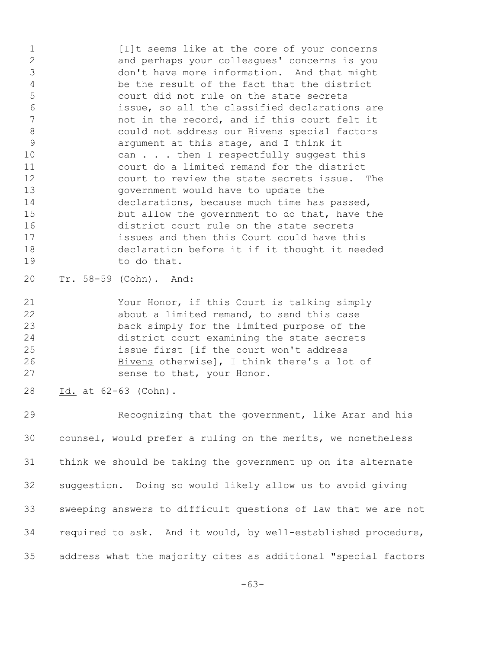1 [I]t seems like at the core of your concerns and perhaps your colleagues' concerns is you don't have more information. And that might be the result of the fact that the district court did not rule on the state secrets issue, so all the classified declarations are not in the record, and if this court felt it could not address our Bivens special factors argument at this stage, and I think it 10 can . . . then I respectfully suggest this court do a limited remand for the district court to review the state secrets issue. The government would have to update the declarations, because much time has passed, but allow the government to do that, have the district court rule on the state secrets issues and then this Court could have this declaration before it if it thought it needed to do that.

- Tr. 58-59 (Cohn). And:
- Your Honor, if this Court is talking simply about a limited remand, to send this case back simply for the limited purpose of the district court examining the state secrets issue first [if the court won't address 26 Bivens otherwise], I think there's a lot of sense to that, your Honor.
- Id. at 62-63 (Cohn).

 Recognizing that the government, like Arar and his counsel, would prefer a ruling on the merits, we nonetheless think we should be taking the government up on its alternate suggestion. Doing so would likely allow us to avoid giving sweeping answers to difficult questions of law that we are not required to ask. And it would, by well-established procedure, address what the majority cites as additional "special factors

-63-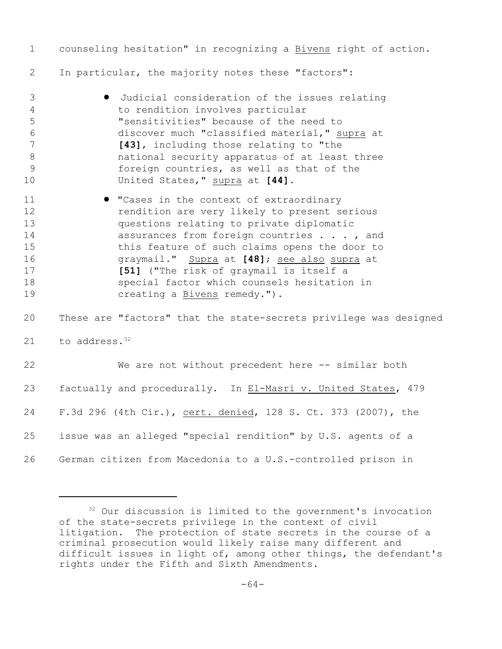| $\mathbf 1$                                                           | counseling hesitation" in recognizing a Bivens right of action.                                                                                                                                                                                                                                                                                                                                                  |
|-----------------------------------------------------------------------|------------------------------------------------------------------------------------------------------------------------------------------------------------------------------------------------------------------------------------------------------------------------------------------------------------------------------------------------------------------------------------------------------------------|
| $\mathbf{2}$                                                          | In particular, the majority notes these "factors":                                                                                                                                                                                                                                                                                                                                                               |
| 3<br>$\overline{4}$<br>5<br>6<br>$\overline{7}$<br>$\,8\,$<br>9<br>10 | Judicial consideration of the issues relating<br>to rendition involves particular<br>"sensitivities" because of the need to<br>discover much "classified material," supra at<br>[43], including those relating to "the<br>national security apparatus of at least three<br>foreign countries, as well as that of the<br>United States," supra at [44].                                                           |
| 11<br>12<br>13<br>14<br>15<br>16<br>17<br>18<br>19                    | <b>.</b> "Cases in the context of extraordinary<br>rendition are very likely to present serious<br>questions relating to private diplomatic<br>assurances from foreign countries , and<br>this feature of such claims opens the door to<br>graymail." Supra at [48]; see also supra at<br>[51] ("The risk of graymail is itself a<br>special factor which counsels hesitation in<br>creating a Bivens remedy."). |
| 20                                                                    | These are "factors" that the state-secrets privilege was designed                                                                                                                                                                                                                                                                                                                                                |
| 21                                                                    | to address. <sup>32</sup>                                                                                                                                                                                                                                                                                                                                                                                        |
| 22                                                                    | We are not without precedent here -- similar both                                                                                                                                                                                                                                                                                                                                                                |
| 23                                                                    | factually and procedurally. In El-Masri v. United States, 479                                                                                                                                                                                                                                                                                                                                                    |
| 24                                                                    | F.3d 296 (4th Cir.), cert. denied, 128 S. Ct. 373 (2007), the                                                                                                                                                                                                                                                                                                                                                    |
| 25                                                                    | issue was an alleged "special rendition" by U.S. agents of a                                                                                                                                                                                                                                                                                                                                                     |
| 26                                                                    | German citizen from Macedonia to a U.S.-controlled prison in                                                                                                                                                                                                                                                                                                                                                     |

 Our discussion is limited to the government's invocation of the state-secrets privilege in the context of civil litigation. The protection of state secrets in the course of a criminal prosecution would likely raise many different and difficult issues in light of, among other things, the defendant's rights under the Fifth and Sixth Amendments.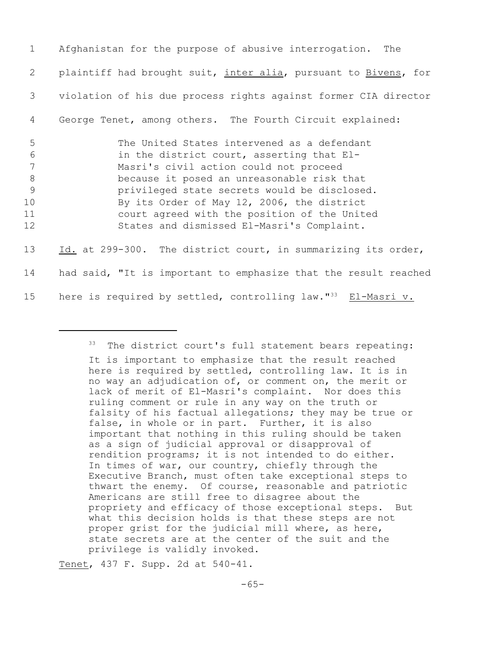| 1                                       | Afghanistan for the purpose of abusive interrogation.<br>The                                                                                                                                                                                                                                                                                                                 |
|-----------------------------------------|------------------------------------------------------------------------------------------------------------------------------------------------------------------------------------------------------------------------------------------------------------------------------------------------------------------------------------------------------------------------------|
| 2                                       | plaintiff had brought suit, inter alia, pursuant to Bivens, for                                                                                                                                                                                                                                                                                                              |
| 3                                       | violation of his due process rights against former CIA director                                                                                                                                                                                                                                                                                                              |
| 4                                       | George Tenet, among others. The Fourth Circuit explained:                                                                                                                                                                                                                                                                                                                    |
| 5<br>6<br>7<br>8<br>9<br>10<br>11<br>12 | The United States intervened as a defendant<br>in the district court, asserting that El-<br>Masri's civil action could not proceed<br>because it posed an unreasonable risk that<br>privileged state secrets would be disclosed.<br>By its Order of May 12, 2006, the district<br>court agreed with the position of the United<br>States and dismissed El-Masri's Complaint. |
| 13                                      | Id. at 299-300. The district court, in summarizing its order,                                                                                                                                                                                                                                                                                                                |
| 14                                      | had said, "It is important to emphasize that the result reached                                                                                                                                                                                                                                                                                                              |
| 15                                      | here is required by settled, controlling law."33<br>El-Masri v.                                                                                                                                                                                                                                                                                                              |

Tenet, 437 F. Supp. 2d at 540-41.

<sup>&</sup>lt;sup>33</sup> The district court's full statement bears repeating: It is important to emphasize that the result reached here is required by settled, controlling law. It is in no way an adjudication of, or comment on, the merit or lack of merit of El-Masri's complaint. Nor does this ruling comment or rule in any way on the truth or falsity of his factual allegations; they may be true or false, in whole or in part. Further, it is also important that nothing in this ruling should be taken as a sign of judicial approval or disapproval of rendition programs; it is not intended to do either. In times of war, our country, chiefly through the Executive Branch, must often take exceptional steps to thwart the enemy. Of course, reasonable and patriotic Americans are still free to disagree about the propriety and efficacy of those exceptional steps. But what this decision holds is that these steps are not proper grist for the judicial mill where, as here, state secrets are at the center of the suit and the privilege is validly invoked.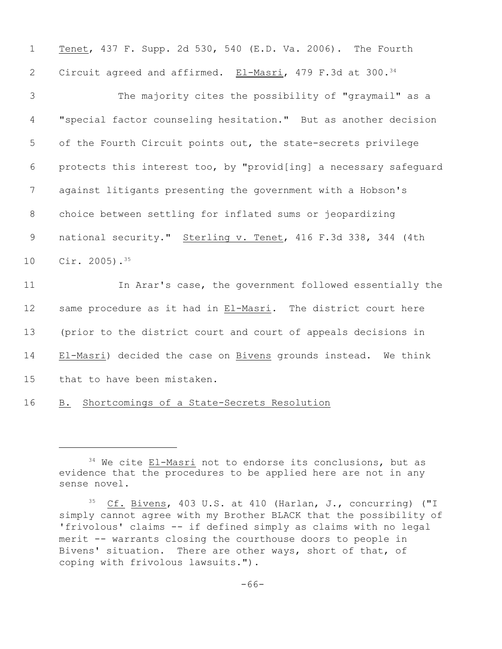| $\mathbf 1$     | Tenet, 437 F. Supp. 2d 530, 540 (E.D. Va. 2006). The Fourth       |
|-----------------|-------------------------------------------------------------------|
| $\mathbf{2}$    | Circuit agreed and affirmed. El-Masri, 479 F.3d at 300.34         |
| 3               | The majority cites the possibility of "graymail" as a             |
| 4               | "special factor counseling hesitation." But as another decision   |
| 5               | of the Fourth Circuit points out, the state-secrets privilege     |
| 6               | protects this interest too, by "provid[ing] a necessary safeguard |
| $7\phantom{.0}$ | against litigants presenting the government with a Hobson's       |
| 8               | choice between settling for inflated sums or jeopardizing         |
| 9               | national security." Sterling v. Tenet, 416 F.3d 338, 344 (4th     |
| 10              | Cir. 2005). $35$                                                  |
| 11              | In Arar's case, the government followed essentially the           |
| 12              | same procedure as it had in El-Masri. The district court here     |
| 13              | (prior to the district court and court of appeals decisions in    |
| 14              | El-Masri) decided the case on Bivens grounds instead. We think    |
| 15              | that to have been mistaken.                                       |
| 16              | Shortcomings of a State-Secrets Resolution<br>B.                  |

 We cite El-Masri not to endorse its conclusions, but as evidence that the procedures to be applied here are not in any sense novel.

<sup>&</sup>lt;sup>35</sup> Cf. Bivens, 403 U.S. at 410 (Harlan, J., concurring) ("I simply cannot agree with my Brother BLACK that the possibility of 'frivolous' claims -- if defined simply as claims with no legal merit -- warrants closing the courthouse doors to people in Bivens' situation. There are other ways, short of that, of coping with frivolous lawsuits.").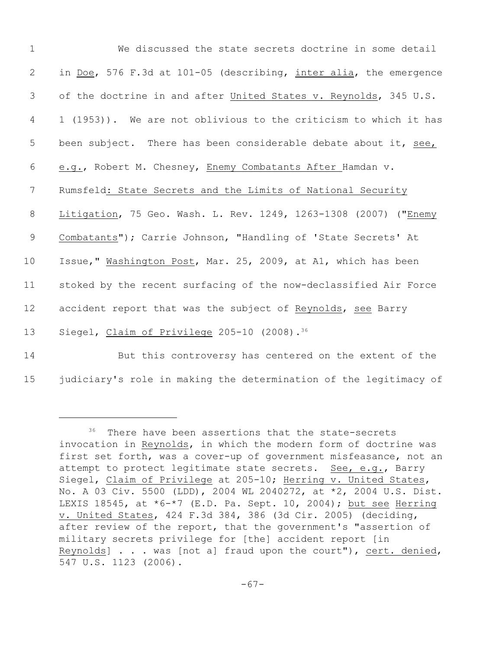| $\mathbf 1$ | We discussed the state secrets doctrine in some detail            |
|-------------|-------------------------------------------------------------------|
| 2           | in Doe, 576 F.3d at 101-05 (describing, inter alia, the emergence |
| 3           | of the doctrine in and after United States v. Reynolds, 345 U.S.  |
| 4           | 1 (1953)). We are not oblivious to the criticism to which it has  |
| 5           | been subject. There has been considerable debate about it, see,   |
| 6           | e.g., Robert M. Chesney, Enemy Combatants After Hamdan v.         |
| 7           | Rumsfeld: State Secrets and the Limits of National Security       |
| $8\,$       | Litigation, 75 Geo. Wash. L. Rev. 1249, 1263-1308 (2007) ("Enemy  |
| 9           | Combatants"); Carrie Johnson, "Handling of 'State Secrets' At     |
| 10          | Issue," Washington Post, Mar. 25, 2009, at A1, which has been     |
| 11          | stoked by the recent surfacing of the now-declassified Air Force  |
| 12          | accident report that was the subject of Reynolds, see Barry       |
| 13          | Siegel, Claim of Privilege 205-10 (2008). <sup>36</sup>           |
| 14          | But this controversy has centered on the extent of the            |

15 judiciary's role in making the determination of the legitimacy of

<sup>&</sup>lt;sup>36</sup> There have been assertions that the state-secrets invocation in Reynolds, in which the modern form of doctrine was first set forth, was a cover-up of government misfeasance, not an attempt to protect legitimate state secrets. See, e.g., Barry Siegel, Claim of Privilege at 205-10; Herring v. United States, No. A 03 Civ. 5500 (LDD), 2004 WL 2040272, at \*2, 2004 U.S. Dist. LEXIS 18545, at  $*6-*7$  (E.D. Pa. Sept. 10, 2004); but see Herring v. United States, 424 F.3d 384, 386 (3d Cir. 2005) (deciding, after review of the report, that the government's "assertion of military secrets privilege for [the] accident report [in Reynolds] . . . was [not a] fraud upon the court"), cert. denied, 547 U.S. 1123 (2006).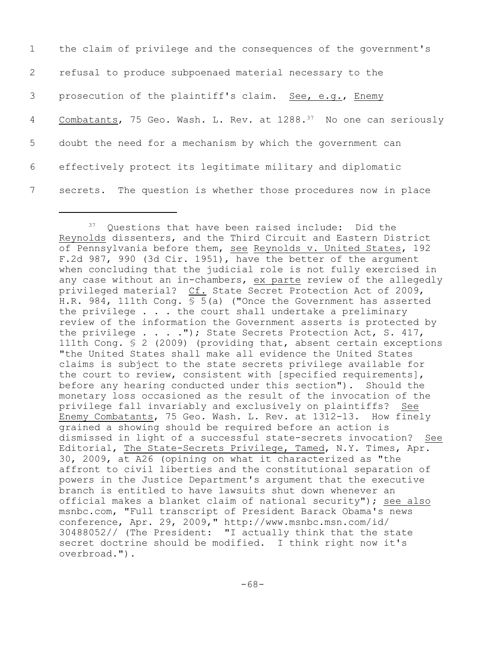| $\mathbf{1}$   | the claim of privilege and the consequences of the government's               |
|----------------|-------------------------------------------------------------------------------|
| $\overline{2}$ | refusal to produce subpoenaed material necessary to the                       |
| 3 <sup>7</sup> | prosecution of the plaintiff's claim. See, e.g., Enemy                        |
| 4              | Combatants, 75 Geo. Wash. L. Rev. at 1288. <sup>37</sup> No one can seriously |
| 5 <sup>5</sup> | doubt the need for a mechanism by which the government can                    |
| 6              | effectively protect its legitimate military and diplomatic                    |
| 7              | secrets. The question is whether those procedures now in place                |

 $37$  Questions that have been raised include: Did the Reynolds dissenters, and the Third Circuit and Eastern District of Pennsylvania before them, see Reynolds v. United States, 192 F.2d 987, 990 (3d Cir. 1951), have the better of the argument when concluding that the judicial role is not fully exercised in any case without an in-chambers, ex parte review of the allegedly privileged material? Cf. State Secret Protection Act of 2009, H.R. 984, 111th Cong. § 5(a) ("Once the Government has asserted the privilege . . . the court shall undertake a preliminary review of the information the Government asserts is protected by the privilege . . . ."); State Secrets Protection Act, S. 417, 111th Cong. § 2 (2009) (providing that, absent certain exceptions "the United States shall make all evidence the United States claims is subject to the state secrets privilege available for the court to review, consistent with [specified requirements], before any hearing conducted under this section"). Should the monetary loss occasioned as the result of the invocation of the privilege fall invariably and exclusively on plaintiffs? See Enemy Combatants, 75 Geo. Wash. L. Rev. at 1312-13. How finely grained a showing should be required before an action is dismissed in light of a successful state-secrets invocation? See Editorial, The State-Secrets Privilege, Tamed, N.Y. Times, Apr. 30, 2009, at A26 (opining on what it characterized as "the affront to civil liberties and the constitutional separation of powers in the Justice Department's argument that the executive branch is entitled to have lawsuits shut down whenever an official makes a blanket claim of national security"); see also msnbc.com, "Full transcript of President Barack Obama's news conference, Apr. 29, 2009," http://www.msnbc.msn.com/id/ 30488052// (The President: "I actually think that the state secret doctrine should be modified. I think right now it's overbroad.").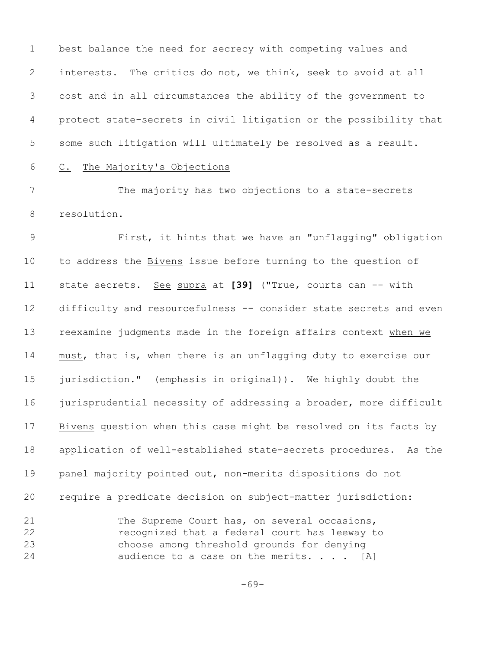best balance the need for secrecy with competing values and interests. The critics do not, we think, seek to avoid at all cost and in all circumstances the ability of the government to protect state-secrets in civil litigation or the possibility that some such litigation will ultimately be resolved as a result.

## C. The Majority's Objections

 The majority has two objections to a state-secrets resolution.

 First, it hints that we have an "unflagging" obligation to address the Bivens issue before turning to the question of state secrets. See supra at **[39]** ("True, courts can -- with difficulty and resourcefulness -- consider state secrets and even reexamine judgments made in the foreign affairs context when we must, that is, when there is an unflagging duty to exercise our jurisdiction." (emphasis in original)). We highly doubt the 16 jurisprudential necessity of addressing a broader, more difficult Bivens question when this case might be resolved on its facts by application of well-established state-secrets procedures. As the panel majority pointed out, non-merits dispositions do not require a predicate decision on subject-matter jurisdiction:

 The Supreme Court has, on several occasions, recognized that a federal court has leeway to choose among threshold grounds for denying 24 audience to a case on the merits. . . . [A]

-69-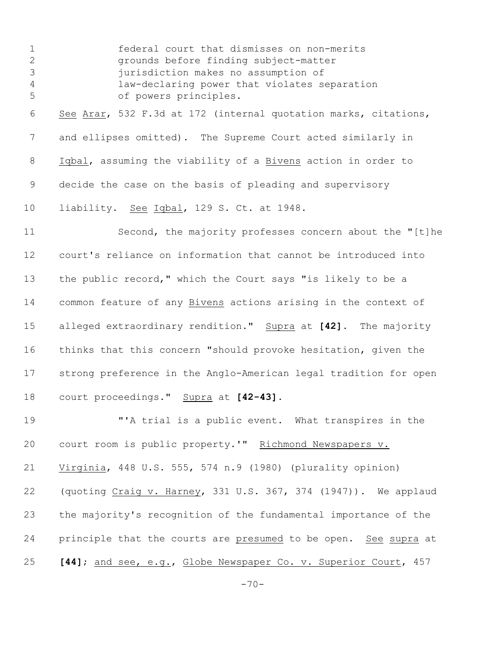federal court that dismisses on non-merits grounds before finding subject-matter jurisdiction makes no assumption of law-declaring power that violates separation of powers principles. See Arar, 532 F.3d at 172 (internal quotation marks, citations, and ellipses omitted). The Supreme Court acted similarly in Iqbal, assuming the viability of a Bivens action in order to decide the case on the basis of pleading and supervisory liability. See Iqbal, 129 S. Ct. at 1948. Second, the majority professes concern about the "[t]he court's reliance on information that cannot be introduced into the public record," which the Court says "is likely to be a common feature of any Bivens actions arising in the context of alleged extraordinary rendition." Supra at **[42]**. The majority

 thinks that this concern "should provoke hesitation, given the strong preference in the Anglo-American legal tradition for open court proceedings." Supra at **[42-43].**

 "'A trial is a public event. What transpires in the court room is public property.'" Richmond Newspapers v. Virginia, 448 U.S. 555, 574 n.9 (1980) (plurality opinion) (quoting Craig v. Harney, 331 U.S. 367, 374 (1947)). We applaud the majority's recognition of the fundamental importance of the principle that the courts are presumed to be open. See supra at **[44]**; and see, e.g., Globe Newspaper Co. v. Superior Court, 457

 $-70-$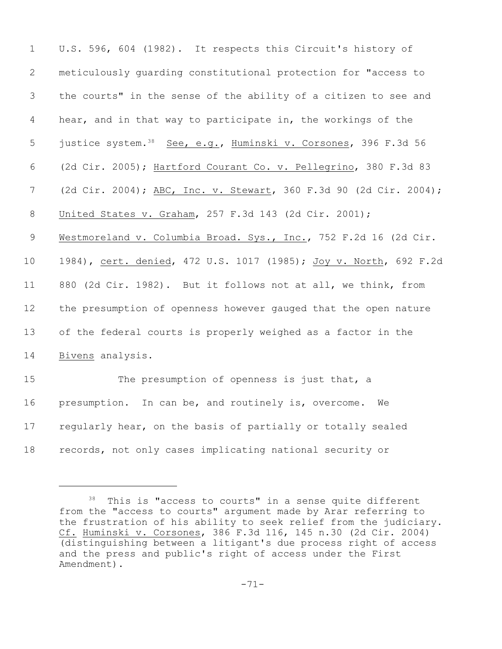| $\mathbf 1$    | U.S. 596, 604 (1982). It respects this Circuit's history of                |
|----------------|----------------------------------------------------------------------------|
| 2              | meticulously quarding constitutional protection for "access to             |
| 3              | the courts" in the sense of the ability of a citizen to see and            |
| $\overline{4}$ | hear, and in that way to participate in, the workings of the               |
| 5              | justice system. <sup>38</sup> See, e.g., Huminski v. Corsones, 396 F.3d 56 |
| 6              | (2d Cir. 2005); Hartford Courant Co. v. Pellegrino, 380 F.3d 83            |
| 7              | (2d Cir. 2004); ABC, Inc. v. Stewart, 360 F.3d 90 (2d Cir. 2004);          |
| $8\,$          | United States v. Graham, 257 F.3d 143 (2d Cir. 2001);                      |
| 9              | Westmoreland v. Columbia Broad. Sys., Inc., 752 F.2d 16 (2d Cir.           |
| 10             | 1984), cert. denied, 472 U.S. 1017 (1985); Joy v. North, 692 F.2d          |
| 11             | 880 (2d Cir. 1982). But it follows not at all, we think, from              |
| 12             | the presumption of openness however gauged that the open nature            |
| 13             | of the federal courts is properly weighed as a factor in the               |
| 14             | Bivens analysis.                                                           |
| 15             | The presumption of openness is just that, a                                |
| 16             | presumption. In can be, and routinely is, overcome.<br>We                  |
| 17             | regularly hear, on the basis of partially or totally sealed                |
|                |                                                                            |

records, not only cases implicating national security or

 This is "access to courts" in a sense quite different from the "access to courts" argument made by Arar referring to the frustration of his ability to seek relief from the judiciary. Cf. Huminski v. Corsones, 386 F.3d 116, 145 n.30 (2d Cir. 2004) (distinguishing between a litigant's due process right of access and the press and public's right of access under the First Amendment).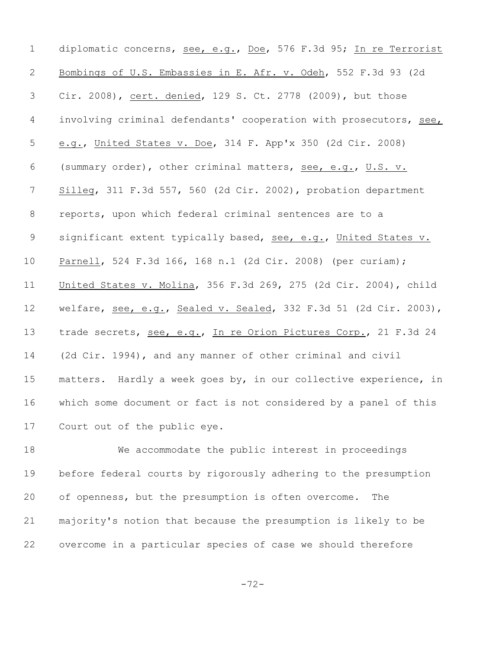diplomatic concerns, see, e.g., Doe, 576 F.3d 95; In re Terrorist Bombings of U.S. Embassies in E. Afr. v. Odeh, 552 F.3d 93 (2d Cir. 2008), cert. denied, 129 S. Ct. 2778 (2009), but those involving criminal defendants' cooperation with prosecutors, see, e.g., United States v. Doe, 314 F. App'x 350 (2d Cir. 2008) (summary order), other criminal matters, see, e.g., U.S. v. Silleg, 311 F.3d 557, 560 (2d Cir. 2002), probation department reports, upon which federal criminal sentences are to a 9 significant extent typically based, see, e.g., United States v. Parnell, 524 F.3d 166, 168 n.1 (2d Cir. 2008) (per curiam); United States v. Molina, 356 F.3d 269, 275 (2d Cir. 2004), child welfare, see, e.g., Sealed v. Sealed, 332 F.3d 51 (2d Cir. 2003), trade secrets, see, e.g., In re Orion Pictures Corp., 21 F.3d 24 (2d Cir. 1994), and any manner of other criminal and civil matters. Hardly a week goes by, in our collective experience, in which some document or fact is not considered by a panel of this Court out of the public eye.

 We accommodate the public interest in proceedings before federal courts by rigorously adhering to the presumption of openness, but the presumption is often overcome. The majority's notion that because the presumption is likely to be overcome in a particular species of case we should therefore

-72-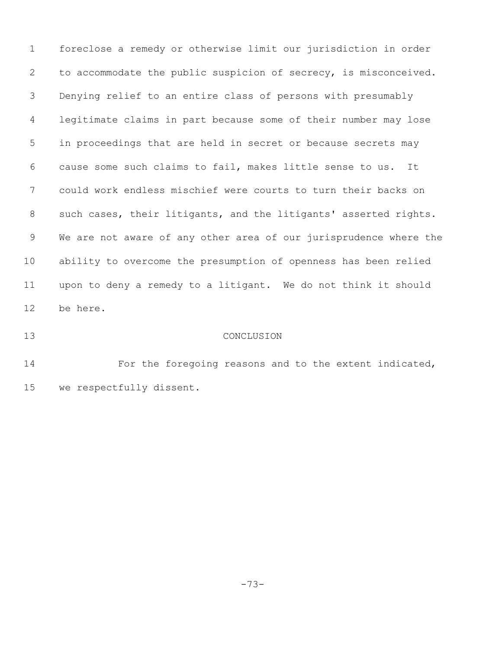foreclose a remedy or otherwise limit our jurisdiction in order to accommodate the public suspicion of secrecy, is misconceived. Denying relief to an entire class of persons with presumably legitimate claims in part because some of their number may lose in proceedings that are held in secret or because secrets may cause some such claims to fail, makes little sense to us. It could work endless mischief were courts to turn their backs on 8 such cases, their litigants, and the litigants' asserted rights. We are not aware of any other area of our jurisprudence where the ability to overcome the presumption of openness has been relied upon to deny a remedy to a litigant. We do not think it should be here.

## CONCLUSION

**For the foregoing reasons and to the extent indicated,** we respectfully dissent.

-73-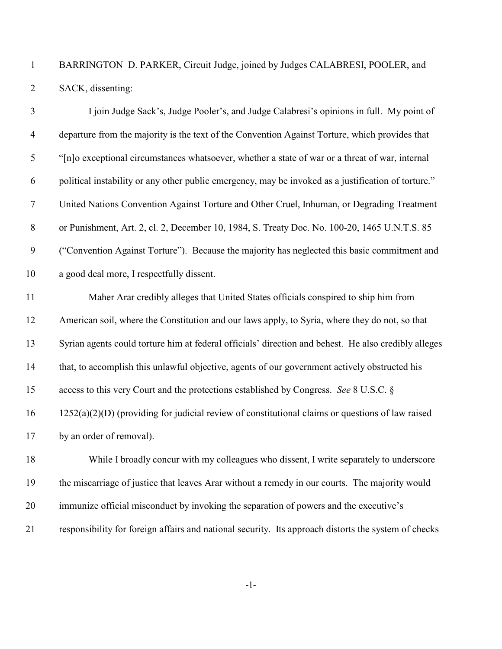BARRINGTON D. PARKER, Circuit Judge, joined by Judges CALABRESI, POOLER, and SACK, dissenting:

| $\overline{3}$ | I join Judge Sack's, Judge Pooler's, and Judge Calabresi's opinions in full. My point of             |
|----------------|------------------------------------------------------------------------------------------------------|
| $\overline{4}$ | departure from the majority is the text of the Convention Against Torture, which provides that       |
| 5              | "[n]o exceptional circumstances whatsoever, whether a state of war or a threat of war, internal      |
| 6              | political instability or any other public emergency, may be invoked as a justification of torture."  |
| $\overline{7}$ | United Nations Convention Against Torture and Other Cruel, Inhuman, or Degrading Treatment           |
| $8\,$          | or Punishment, Art. 2, cl. 2, December 10, 1984, S. Treaty Doc. No. 100-20, 1465 U.N.T.S. 85         |
| 9              | ("Convention Against Torture"). Because the majority has neglected this basic commitment and         |
| 10             | a good deal more, I respectfully dissent.                                                            |
| 11             | Maher Arar credibly alleges that United States officials conspired to ship him from                  |
| 12             | American soil, where the Constitution and our laws apply, to Syria, where they do not, so that       |
| 13             | Syrian agents could torture him at federal officials' direction and behest. He also credibly alleges |
| 14             | that, to accomplish this unlawful objective, agents of our government actively obstructed his        |
| 15             | access to this very Court and the protections established by Congress. See 8 U.S.C. §                |
| 16             | $1252(a)(2)(D)$ (providing for judicial review of constitutional claims or questions of law raised   |
| 17             | by an order of removal).                                                                             |
| 18             | While I broadly concur with my colleagues who dissent, I write separately to underscore              |
| 19             | the miscarriage of justice that leaves Arar without a remedy in our courts. The majority would       |
| 20             | immunize official misconduct by invoking the separation of powers and the executive's                |
| 21             | responsibility for foreign affairs and national security. Its approach distorts the system of checks |

-1-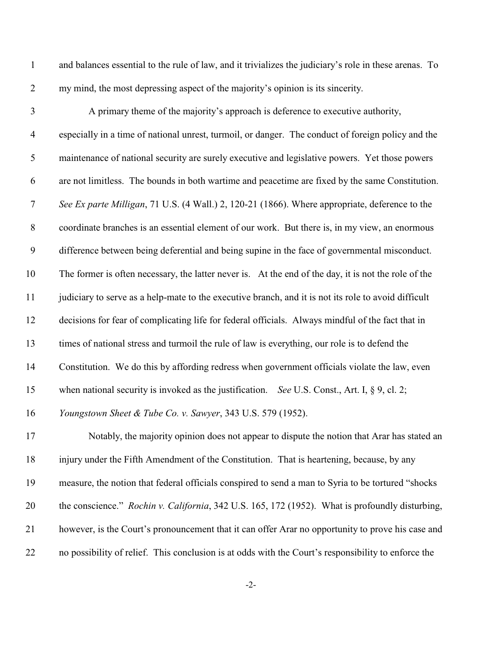and balances essential to the rule of law, and it trivializes the judiciary's role in these arenas. To my mind, the most depressing aspect of the majority's opinion is its sincerity.

 A primary theme of the majority's approach is deference to executive authority, especially in a time of national unrest, turmoil, or danger. The conduct of foreign policy and the maintenance of national security are surely executive and legislative powers. Yet those powers are not limitless. The bounds in both wartime and peacetime are fixed by the same Constitution. *See Ex parte Milligan*, 71 U.S. (4 Wall.) 2, 120-21 (1866). Where appropriate, deference to the coordinate branches is an essential element of our work. But there is, in my view, an enormous difference between being deferential and being supine in the face of governmental misconduct. The former is often necessary, the latter never is. At the end of the day, it is not the role of the judiciary to serve as a help-mate to the executive branch, and it is not its role to avoid difficult decisions for fear of complicating life for federal officials. Always mindful of the fact that in times of national stress and turmoil the rule of law is everything, our role is to defend the Constitution. We do this by affording redress when government officials violate the law, even when national security is invoked as the justification. *See* U.S. Const., Art. I, § 9, cl. 2; *Youngstown Sheet & Tube Co. v. Sawyer*, 343 U.S. 579 (1952). Notably, the majority opinion does not appear to dispute the notion that Arar has stated an

 injury under the Fifth Amendment of the Constitution. That is heartening, because, by any measure, the notion that federal officials conspired to send a man to Syria to be tortured "shocks the conscience." *Rochin v. California*, 342 U.S. 165, 172 (1952). What is profoundly disturbing, however, is the Court's pronouncement that it can offer Arar no opportunity to prove his case and no possibility of relief. This conclusion is at odds with the Court's responsibility to enforce the

-2-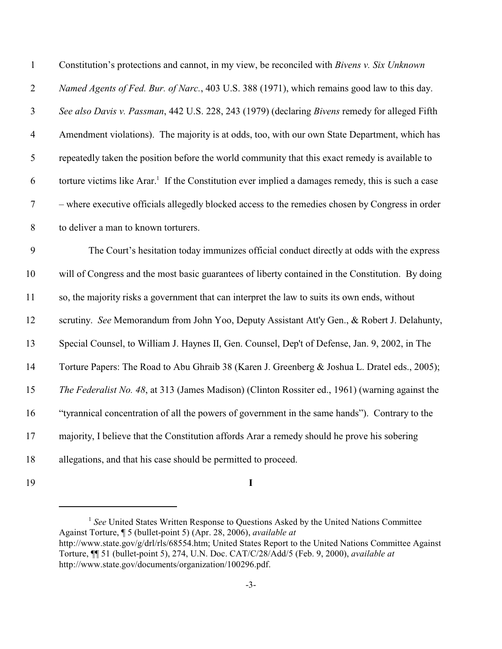| $\mathbf{1}$     | Constitution's protections and cannot, in my view, be reconciled with Bivens v. Six Unknown                    |
|------------------|----------------------------------------------------------------------------------------------------------------|
| $\mathfrak{2}$   | Named Agents of Fed. Bur. of Narc., 403 U.S. 388 (1971), which remains good law to this day.                   |
| $\mathfrak{Z}$   | See also Davis v. Passman, 442 U.S. 228, 243 (1979) (declaring Bivens remedy for alleged Fifth                 |
| $\overline{4}$   | Amendment violations). The majority is at odds, too, with our own State Department, which has                  |
| 5                | repeatedly taken the position before the world community that this exact remedy is available to                |
| 6                | torture victims like Arar. <sup>1</sup> If the Constitution ever implied a damages remedy, this is such a case |
| $\boldsymbol{7}$ | - where executive officials allegedly blocked access to the remedies chosen by Congress in order               |
| $8\,$            | to deliver a man to known torturers.                                                                           |
| 9                | The Court's hesitation today immunizes official conduct directly at odds with the express                      |
| 10               | will of Congress and the most basic guarantees of liberty contained in the Constitution. By doing              |
| 11               | so, the majority risks a government that can interpret the law to suits its own ends, without                  |
| 12               | scrutiny. See Memorandum from John Yoo, Deputy Assistant Att'y Gen., & Robert J. Delahunty,                    |
| 13               | Special Counsel, to William J. Haynes II, Gen. Counsel, Dep't of Defense, Jan. 9, 2002, in The                 |
| 14               | Torture Papers: The Road to Abu Ghraib 38 (Karen J. Greenberg & Joshua L. Dratel eds., 2005);                  |
| 15               | The Federalist No. 48, at 313 (James Madison) (Clinton Rossiter ed., 1961) (warning against the                |
| 16               | "tyrannical concentration of all the powers of government in the same hands"). Contrary to the                 |
| 17               | majority, I believe that the Constitution affords Arar a remedy should he prove his sobering                   |
| 18               | allegations, and that his case should be permitted to proceed.                                                 |
|                  |                                                                                                                |

**I**

<sup>&</sup>lt;sup>1</sup> See United States Written Response to Questions Asked by the United Nations Committee Against Torture, ¶ 5 (bullet-point 5) (Apr. 28, 2006), *available at* http://www.state.gov/g/drl/rls/68554.htm; United States Report to the United Nations Committee Against Torture, ¶¶ 51 (bullet-point 5), 274, U.N. Doc. CAT/C/28/Add/5 (Feb. 9, 2000), *available at* http://www.state.gov/documents/organization/100296.pdf.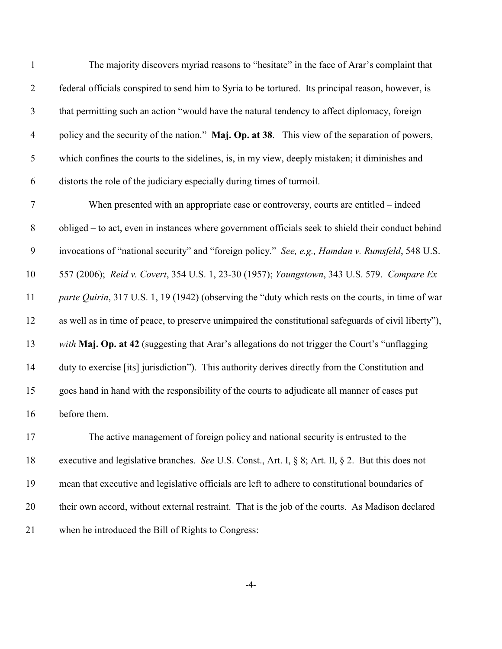| $\mathbf{1}$   | The majority discovers myriad reasons to "hesitate" in the face of Arar's complaint that           |
|----------------|----------------------------------------------------------------------------------------------------|
| 2              | federal officials conspired to send him to Syria to be tortured. Its principal reason, however, is |
| 3              | that permitting such an action "would have the natural tendency to affect diplomacy, foreign       |
| $\overline{4}$ | policy and the security of the nation." Maj. Op. at 38. This view of the separation of powers,     |
| 5              | which confines the courts to the sidelines, is, in my view, deeply mistaken; it diminishes and     |
| 6              | distorts the role of the judiciary especially during times of turmoil.                             |
|                |                                                                                                    |

 When presented with an appropriate case or controversy, courts are entitled – indeed obliged – to act, even in instances where government officials seek to shield their conduct behind invocations of "national security" and "foreign policy." *See, e.g., Hamdan v. Rumsfeld*, 548 U.S. 557 (2006); *Reid v. Covert*, 354 U.S. 1, 23-30 (1957); *Youngstown*, 343 U.S. 579. *Compare Ex parte Quirin*, 317 U.S. 1, 19 (1942) (observing the "duty which rests on the courts, in time of war as well as in time of peace, to preserve unimpaired the constitutional safeguards of civil liberty"), *with* **Maj. Op. at 42** (suggesting that Arar's allegations do not trigger the Court's "unflagging duty to exercise [its] jurisdiction"). This authority derives directly from the Constitution and goes hand in hand with the responsibility of the courts to adjudicate all manner of cases put before them.

 The active management of foreign policy and national security is entrusted to the executive and legislative branches. *See* U.S. Const., Art. I, § 8; Art. II, § 2. But this does not mean that executive and legislative officials are left to adhere to constitutional boundaries of their own accord, without external restraint. That is the job of the courts. As Madison declared when he introduced the Bill of Rights to Congress:

-4-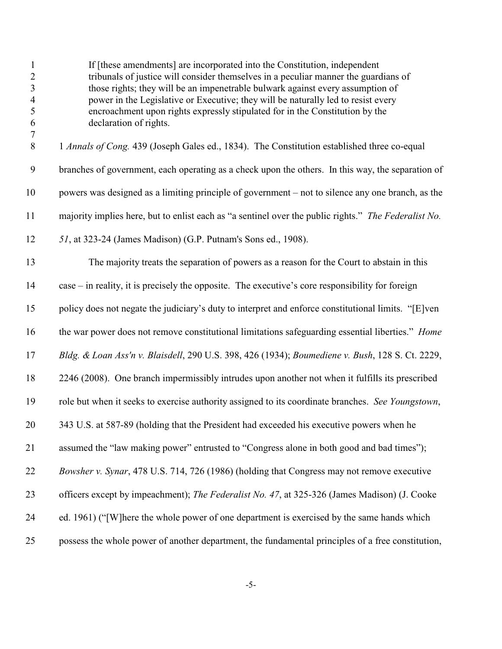| $\mathbf{1}$<br>$\sqrt{2}$<br>$\mathfrak{Z}$<br>$\overline{4}$<br>5<br>$\sqrt{6}$<br>$\tau$ | If [these amendments] are incorporated into the Constitution, independent<br>tribunals of justice will consider themselves in a peculiar manner the guardians of<br>those rights; they will be an impenetrable bulwark against every assumption of<br>power in the Legislative or Executive; they will be naturally led to resist every<br>encroachment upon rights expressly stipulated for in the Constitution by the<br>declaration of rights. |
|---------------------------------------------------------------------------------------------|---------------------------------------------------------------------------------------------------------------------------------------------------------------------------------------------------------------------------------------------------------------------------------------------------------------------------------------------------------------------------------------------------------------------------------------------------|
| $8\,$                                                                                       | 1 Annals of Cong. 439 (Joseph Gales ed., 1834). The Constitution established three co-equal                                                                                                                                                                                                                                                                                                                                                       |
| $\boldsymbol{9}$                                                                            | branches of government, each operating as a check upon the others. In this way, the separation of                                                                                                                                                                                                                                                                                                                                                 |
| 10                                                                                          | powers was designed as a limiting principle of government – not to silence any one branch, as the                                                                                                                                                                                                                                                                                                                                                 |
| 11                                                                                          | majority implies here, but to enlist each as "a sentinel over the public rights." The Federalist No.                                                                                                                                                                                                                                                                                                                                              |
| 12                                                                                          | 51, at 323-24 (James Madison) (G.P. Putnam's Sons ed., 1908).                                                                                                                                                                                                                                                                                                                                                                                     |
| 13                                                                                          | The majority treats the separation of powers as a reason for the Court to abstain in this                                                                                                                                                                                                                                                                                                                                                         |
| 14                                                                                          | case – in reality, it is precisely the opposite. The executive's core responsibility for foreign                                                                                                                                                                                                                                                                                                                                                  |
| 15                                                                                          | policy does not negate the judiciary's duty to interpret and enforce constitutional limits. "[E]ven                                                                                                                                                                                                                                                                                                                                               |
| 16                                                                                          | the war power does not remove constitutional limitations safeguarding essential liberties." Home                                                                                                                                                                                                                                                                                                                                                  |
| 17                                                                                          | Bldg. & Loan Ass'n v. Blaisdell, 290 U.S. 398, 426 (1934); Boumediene v. Bush, 128 S. Ct. 2229,                                                                                                                                                                                                                                                                                                                                                   |
| 18                                                                                          | 2246 (2008). One branch impermissibly intrudes upon another not when it fulfills its prescribed                                                                                                                                                                                                                                                                                                                                                   |
| 19                                                                                          | role but when it seeks to exercise authority assigned to its coordinate branches. See Youngstown,                                                                                                                                                                                                                                                                                                                                                 |
| 20                                                                                          | 343 U.S. at 587-89 (holding that the President had exceeded his executive powers when he                                                                                                                                                                                                                                                                                                                                                          |
| 21                                                                                          | assumed the "law making power" entrusted to "Congress alone in both good and bad times");                                                                                                                                                                                                                                                                                                                                                         |
| 22                                                                                          | Bowsher v. Synar, 478 U.S. 714, 726 (1986) (holding that Congress may not remove executive                                                                                                                                                                                                                                                                                                                                                        |
| 23                                                                                          | officers except by impeachment); The Federalist No. 47, at 325-326 (James Madison) (J. Cooke                                                                                                                                                                                                                                                                                                                                                      |
| 24                                                                                          | ed. 1961) ("[W] here the whole power of one department is exercised by the same hands which                                                                                                                                                                                                                                                                                                                                                       |
| 25                                                                                          | possess the whole power of another department, the fundamental principles of a free constitution,                                                                                                                                                                                                                                                                                                                                                 |

-5-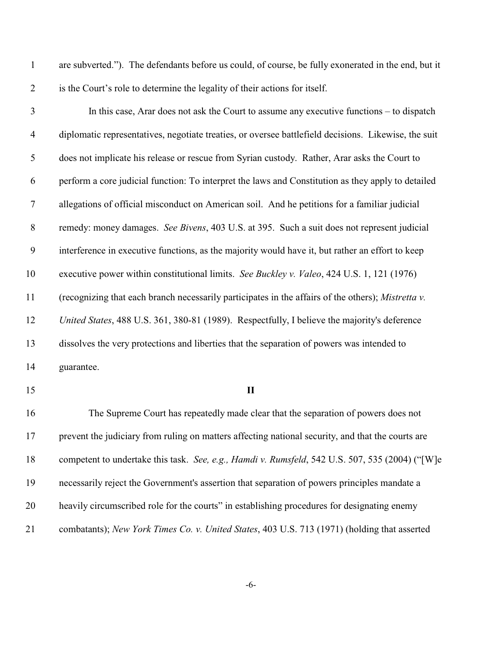| $\mathbf{1}$     | are subverted."). The defendants before us could, of course, be fully exonerated in the end, but it  |
|------------------|------------------------------------------------------------------------------------------------------|
| $\overline{2}$   | is the Court's role to determine the legality of their actions for itself.                           |
| $\mathfrak{Z}$   | In this case, Arar does not ask the Court to assume any executive functions – to dispatch            |
| $\overline{4}$   | diplomatic representatives, negotiate treaties, or oversee battlefield decisions. Likewise, the suit |
| $\mathfrak{S}$   | does not implicate his release or rescue from Syrian custody. Rather, Arar asks the Court to         |
| 6                | perform a core judicial function: To interpret the laws and Constitution as they apply to detailed   |
| $\tau$           | allegations of official misconduct on American soil. And he petitions for a familiar judicial        |
| $8\phantom{1}$   | remedy: money damages. See Bivens, 403 U.S. at 395. Such a suit does not represent judicial          |
| $\boldsymbol{9}$ | interference in executive functions, as the majority would have it, but rather an effort to keep     |
| 10               | executive power within constitutional limits. See Buckley v. Valeo, 424 U.S. 1, 121 (1976)           |
| 11               | (recognizing that each branch necessarily participates in the affairs of the others); Mistretta v.   |
| 12               | United States, 488 U.S. 361, 380-81 (1989). Respectfully, I believe the majority's deference         |
| 13               | dissolves the very protections and liberties that the separation of powers was intended to           |
| 14               | guarantee.                                                                                           |
| 15               | $\mathbf{I}$                                                                                         |
| 16               | The Supreme Court has repeatedly made clear that the separation of powers does not                   |
| 17               | prevent the judiciary from ruling on matters affecting national security, and that the courts are    |
| 18               | competent to undertake this task. See, e.g., Hamdi v. Rumsfeld, 542 U.S. 507, 535 (2004) ("[W]e      |
| 19               | necessarily reject the Government's assertion that separation of powers principles mandate a         |
| 20               | heavily circumscribed role for the courts" in establishing procedures for designating enemy          |
| 21               | combatants); New York Times Co. v. United States, 403 U.S. 713 (1971) (holding that asserted         |

-6-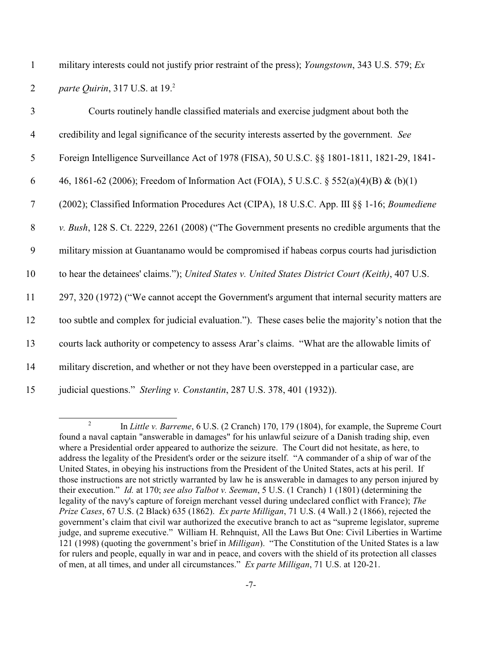1 military interests could not justify prior restraint of the press); *Youngstown*, 343 U.S. 579; *Ex* 2 *parte Quirin*, 317 U.S. at 19.<sup>2</sup>

| $\overline{3}$ | Courts routinely handle classified materials and exercise judgment about both the                   |
|----------------|-----------------------------------------------------------------------------------------------------|
| $\overline{4}$ | credibility and legal significance of the security interests asserted by the government. See        |
| 5              | Foreign Intelligence Surveillance Act of 1978 (FISA), 50 U.S.C. §§ 1801-1811, 1821-29, 1841-        |
| 6              | 46, 1861-62 (2006); Freedom of Information Act (FOIA), 5 U.S.C. § 552(a)(4)(B) & (b)(1)             |
| $\tau$         | (2002); Classified Information Procedures Act (CIPA), 18 U.S.C. App. III §§ 1-16; Boumediene        |
| $8\,$          | v. Bush, 128 S. Ct. 2229, 2261 (2008) ("The Government presents no credible arguments that the      |
| 9              | military mission at Guantanamo would be compromised if habeas corpus courts had jurisdiction        |
| 10             | to hear the detainees' claims."); United States v. United States District Court (Keith), 407 U.S.   |
| 11             | 297, 320 (1972) ("We cannot accept the Government's argument that internal security matters are     |
| 12             | too subtle and complex for judicial evaluation."). These cases belie the majority's notion that the |
| 13             | courts lack authority or competency to assess Arar's claims. "What are the allowable limits of      |
| 14             | military discretion, and whether or not they have been overstepped in a particular case, are        |
| 15             | judicial questions." Sterling v. Constantin, 287 U.S. 378, 401 (1932)).                             |

<sup>&</sup>lt;sup>2</sup> In *Little v. Barreme*, 6 U.S. (2 Cranch) 170, 179 (1804), for example, the Supreme Court found a naval captain "answerable in damages" for his unlawful seizure of a Danish trading ship, even where a Presidential order appeared to authorize the seizure. The Court did not hesitate, as here, to address the legality of the President's order or the seizure itself. "A commander of a ship of war of the United States, in obeying his instructions from the President of the United States, acts at his peril. If those instructions are not strictly warranted by law he is answerable in damages to any person injured by their execution." *Id.* at 170; *see also Talbot v. Seeman*, 5 U.S. (1 Cranch) 1 (1801) (determining the legality of the navy's capture of foreign merchant vessel during undeclared conflict with France); *The Prize Cases*, 67 U.S. (2 Black) 635 (1862). *Ex parte Milligan*, 71 U.S. (4 Wall.) 2 (1866), rejected the government's claim that civil war authorized the executive branch to act as "supreme legislator, supreme judge, and supreme executive." William H. Rehnquist, All the Laws But One: Civil Liberties in Wartime 121 (1998) (quoting the government's brief in *Milligan*). "The Constitution of the United States is a law for rulers and people, equally in war and in peace, and covers with the shield of its protection all classes of men, at all times, and under all circumstances." *Ex parte Milligan*, 71 U.S. at 120-21.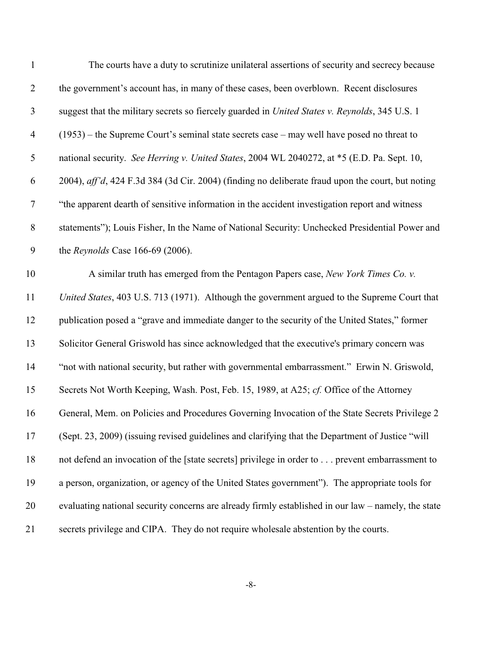| $\mathbf{1}$     | The courts have a duty to scrutinize unilateral assertions of security and secrecy because          |
|------------------|-----------------------------------------------------------------------------------------------------|
| $\overline{2}$   | the government's account has, in many of these cases, been overblown. Recent disclosures            |
| $\mathfrak{Z}$   | suggest that the military secrets so fiercely guarded in United States v. Reynolds, 345 U.S. 1      |
| $\overline{4}$   | $(1953)$ – the Supreme Court's seminal state secrets case – may well have posed no threat to        |
| $\mathfrak{S}$   | national security. See Herring v. United States, 2004 WL 2040272, at *5 (E.D. Pa. Sept. 10,         |
| 6                | 2004), aff'd, 424 F.3d 384 (3d Cir. 2004) (finding no deliberate fraud upon the court, but noting   |
| $\tau$           | "the apparent dearth of sensitive information in the accident investigation report and witness      |
| $8\,$            | statements"); Louis Fisher, In the Name of National Security: Unchecked Presidential Power and      |
| $\boldsymbol{9}$ | the Reynolds Case $166-69$ (2006).                                                                  |
| 10               | A similar truth has emerged from the Pentagon Papers case, New York Times Co. v.                    |
| 11               | United States, 403 U.S. 713 (1971). Although the government argued to the Supreme Court that        |
| 12               | publication posed a "grave and immediate danger to the security of the United States," former       |
| 13               | Solicitor General Griswold has since acknowledged that the executive's primary concern was          |
| 14               | "not with national security, but rather with governmental embarrassment." Erwin N. Griswold,        |
| 15               | Secrets Not Worth Keeping, Wash. Post, Feb. 15, 1989, at A25; cf. Office of the Attorney            |
| 16               | General, Mem. on Policies and Procedures Governing Invocation of the State Secrets Privilege 2      |
| 17               | (Sept. 23, 2009) (issuing revised guidelines and clarifying that the Department of Justice "will    |
| 18               | not defend an invocation of the [state secrets] privilege in order to prevent embarrassment to      |
| 19               | a person, organization, or agency of the United States government"). The appropriate tools for      |
| 20               | evaluating national security concerns are already firmly established in our law – namely, the state |
| 21               | secrets privilege and CIPA. They do not require wholesale abstention by the courts.                 |
|                  |                                                                                                     |

-8-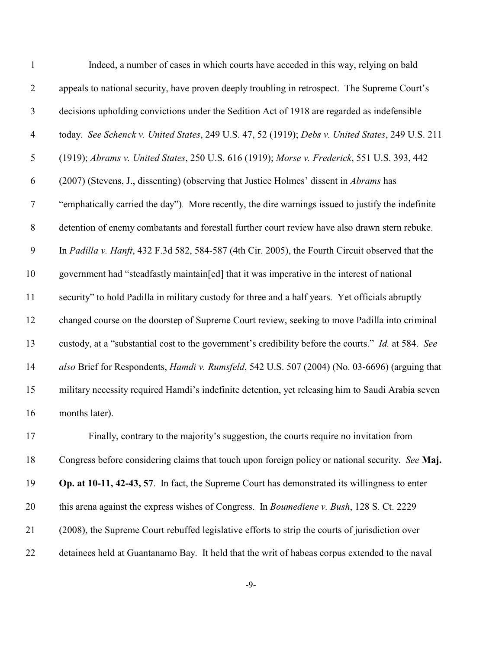| $\mathbf{1}$     | Indeed, a number of cases in which courts have acceded in this way, relying on bald                    |
|------------------|--------------------------------------------------------------------------------------------------------|
| $\overline{2}$   | appeals to national security, have proven deeply troubling in retrospect. The Supreme Court's          |
| 3                | decisions upholding convictions under the Sedition Act of 1918 are regarded as indefensible            |
| $\overline{4}$   | today. See Schenck v. United States, 249 U.S. 47, 52 (1919); Debs v. United States, 249 U.S. 211       |
| $\mathfrak s$    | (1919); Abrams v. United States, 250 U.S. 616 (1919); Morse v. Frederick, 551 U.S. 393, 442            |
| 6                | (2007) (Stevens, J., dissenting) (observing that Justice Holmes' dissent in <i>Abrams</i> has          |
| $\boldsymbol{7}$ | "emphatically carried the day"). More recently, the dire warnings issued to justify the indefinite     |
| $8\,$            | detention of enemy combatants and forestall further court review have also drawn stern rebuke.         |
| 9                | In Padilla v. Hanft, 432 F.3d 582, 584-587 (4th Cir. 2005), the Fourth Circuit observed that the       |
| 10               | government had "steadfastly maintain[ed] that it was imperative in the interest of national            |
| 11               | security" to hold Padilla in military custody for three and a half years. Yet officials abruptly       |
| 12               | changed course on the doorstep of Supreme Court review, seeking to move Padilla into criminal          |
| 13               | custody, at a "substantial cost to the government's credibility before the courts." Id. at 584. See    |
| 14               | also Brief for Respondents, <i>Hamdi v. Rumsfeld</i> , 542 U.S. 507 (2004) (No. 03-6696) (arguing that |
| 15               | military necessity required Hamdi's indefinite detention, yet releasing him to Saudi Arabia seven      |
| 16               | months later).                                                                                         |
| 17               | Finally, contrary to the majority's suggestion, the courts require no invitation from                  |
| 18               | Congress before considering claims that touch upon foreign policy or national security. See Maj.       |
| 19               | Op. at 10-11, 42-43, 57. In fact, the Supreme Court has demonstrated its willingness to enter          |
| 20               | this arena against the express wishes of Congress. In Boumediene v. Bush, 128 S. Ct. 2229              |
| 21               | (2008), the Supreme Court rebuffed legislative efforts to strip the courts of jurisdiction over        |
| 22               | detainees held at Guantanamo Bay. It held that the writ of habeas corpus extended to the naval         |

-9-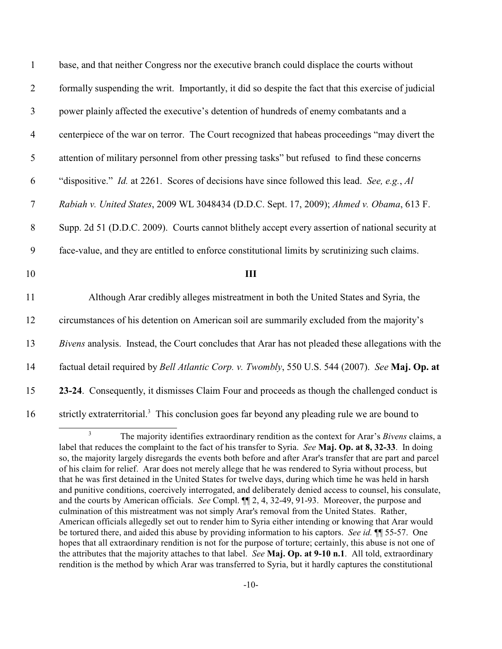| $\mathbf{1}$     | base, and that neither Congress nor the executive branch could displace the courts without                |
|------------------|-----------------------------------------------------------------------------------------------------------|
| $\mathbf{2}$     | formally suspending the writ. Importantly, it did so despite the fact that this exercise of judicial      |
| $\mathfrak{Z}$   | power plainly affected the executive's detention of hundreds of enemy combatants and a                    |
| $\overline{4}$   | centerpiece of the war on terror. The Court recognized that habeas proceedings "may divert the            |
| 5                | attention of military personnel from other pressing tasks" but refused to find these concerns             |
| 6                | "dispositive." Id. at 2261. Scores of decisions have since followed this lead. See, e.g., Al              |
| $\boldsymbol{7}$ | Rabiah v. United States, 2009 WL 3048434 (D.D.C. Sept. 17, 2009); Ahmed v. Obama, 613 F.                  |
| $8\,$            | Supp. 2d 51 (D.D.C. 2009). Courts cannot blithely accept every assertion of national security at          |
| $\boldsymbol{9}$ | face-value, and they are entitled to enforce constitutional limits by scrutinizing such claims.           |
| 10               | III                                                                                                       |
| 11               | Although Arar credibly alleges mistreatment in both the United States and Syria, the                      |
| 12               | circumstances of his detention on American soil are summarily excluded from the majority's                |
| 13               | Bivens analysis. Instead, the Court concludes that Arar has not pleaded these allegations with the        |
| 14               | factual detail required by Bell Atlantic Corp. v. Twombly, 550 U.S. 544 (2007). See Maj. Op. at           |
| 15               | 23-24. Consequently, it dismisses Claim Four and proceeds as though the challenged conduct is             |
| 16               | strictly extraterritorial. <sup>3</sup> This conclusion goes far beyond any pleading rule we are bound to |
|                  | 3<br>The majority identifies extreeding readition as the context for Aren's Piyers elaims                 |

The majority identifies extraordinary rendition as the context for Arar's *Bivens* claims, a label that reduces the complaint to the fact of his transfer to Syria. *See* **Maj. Op. at 8, 32-33**. In doing so, the majority largely disregards the events both before and after Arar's transfer that are part and parcel of his claim for relief. Arar does not merely allege that he was rendered to Syria without process, but that he was first detained in the United States for twelve days, during which time he was held in harsh and punitive conditions, coercively interrogated, and deliberately denied access to counsel, his consulate, and the courts by American officials. *See* Compl. ¶¶ 2, 4, 32-49, 91-93. Moreover, the purpose and culmination of this mistreatment was not simply Arar's removal from the United States. Rather, American officials allegedly set out to render him to Syria either intending or knowing that Arar would be tortured there, and aided this abuse by providing information to his captors. *See id.* ¶¶ 55-57. One hopes that all extraordinary rendition is not for the purpose of torture; certainly, this abuse is not one of the attributes that the majority attaches to that label. *See* **Maj. Op. at 9-10 n.1**. All told, extraordinary rendition is the method by which Arar was transferred to Syria, but it hardly captures the constitutional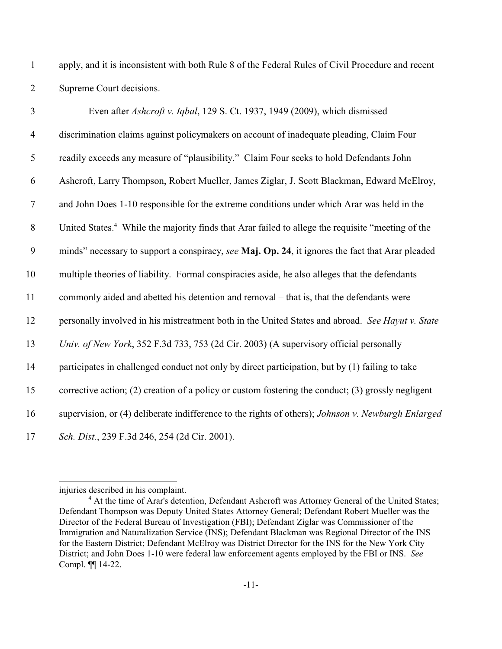apply, and it is inconsistent with both Rule 8 of the Federal Rules of Civil Procedure and recent Supreme Court decisions.

| $\mathfrak{Z}$   | Even after Ashcroft v. Iqbal, 129 S. Ct. 1937, 1949 (2009), which dismissed                                   |
|------------------|---------------------------------------------------------------------------------------------------------------|
| $\overline{4}$   | discrimination claims against policymakers on account of inadequate pleading, Claim Four                      |
| 5                | readily exceeds any measure of "plausibility." Claim Four seeks to hold Defendants John                       |
| 6                | Ashcroft, Larry Thompson, Robert Mueller, James Ziglar, J. Scott Blackman, Edward McElroy,                    |
| $\overline{7}$   | and John Does 1-10 responsible for the extreme conditions under which Arar was held in the                    |
| 8                | United States. <sup>4</sup> While the majority finds that Arar failed to allege the requisite "meeting of the |
| $\boldsymbol{9}$ | minds" necessary to support a conspiracy, see Maj. Op. 24, it ignores the fact that Arar pleaded              |
| 10               | multiple theories of liability. Formal conspiracies aside, he also alleges that the defendants                |
| 11               | commonly aided and abetted his detention and removal – that is, that the defendants were                      |
| 12               | personally involved in his mistreatment both in the United States and abroad. See Hayut v. State              |
| 13               | Univ. of New York, 352 F.3d 733, 753 (2d Cir. 2003) (A supervisory official personally                        |
| 14               | participates in challenged conduct not only by direct participation, but by (1) failing to take               |
| 15               | corrective action; (2) creation of a policy or custom fostering the conduct; (3) grossly negligent            |
| 16               | supervision, or (4) deliberate indifference to the rights of others); Johnson v. Newburgh Enlarged            |
| 17               | Sch. Dist., 239 F.3d 246, 254 (2d Cir. 2001).                                                                 |

injuries described in his complaint.

<sup>&</sup>lt;sup>4</sup> At the time of Arar's detention, Defendant Ashcroft was Attorney General of the United States; Defendant Thompson was Deputy United States Attorney General; Defendant Robert Mueller was the Director of the Federal Bureau of Investigation (FBI); Defendant Ziglar was Commissioner of the Immigration and Naturalization Service (INS); Defendant Blackman was Regional Director of the INS for the Eastern District; Defendant McElroy was District Director for the INS for the New York City District; and John Does 1-10 were federal law enforcement agents employed by the FBI or INS. *See* Compl. ¶¶ 14-22.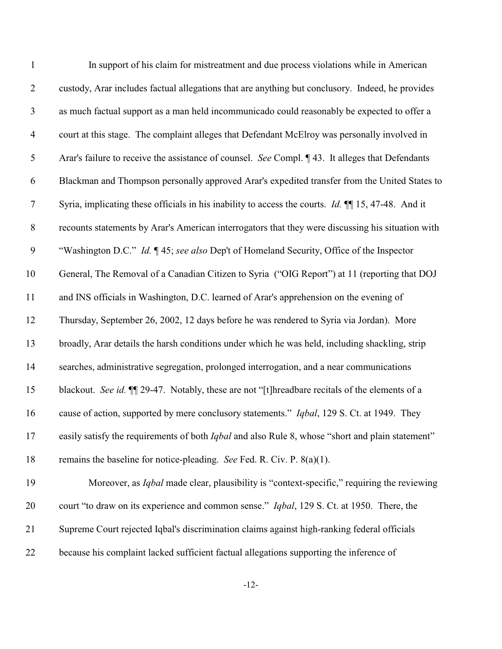| $\mathbf{1}$   | In support of his claim for mistreatment and due process violations while in American                       |
|----------------|-------------------------------------------------------------------------------------------------------------|
| $\overline{2}$ | custody, Arar includes factual allegations that are anything but conclusory. Indeed, he provides            |
| $\mathfrak{Z}$ | as much factual support as a man held incommunicado could reasonably be expected to offer a                 |
| $\overline{4}$ | court at this stage. The complaint alleges that Defendant McElroy was personally involved in                |
| 5              | Arar's failure to receive the assistance of counsel. See Compl. ¶43. It alleges that Defendants             |
| 6              | Blackman and Thompson personally approved Arar's expedited transfer from the United States to               |
| $\overline{7}$ | Syria, implicating these officials in his inability to access the courts. <i>Id.</i> $\P$ 15, 47-48. And it |
| $8\,$          | recounts statements by Arar's American interrogators that they were discussing his situation with           |
| 9              | "Washington D.C." Id. ¶45; see also Dep't of Homeland Security, Office of the Inspector                     |
| 10             | General, The Removal of a Canadian Citizen to Syria ("OIG Report") at 11 (reporting that DOJ                |
| 11             | and INS officials in Washington, D.C. learned of Arar's apprehension on the evening of                      |
| 12             | Thursday, September 26, 2002, 12 days before he was rendered to Syria via Jordan). More                     |
| 13             | broadly, Arar details the harsh conditions under which he was held, including shackling, strip              |
| 14             | searches, administrative segregation, prolonged interrogation, and a near communications                    |
| 15             | blackout. See id. II 29-47. Notably, these are not "[t]hreadbare recitals of the elements of a              |
| 16             | cause of action, supported by mere conclusory statements." Iqbal, 129 S. Ct. at 1949. They                  |
| 17             | easily satisfy the requirements of both Iqbal and also Rule 8, whose "short and plain statement"            |
| 18             | remains the baseline for notice-pleading. See Fed. R. Civ. P. $8(a)(1)$ .                                   |
| 19             | Moreover, as <i>Iqbal</i> made clear, plausibility is "context-specific," requiring the reviewing           |
| 20             | court "to draw on its experience and common sense." Iqbal, 129 S. Ct. at 1950. There, the                   |
| 21             | Supreme Court rejected Iqbal's discrimination claims against high-ranking federal officials                 |
| 22             | because his complaint lacked sufficient factual allegations supporting the inference of                     |

-12-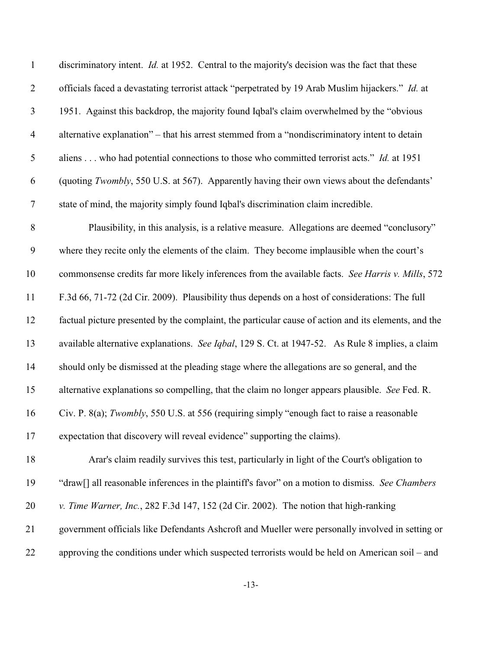| $\mathbf{1}$     | discriminatory intent. <i>Id.</i> at 1952. Central to the majority's decision was the fact that these        |
|------------------|--------------------------------------------------------------------------------------------------------------|
| $\overline{2}$   | officials faced a devastating terrorist attack "perpetrated by 19 Arab Muslim hijackers." Id. at             |
| $\mathfrak{Z}$   | 1951. Against this backdrop, the majority found Iqbal's claim overwhelmed by the "obvious"                   |
| $\overline{4}$   | alternative explanation" – that his arrest stemmed from a "nondiscriminatory intent to detain                |
| $\mathfrak{S}$   | aliens who had potential connections to those who committed terrorist acts." Id. at 1951                     |
| 6                | (quoting Twombly, 550 U.S. at 567). Apparently having their own views about the defendants'                  |
| $\tau$           | state of mind, the majority simply found Iqbal's discrimination claim incredible.                            |
| $8\,$            | Plausibility, in this analysis, is a relative measure. Allegations are deemed "conclusory"                   |
| $\boldsymbol{9}$ | where they recite only the elements of the claim. They become implausible when the court's                   |
| 10               | commonsense credits far more likely inferences from the available facts. See Harris v. Mills, 572            |
| 11               | F.3d 66, 71-72 (2d Cir. 2009). Plausibility thus depends on a host of considerations: The full               |
| 12               | factual picture presented by the complaint, the particular cause of action and its elements, and the         |
| 13               | available alternative explanations. See Iqbal, 129 S. Ct. at 1947-52. As Rule 8 implies, a claim             |
| 14               | should only be dismissed at the pleading stage where the allegations are so general, and the                 |
| 15               | alternative explanations so compelling, that the claim no longer appears plausible. See Fed. R.              |
| 16               | Civ. P. 8(a); Twombly, 550 U.S. at 556 (requiring simply "enough fact to raise a reasonable                  |
| 17               | expectation that discovery will reveal evidence" supporting the claims).                                     |
| 18               | Arar's claim readily survives this test, particularly in light of the Court's obligation to                  |
| 19               | "draw <sup>[]</sup> all reasonable inferences in the plaintiff's favor" on a motion to dismiss. See Chambers |
| 20               | v. Time Warner, Inc., 282 F.3d 147, 152 (2d Cir. 2002). The notion that high-ranking                         |
| 21               | government officials like Defendants Ashcroft and Mueller were personally involved in setting or             |
| 22               | approving the conditions under which suspected terrorists would be held on American soil – and               |

-13-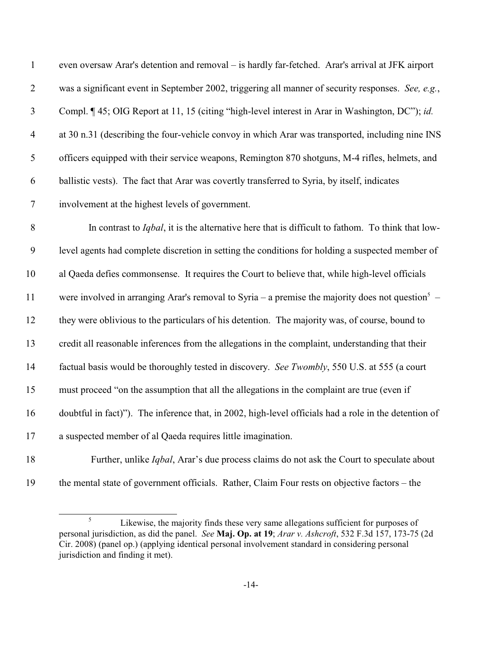| $\mathbf 1$      | even oversaw Arar's detention and removal - is hardly far-fetched. Arar's arrival at JFK airport             |
|------------------|--------------------------------------------------------------------------------------------------------------|
| $\mathbf{2}$     | was a significant event in September 2002, triggering all manner of security responses. See, e.g.,           |
| $\mathfrak{Z}$   | Compl. ¶ 45; OIG Report at 11, 15 (citing "high-level interest in Arar in Washington, DC"); id.              |
| $\overline{4}$   | at 30 n.31 (describing the four-vehicle convoy in which Arar was transported, including nine INS             |
| 5                | officers equipped with their service weapons, Remington 870 shotguns, M-4 rifles, helmets, and               |
| 6                | ballistic vests). The fact that Arar was covertly transferred to Syria, by itself, indicates                 |
| $\tau$           | involvement at the highest levels of government.                                                             |
| $8\,$            | In contrast to <i>Iqbal</i> , it is the alternative here that is difficult to fathom. To think that low-     |
| $\boldsymbol{9}$ | level agents had complete discretion in setting the conditions for holding a suspected member of             |
| 10               | al Qaeda defies commonsense. It requires the Court to believe that, while high-level officials               |
| 11               | were involved in arranging Arar's removal to Syria – a premise the majority does not question <sup>5</sup> – |
| 12               | they were oblivious to the particulars of his detention. The majority was, of course, bound to               |
| 13               | credit all reasonable inferences from the allegations in the complaint, understanding that their             |
| 14               | factual basis would be thoroughly tested in discovery. See Twombly, 550 U.S. at 555 (a court                 |
| 15               | must proceed "on the assumption that all the allegations in the complaint are true (even if                  |
| 16               | doubtful in fact)"). The inference that, in 2002, high-level officials had a role in the detention of        |
| 17               | a suspected member of al Qaeda requires little imagination.                                                  |
| 18               | Further, unlike <i>Iqbal</i> , Arar's due process claims do not ask the Court to speculate about             |

the mental state of government officials. Rather, Claim Four rests on objective factors – the

<sup>&</sup>lt;sup>5</sup> Likewise, the majority finds these very same allegations sufficient for purposes of personal jurisdiction, as did the panel. *See* **Maj. Op. at 19**; *Arar v. Ashcroft*, 532 F.3d 157, 173-75 (2d Cir. 2008) (panel op.) (applying identical personal involvement standard in considering personal jurisdiction and finding it met).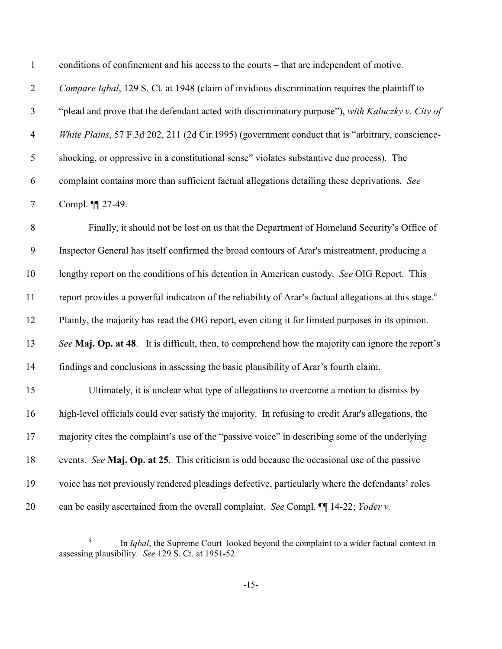| $\mathbf{1}$   | conditions of confinement and his access to the courts – that are independent of motive.                           |
|----------------|--------------------------------------------------------------------------------------------------------------------|
| $\mathbf{2}$   | Compare Iqbal, 129 S. Ct. at 1948 (claim of invidious discrimination requires the plaintiff to                     |
| $\mathfrak{Z}$ | "plead and prove that the defendant acted with discriminatory purpose"), with Kaluczky v. City of                  |
| $\overline{4}$ | White Plains, 57 F.3d 202, 211 (2d Cir.1995) (government conduct that is "arbitrary, conscience-                   |
| $\mathfrak{S}$ | shocking, or oppressive in a constitutional sense" violates substantive due process). The                          |
| 6              | complaint contains more than sufficient factual allegations detailing these deprivations. See                      |
| $\tau$         | Compl. ¶ 27-49.                                                                                                    |
| 8              | Finally, it should not be lost on us that the Department of Homeland Security's Office of                          |
| 9              | Inspector General has itself confirmed the broad contours of Arar's mistreatment, producing a                      |
| 10             | lengthy report on the conditions of his detention in American custody. See OIG Report. This                        |
| 11             | report provides a powerful indication of the reliability of Arar's factual allegations at this stage. <sup>6</sup> |
| 12             | Plainly, the majority has read the OIG report, even citing it for limited purposes in its opinion.                 |
| 13             | See Maj. Op. at 48. It is difficult, then, to comprehend how the majority can ignore the report's                  |
| 14             | findings and conclusions in assessing the basic plausibility of Arar's fourth claim.                               |
| 15             | Ultimately, it is unclear what type of allegations to overcome a motion to dismiss by                              |
| 16             | high-level officials could ever satisfy the majority. In refusing to credit Arar's allegations, the                |
| 17             | majority cites the complaint's use of the "passive voice" in describing some of the underlying                     |
| 18             | events. See Maj. Op. at 25. This criticism is odd because the occasional use of the passive                        |
| 19             | voice has not previously rendered pleadings defective, particularly where the defendants' roles                    |
| 20             | can be easily ascertained from the overall complaint. See Compl. II 14-22; Yoder v.                                |

<sup>&</sup>lt;sup>6</sup> In *Iqbal*, the Supreme Court looked beyond the complaint to a wider factual context in assessing plausibility. *See* 129 S. Ct. at 1951-52.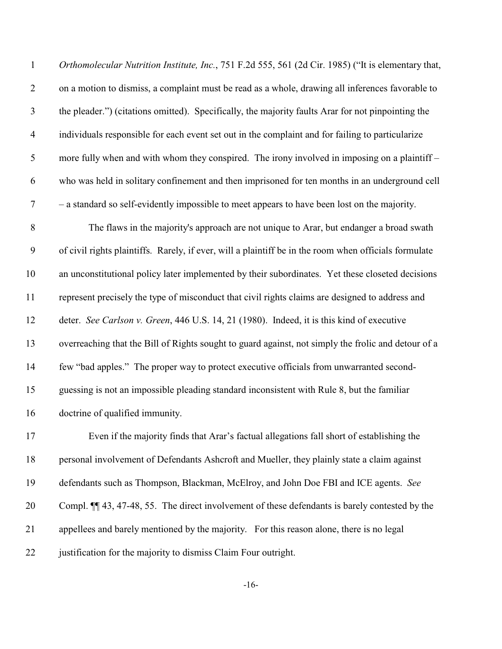| $\mathbf{1}$     | Orthomolecular Nutrition Institute, Inc., 751 F.2d 555, 561 (2d Cir. 1985) ("It is elementary that,   |
|------------------|-------------------------------------------------------------------------------------------------------|
| $\mathbf{2}$     | on a motion to dismiss, a complaint must be read as a whole, drawing all inferences favorable to      |
| 3                | the pleader.") (citations omitted). Specifically, the majority faults Arar for not pinpointing the    |
| $\overline{4}$   | individuals responsible for each event set out in the complaint and for failing to particularize      |
| 5                | more fully when and with whom they conspired. The irony involved in imposing on a plaintiff –         |
| 6                | who was held in solitary confinement and then imprisoned for ten months in an underground cell        |
| $\tau$           | - a standard so self-evidently impossible to meet appears to have been lost on the majority.          |
| $8\,$            | The flaws in the majority's approach are not unique to Arar, but endanger a broad swath               |
| $\boldsymbol{9}$ | of civil rights plaintiffs. Rarely, if ever, will a plaintiff be in the room when officials formulate |
| 10               | an unconstitutional policy later implemented by their subordinates. Yet these closeted decisions      |
| 11               | represent precisely the type of misconduct that civil rights claims are designed to address and       |
| 12               | deter. See Carlson v. Green, 446 U.S. 14, 21 (1980). Indeed, it is this kind of executive             |
| 13               | overreaching that the Bill of Rights sought to guard against, not simply the frolic and detour of a   |
| 14               | few "bad apples." The proper way to protect executive officials from unwarranted second-              |
| 15               | guessing is not an impossible pleading standard inconsistent with Rule 8, but the familiar            |
| 16               | doctrine of qualified immunity.                                                                       |
| 17               | Even if the majority finds that Arar's factual allegations fall short of establishing the             |
| 18               | personal involvement of Defendants Ashcroft and Mueller, they plainly state a claim against           |
| 19               | defendants such as Thompson, Blackman, McElroy, and John Doe FBI and ICE agents. See                  |
| 20               | Compl. $\P$ 43, 47-48, 55. The direct involvement of these defendants is barely contested by the      |
| 21               | appellees and barely mentioned by the majority. For this reason alone, there is no legal              |

justification for the majority to dismiss Claim Four outright.

-16-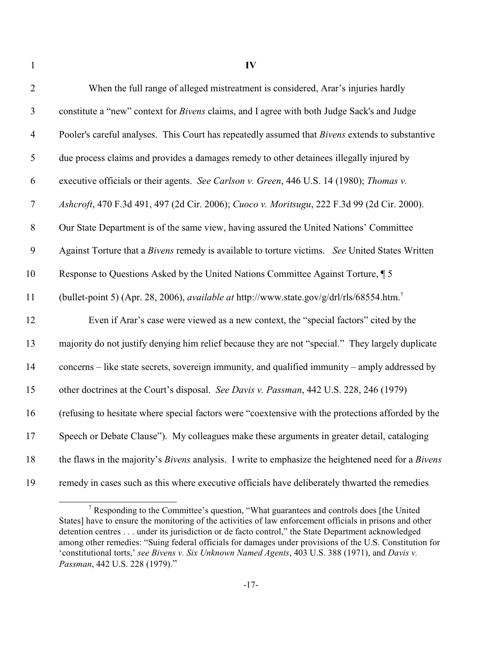| $\overline{2}$ | When the full range of alleged mistreatment is considered, Arar's injuries hardly                            |
|----------------|--------------------------------------------------------------------------------------------------------------|
| $\mathfrak{Z}$ | constitute a "new" context for Bivens claims, and I agree with both Judge Sack's and Judge                   |
| $\overline{4}$ | Pooler's careful analyses. This Court has repeatedly assumed that <i>Bivens</i> extends to substantive       |
| 5              | due process claims and provides a damages remedy to other detainees illegally injured by                     |
| 6              | executive officials or their agents. See Carlson v. Green, 446 U.S. 14 (1980); Thomas v.                     |
| $\overline{7}$ | Ashcroft, 470 F.3d 491, 497 (2d Cir. 2006); Cuoco v. Moritsugu, 222 F.3d 99 (2d Cir. 2000).                  |
| 8              | Our State Department is of the same view, having assured the United Nations' Committee                       |
| 9              | Against Torture that a Bivens remedy is available to torture victims. See United States Written              |
| 10             | Response to Questions Asked by the United Nations Committee Against Torture, 15                              |
| 11             | (bullet-point 5) (Apr. 28, 2006), <i>available at</i> http://www.state.gov/g/drl/rls/68554.htm. <sup>7</sup> |
| 12             | Even if Arar's case were viewed as a new context, the "special factors" cited by the                         |
| 13             | majority do not justify denying him relief because they are not "special." They largely duplicate            |
| 14             | concerns – like state secrets, sovereign immunity, and qualified immunity – amply addressed by               |
| 15             | other doctrines at the Court's disposal. See Davis v. Passman, 442 U.S. 228, 246 (1979)                      |
| 16             | (refusing to hesitate where special factors were "coextensive with the protections afforded by the           |
| 17             | Speech or Debate Clause"). My colleagues make these arguments in greater detail, cataloging                  |
| 18             | the flaws in the majority's Bivens analysis. I write to emphasize the heightened need for a Bivens           |
| 19             | remedy in cases such as this where executive officials have deliberately thwarted the remedies               |

Responding to the Committee's question, "What guarantees and controls does [the United States] have to ensure the monitoring of the activities of law enforcement officials in prisons and other detention centres . . . under its jurisdiction or de facto control," the State Department acknowledged among other remedies: "Suing federal officials for damages under provisions of the U.S. Constitution for 'constitutional torts,' *see Bivens v. Six Unknown Named Agents*, 403 U.S. 388 (1971), and *Davis v. Passman*, 442 U.S. 228 (1979)."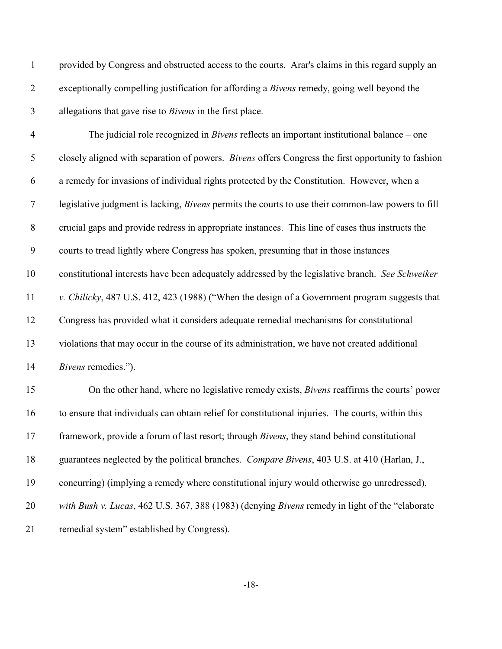| $\mathbf{1}$   | provided by Congress and obstructed access to the courts. Arar's claims in this regard supply an         |
|----------------|----------------------------------------------------------------------------------------------------------|
| $\overline{2}$ | exceptionally compelling justification for affording a <i>Bivens</i> remedy, going well beyond the       |
| 3              | allegations that gave rise to <i>Bivens</i> in the first place.                                          |
| $\overline{4}$ | The judicial role recognized in <i>Bivens</i> reflects an important institutional balance $-$ one        |
| 5              | closely aligned with separation of powers. Bivens offers Congress the first opportunity to fashion       |
| 6              | a remedy for invasions of individual rights protected by the Constitution. However, when a               |
| $\overline{7}$ | legislative judgment is lacking, <i>Bivens</i> permits the courts to use their common-law powers to fill |
| $8\,$          | crucial gaps and provide redress in appropriate instances. This line of cases thus instructs the         |
| 9              | courts to tread lightly where Congress has spoken, presuming that in those instances                     |
| 10             | constitutional interests have been adequately addressed by the legislative branch. See Schweiker         |
| 11             | v. Chilicky, 487 U.S. 412, 423 (1988) ("When the design of a Government program suggests that            |
| 12             | Congress has provided what it considers adequate remedial mechanisms for constitutional                  |
| 13             | violations that may occur in the course of its administration, we have not created additional            |
| 14             | Bivens remedies.").                                                                                      |
| 15             | On the other hand, where no legislative remedy exists, <i>Bivens</i> reaffirms the courts' power         |
| 16             | to ensure that individuals can obtain relief for constitutional injuries. The courts, within this        |
| 17             | framework, provide a forum of last resort; through <i>Bivens</i> , they stand behind constitutional      |
| 18             | guarantees neglected by the political branches. Compare Bivens, 403 U.S. at 410 (Harlan, J.,             |
| 19             | concurring) (implying a remedy where constitutional injury would otherwise go unredressed),              |
| 20             | with Bush v. Lucas, 462 U.S. 367, 388 (1983) (denying Bivens remedy in light of the "elaborate"          |
| 21             | remedial system" established by Congress).                                                               |

-18-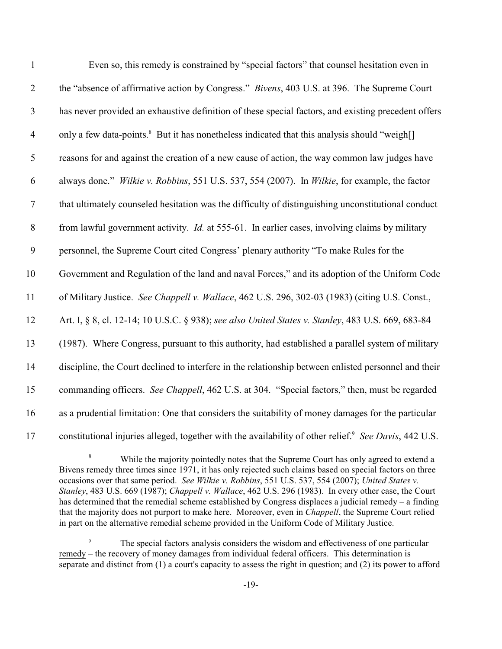| $\mathbf{1}$   | Even so, this remedy is constrained by "special factors" that counsel hesitation even in                          |
|----------------|-------------------------------------------------------------------------------------------------------------------|
| $\overline{2}$ | the "absence of affirmative action by Congress." <i>Bivens</i> , 403 U.S. at 396. The Supreme Court               |
| $\mathfrak{Z}$ | has never provided an exhaustive definition of these special factors, and existing precedent offers               |
| $\overline{4}$ | only a few data-points. <sup>8</sup> But it has nonetheless indicated that this analysis should "weigh[]          |
| 5              | reasons for and against the creation of a new cause of action, the way common law judges have                     |
| 6              | always done." Wilkie v. Robbins, 551 U.S. 537, 554 (2007). In Wilkie, for example, the factor                     |
| $\tau$         | that ultimately counseled hesitation was the difficulty of distinguishing unconstitutional conduct                |
| $\, 8$         | from lawful government activity. <i>Id.</i> at 555-61. In earlier cases, involving claims by military             |
| 9              | personnel, the Supreme Court cited Congress' plenary authority "To make Rules for the                             |
| 10             | Government and Regulation of the land and naval Forces," and its adoption of the Uniform Code                     |
| 11             | of Military Justice. See Chappell v. Wallace, 462 U.S. 296, 302-03 (1983) (citing U.S. Const.,                    |
| 12             | Art. I, § 8, cl. 12-14; 10 U.S.C. § 938); see also United States v. Stanley, 483 U.S. 669, 683-84                 |
| 13             | (1987). Where Congress, pursuant to this authority, had established a parallel system of military                 |
| 14             | discipline, the Court declined to interfere in the relationship between enlisted personnel and their              |
| 15             | commanding officers. See Chappell, 462 U.S. at 304. "Special factors," then, must be regarded                     |
| 16             | as a prudential limitation: One that considers the suitability of money damages for the particular                |
| 17             | constitutional injuries alleged, together with the availability of other relief. <sup>9</sup> See Davis, 442 U.S. |

While the majority pointedly notes that the Supreme Court has only agreed to extend a Bivens remedy three times since 1971, it has only rejected such claims based on special factors on three occasions over that same period. *See Wilkie v. Robbins*, 551 U.S. 537, 554 (2007); *United States v. Stanley*, 483 U.S. 669 (1987); *Chappell v. Wallace*, 462 U.S. 296 (1983). In every other case, the Court has determined that the remedial scheme established by Congress displaces a judicial remedy – a finding that the majority does not purport to make here. Moreover, even in *Chappell*, the Supreme Court relied in part on the alternative remedial scheme provided in the Uniform Code of Military Justice.

<sup>&</sup>lt;sup>9</sup> The special factors analysis considers the wisdom and effectiveness of one particular remedy – the recovery of money damages from individual federal officers. This determination is separate and distinct from (1) a court's capacity to assess the right in question; and (2) its power to afford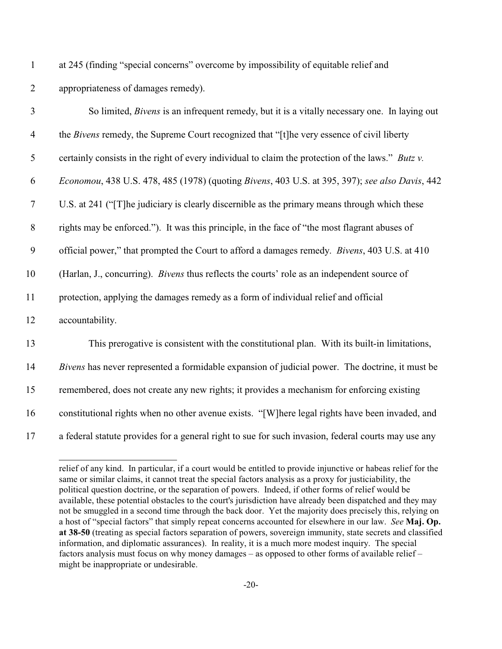at 245 (finding "special concerns" overcome by impossibility of equitable relief and appropriateness of damages remedy).

| 3              | So limited, <i>Bivens</i> is an infrequent remedy, but it is a vitally necessary one. In laying out |
|----------------|-----------------------------------------------------------------------------------------------------|
| $\overline{4}$ | the Bivens remedy, the Supreme Court recognized that "[t]he very essence of civil liberty           |
| 5              | certainly consists in the right of every individual to claim the protection of the laws." Butz v.   |
| 6              | Economou, 438 U.S. 478, 485 (1978) (quoting Bivens, 403 U.S. at 395, 397); see also Davis, 442      |
| $\tau$         | U.S. at 241 ("[T] he judiciary is clearly discernible as the primary means through which these      |
| $8\,$          | rights may be enforced."). It was this principle, in the face of "the most flagrant abuses of       |
| 9              | official power," that prompted the Court to afford a damages remedy. Bivens, 403 U.S. at 410        |
| 10             | (Harlan, J., concurring). <i>Bivens</i> thus reflects the courts' role as an independent source of  |
| 11             | protection, applying the damages remedy as a form of individual relief and official                 |
| 12             | accountability.                                                                                     |
| 13             | This prerogative is consistent with the constitutional plan. With its built-in limitations,         |
| 14             | Bivens has never represented a formidable expansion of judicial power. The doctrine, it must be     |
| 15             | remembered, does not create any new rights; it provides a mechanism for enforcing existing          |
| 16             | constitutional rights when no other avenue exists. "[W]here legal rights have been invaded, and     |
| 17             | a federal statute provides for a general right to sue for such invasion, federal courts may use any |

relief of any kind. In particular, if a court would be entitled to provide injunctive or habeas relief for the same or similar claims, it cannot treat the special factors analysis as a proxy for justiciability, the political question doctrine, or the separation of powers. Indeed, if other forms of relief would be available, these potential obstacles to the court's jurisdiction have already been dispatched and they may not be smuggled in a second time through the back door. Yet the majority does precisely this, relying on a host of "special factors" that simply repeat concerns accounted for elsewhere in our law. *See* **Maj. Op. at 38-50** (treating as special factors separation of powers, sovereign immunity, state secrets and classified information, and diplomatic assurances). In reality, it is a much more modest inquiry. The special factors analysis must focus on why money damages – as opposed to other forms of available relief – might be inappropriate or undesirable.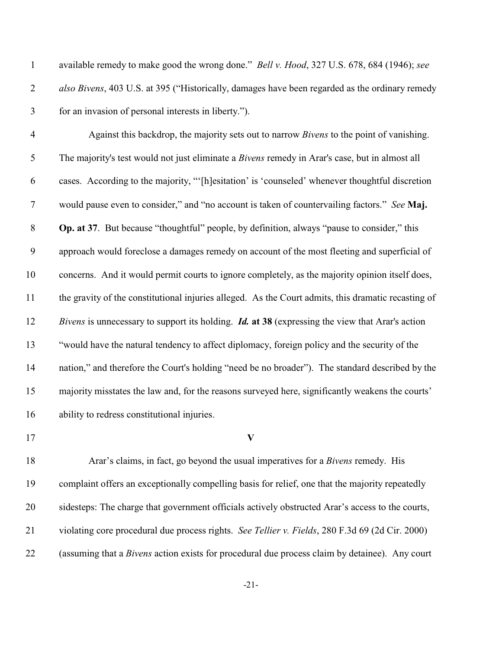| $\mathbf{1}$   | available remedy to make good the wrong done." <i>Bell v. Hood</i> , 327 U.S. 678, 684 (1946); see     |
|----------------|--------------------------------------------------------------------------------------------------------|
| $\overline{2}$ | also Bivens, 403 U.S. at 395 ("Historically, damages have been regarded as the ordinary remedy         |
| 3              | for an invasion of personal interests in liberty.").                                                   |
| $\overline{4}$ | Against this backdrop, the majority sets out to narrow <i>Bivens</i> to the point of vanishing.        |
| $\mathfrak{S}$ | The majority's test would not just eliminate a Bivens remedy in Arar's case, but in almost all         |
| 6              | cases. According to the majority, "'[h]esitation' is 'counseled' whenever thoughtful discretion        |
| $\tau$         | would pause even to consider," and "no account is taken of countervailing factors." See Maj.           |
| $8\,$          | Op. at 37. But because "thoughtful" people, by definition, always "pause to consider," this            |
| 9              | approach would foreclose a damages remedy on account of the most fleeting and superficial of           |
| 10             | concerns. And it would permit courts to ignore completely, as the majority opinion itself does,        |
| 11             | the gravity of the constitutional injuries alleged. As the Court admits, this dramatic recasting of    |
| 12             | Bivens is unnecessary to support its holding. <i>Id.</i> at 38 (expressing the view that Arar's action |
| 13             | "would have the natural tendency to affect diplomacy, foreign policy and the security of the           |
| 14             | nation," and therefore the Court's holding "need be no broader"). The standard described by the        |
| 15             | majority misstates the law and, for the reasons surveyed here, significantly weakens the courts'       |
| 16             | ability to redress constitutional injuries.                                                            |
| 17             | $\mathbf{V}$                                                                                           |
| 18             | Arar's claims, in fact, go beyond the usual imperatives for a Bivens remedy. His                       |
| 19             | complaint offers an exceptionally compelling basis for relief, one that the majority repeatedly        |
| 20             | sidesteps: The charge that government officials actively obstructed Arar's access to the courts,       |

(assuming that a *Bivens* action exists for procedural due process claim by detainee). Any court

-21-

violating core procedural due process rights. *See Tellier v. Fields*, 280 F.3d 69 (2d Cir. 2000)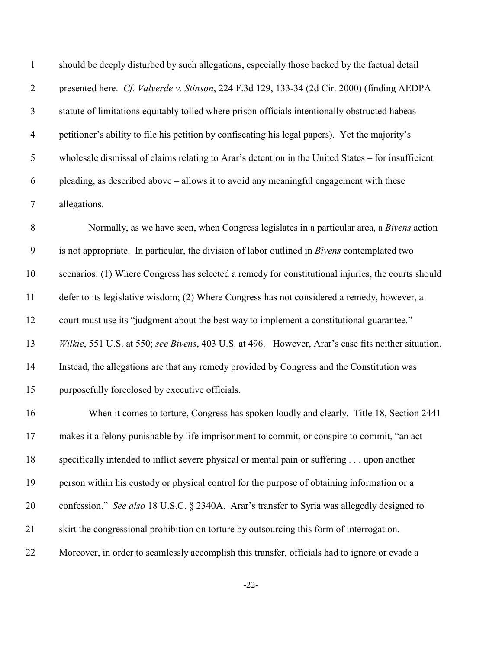| $\mathbf{1}$     | should be deeply disturbed by such allegations, especially those backed by the factual detail       |
|------------------|-----------------------------------------------------------------------------------------------------|
| $\overline{2}$   | presented here. Cf. Valverde v. Stinson, 224 F.3d 129, 133-34 (2d Cir. 2000) (finding AEDPA         |
| 3                | statute of limitations equitably tolled where prison officials intentionally obstructed habeas      |
| $\overline{4}$   | petitioner's ability to file his petition by confiscating his legal papers). Yet the majority's     |
| 5                | wholesale dismissal of claims relating to Arar's detention in the United States – for insufficient  |
| 6                | pleading, as described above – allows it to avoid any meaningful engagement with these              |
| $\overline{7}$   | allegations.                                                                                        |
| $8\,$            | Normally, as we have seen, when Congress legislates in a particular area, a Bivens action           |
| $\boldsymbol{9}$ | is not appropriate. In particular, the division of labor outlined in <i>Bivens</i> contemplated two |
| 10               | scenarios: (1) Where Congress has selected a remedy for constitutional injuries, the courts should  |
| 11               | defer to its legislative wisdom; (2) Where Congress has not considered a remedy, however, a         |
| 12               | court must use its "judgment about the best way to implement a constitutional guarantee."           |
| 13               | Wilkie, 551 U.S. at 550; see Bivens, 403 U.S. at 496. However, Arar's case fits neither situation.  |
| 14               | Instead, the allegations are that any remedy provided by Congress and the Constitution was          |
| 15               | purposefully foreclosed by executive officials.                                                     |
| 16               | When it comes to torture, Congress has spoken loudly and clearly. Title 18, Section 2441            |
| 17               | makes it a felony punishable by life imprisonment to commit, or conspire to commit, "an act         |
| 18               | specifically intended to inflict severe physical or mental pain or suffering upon another           |
| 19               | person within his custody or physical control for the purpose of obtaining information or a         |
| 20               | confession." See also 18 U.S.C. § 2340A. Arar's transfer to Syria was allegedly designed to         |
| 21               | skirt the congressional prohibition on torture by outsourcing this form of interrogation.           |
| 22               | Moreover, in order to seamlessly accomplish this transfer, officials had to ignore or evade a       |

-22-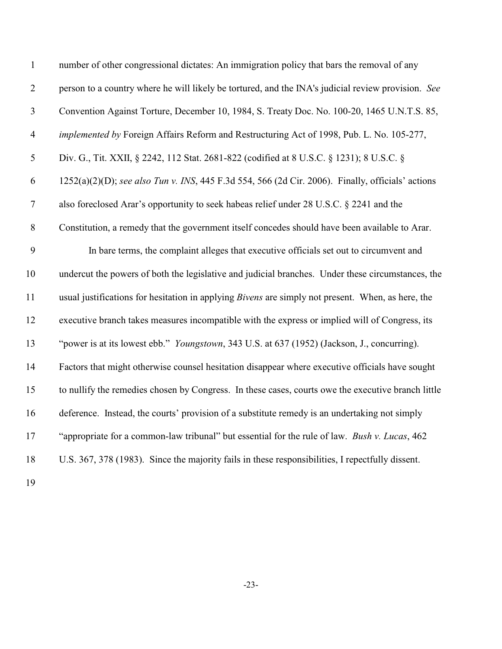| $\mathbf{1}$   | number of other congressional dictates: An immigration policy that bars the removal of any               |
|----------------|----------------------------------------------------------------------------------------------------------|
| $\mathbf{2}$   | person to a country where he will likely be tortured, and the INA's judicial review provision. See       |
| $\mathfrak{Z}$ | Convention Against Torture, December 10, 1984, S. Treaty Doc. No. 100-20, 1465 U.N.T.S. 85,              |
| $\overline{4}$ | implemented by Foreign Affairs Reform and Restructuring Act of 1998, Pub. L. No. 105-277,                |
| 5              | Div. G., Tit. XXII, § 2242, 112 Stat. 2681-822 (codified at 8 U.S.C. § 1231); 8 U.S.C. §                 |
| 6              | 1252(a)(2)(D); see also Tun v. INS, 445 F.3d 554, 566 (2d Cir. 2006). Finally, officials' actions        |
| $\tau$         | also foreclosed Arar's opportunity to seek habeas relief under 28 U.S.C. § 2241 and the                  |
| $8\,$          | Constitution, a remedy that the government itself concedes should have been available to Arar.           |
| 9              | In bare terms, the complaint alleges that executive officials set out to circumvent and                  |
| 10             | undercut the powers of both the legislative and judicial branches. Under these circumstances, the        |
| 11             | usual justifications for hesitation in applying <i>Bivens</i> are simply not present. When, as here, the |
| 12             | executive branch takes measures incompatible with the express or implied will of Congress, its           |
| 13             | "power is at its lowest ebb." <i>Youngstown</i> , 343 U.S. at 637 (1952) (Jackson, J., concurring).      |
| 14             | Factors that might otherwise counsel hesitation disappear where executive officials have sought          |
| 15             | to nullify the remedies chosen by Congress. In these cases, courts owe the executive branch little       |
| 16             | deference. Instead, the courts' provision of a substitute remedy is an undertaking not simply            |
| 17             | "appropriate for a common-law tribunal" but essential for the rule of law. Bush v. Lucas, 462            |
| 18             | U.S. 367, 378 (1983). Since the majority fails in these responsibilities, I repectfully dissent.         |
|                |                                                                                                          |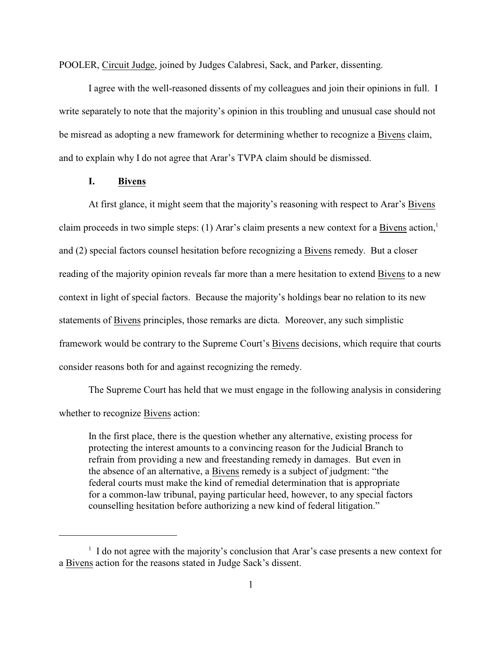POOLER, Circuit Judge, joined by Judges Calabresi, Sack, and Parker, dissenting.

I agree with the well-reasoned dissents of my colleagues and join their opinions in full. I write separately to note that the majority's opinion in this troubling and unusual case should not be misread as adopting a new framework for determining whether to recognize a Bivens claim, and to explain why I do not agree that Arar's TVPA claim should be dismissed.

## **I. Bivens**

At first glance, it might seem that the majority's reasoning with respect to Arar's Bivens claim proceeds in two simple steps: (1) Arar's claim presents a new context for a Bivens action,<sup>1</sup> and (2) special factors counsel hesitation before recognizing a Bivens remedy. But a closer reading of the majority opinion reveals far more than a mere hesitation to extend Bivens to a new context in light of special factors. Because the majority's holdings bear no relation to its new statements of Bivens principles, those remarks are dicta. Moreover, any such simplistic framework would be contrary to the Supreme Court's Bivens decisions, which require that courts consider reasons both for and against recognizing the remedy.

The Supreme Court has held that we must engage in the following analysis in considering whether to recognize Bivens action:

In the first place, there is the question whether any alternative, existing process for protecting the interest amounts to a convincing reason for the Judicial Branch to refrain from providing a new and freestanding remedy in damages. But even in the absence of an alternative, a Bivens remedy is a subject of judgment: "the federal courts must make the kind of remedial determination that is appropriate for a common-law tribunal, paying particular heed, however, to any special factors counselling hesitation before authorizing a new kind of federal litigation."

 $\frac{1}{1}$  I do not agree with the majority's conclusion that Arar's case presents a new context for a Bivens action for the reasons stated in Judge Sack's dissent.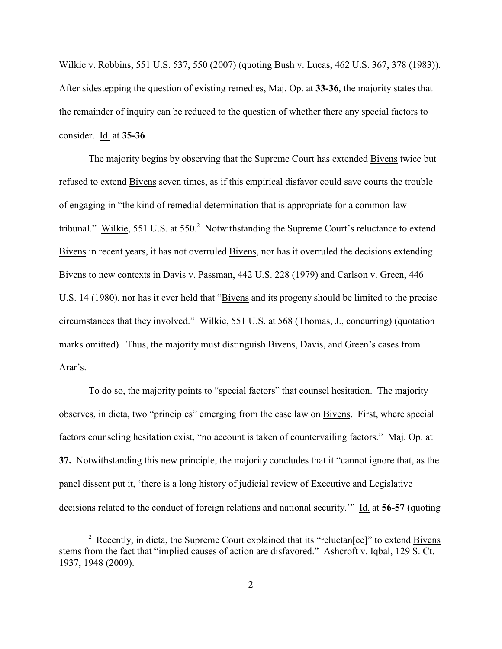Wilkie v. Robbins, 551 U.S. 537, 550 (2007) (quoting Bush v. Lucas, 462 U.S. 367, 378 (1983)). After sidestepping the question of existing remedies, Maj. Op. at **33-36**, the majority states that the remainder of inquiry can be reduced to the question of whether there any special factors to consider. Id. at **35-36**

The majority begins by observing that the Supreme Court has extended Bivens twice but refused to extend Bivens seven times, as if this empirical disfavor could save courts the trouble of engaging in "the kind of remedial determination that is appropriate for a common-law tribunal." Wilkie, 551 U.S. at 550.<sup>2</sup> Notwithstanding the Supreme Court's reluctance to extend Bivens in recent years, it has not overruled Bivens, nor has it overruled the decisions extending Bivens to new contexts in Davis v. Passman, 442 U.S. 228 (1979) and Carlson v. Green, 446 U.S. 14 (1980), nor has it ever held that "Bivens and its progeny should be limited to the precise circumstances that they involved." Wilkie, 551 U.S. at 568 (Thomas, J., concurring) (quotation marks omitted). Thus, the majority must distinguish Bivens, Davis, and Green's cases from Arar's.

To do so, the majority points to "special factors" that counsel hesitation. The majority observes, in dicta, two "principles" emerging from the case law on Bivens. First, where special factors counseling hesitation exist, "no account is taken of countervailing factors." Maj. Op. at **37.** Notwithstanding this new principle, the majority concludes that it "cannot ignore that, as the panel dissent put it, 'there is a long history of judicial review of Executive and Legislative decisions related to the conduct of foreign relations and national security.'" Id. at **56-57** (quoting

<sup>&</sup>lt;sup>2</sup> Recently, in dicta, the Supreme Court explained that its "reluctan [ce]" to extend Bivens stems from the fact that "implied causes of action are disfavored." Ashcroft v. Iqbal, 129 S. Ct. 1937, 1948 (2009).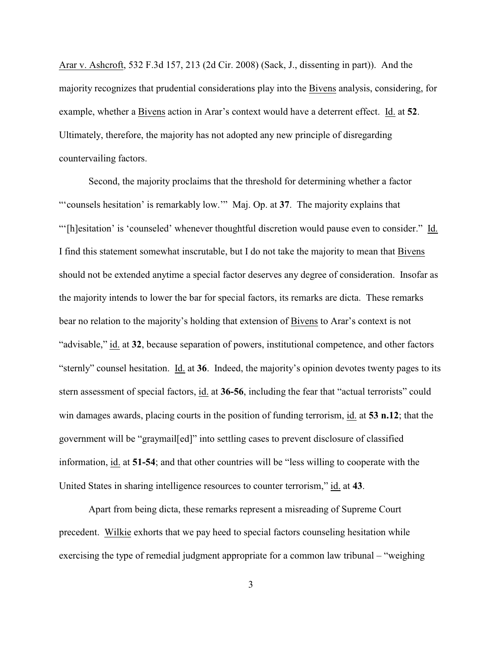Arar v. Ashcroft, 532 F.3d 157, 213 (2d Cir. 2008) (Sack, J., dissenting in part)). And the majority recognizes that prudential considerations play into the Bivens analysis, considering, for example, whether a Bivens action in Arar's context would have a deterrent effect. Id. at **52**. Ultimately, therefore, the majority has not adopted any new principle of disregarding countervailing factors.

Second, the majority proclaims that the threshold for determining whether a factor "'counsels hesitation' is remarkably low.'" Maj. Op. at **37**. The majority explains that "'[h]esitation' is 'counseled' whenever thoughtful discretion would pause even to consider." Id. I find this statement somewhat inscrutable, but I do not take the majority to mean that Bivens should not be extended anytime a special factor deserves any degree of consideration. Insofar as the majority intends to lower the bar for special factors, its remarks are dicta. These remarks bear no relation to the majority's holding that extension of Bivens to Arar's context is not "advisable," id. at **32**, because separation of powers, institutional competence, and other factors "sternly" counsel hesitation. Id. at **36**. Indeed, the majority's opinion devotes twenty pages to its stern assessment of special factors, id. at **36-56**, including the fear that "actual terrorists" could win damages awards, placing courts in the position of funding terrorism, id. at **53 n.12**; that the government will be "graymail[ed]" into settling cases to prevent disclosure of classified information, id. at **51-54**; and that other countries will be "less willing to cooperate with the United States in sharing intelligence resources to counter terrorism," id. at **43**.

Apart from being dicta, these remarks represent a misreading of Supreme Court precedent. Wilkie exhorts that we pay heed to special factors counseling hesitation while exercising the type of remedial judgment appropriate for a common law tribunal – "weighing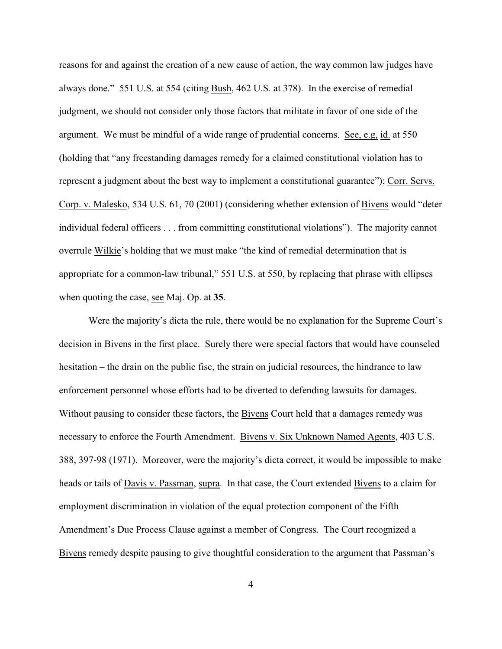reasons for and against the creation of a new cause of action, the way common law judges have always done." 551 U.S. at 554 (citing Bush, 462 U.S. at 378). In the exercise of remedial judgment, we should not consider only those factors that militate in favor of one side of the argument. We must be mindful of a wide range of prudential concerns. See, e.g, id. at 550 (holding that "any freestanding damages remedy for a claimed constitutional violation has to represent a judgment about the best way to implement a constitutional guarantee"); Corr. Servs. Corp. v. Malesko, 534 U.S. 61, 70 (2001) (considering whether extension of Bivens would "deter individual federal officers . . . from committing constitutional violations"). The majority cannot overrule Wilkie's holding that we must make "the kind of remedial determination that is appropriate for a common-law tribunal," 551 U.S. at 550, by replacing that phrase with ellipses when quoting the case, see Maj. Op. at **35**.

Were the majority's dicta the rule, there would be no explanation for the Supreme Court's decision in Bivens in the first place. Surely there were special factors that would have counseled hesitation – the drain on the public fisc, the strain on judicial resources, the hindrance to law enforcement personnel whose efforts had to be diverted to defending lawsuits for damages. Without pausing to consider these factors, the Bivens Court held that a damages remedy was necessary to enforce the Fourth Amendment. Bivens v. Six Unknown Named Agents, 403 U.S. 388, 397-98 (1971). Moreover, were the majority's dicta correct, it would be impossible to make heads or tails of Davis v. Passman, supra. In that case, the Court extended Bivens to a claim for employment discrimination in violation of the equal protection component of the Fifth Amendment's Due Process Clause against a member of Congress. The Court recognized a Bivens remedy despite pausing to give thoughtful consideration to the argument that Passman's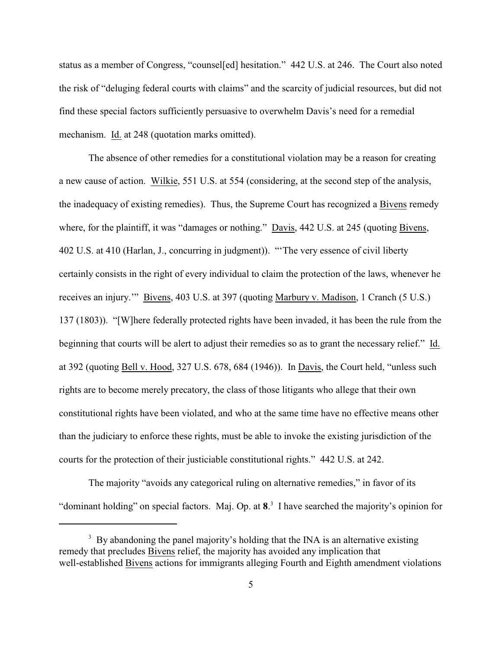status as a member of Congress, "counsel[ed] hesitation." 442 U.S. at 246. The Court also noted the risk of "deluging federal courts with claims" and the scarcity of judicial resources, but did not find these special factors sufficiently persuasive to overwhelm Davis's need for a remedial mechanism. Id. at 248 (quotation marks omitted).

The absence of other remedies for a constitutional violation may be a reason for creating a new cause of action. Wilkie, 551 U.S. at 554 (considering, at the second step of the analysis, the inadequacy of existing remedies). Thus, the Supreme Court has recognized a Bivens remedy where, for the plaintiff, it was "damages or nothing." Davis, 442 U.S. at 245 (quoting Bivens, 402 U.S. at 410 (Harlan, J., concurring in judgment)). "'The very essence of civil liberty certainly consists in the right of every individual to claim the protection of the laws, whenever he receives an injury.'" Bivens, 403 U.S. at 397 (quoting Marbury v. Madison, 1 Cranch (5 U.S.) 137 (1803)). "[W]here federally protected rights have been invaded, it has been the rule from the beginning that courts will be alert to adjust their remedies so as to grant the necessary relief." Id. at 392 (quoting Bell v. Hood, 327 U.S. 678, 684 (1946)). In Davis, the Court held, "unless such rights are to become merely precatory, the class of those litigants who allege that their own constitutional rights have been violated, and who at the same time have no effective means other than the judiciary to enforce these rights, must be able to invoke the existing jurisdiction of the courts for the protection of their justiciable constitutional rights." 442 U.S. at 242.

The majority "avoids any categorical ruling on alternative remedies," in favor of its "dominant holding" on special factors. Maj. Op. at 8<sup>3</sup>. I have searched the majority's opinion for

<sup>&</sup>lt;sup>3</sup> By abandoning the panel majority's holding that the INA is an alternative existing remedy that precludes Bivens relief, the majority has avoided any implication that well-established Bivens actions for immigrants alleging Fourth and Eighth amendment violations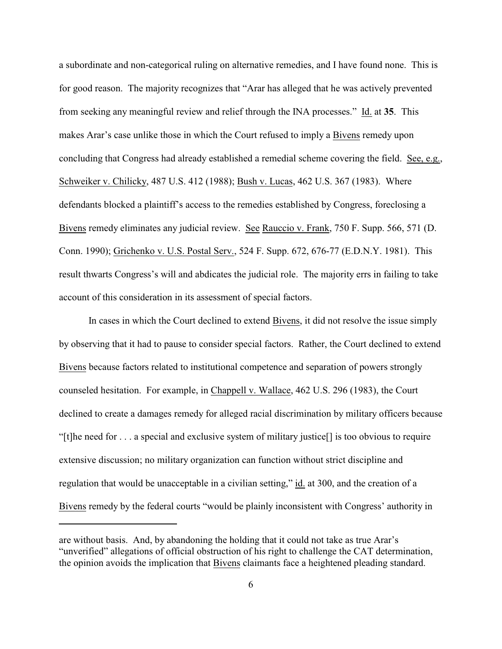a subordinate and non-categorical ruling on alternative remedies, and I have found none. This is for good reason. The majority recognizes that "Arar has alleged that he was actively prevented from seeking any meaningful review and relief through the INA processes." Id. at **35**. This makes Arar's case unlike those in which the Court refused to imply a Bivens remedy upon concluding that Congress had already established a remedial scheme covering the field. See, e.g., Schweiker v. Chilicky, 487 U.S. 412 (1988); Bush v. Lucas, 462 U.S. 367 (1983). Where defendants blocked a plaintiff's access to the remedies established by Congress, foreclosing a Bivens remedy eliminates any judicial review. See Rauccio v. Frank, 750 F. Supp. 566, 571 (D. Conn. 1990); Grichenko v. U.S. Postal Serv., 524 F. Supp. 672, 676-77 (E.D.N.Y. 1981). This result thwarts Congress's will and abdicates the judicial role. The majority errs in failing to take account of this consideration in its assessment of special factors.

In cases in which the Court declined to extend Bivens, it did not resolve the issue simply by observing that it had to pause to consider special factors. Rather, the Court declined to extend Bivens because factors related to institutional competence and separation of powers strongly counseled hesitation. For example, in Chappell v. Wallace, 462 U.S. 296 (1983), the Court declined to create a damages remedy for alleged racial discrimination by military officers because "[t]he need for . . . a special and exclusive system of military justice[] is too obvious to require extensive discussion; no military organization can function without strict discipline and regulation that would be unacceptable in a civilian setting," id. at 300, and the creation of a Bivens remedy by the federal courts "would be plainly inconsistent with Congress' authority in

are without basis. And, by abandoning the holding that it could not take as true Arar's "unverified" allegations of official obstruction of his right to challenge the CAT determination, the opinion avoids the implication that Bivens claimants face a heightened pleading standard.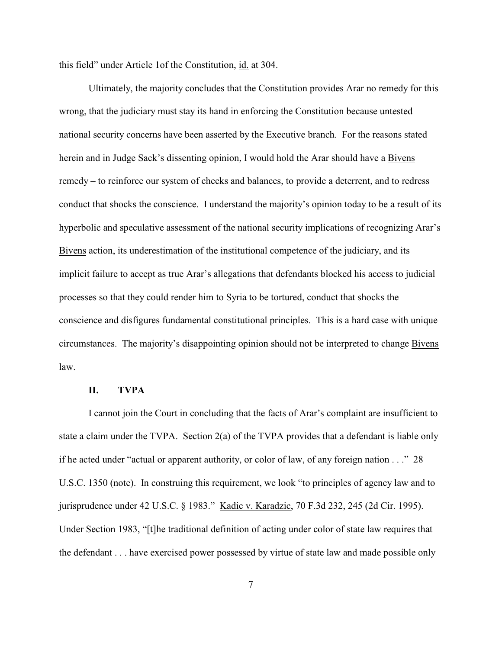this field" under Article 1of the Constitution, id. at 304.

Ultimately, the majority concludes that the Constitution provides Arar no remedy for this wrong, that the judiciary must stay its hand in enforcing the Constitution because untested national security concerns have been asserted by the Executive branch. For the reasons stated herein and in Judge Sack's dissenting opinion, I would hold the Arar should have a Bivens remedy – to reinforce our system of checks and balances, to provide a deterrent, and to redress conduct that shocks the conscience. I understand the majority's opinion today to be a result of its hyperbolic and speculative assessment of the national security implications of recognizing Arar's Bivens action, its underestimation of the institutional competence of the judiciary, and its implicit failure to accept as true Arar's allegations that defendants blocked his access to judicial processes so that they could render him to Syria to be tortured, conduct that shocks the conscience and disfigures fundamental constitutional principles. This is a hard case with unique circumstances. The majority's disappointing opinion should not be interpreted to change Bivens law.

## **II. TVPA**

I cannot join the Court in concluding that the facts of Arar's complaint are insufficient to state a claim under the TVPA. Section 2(a) of the TVPA provides that a defendant is liable only if he acted under "actual or apparent authority, or color of law, of any foreign nation . . ." 28 U.S.C. 1350 (note). In construing this requirement, we look "to principles of agency law and to jurisprudence under 42 U.S.C. § 1983." Kadic v. Karadzic, 70 F.3d 232, 245 (2d Cir. 1995). Under Section 1983, "[t]he traditional definition of acting under color of state law requires that the defendant . . . have exercised power possessed by virtue of state law and made possible only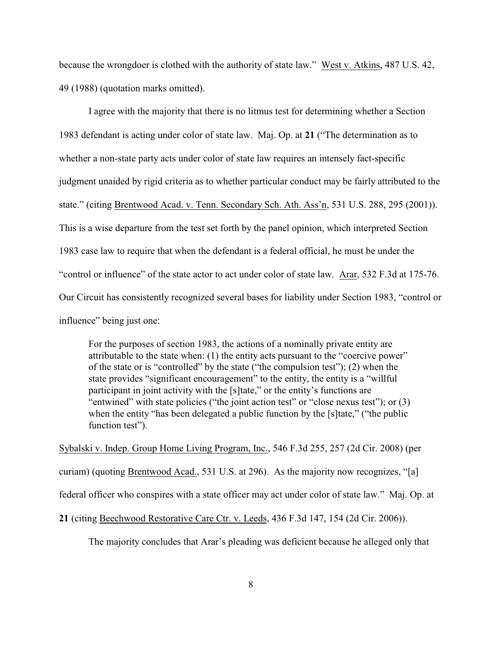because the wrongdoer is clothed with the authority of state law." West v. Atkins, 487 U.S. 42, 49 (1988) (quotation marks omitted).

I agree with the majority that there is no litmus test for determining whether a Section 1983 defendant is acting under color of state law. Maj. Op. at **21** ("The determination as to whether a non-state party acts under color of state law requires an intensely fact-specific judgment unaided by rigid criteria as to whether particular conduct may be fairly attributed to the state." (citing Brentwood Acad. v. Tenn. Secondary Sch. Ath. Ass'n, 531 U.S. 288, 295 (2001)). This is a wise departure from the test set forth by the panel opinion, which interpreted Section 1983 case law to require that when the defendant is a federal official, he must be under the "control or influence" of the state actor to act under color of state law. Arar, 532 F.3d at 175-76. Our Circuit has consistently recognized several bases for liability under Section 1983, "control or influence" being just one:

For the purposes of section 1983, the actions of a nominally private entity are attributable to the state when: (1) the entity acts pursuant to the "coercive power" of the state or is "controlled" by the state ("the compulsion test"); (2) when the state provides "significant encouragement" to the entity, the entity is a "willful participant in joint activity with the [s]tate," or the entity's functions are "entwined" with state policies ("the joint action test" or "close nexus test"); or (3) when the entity "has been delegated a public function by the [s]tate," ("the public function test").

Sybalski v. Indep. Group Home Living Program, Inc., 546 F.3d 255, 257 (2d Cir. 2008) (per curiam) (quoting Brentwood Acad., 531 U.S. at 296). As the majority now recognizes, "[a] federal officer who conspires with a state officer may act under color of state law." Maj. Op. at

**21** (citing Beechwood Restorative Care Ctr. v. Leeds, 436 F.3d 147, 154 (2d Cir. 2006)).

The majority concludes that Arar's pleading was deficient because he alleged only that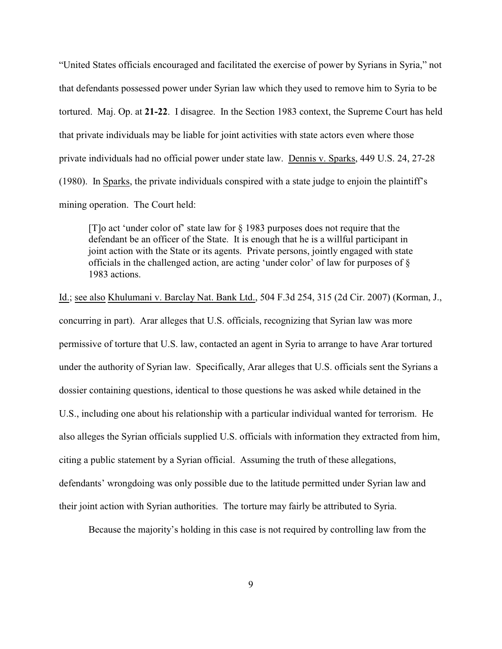"United States officials encouraged and facilitated the exercise of power by Syrians in Syria," not that defendants possessed power under Syrian law which they used to remove him to Syria to be tortured. Maj. Op. at **21-22**. I disagree. In the Section 1983 context, the Supreme Court has held that private individuals may be liable for joint activities with state actors even where those private individuals had no official power under state law. Dennis v. Sparks, 449 U.S. 24, 27-28 (1980). In Sparks, the private individuals conspired with a state judge to enjoin the plaintiff's mining operation. The Court held:

[T]o act 'under color of' state law for § 1983 purposes does not require that the defendant be an officer of the State. It is enough that he is a willful participant in joint action with the State or its agents. Private persons, jointly engaged with state officials in the challenged action, are acting 'under color' of law for purposes of § 1983 actions.

Id.; see also Khulumani v. Barclay Nat. Bank Ltd., 504 F.3d 254, 315 (2d Cir. 2007) (Korman, J., concurring in part). Arar alleges that U.S. officials, recognizing that Syrian law was more permissive of torture that U.S. law, contacted an agent in Syria to arrange to have Arar tortured under the authority of Syrian law. Specifically, Arar alleges that U.S. officials sent the Syrians a dossier containing questions, identical to those questions he was asked while detained in the U.S., including one about his relationship with a particular individual wanted for terrorism. He also alleges the Syrian officials supplied U.S. officials with information they extracted from him, citing a public statement by a Syrian official. Assuming the truth of these allegations, defendants' wrongdoing was only possible due to the latitude permitted under Syrian law and their joint action with Syrian authorities. The torture may fairly be attributed to Syria.

Because the majority's holding in this case is not required by controlling law from the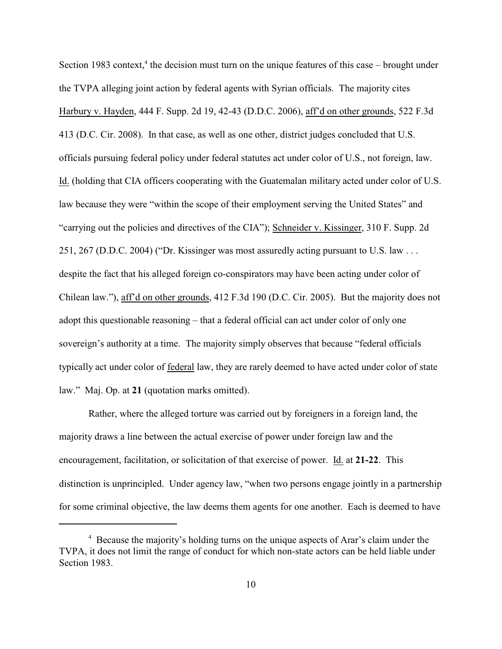Section 1983 context,<sup>4</sup> the decision must turn on the unique features of this case – brought under the TVPA alleging joint action by federal agents with Syrian officials. The majority cites Harbury v. Hayden, 444 F. Supp. 2d 19, 42-43 (D.D.C. 2006), aff'd on other grounds, 522 F.3d 413 (D.C. Cir. 2008). In that case, as well as one other, district judges concluded that U.S. officials pursuing federal policy under federal statutes act under color of U.S., not foreign, law. Id. (holding that CIA officers cooperating with the Guatemalan military acted under color of U.S. law because they were "within the scope of their employment serving the United States" and "carrying out the policies and directives of the CIA"); Schneider v. Kissinger, 310 F. Supp. 2d 251, 267 (D.D.C. 2004) ("Dr. Kissinger was most assuredly acting pursuant to U.S. law . . . despite the fact that his alleged foreign co-conspirators may have been acting under color of Chilean law."), aff'd on other grounds, 412 F.3d 190 (D.C. Cir. 2005). But the majority does not adopt this questionable reasoning – that a federal official can act under color of only one sovereign's authority at a time. The majority simply observes that because "federal officials typically act under color of federal law, they are rarely deemed to have acted under color of state law." Maj. Op. at **21** (quotation marks omitted).

Rather, where the alleged torture was carried out by foreigners in a foreign land, the majority draws a line between the actual exercise of power under foreign law and the encouragement, facilitation, or solicitation of that exercise of power. Id. at **21-22**. This distinction is unprincipled. Under agency law, "when two persons engage jointly in a partnership for some criminal objective, the law deems them agents for one another. Each is deemed to have

<sup>&</sup>lt;sup>4</sup> Because the majority's holding turns on the unique aspects of Arar's claim under the TVPA, it does not limit the range of conduct for which non-state actors can be held liable under Section 1983.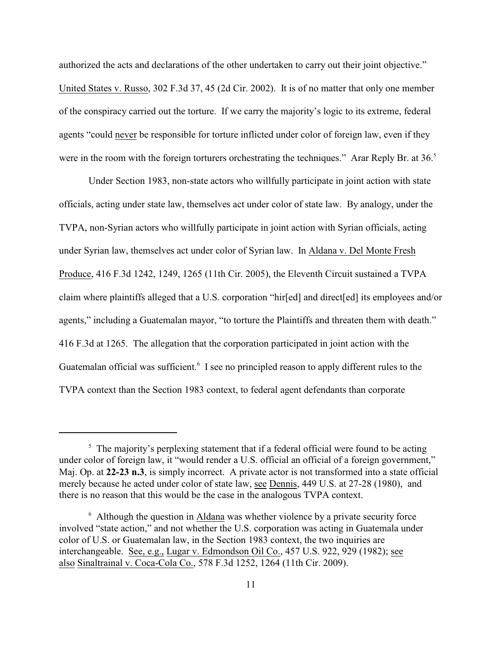authorized the acts and declarations of the other undertaken to carry out their joint objective." United States v. Russo, 302 F.3d 37, 45 (2d Cir. 2002). It is of no matter that only one member of the conspiracy carried out the torture. If we carry the majority's logic to its extreme, federal agents "could never be responsible for torture inflicted under color of foreign law, even if they were in the room with the foreign torturers orchestrating the techniques." Arar Reply Br. at 36.<sup>5</sup>

Under Section 1983, non-state actors who willfully participate in joint action with state officials, acting under state law, themselves act under color of state law. By analogy, under the TVPA, non-Syrian actors who willfully participate in joint action with Syrian officials, acting under Syrian law, themselves act under color of Syrian law. In Aldana v. Del Monte Fresh Produce, 416 F.3d 1242, 1249, 1265 (11th Cir. 2005), the Eleventh Circuit sustained a TVPA claim where plaintiffs alleged that a U.S. corporation "hir[ed] and direct[ed] its employees and/or agents," including a Guatemalan mayor, "to torture the Plaintiffs and threaten them with death." 416 F.3d at 1265. The allegation that the corporation participated in joint action with the Guatemalan official was sufficient.<sup>6</sup> I see no principled reason to apply different rules to the TVPA context than the Section 1983 context, to federal agent defendants than corporate

 $\frac{5}{5}$  The majority's perplexing statement that if a federal official were found to be acting under color of foreign law, it "would render a U.S. official an official of a foreign government," Maj. Op. at **22-23 n.3**, is simply incorrect. A private actor is not transformed into a state official merely because he acted under color of state law, see Dennis, 449 U.S. at 27-28 (1980), and there is no reason that this would be the case in the analogous TVPA context.

 $6$  Although the question in  $\Delta$ ldana was whether violence by a private security force involved "state action," and not whether the U.S. corporation was acting in Guatemala under color of U.S. or Guatemalan law, in the Section 1983 context, the two inquiries are interchangeable. See, e.g., Lugar v. Edmondson Oil Co., 457 U.S. 922, 929 (1982); see also Sinaltrainal v. Coca-Cola Co., 578 F.3d 1252, 1264 (11th Cir. 2009).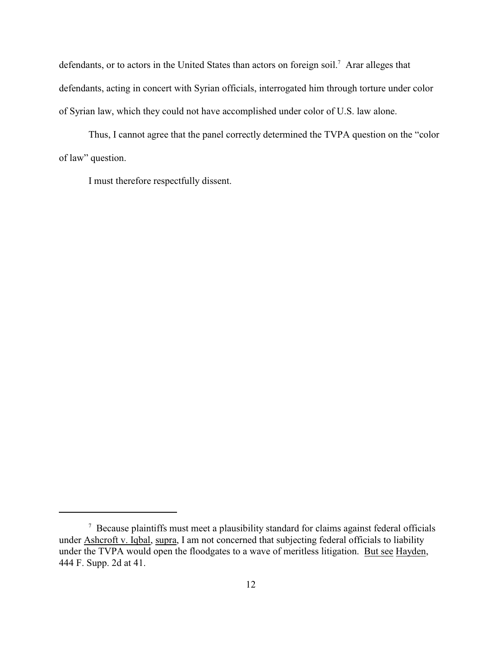defendants, or to actors in the United States than actors on foreign soil.<sup>7</sup> Arar alleges that defendants, acting in concert with Syrian officials, interrogated him through torture under color of Syrian law, which they could not have accomplished under color of U.S. law alone.

Thus, I cannot agree that the panel correctly determined the TVPA question on the "color of law" question.

I must therefore respectfully dissent.

<sup>&</sup>lt;sup>7</sup> Because plaintiffs must meet a plausibility standard for claims against federal officials under Ashcroft v. Iqbal, supra, I am not concerned that subjecting federal officials to liability under the TVPA would open the floodgates to a wave of meritless litigation. But see Hayden, 444 F. Supp. 2d at 41.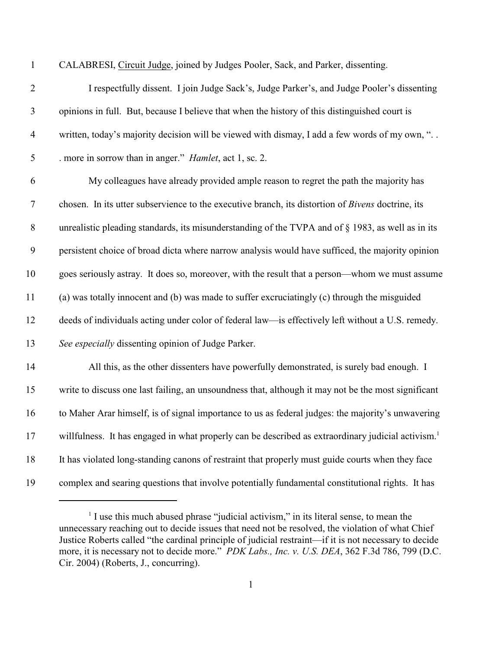| I |  |
|---|--|
|   |  |
|   |  |
|   |  |

CALABRESI, Circuit Judge, joined by Judges Pooler, Sack, and Parker, dissenting.

| $\overline{2}$ | I respectfully dissent. I join Judge Sack's, Judge Parker's, and Judge Pooler's dissenting                     |
|----------------|----------------------------------------------------------------------------------------------------------------|
| 3              | opinions in full. But, because I believe that when the history of this distinguished court is                  |
| $\overline{4}$ | written, today's majority decision will be viewed with dismay, I add a few words of my own, "                  |
| 5              | . more in sorrow than in anger." <i>Hamlet</i> , act 1, sc. 2.                                                 |
| 6              | My colleagues have already provided ample reason to regret the path the majority has                           |
| $\tau$         | chosen. In its utter subservience to the executive branch, its distortion of Bivens doctrine, its              |
| $8\,$          | unrealistic pleading standards, its misunderstanding of the TVPA and of § 1983, as well as in its              |
| 9              | persistent choice of broad dicta where narrow analysis would have sufficed, the majority opinion               |
| 10             | goes seriously astray. It does so, moreover, with the result that a person—whom we must assume                 |
| 11             | (a) was totally innocent and (b) was made to suffer excruciatingly (c) through the misguided                   |
| 12             | deeds of individuals acting under color of federal law—is effectively left without a U.S. remedy.              |
| 13             | See especially dissenting opinion of Judge Parker.                                                             |
| 14             | All this, as the other dissenters have powerfully demonstrated, is surely bad enough. I                        |
| 15             | write to discuss one last failing, an unsoundness that, although it may not be the most significant            |
| 16             | to Maher Arar himself, is of signal importance to us as federal judges: the majority's unwavering              |
| 17             | willfulness. It has engaged in what properly can be described as extraordinary judicial activism. <sup>1</sup> |
| 18             | It has violated long-standing canons of restraint that properly must guide courts when they face               |
| 19             | complex and searing questions that involve potentially fundamental constitutional rights. It has               |

 $<sup>1</sup>$  I use this much abused phrase "judicial activism," in its literal sense, to mean the</sup> unnecessary reaching out to decide issues that need not be resolved, the violation of what Chief Justice Roberts called "the cardinal principle of judicial restraint—if it is not necessary to decide more, it is necessary not to decide more." *PDK Labs., Inc. v. U.S. DEA*, 362 F.3d 786, 799 (D.C. Cir. 2004) (Roberts, J., concurring).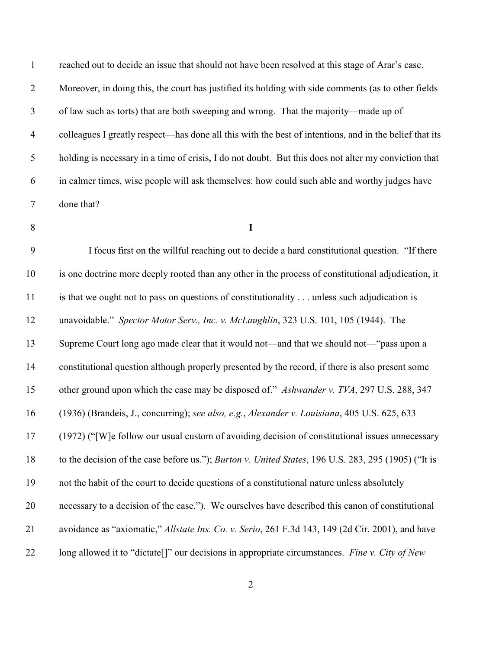| $\mathbf{1}$   | reached out to decide an issue that should not have been resolved at this stage of Arar's case.             |
|----------------|-------------------------------------------------------------------------------------------------------------|
| $\overline{2}$ | Moreover, in doing this, the court has justified its holding with side comments (as to other fields         |
| $\mathfrak{Z}$ | of law such as torts) that are both sweeping and wrong. That the majority—made up of                        |
| $\overline{4}$ | colleagues I greatly respect—has done all this with the best of intentions, and in the belief that its      |
| $\mathfrak{S}$ | holding is necessary in a time of crisis, I do not doubt. But this does not alter my conviction that        |
| 6              | in calmer times, wise people will ask themselves: how could such able and worthy judges have                |
| $\tau$         | done that?                                                                                                  |
| 8              | $\mathbf I$                                                                                                 |
| 9              | I focus first on the willful reaching out to decide a hard constitutional question. "If there               |
| 10             | is one doctrine more deeply rooted than any other in the process of constitutional adjudication, it         |
| 11             | is that we ought not to pass on questions of constitutionality unless such adjudication is                  |
| 12             | unavoidable." Spector Motor Serv., Inc. v. McLaughlin, 323 U.S. 101, 105 (1944). The                        |
| 13             | Supreme Court long ago made clear that it would not—and that we should not—"pass upon a                     |
| 14             | constitutional question although properly presented by the record, if there is also present some            |
| 15             | other ground upon which the case may be disposed of." Ashwander v. TVA, 297 U.S. 288, 347                   |
| 16             | (1936) (Brandeis, J., concurring); see also, e.g., Alexander v. Louisiana, 405 U.S. 625, 633                |
| 17             | (1972) ("[W]e follow our usual custom of avoiding decision of constitutional issues unnecessary             |
| 18             | to the decision of the case before us."); <i>Burton v. United States</i> , 196 U.S. 283, 295 (1905) ("It is |
| 19             | not the habit of the court to decide questions of a constitutional nature unless absolutely                 |
| 20             | necessary to a decision of the case."). We ourselves have described this canon of constitutional            |
| 21             | avoidance as "axiomatic," Allstate Ins. Co. v. Serio, 261 F.3d 143, 149 (2d Cir. 2001), and have            |
| 22             | long allowed it to "dictate[]" our decisions in appropriate circumstances. Fine v. City of New              |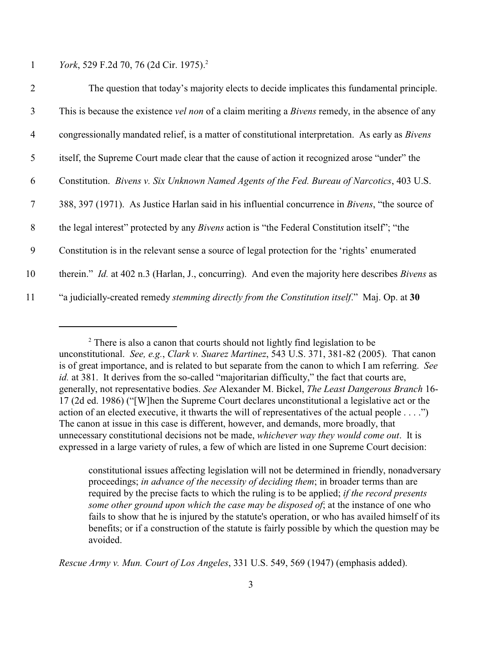1 *York*, 529 F.2d 70, 76 (2d Cir. 1975).<sup>2</sup>

| $\overline{2}$ | The question that today's majority elects to decide implicates this fundamental principle.                     |
|----------------|----------------------------------------------------------------------------------------------------------------|
| $\overline{3}$ | This is because the existence <i>vel non</i> of a claim meriting a <i>Bivens</i> remedy, in the absence of any |
| $\overline{4}$ | congressionally mandated relief, is a matter of constitutional interpretation. As early as <i>Bivens</i>       |
| 5              | itself, the Supreme Court made clear that the cause of action it recognized arose "under" the                  |
| 6              | Constitution. Bivens v. Six Unknown Named Agents of the Fed. Bureau of Narcotics, 403 U.S.                     |
| $\tau$         | 388, 397 (1971). As Justice Harlan said in his influential concurrence in <i>Bivens</i> , "the source of       |
| 8              | the legal interest" protected by any <i>Bivens</i> action is "the Federal Constitution itself"; "the           |
| 9              | Constitution is in the relevant sense a source of legal protection for the 'rights' enumerated                 |
| 10             | therein." Id. at 402 n.3 (Harlan, J., concurring). And even the majority here describes Bivens as              |
| 11             | "a judicially-created remedy stemming directly from the Constitution itself." Maj. Op. at 30                   |

*Rescue Army v. Mun. Court of Los Angeles*, 331 U.S. 549, 569 (1947) (emphasis added).

 $2^2$  There is also a canon that courts should not lightly find legislation to be unconstitutional. *See, e.g.*, *Clark v. Suarez Martinez*, 543 U.S. 371, 381-82 (2005). That canon is of great importance, and is related to but separate from the canon to which I am referring. *See id.* at 381. It derives from the so-called "majoritarian difficulty," the fact that courts are, generally, not representative bodies. *See* Alexander M. Bickel, *The Least Dangerous Branch* 16- 17 (2d ed. 1986) ("[W]hen the Supreme Court declares unconstitutional a legislative act or the action of an elected executive, it thwarts the will of representatives of the actual people . . . .") The canon at issue in this case is different, however, and demands, more broadly, that unnecessary constitutional decisions not be made, *whichever way they would come out*. It is expressed in a large variety of rules, a few of which are listed in one Supreme Court decision:

constitutional issues affecting legislation will not be determined in friendly, nonadversary proceedings; *in advance of the necessity of deciding them*; in broader terms than are required by the precise facts to which the ruling is to be applied; *if the record presents some other ground upon which the case may be disposed of*; at the instance of one who fails to show that he is injured by the statute's operation, or who has availed himself of its benefits; or if a construction of the statute is fairly possible by which the question may be avoided.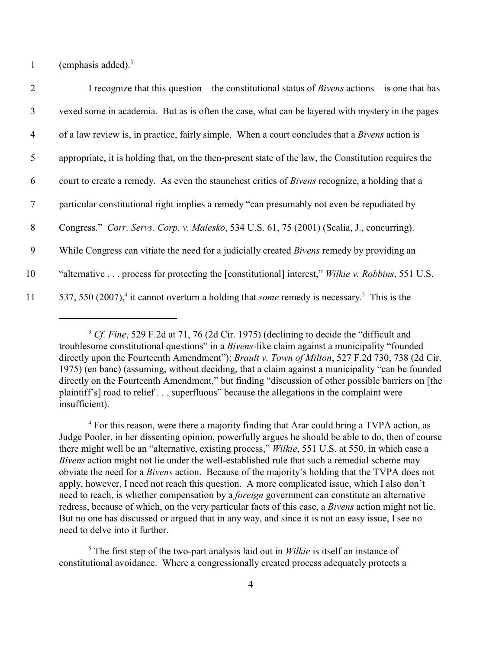1 (emphasis added).<sup>3</sup>

| $\overline{2}$  | I recognize that this question—the constitutional status of <i>Bivens</i> actions—is one that has                         |
|-----------------|---------------------------------------------------------------------------------------------------------------------------|
| $\mathfrak{Z}$  | vexed some in academia. But as is often the case, what can be layered with mystery in the pages                           |
| $\overline{4}$  | of a law review is, in practice, fairly simple. When a court concludes that a <i>Bivens</i> action is                     |
| $5\overline{)}$ | appropriate, it is holding that, on the then-present state of the law, the Constitution requires the                      |
| 6               | court to create a remedy. As even the staunchest critics of <i>Bivens</i> recognize, a holding that a                     |
| $\tau$          | particular constitutional right implies a remedy "can presumably not even be repudiated by                                |
| 8               | Congress." Corr. Servs. Corp. v. Malesko, 534 U.S. 61, 75 (2001) (Scalia, J., concurring).                                |
| 9               | While Congress can vitiate the need for a judicially created Bivens remedy by providing an                                |
| 10              | "alternative process for protecting the [constitutional] interest," Wilkie v. Robbins, 551 U.S.                           |
| 11              | 537, 550 (2007), <sup>4</sup> it cannot overturn a holding that <i>some</i> remedy is necessary. <sup>5</sup> This is the |

<sup>&</sup>lt;sup>3</sup> Cf. Fine, 529 F.2d at 71, 76 (2d Cir. 1975) (declining to decide the "difficult and troublesome constitutional questions" in a *Bivens*-like claim against a municipality "founded directly upon the Fourteenth Amendment"); *Brault v. Town of Milton*, 527 F.2d 730, 738 (2d Cir. 1975) (en banc) (assuming, without deciding, that a claim against a municipality "can be founded directly on the Fourteenth Amendment," but finding "discussion of other possible barriers on [the plaintiff's] road to relief . . . superfluous" because the allegations in the complaint were insufficient).

<sup>4</sup> For this reason, were there a majority finding that Arar could bring a TVPA action, as Judge Pooler, in her dissenting opinion, powerfully argues he should be able to do, then of course there might well be an "alternative, existing process," *Wilkie*, 551 U.S. at 550, in which case a *Bivens* action might not lie under the well-established rule that such a remedial scheme may obviate the need for a *Bivens* action. Because of the majority's holding that the TVPA does not apply, however, I need not reach this question. A more complicated issue, which I also don't need to reach, is whether compensation by a *foreign* government can constitute an alternative redress, because of which, on the very particular facts of this case, a *Bivens* action might not lie. But no one has discussed or argued that in any way, and since it is not an easy issue, I see no need to delve into it further.

<sup>5</sup> The first step of the two-part analysis laid out in *Wilkie* is itself an instance of constitutional avoidance. Where a congressionally created process adequately protects a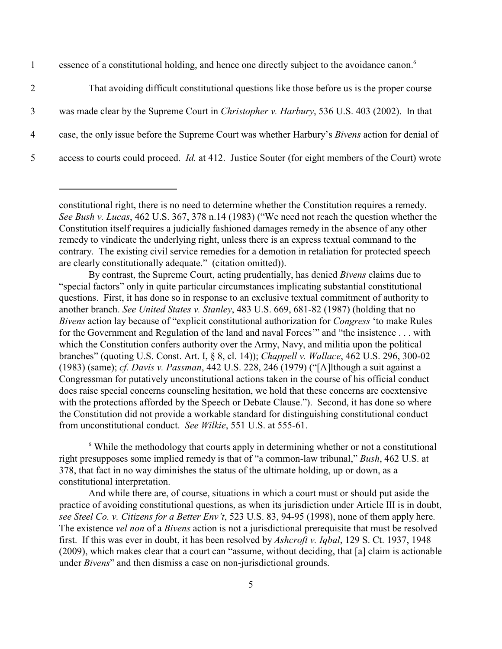1 essence of a constitutional holding, and hence one directly subject to the avoidance canon.<sup>6</sup>

 That avoiding difficult constitutional questions like those before us is the proper course was made clear by the Supreme Court in *Christopher v. Harbury*, 536 U.S. 403 (2002). In that case, the only issue before the Supreme Court was whether Harbury's *Bivens* action for denial of access to courts could proceed. *Id.* at 412. Justice Souter (for eight members of the Court) wrote

 $6$  While the methodology that courts apply in determining whether or not a constitutional right presupposes some implied remedy is that of "a common-law tribunal," *Bush*, 462 U.S. at 378, that fact in no way diminishes the status of the ultimate holding, up or down, as a constitutional interpretation.

And while there are, of course, situations in which a court must or should put aside the practice of avoiding constitutional questions, as when its jurisdiction under Article III is in doubt, *see Steel Co. v. Citizens for a Better Env't*, 523 U.S. 83, 94-95 (1998), none of them apply here. The existence *vel non* of a *Bivens* action is not a jurisdictional prerequisite that must be resolved first. If this was ever in doubt, it has been resolved by *Ashcroft v. Iqbal*, 129 S. Ct. 1937, 1948 (2009), which makes clear that a court can "assume, without deciding, that [a] claim is actionable under *Bivens*" and then dismiss a case on non-jurisdictional grounds.

constitutional right, there is no need to determine whether the Constitution requires a remedy. *See Bush v. Lucas*, 462 U.S. 367, 378 n.14 (1983) ("We need not reach the question whether the Constitution itself requires a judicially fashioned damages remedy in the absence of any other remedy to vindicate the underlying right, unless there is an express textual command to the contrary. The existing civil service remedies for a demotion in retaliation for protected speech are clearly constitutionally adequate." (citation omitted)).

By contrast, the Supreme Court, acting prudentially, has denied *Bivens* claims due to "special factors" only in quite particular circumstances implicating substantial constitutional questions. First, it has done so in response to an exclusive textual commitment of authority to another branch. *See United States v. Stanley*, 483 U.S. 669, 681-82 (1987) (holding that no *Bivens* action lay because of "explicit constitutional authorization for *Congress* 'to make Rules for the Government and Regulation of the land and naval Forces'" and "the insistence . . . with which the Constitution confers authority over the Army, Navy, and militia upon the political branches" (quoting U.S. Const. Art. I, § 8, cl. 14)); *Chappell v. Wallace*, 462 U.S. 296, 300-02 (1983) (same); *cf. Davis v. Passman*, 442 U.S. 228, 246 (1979) ("[A]lthough a suit against a Congressman for putatively unconstitutional actions taken in the course of his official conduct does raise special concerns counseling hesitation, we hold that these concerns are coextensive with the protections afforded by the Speech or Debate Clause."). Second, it has done so where the Constitution did not provide a workable standard for distinguishing constitutional conduct from unconstitutional conduct. *See Wilkie*, 551 U.S. at 555-61.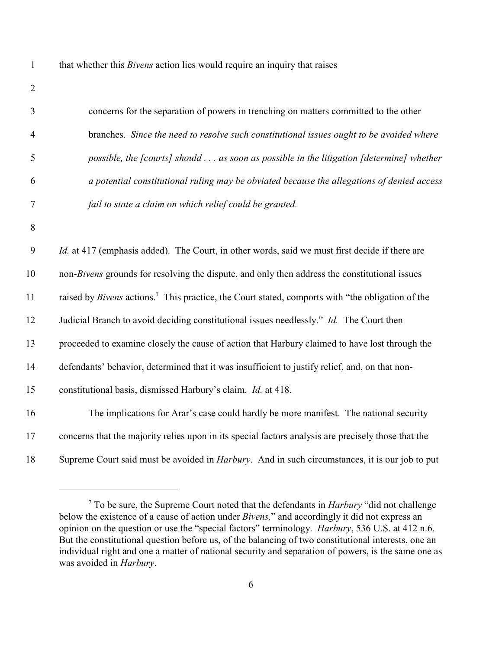| that whether this <i>Bivens</i> action lies would require an inquiry that raises |  |  |  |
|----------------------------------------------------------------------------------|--|--|--|
|                                                                                  |  |  |  |
|                                                                                  |  |  |  |

| 3              | concerns for the separation of powers in trenching on matters committed to the other                         |
|----------------|--------------------------------------------------------------------------------------------------------------|
| $\overline{4}$ | branches. Since the need to resolve such constitutional issues ought to be avoided where                     |
| 5              | possible, the [courts] should as soon as possible in the litigation [determine] whether                      |
| 6              | a potential constitutional ruling may be obviated because the allegations of denied access                   |
| $\tau$         | fail to state a claim on which relief could be granted.                                                      |
| 8              |                                                                                                              |
| 9              | <i>Id.</i> at 417 (emphasis added). The Court, in other words, said we must first decide if there are        |
| 10             | non-Bivens grounds for resolving the dispute, and only then address the constitutional issues                |
| 11             | raised by Bivens actions. <sup>7</sup> This practice, the Court stated, comports with "the obligation of the |
| 12             | Judicial Branch to avoid deciding constitutional issues needlessly." Id. The Court then                      |
| 13             | proceeded to examine closely the cause of action that Harbury claimed to have lost through the               |
| 14             | defendants' behavior, determined that it was insufficient to justify relief, and, on that non-               |
| 15             | constitutional basis, dismissed Harbury's claim. Id. at 418.                                                 |
| 16             | The implications for Arar's case could hardly be more manifest. The national security                        |
| 17             | concerns that the majority relies upon in its special factors analysis are precisely those that the          |
| 18             | Supreme Court said must be avoided in <i>Harbury</i> . And in such circumstances, it is our job to put       |

To be sure, the Supreme Court noted that the defendants in *Harbury* "did not challenge below the existence of a cause of action under *Bivens,*" and accordingly it did not express an opinion on the question or use the "special factors" terminology. *Harbury*, 536 U.S. at 412 n.6. But the constitutional question before us, of the balancing of two constitutional interests, one an individual right and one a matter of national security and separation of powers, is the same one as was avoided in *Harbury*.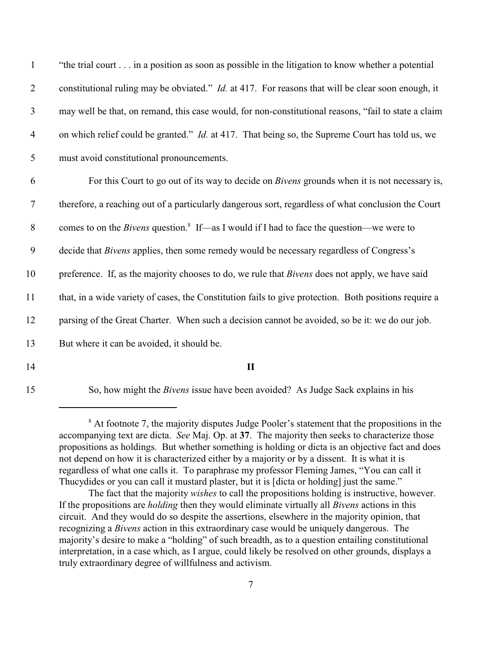| $\mathbf{1}$   | "the trial court in a position as soon as possible in the litigation to know whether a potential            |
|----------------|-------------------------------------------------------------------------------------------------------------|
| $\overline{2}$ | constitutional ruling may be obviated." <i>Id.</i> at 417. For reasons that will be clear soon enough, it   |
| $\mathfrak{Z}$ | may well be that, on remand, this case would, for non-constitutional reasons, "fail to state a claim        |
| $\overline{4}$ | on which relief could be granted." <i>Id.</i> at 417. That being so, the Supreme Court has told us, we      |
| 5              | must avoid constitutional pronouncements.                                                                   |
| 6              | For this Court to go out of its way to decide on <i>Bivens</i> grounds when it is not necessary is,         |
| $\tau$         | therefore, a reaching out of a particularly dangerous sort, regardless of what conclusion the Court         |
| $\, 8$         | comes to on the <i>Bivens</i> question. <sup>8</sup> If—as I would if I had to face the question—we were to |
| 9              | decide that <i>Bivens</i> applies, then some remedy would be necessary regardless of Congress's             |
| 10             | preference. If, as the majority chooses to do, we rule that <i>Bivens</i> does not apply, we have said      |
| 11             | that, in a wide variety of cases, the Constitution fails to give protection. Both positions require a       |
| 12             | parsing of the Great Charter. When such a decision cannot be avoided, so be it: we do our job.              |
| 13             | But where it can be avoided, it should be.                                                                  |
| 14             | $\mathbf{I}$                                                                                                |

15 So, how might the *Bivens* issue have been avoided? As Judge Sack explains in his

<sup>&</sup>lt;sup>8</sup> At footnote 7, the majority disputes Judge Pooler's statement that the propositions in the accompanying text are dicta. *See* Maj. Op. at **37**. The majority then seeks to characterize those propositions as holdings. But whether something is holding or dicta is an objective fact and does not depend on how it is characterized either by a majority or by a dissent. It is what it is regardless of what one calls it. To paraphrase my professor Fleming James, "You can call it Thucydides or you can call it mustard plaster, but it is [dicta or holding] just the same."

The fact that the majority *wishes* to call the propositions holding is instructive, however. If the propositions are *holding* then they would eliminate virtually all *Bivens* actions in this circuit. And they would do so despite the assertions, elsewhere in the majority opinion, that recognizing a *Bivens* action in this extraordinary case would be uniquely dangerous. The majority's desire to make a "holding" of such breadth, as to a question entailing constitutional interpretation, in a case which, as I argue, could likely be resolved on other grounds, displays a truly extraordinary degree of willfulness and activism.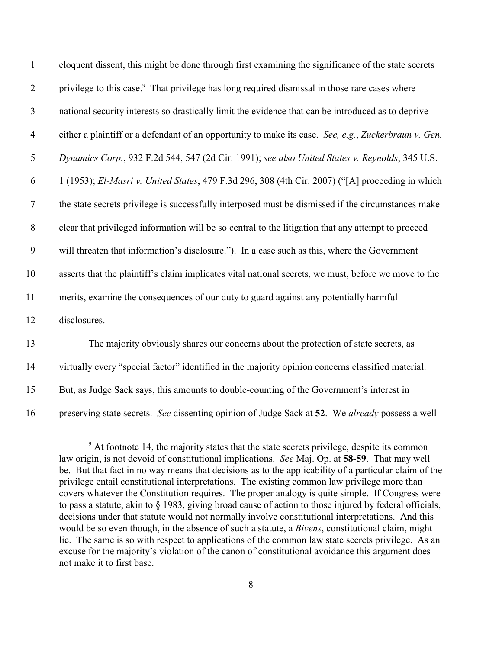| $\mathbf{1}$     | eloquent dissent, this might be done through first examining the significance of the state secrets        |
|------------------|-----------------------------------------------------------------------------------------------------------|
| $\overline{2}$   | privilege to this case. <sup>9</sup> That privilege has long required dismissal in those rare cases where |
| $\mathfrak{Z}$   | national security interests so drastically limit the evidence that can be introduced as to deprive        |
| $\overline{4}$   | either a plaintiff or a defendant of an opportunity to make its case. See, e.g., Zuckerbraun v. Gen.      |
| 5                | Dynamics Corp., 932 F.2d 544, 547 (2d Cir. 1991); see also United States v. Reynolds, 345 U.S.            |
| 6                | 1 (1953); El-Masri v. United States, 479 F.3d 296, 308 (4th Cir. 2007) ("[A] proceeding in which          |
| $\overline{7}$   | the state secrets privilege is successfully interposed must be dismissed if the circumstances make        |
| $\, 8$           | clear that privileged information will be so central to the litigation that any attempt to proceed        |
| $\boldsymbol{9}$ | will threaten that information's disclosure."). In a case such as this, where the Government              |
| 10               | asserts that the plaintiff's claim implicates vital national secrets, we must, before we move to the      |
| 11               | merits, examine the consequences of our duty to guard against any potentially harmful                     |
| 12               | disclosures.                                                                                              |
| 13               | The majority obviously shares our concerns about the protection of state secrets, as                      |
| 14               | virtually every "special factor" identified in the majority opinion concerns classified material.         |
| 15               | But, as Judge Sack says, this amounts to double-counting of the Government's interest in                  |
| 16               | preserving state secrets. See dissenting opinion of Judge Sack at 52. We already possess a well-          |

<sup>&</sup>lt;sup>9</sup> At footnote 14, the majority states that the state secrets privilege, despite its common law origin, is not devoid of constitutional implications. *See* Maj. Op. at **58-59**. That may well be. But that fact in no way means that decisions as to the applicability of a particular claim of the privilege entail constitutional interpretations. The existing common law privilege more than covers whatever the Constitution requires. The proper analogy is quite simple. If Congress were to pass a statute, akin to § 1983, giving broad cause of action to those injured by federal officials, decisions under that statute would not normally involve constitutional interpretations. And this would be so even though, in the absence of such a statute, a *Bivens*, constitutional claim, might lie. The same is so with respect to applications of the common law state secrets privilege. As an excuse for the majority's violation of the canon of constitutional avoidance this argument does not make it to first base.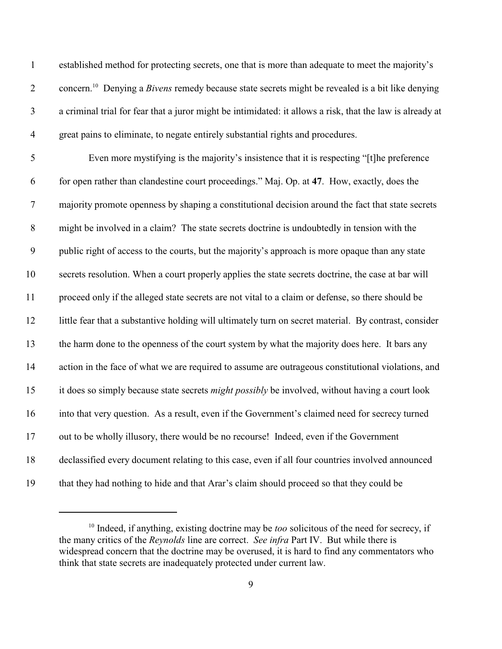| $\mathbf{1}$   | established method for protecting secrets, one that is more than adequate to meet the majority's                    |
|----------------|---------------------------------------------------------------------------------------------------------------------|
| $\overline{2}$ | concern. <sup>10</sup> Denying a <i>Bivens</i> remedy because state secrets might be revealed is a bit like denying |
| $\mathfrak{Z}$ | a criminal trial for fear that a juror might be intimidated: it allows a risk, that the law is already at           |
| $\overline{4}$ | great pains to eliminate, to negate entirely substantial rights and procedures.                                     |
| 5              | Even more mystifying is the majority's insistence that it is respecting "[t] the preference                         |
| 6              | for open rather than clandestine court proceedings." Maj. Op. at 47. How, exactly, does the                         |
| $\overline{7}$ | majority promote openness by shaping a constitutional decision around the fact that state secrets                   |
| $8\,$          | might be involved in a claim? The state secrets doctrine is undoubtedly in tension with the                         |
| 9              | public right of access to the courts, but the majority's approach is more opaque than any state                     |
| 10             | secrets resolution. When a court properly applies the state secrets doctrine, the case at bar will                  |
| 11             | proceed only if the alleged state secrets are not vital to a claim or defense, so there should be                   |
| 12             | little fear that a substantive holding will ultimately turn on secret material. By contrast, consider               |
| 13             | the harm done to the openness of the court system by what the majority does here. It bars any                       |
| 14             | action in the face of what we are required to assume are outrageous constitutional violations, and                  |
| 15             | it does so simply because state secrets might possibly be involved, without having a court look                     |
| 16             | into that very question. As a result, even if the Government's claimed need for secrecy turned                      |
| 17             | out to be wholly illusory, there would be no recourse! Indeed, even if the Government                               |
| 18             | declassified every document relating to this case, even if all four countries involved announced                    |
| 19             | that they had nothing to hide and that Arar's claim should proceed so that they could be                            |

<sup>&</sup>lt;sup>10</sup> Indeed, if anything, existing doctrine may be *too* solicitous of the need for secrecy, if the many critics of the *Reynolds* line are correct. *See infra* Part IV. But while there is widespread concern that the doctrine may be overused, it is hard to find any commentators who think that state secrets are inadequately protected under current law.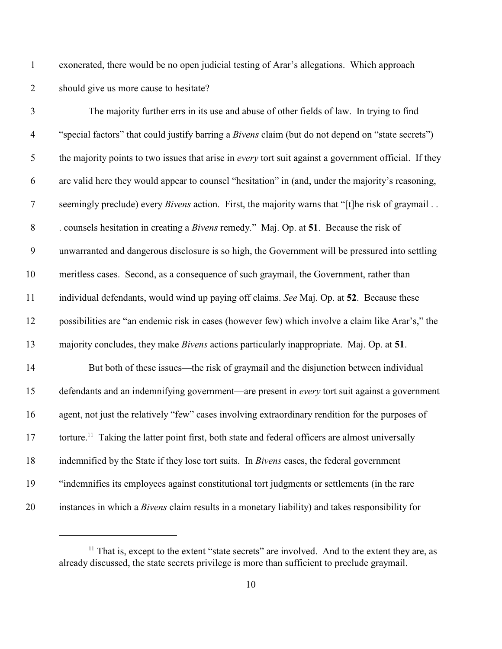exonerated, there would be no open judicial testing of Arar's allegations. Which approach should give us more cause to hesitate?

| $\mathfrak{Z}$   | The majority further errs in its use and abuse of other fields of law. In trying to find                      |
|------------------|---------------------------------------------------------------------------------------------------------------|
| $\overline{4}$   | "special factors" that could justify barring a Bivens claim (but do not depend on "state secrets")            |
| 5                | the majority points to two issues that arise in <i>every</i> tort suit against a government official. If they |
| 6                | are valid here they would appear to counsel "hesitation" in (and, under the majority's reasoning,             |
| $\boldsymbol{7}$ | seemingly preclude) every <i>Bivens</i> action. First, the majority warns that "[t]he risk of graymail        |
| $8\,$            | . counsels hesitation in creating a <i>Bivens</i> remedy." Maj. Op. at 51. Because the risk of                |
| 9                | unwarranted and dangerous disclosure is so high, the Government will be pressured into settling               |
| 10               | meritless cases. Second, as a consequence of such graymail, the Government, rather than                       |
| 11               | individual defendants, would wind up paying off claims. See Maj. Op. at 52. Because these                     |
| 12               | possibilities are "an endemic risk in cases (however few) which involve a claim like Arar's," the             |
| 13               | majority concludes, they make <i>Bivens</i> actions particularly inappropriate. Maj. Op. at 51.               |
| 14               | But both of these issues—the risk of graymail and the disjunction between individual                          |
| 15               | defendants and an indemnifying government—are present in every tort suit against a government                 |
| 16               | agent, not just the relatively "few" cases involving extraordinary rendition for the purposes of              |
| 17               | torture. <sup>11</sup> Taking the latter point first, both state and federal officers are almost universally  |
| 18               | indemnified by the State if they lose tort suits. In Bivens cases, the federal government                     |
| 19               | "indemnifies its employees against constitutional tort judgments or settlements (in the rare                  |
| 20               | instances in which a <i>Bivens</i> claim results in a monetary liability) and takes responsibility for        |

 That is, except to the extent "state secrets" are involved. And to the extent they are, as already discussed, the state secrets privilege is more than sufficient to preclude graymail.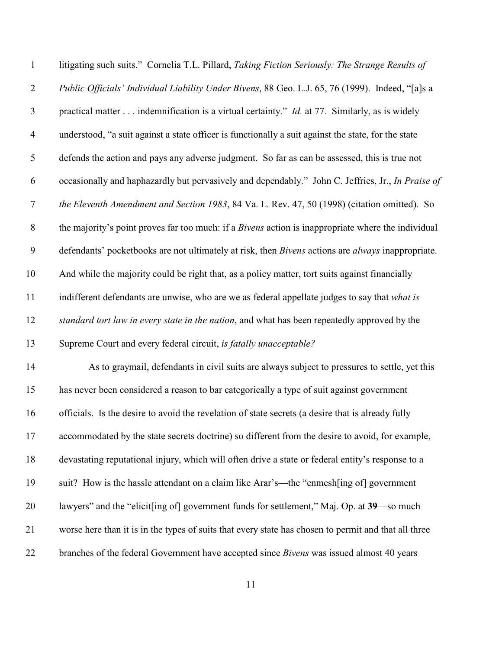| $\mathbf{1}$   | litigating such suits." Cornelia T.L. Pillard, Taking Fiction Seriously: The Strange Results of             |
|----------------|-------------------------------------------------------------------------------------------------------------|
| $\overline{2}$ | Public Officials' Individual Liability Under Bivens, 88 Geo. L.J. 65, 76 (1999). Indeed, "[a]s a            |
| $\mathfrak{Z}$ | practical matter $\dots$ indemnification is a virtual certainty." <i>Id.</i> at 77. Similarly, as is widely |
| $\overline{4}$ | understood, "a suit against a state officer is functionally a suit against the state, for the state         |
| 5              | defends the action and pays any adverse judgment. So far as can be assessed, this is true not               |
| 6              | occasionally and haphazardly but pervasively and dependably." John C. Jeffries, Jr., In Praise of           |
| $\overline{7}$ | the Eleventh Amendment and Section 1983, 84 Va. L. Rev. 47, 50 (1998) (citation omitted). So                |
| $8\,$          | the majority's point proves far too much: if a Bivens action is inappropriate where the individual          |
| 9              | defendants' pocketbooks are not ultimately at risk, then Bivens actions are always inappropriate.           |
| 10             | And while the majority could be right that, as a policy matter, tort suits against financially              |
| 11             | indifferent defendants are unwise, who are we as federal appellate judges to say that what is               |
| 12             | standard tort law in every state in the nation, and what has been repeatedly approved by the                |
| 13             | Supreme Court and every federal circuit, is fatally unacceptable?                                           |
| 14             | As to graymail, defendants in civil suits are always subject to pressures to settle, yet this               |
| 15             | has never been considered a reason to bar categorically a type of suit against government                   |
| 16             | officials. Is the desire to avoid the revelation of state secrets (a desire that is already fully           |
| 17             | accommodated by the state secrets doctrine) so different from the desire to avoid, for example,             |
| 18             | devastating reputational injury, which will often drive a state or federal entity's response to a           |
| 19             | suit? How is the hassle attendant on a claim like Arar's—the "enmesh[ing of] government                     |
| 20             | lawyers" and the "elicit[ing of] government funds for settlement," Maj. Op. at 39—so much                   |
| 21             | worse here than it is in the types of suits that every state has chosen to permit and that all three        |
| 22             | branches of the federal Government have accepted since <i>Bivens</i> was issued almost 40 years             |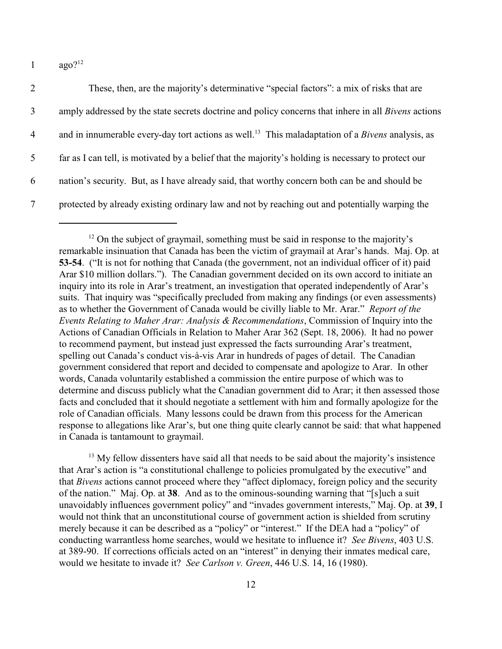1  $a\alpha_0$ ?<sup>12</sup>

| 2              | These, then, are the majority's determinative "special factors": a mix of risks that are                            |
|----------------|---------------------------------------------------------------------------------------------------------------------|
| 3              | amply addressed by the state secrets doctrine and policy concerns that inhere in all <i>Bivens</i> actions          |
| $\overline{4}$ | and in innumerable every-day tort actions as well. <sup>13</sup> This maladaptation of a <i>Bivens</i> analysis, as |
| 5              | far as I can tell, is motivated by a belief that the majority's holding is necessary to protect our                 |
| 6              | nation's security. But, as I have already said, that worthy concern both can be and should be                       |
|                | protected by already existing ordinary law and not by reaching out and potentially warping the                      |

 $13$  My fellow dissenters have said all that needs to be said about the majority's insistence that Arar's action is "a constitutional challenge to policies promulgated by the executive" and that *Bivens* actions cannot proceed where they "affect diplomacy, foreign policy and the security of the nation." Maj. Op. at **38**. And as to the ominous-sounding warning that "[s]uch a suit unavoidably influences government policy" and "invades government interests," Maj. Op. at **39**, I would not think that an unconstitutional course of government action is shielded from scrutiny merely because it can be described as a "policy" or "interest." If the DEA had a "policy" of conducting warrantless home searches, would we hesitate to influence it? *See Bivens*, 403 U.S. at 389-90. If corrections officials acted on an "interest" in denying their inmates medical care, would we hesitate to invade it? *See Carlson v. Green*, 446 U.S. 14, 16 (1980).

 $12$  On the subject of graymail, something must be said in response to the majority's remarkable insinuation that Canada has been the victim of graymail at Arar's hands. Maj. Op. at **53-54**. ("It is not for nothing that Canada (the government, not an individual officer of it) paid Arar \$10 million dollars."). The Canadian government decided on its own accord to initiate an inquiry into its role in Arar's treatment, an investigation that operated independently of Arar's suits. That inquiry was "specifically precluded from making any findings (or even assessments) as to whether the Government of Canada would be civilly liable to Mr. Arar." *Report of the Events Relating to Maher Arar: Analysis & Recommendations*, Commission of Inquiry into the Actions of Canadian Officials in Relation to Maher Arar 362 (Sept. 18, 2006). It had no power to recommend payment, but instead just expressed the facts surrounding Arar's treatment, spelling out Canada's conduct vis-à-vis Arar in hundreds of pages of detail. The Canadian government considered that report and decided to compensate and apologize to Arar. In other words, Canada voluntarily established a commission the entire purpose of which was to determine and discuss publicly what the Canadian government did to Arar; it then assessed those facts and concluded that it should negotiate a settlement with him and formally apologize for the role of Canadian officials. Many lessons could be drawn from this process for the American response to allegations like Arar's, but one thing quite clearly cannot be said: that what happened in Canada is tantamount to graymail.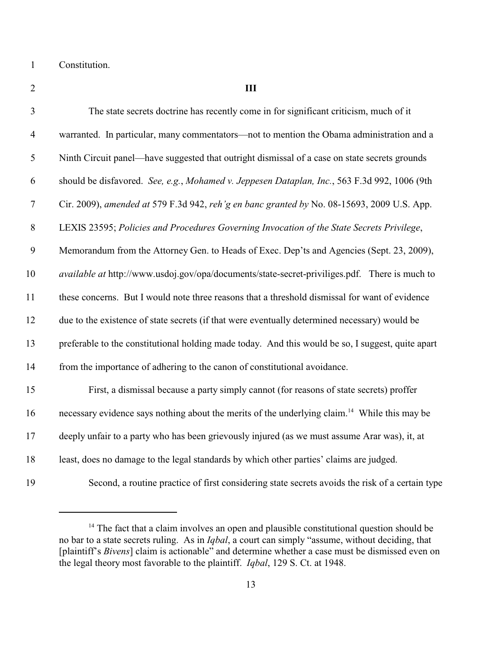Constitution.

 **III** The state secrets doctrine has recently come in for significant criticism, much of it warranted. In particular, many commentators—not to mention the Obama administration and a Ninth Circuit panel—have suggested that outright dismissal of a case on state secrets grounds should be disfavored. *See, e.g.*, *Mohamed v. Jeppesen Dataplan, Inc.*, 563 F.3d 992, 1006 (9th Cir. 2009), *amended at* 579 F.3d 942, *reh'g en banc granted by* No. 08-15693, 2009 U.S. App. LEXIS 23595; *Policies and Procedures Governing Invocation of the State Secrets Privilege*, Memorandum from the Attorney Gen. to Heads of Exec. Dep'ts and Agencies (Sept. 23, 2009), *available at* http://www.usdoj.gov/opa/documents/state-secret-priviliges.pdf. There is much to these concerns. But I would note three reasons that a threshold dismissal for want of evidence due to the existence of state secrets (if that were eventually determined necessary) would be preferable to the constitutional holding made today. And this would be so, I suggest, quite apart from the importance of adhering to the canon of constitutional avoidance. First, a dismissal because a party simply cannot (for reasons of state secrets) proffer 16 necessary evidence says nothing about the merits of the underlying claim.<sup>14</sup> While this may be deeply unfair to a party who has been grievously injured (as we must assume Arar was), it, at least, does no damage to the legal standards by which other parties' claims are judged. Second, a routine practice of first considering state secrets avoids the risk of a certain type

 The fact that a claim involves an open and plausible constitutional question should be no bar to a state secrets ruling. As in *Iqbal*, a court can simply "assume, without deciding, that [plaintiff's *Bivens*] claim is actionable" and determine whether a case must be dismissed even on the legal theory most favorable to the plaintiff. *Iqbal*, 129 S. Ct. at 1948.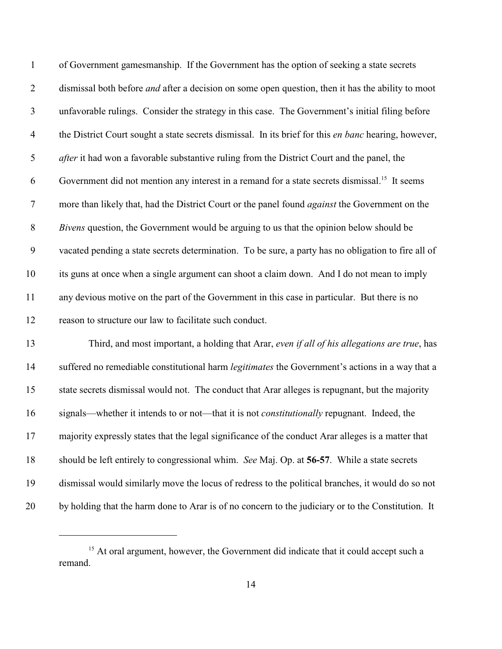| $\mathbf{1}$   | of Government gamesmanship. If the Government has the option of seeking a state secrets                   |
|----------------|-----------------------------------------------------------------------------------------------------------|
| $\overline{2}$ | dismissal both before <i>and</i> after a decision on some open question, then it has the ability to moot  |
| $\mathfrak{Z}$ | unfavorable rulings. Consider the strategy in this case. The Government's initial filing before           |
| $\overline{4}$ | the District Court sought a state secrets dismissal. In its brief for this en banc hearing, however,      |
| 5              | <i>after</i> it had won a favorable substantive ruling from the District Court and the panel, the         |
| 6              | Government did not mention any interest in a remand for a state secrets dismissal. <sup>15</sup> It seems |
| $\tau$         | more than likely that, had the District Court or the panel found <i>against</i> the Government on the     |
| $8\,$          | Bivens question, the Government would be arguing to us that the opinion below should be                   |
| 9              | vacated pending a state secrets determination. To be sure, a party has no obligation to fire all of       |
| 10             | its guns at once when a single argument can shoot a claim down. And I do not mean to imply                |
| 11             | any devious motive on the part of the Government in this case in particular. But there is no              |
| 12             | reason to structure our law to facilitate such conduct.                                                   |
| 13             | Third, and most important, a holding that Arar, even if all of his allegations are true, has              |
| 14             | suffered no remediable constitutional harm legitimates the Government's actions in a way that a           |
| 15             | state secrets dismissal would not. The conduct that Arar alleges is repugnant, but the majority           |
| 16             | signals—whether it intends to or not—that it is not <i>constitutionally</i> repugnant. Indeed, the        |
| 17             | majority expressly states that the legal significance of the conduct Arar alleges is a matter that        |
| 18             | should be left entirely to congressional whim. See Maj. Op. at 56-57. While a state secrets               |
| 19             | dismissal would similarly move the locus of redress to the political branches, it would do so not         |
| 20             | by holding that the harm done to Arar is of no concern to the judiciary or to the Constitution. It        |

<sup>&</sup>lt;sup>15</sup> At oral argument, however, the Government did indicate that it could accept such a remand.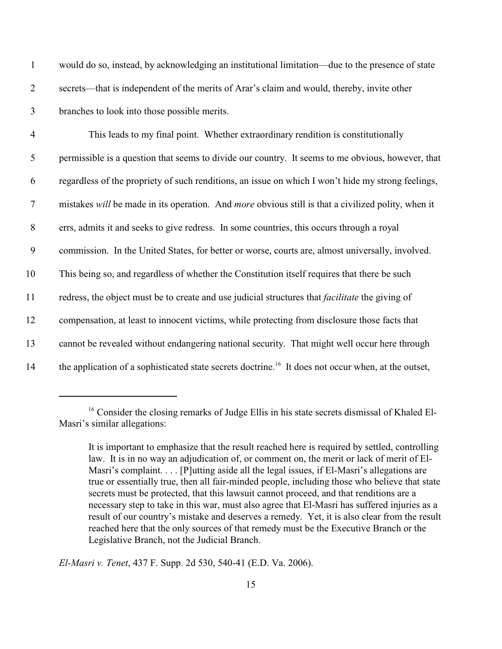| $\mathbf{1}$   | would do so, instead, by acknowledging an institutional limitation—due to the presence of state                 |
|----------------|-----------------------------------------------------------------------------------------------------------------|
| $\overline{2}$ | secrets—that is independent of the merits of Arar's claim and would, thereby, invite other                      |
| $\mathfrak{Z}$ | branches to look into those possible merits.                                                                    |
| $\overline{4}$ | This leads to my final point. Whether extraordinary rendition is constitutionally                               |
| 5              | permissible is a question that seems to divide our country. It seems to me obvious, however, that               |
| 6              | regardless of the propriety of such renditions, an issue on which I won't hide my strong feelings,              |
| $\tau$         | mistakes will be made in its operation. And more obvious still is that a civilized polity, when it              |
| $8\,$          | errs, admits it and seeks to give redress. In some countries, this occurs through a royal                       |
| 9              | commission. In the United States, for better or worse, courts are, almost universally, involved.                |
| 10             | This being so, and regardless of whether the Constitution itself requires that there be such                    |
| 11             | redress, the object must be to create and use judicial structures that <i>facilitate</i> the giving of          |
| 12             | compensation, at least to innocent victims, while protecting from disclosure those facts that                   |
| 13             | cannot be revealed without endangering national security. That might well occur here through                    |
| 14             | the application of a sophisticated state secrets doctrine. <sup>16</sup> It does not occur when, at the outset, |

<sup>&</sup>lt;sup>16</sup> Consider the closing remarks of Judge Ellis in his state secrets dismissal of Khaled El-Masri's similar allegations:

*El-Masri v. Tenet*, 437 F. Supp. 2d 530, 540-41 (E.D. Va. 2006).

It is important to emphasize that the result reached here is required by settled, controlling law. It is in no way an adjudication of, or comment on, the merit or lack of merit of El-Masri's complaint. . . . [P]utting aside all the legal issues, if El-Masri's allegations are true or essentially true, then all fair-minded people, including those who believe that state secrets must be protected, that this lawsuit cannot proceed, and that renditions are a necessary step to take in this war, must also agree that El-Masri has suffered injuries as a result of our country's mistake and deserves a remedy. Yet, it is also clear from the result reached here that the only sources of that remedy must be the Executive Branch or the Legislative Branch, not the Judicial Branch.